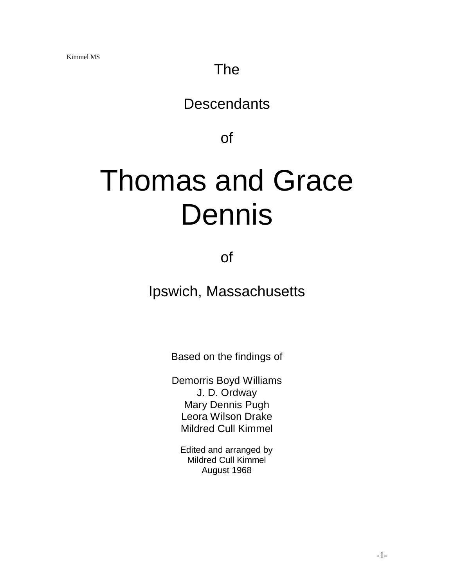# The

# **Descendants**

of

# Thomas and Grace Dennis

of

Ipswich, Massachusetts

Based on the findings of

Demorris Boyd Williams J. D. Ordway Mary Dennis Pugh Leora Wilson Drake Mildred Cull Kimmel

Edited and arranged by Mildred Cull Kimmel August 1968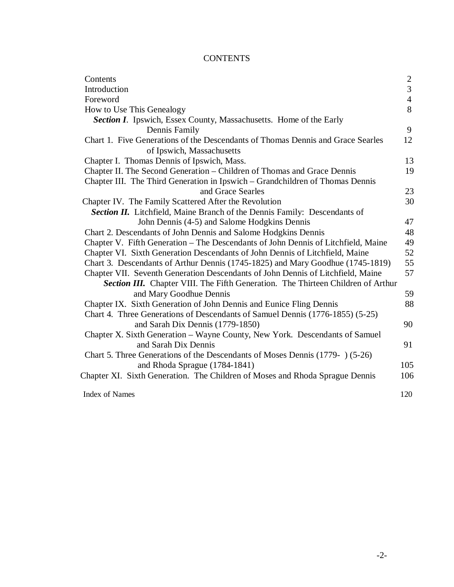# **CONTENTS**

| Contents                                                                          |                |
|-----------------------------------------------------------------------------------|----------------|
| Introduction                                                                      | $\frac{2}{3}$  |
| Foreword                                                                          | $\overline{4}$ |
| How to Use This Genealogy                                                         | 8              |
| <b>Section I.</b> Ipswich, Essex County, Massachusetts. Home of the Early         |                |
| Dennis Family                                                                     | 9              |
| Chart 1. Five Generations of the Descendants of Thomas Dennis and Grace Searles   | 12             |
| of Ipswich, Massachusetts                                                         |                |
| Chapter I. Thomas Dennis of Ipswich, Mass.                                        | 13             |
| Chapter II. The Second Generation - Children of Thomas and Grace Dennis           | 19             |
| Chapter III. The Third Generation in Ipswich - Grandchildren of Thomas Dennis     |                |
| and Grace Searles                                                                 | 23             |
| Chapter IV. The Family Scattered After the Revolution                             | 30             |
| <b>Section II.</b> Litchfield, Maine Branch of the Dennis Family: Descendants of  |                |
| John Dennis (4-5) and Salome Hodgkins Dennis                                      | 47             |
| Chart 2. Descendants of John Dennis and Salome Hodgkins Dennis                    | 48             |
| Chapter V. Fifth Generation - The Descendants of John Dennis of Litchfield, Maine | 49             |
| Chapter VI. Sixth Generation Descendants of John Dennis of Litchfield, Maine      | 52             |
| Chart 3. Descendants of Arthur Dennis (1745-1825) and Mary Goodhue (1745-1819)    | 55             |
| Chapter VII. Seventh Generation Descendants of John Dennis of Litchfield, Maine   | 57             |
| Section III. Chapter VIII. The Fifth Generation. The Thirteen Children of Arthur  |                |
| and Mary Goodhue Dennis                                                           | 59             |
| Chapter IX. Sixth Generation of John Dennis and Eunice Fling Dennis               | 88             |
| Chart 4. Three Generations of Descendants of Samuel Dennis (1776-1855) (5-25)     |                |
| and Sarah Dix Dennis (1779-1850)                                                  | 90             |
| Chapter X. Sixth Generation - Wayne County, New York. Descendants of Samuel       |                |
| and Sarah Dix Dennis                                                              | 91             |
| Chart 5. Three Generations of the Descendants of Moses Dennis (1779-) (5-26)      |                |
| and Rhoda Sprague (1784-1841)                                                     | 105            |
| Chapter XI. Sixth Generation. The Children of Moses and Rhoda Sprague Dennis      | 106            |
|                                                                                   |                |
| <b>Index of Names</b>                                                             | 120            |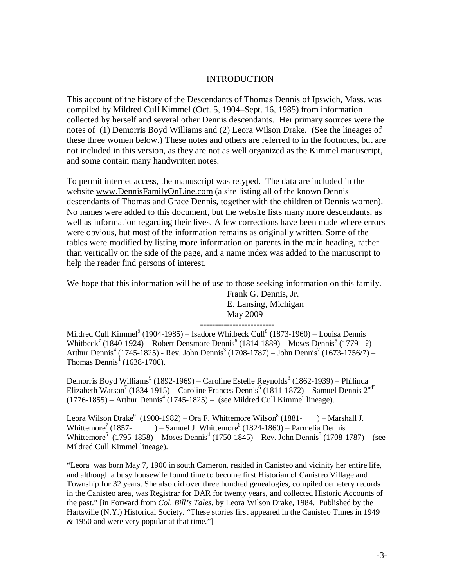## INTRODUCTION

This account of the history of the Descendants of Thomas Dennis of Ipswich, Mass. was compiled by Mildred Cull Kimmel (Oct. 5, 1904–Sept. 16, 1985) from information collected by herself and several other Dennis descendants. Her primary sources were the notes of (1) Demorris Boyd Williams and (2) Leora Wilson Drake. (See the lineages of these three women below.) These notes and others are referred to in the footnotes, but are not included in this version, as they are not as well organized as the Kimmel manuscript, and some contain many handwritten notes.

To permit internet access, the manuscript was retyped. The data are included in the website [www.DennisFamilyOnLine.com](http://www.DennisFamilyOnLine.com) (a site listing all of the known Dennis descendants of Thomas and Grace Dennis, together with the children of Dennis women). No names were added to this document, but the website lists many more descendants, as well as information regarding their lives. A few corrections have been made where errors were obvious, but most of the information remains as originally written. Some of the tables were modified by listing more information on parents in the main heading, rather than vertically on the side of the page, and a name index was added to the manuscript to help the reader find persons of interest.

We hope that this information will be of use to those seeking information on this family.

Frank G. Dennis, Jr. E. Lansing, Michigan May 2009 -------------------------

Mildred Cull Kimmel<sup>9</sup> (1904-1985) – Isadore Whitbeck Cull<sup>8</sup> (1873-1960) – Louisa Dennis Whitbeck<sup>7</sup> (1840-1924) – Robert Densmore Dennis<sup>6</sup> (1814-1889) – Moses Dennis<sup>5</sup> (1779-?) – Arthur Dennis<sup>4</sup> (1745-1825) - Rev. John Dennis<sup>3</sup> (1708-1787) – John Dennis<sup>2</sup> (1673-1756/7) – Thomas Dennis<sup>1</sup> (1638-1706).

Demorris Boyd Williams<sup>9</sup> (1892-1969) – Caroline Estelle Reynolds<sup>8</sup> (1862-1939) – Philinda Elizabeth Watson<sup>7</sup> (1834-1915) – Caroline Frances Dennis<sup>6</sup> (1811-1872) – Samuel Dennis 2<sup>nd5</sup>  $(1776-1855)$  – Arthur Dennis<sup>4</sup> (1745-1825) – (see Mildred Cull Kimmel lineage).

Leora Wilson Drake $^9$  (1900-1982) – Ora F. Whittemore Wilson $^8$  $)$  – Marshall J. Whittemore<sup>7</sup> (1857- $(1857 - ) -$  Samuel J. Whittemore<sup>6</sup>  $(1824 - 1860) -$  Parmelia Dennis Whittemore<sup>5</sup> (1795-1858) – Moses Dennis<sup>4</sup> (1750-1845) – Rev. John Dennis<sup>3</sup> (1708-1787) – (see Mildred Cull Kimmel lineage).

"Leora was born May 7, 1900 in south Cameron, resided in Canisteo and vicinity her entire life, and although a busy housewife found time to become first Historian of Canisteo Village and Township for 32 years. She also did over three hundred genealogies, compiled cemetery records in the Canisteo area, was Registrar for DAR for twenty years, and collected Historic Accounts of the past." [in Forward from *Col. Bill's Tales*, by Leora Wilson Drake, 1984. Published by the Hartsville (N.Y.) Historical Society. "These stories first appeared in the Canisteo Times in 1949 & 1950 and were very popular at that time."]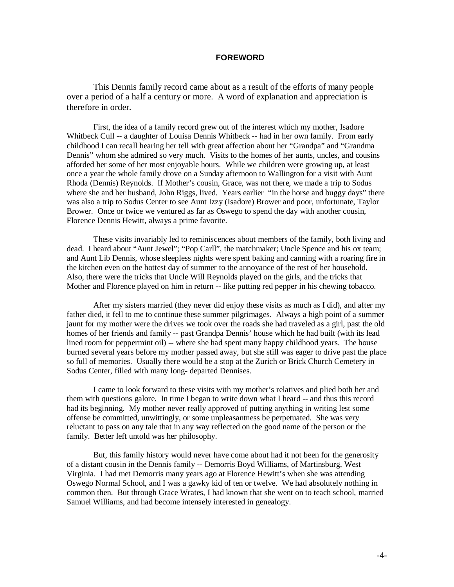#### **FOREWORD**

This Dennis family record came about as a result of the efforts of many people over a period of a half a century or more. A word of explanation and appreciation is therefore in order.

First, the idea of a family record grew out of the interest which my mother, Isadore Whitbeck Cull -- a daughter of Louisa Dennis Whitbeck -- had in her own family. From early childhood I can recall hearing her tell with great affection about her "Grandpa" and "Grandma Dennis" whom she admired so very much. Visits to the homes of her aunts, uncles, and cousins afforded her some of her most enjoyable hours. While we children were growing up, at least once a year the whole family drove on a Sunday afternoon to Wallington for a visit with Aunt Rhoda (Dennis) Reynolds. If Mother's cousin, Grace, was not there, we made a trip to Sodus where she and her husband, John Riggs, lived. Years earlier "in the horse and buggy days" there was also a trip to Sodus Center to see Aunt Izzy (Isadore) Brower and poor, unfortunate, Taylor Brower. Once or twice we ventured as far as Oswego to spend the day with another cousin, Florence Dennis Hewitt, always a prime favorite.

These visits invariably led to reminiscences about members of the family, both living and dead. I heard about "Aunt Jewel"; "Pop Carll", the matchmaker; Uncle Spence and his ox team; and Aunt Lib Dennis, whose sleepless nights were spent baking and canning with a roaring fire in the kitchen even on the hottest day of summer to the annoyance of the rest of her household. Also, there were the tricks that Uncle Will Reynolds played on the girls, and the tricks that Mother and Florence played on him in return -- like putting red pepper in his chewing tobacco.

After my sisters married (they never did enjoy these visits as much as I did), and after my father died, it fell to me to continue these summer pilgrimages. Always a high point of a summer jaunt for my mother were the drives we took over the roads she had traveled as a girl, past the old homes of her friends and family -- past Grandpa Dennis' house which he had built (with its lead lined room for peppermint oil) -- where she had spent many happy childhood years. The house burned several years before my mother passed away, but she still was eager to drive past the place so full of memories. Usually there would be a stop at the Zurich or Brick Church Cemetery in Sodus Center, filled with many long- departed Dennises.

I came to look forward to these visits with my mother's relatives and plied both her and them with questions galore. In time I began to write down what I heard -- and thus this record had its beginning. My mother never really approved of putting anything in writing lest some offense be committed, unwittingly, or some unpleasantness be perpetuated. She was very reluctant to pass on any tale that in any way reflected on the good name of the person or the family. Better left untold was her philosophy.

But, this family history would never have come about had it not been for the generosity of a distant cousin in the Dennis family -- Demorris Boyd Williams, of Martinsburg, West Virginia. I had met Demorris many years ago at Florence Hewitt's when she was attending Oswego Normal School, and I was a gawky kid of ten or twelve. We had absolutely nothing in common then. But through Grace Wrates, I had known that she went on to teach school, married Samuel Williams, and had become intensely interested in genealogy.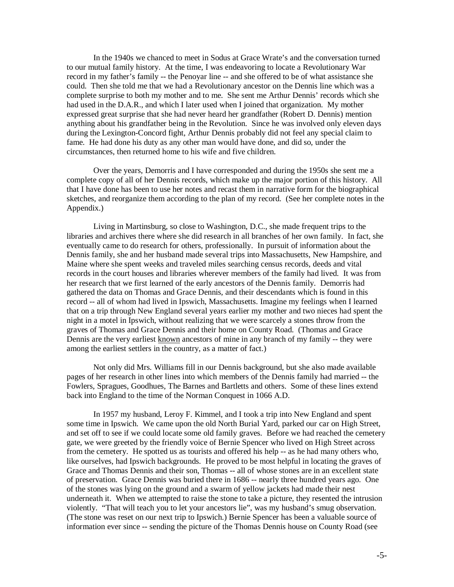In the 1940s we chanced to meet in Sodus at Grace Wrate's and the conversation turned to our mutual family history. At the time, I was endeavoring to locate a Revolutionary War record in my father's family -- the Penoyar line -- and she offered to be of what assistance she could. Then she told me that we had a Revolutionary ancestor on the Dennis line which was a complete surprise to both my mother and to me. She sent me Arthur Dennis' records which she had used in the D.A.R., and which I later used when I joined that organization. My mother expressed great surprise that she had never heard her grandfather (Robert D. Dennis) mention anything about his grandfather being in the Revolution. Since he was involved only eleven days during the Lexington-Concord fight, Arthur Dennis probably did not feel any special claim to fame. He had done his duty as any other man would have done, and did so, under the circumstances, then returned home to his wife and five children.

Over the years, Demorris and I have corresponded and during the 1950s she sent me a complete copy of all of her Dennis records, which make up the major portion of this history. All that I have done has been to use her notes and recast them in narrative form for the biographical sketches, and reorganize them according to the plan of my record. (See her complete notes in the Appendix.)

Living in Martinsburg, so close to Washington, D.C., she made frequent trips to the libraries and archives there where she did research in all branches of her own family. In fact, she eventually came to do research for others, professionally. In pursuit of information about the Dennis family, she and her husband made several trips into Massachusetts, New Hampshire, and Maine where she spent weeks and traveled miles searching census records, deeds and vital records in the court houses and libraries wherever members of the family had lived. It was from her research that we first learned of the early ancestors of the Dennis family. Demorris had gathered the data on Thomas and Grace Dennis, and their descendants which is found in this record -- all of whom had lived in Ipswich, Massachusetts. Imagine my feelings when I learned that on a trip through New England several years earlier my mother and two nieces had spent the night in a motel in Ipswich, without realizing that we were scarcely a stones throw from the graves of Thomas and Grace Dennis and their home on County Road. (Thomas and Grace Dennis are the very earliest known ancestors of mine in any branch of my family -- they were among the earliest settlers in the country, as a matter of fact.)

Not only did Mrs. Williams fill in our Dennis background, but she also made available pages of her research in other lines into which members of the Dennis family had married -- the Fowlers, Spragues, Goodhues, The Barnes and Bartletts and others. Some of these lines extend back into England to the time of the Norman Conquest in 1066 A.D.

In 1957 my husband, Leroy F. Kimmel, and I took a trip into New England and spent some time in Ipswich. We came upon the old North Burial Yard, parked our car on High Street, and set off to see if we could locate some old family graves. Before we had reached the cemetery gate, we were greeted by the friendly voice of Bernie Spencer who lived on High Street across from the cemetery. He spotted us as tourists and offered his help -- as he had many others who, like ourselves, had Ipswich backgrounds. He proved to be most helpful in locating the graves of Grace and Thomas Dennis and their son, Thomas -- all of whose stones are in an excellent state of preservation. Grace Dennis was buried there in 1686 -- nearly three hundred years ago. One of the stones was lying on the ground and a swarm of yellow jackets had made their nest underneath it. When we attempted to raise the stone to take a picture, they resented the intrusion violently. "That will teach you to let your ancestors lie", was my husband's smug observation. (The stone was reset on our next trip to Ipswich.) Bernie Spencer has been a valuable source of information ever since -- sending the picture of the Thomas Dennis house on County Road (see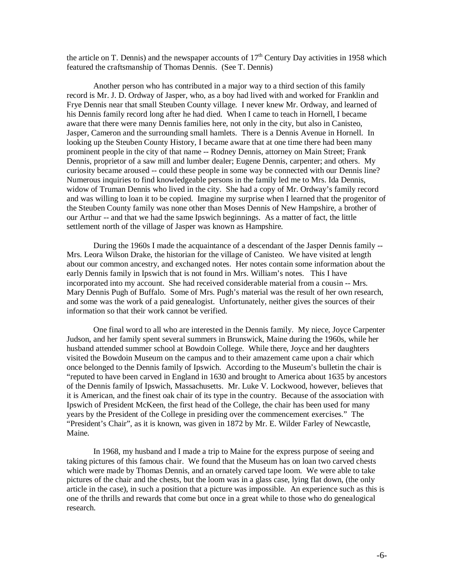the article on T. Dennis) and the newspaper accounts of  $17<sup>th</sup>$  Century Day activities in 1958 which featured the craftsmanship of Thomas Dennis. (See T. Dennis)

Another person who has contributed in a major way to a third section of this family record is Mr. J. D. Ordway of Jasper, who, as a boy had lived with and worked for Franklin and Frye Dennis near that small Steuben County village. I never knew Mr. Ordway, and learned of his Dennis family record long after he had died. When I came to teach in Hornell, I became aware that there were many Dennis families here, not only in the city, but also in Canisteo, Jasper, Cameron and the surrounding small hamlets. There is a Dennis Avenue in Hornell. In looking up the Steuben County History, I became aware that at one time there had been many prominent people in the city of that name -- Rodney Dennis, attorney on Main Street; Frank Dennis, proprietor of a saw mill and lumber dealer; Eugene Dennis, carpenter; and others. My curiosity became aroused -- could these people in some way be connected with our Dennis line? Numerous inquiries to find knowledgeable persons in the family led me to Mrs. Ida Dennis, widow of Truman Dennis who lived in the city. She had a copy of Mr. Ordway's family record and was willing to loan it to be copied. Imagine my surprise when I learned that the progenitor of the Steuben County family was none other than Moses Dennis of New Hampshire, a brother of our Arthur -- and that we had the same Ipswich beginnings. As a matter of fact, the little settlement north of the village of Jasper was known as Hampshire.

During the 1960s I made the acquaintance of a descendant of the Jasper Dennis family -- Mrs. Leora Wilson Drake, the historian for the village of Canisteo. We have visited at length about our common ancestry, and exchanged notes. Her notes contain some information about the early Dennis family in Ipswich that is not found in Mrs. William's notes. This I have incorporated into my account. She had received considerable material from a cousin -- Mrs. Mary Dennis Pugh of Buffalo. Some of Mrs. Pugh's material was the result of her own research, and some was the work of a paid genealogist. Unfortunately, neither gives the sources of their information so that their work cannot be verified.

One final word to all who are interested in the Dennis family. My niece, Joyce Carpenter Judson, and her family spent several summers in Brunswick, Maine during the 1960s, while her husband attended summer school at Bowdoin College. While there, Joyce and her daughters visited the Bowdoin Museum on the campus and to their amazement came upon a chair which once belonged to the Dennis family of Ipswich. According to the Museum's bulletin the chair is "reputed to have been carved in England in 1630 and brought to America about 1635 by ancestors of the Dennis family of Ipswich, Massachusetts. Mr. Luke V. Lockwood, however, believes that it is American, and the finest oak chair of its type in the country. Because of the association with Ipswich of President McKeen, the first head of the College, the chair has been used for many years by the President of the College in presiding over the commencement exercises." The "President's Chair", as it is known, was given in 1872 by Mr. E. Wilder Farley of Newcastle, Maine.

In 1968, my husband and I made a trip to Maine for the express purpose of seeing and taking pictures of this famous chair. We found that the Museum has on loan two carved chests which were made by Thomas Dennis, and an ornately carved tape loom. We were able to take pictures of the chair and the chests, but the loom was in a glass case, lying flat down, (the only article in the case), in such a position that a picture was impossible. An experience such as this is one of the thrills and rewards that come but once in a great while to those who do genealogical research.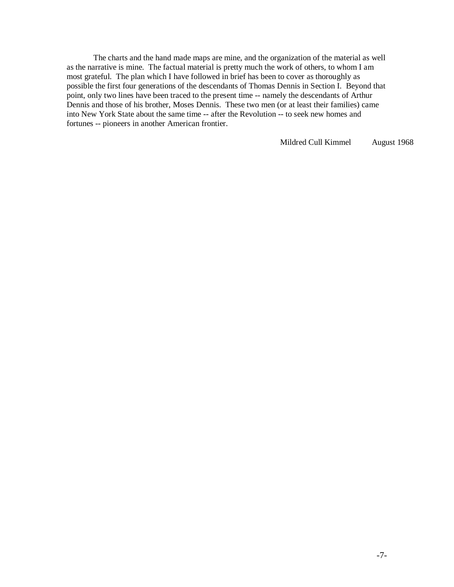The charts and the hand made maps are mine, and the organization of the material as well as the narrative is mine. The factual material is pretty much the work of others, to whom I am most grateful. The plan which I have followed in brief has been to cover as thoroughly as possible the first four generations of the descendants of Thomas Dennis in Section I. Beyond that point, only two lines have been traced to the present time -- namely the descendants of Arthur Dennis and those of his brother, Moses Dennis. These two men (or at least their families) came into New York State about the same time -- after the Revolution -- to seek new homes and fortunes -- pioneers in another American frontier.

Mildred Cull Kimmel August 1968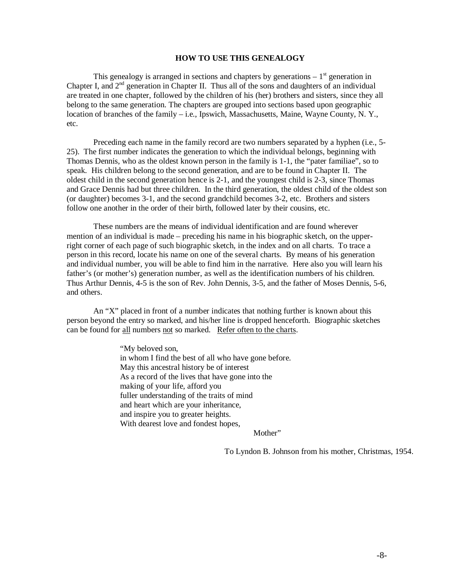#### **HOW TO USE THIS GENEALOGY**

This genealogy is arranged in sections and chapters by generations  $-1<sup>st</sup>$  generation in Chapter I, and  $2<sup>nd</sup>$  generation in Chapter II. Thus all of the sons and daughters of an individual are treated in one chapter, followed by the children of his (her) brothers and sisters, since they all belong to the same generation. The chapters are grouped into sections based upon geographic location of branches of the family – i.e., Ipswich, Massachusetts, Maine, Wayne County, N.Y., etc.

Preceding each name in the family record are two numbers separated by a hyphen (i.e., 5- 25). The first number indicates the generation to which the individual belongs, beginning with Thomas Dennis, who as the oldest known person in the family is 1-1, the "pater familiae", so to speak. His children belong to the second generation, and are to be found in Chapter II. The oldest child in the second generation hence is 2-1, and the youngest child is 2-3, since Thomas and Grace Dennis had but three children. In the third generation, the oldest child of the oldest son (or daughter) becomes 3-1, and the second grandchild becomes 3-2, etc. Brothers and sisters follow one another in the order of their birth, followed later by their cousins, etc.

These numbers are the means of individual identification and are found wherever mention of an individual is made – preceding his name in his biographic sketch, on the upperright corner of each page of such biographic sketch, in the index and on all charts. To trace a person in this record, locate his name on one of the several charts. By means of his generation and individual number, you will be able to find him in the narrative. Here also you will learn his father's (or mother's) generation number, as well as the identification numbers of his children. Thus Arthur Dennis, 4-5 is the son of Rev. John Dennis, 3-5, and the father of Moses Dennis, 5-6, and others.

An "X" placed in front of a number indicates that nothing further is known about this person beyond the entry so marked, and his/her line is dropped henceforth. Biographic sketches can be found for all numbers not so marked. Refer often to the charts.

> "My beloved son, in whom I find the best of all who have gone before. May this ancestral history be of interest As a record of the lives that have gone into the making of your life, afford you fuller understanding of the traits of mind and heart which are your inheritance, and inspire you to greater heights. With dearest love and fondest hopes,

> > Mother"

To Lyndon B. Johnson from his mother, Christmas, 1954.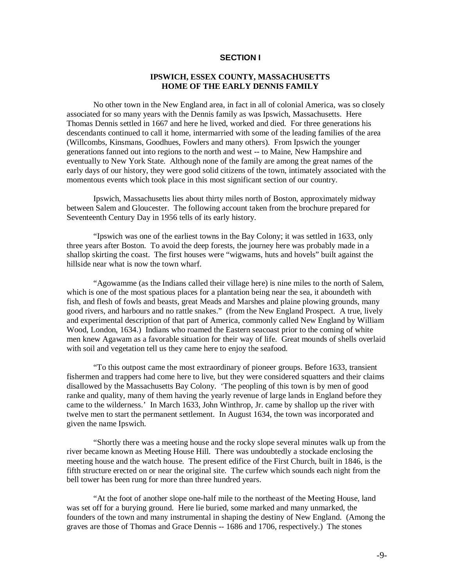#### **SECTION I**

#### **IPSWICH, ESSEX COUNTY, MASSACHUSETTS HOME OF THE EARLY DENNIS FAMILY**

No other town in the New England area, in fact in all of colonial America, was so closely associated for so many years with the Dennis family as was Ipswich, Massachusetts. Here Thomas Dennis settled in 1667 and here he lived, worked and died. For three generations his descendants continued to call it home, intermarried with some of the leading families of the area (Willcombs, Kinsmans, Goodhues, Fowlers and many others). From Ipswich the younger generations fanned out into regions to the north and west -- to Maine, New Hampshire and eventually to New York State. Although none of the family are among the great names of the early days of our history, they were good solid citizens of the town, intimately associated with the momentous events which took place in this most significant section of our country.

Ipswich, Massachusetts lies about thirty miles north of Boston, approximately midway between Salem and Gloucester. The following account taken from the brochure prepared for Seventeenth Century Day in 1956 tells of its early history.

"Ipswich was one of the earliest towns in the Bay Colony; it was settled in 1633, only three years after Boston. To avoid the deep forests, the journey here was probably made in a shallop skirting the coast. The first houses were "wigwams, huts and hovels" built against the hillside near what is now the town wharf.

"Agowamme (as the Indians called their village here) is nine miles to the north of Salem, which is one of the most spatious places for a plantation being near the sea, it aboundeth with fish, and flesh of fowls and beasts, great Meads and Marshes and plaine plowing grounds, many good rivers, and harbours and no rattle snakes." (from the New England Prospect. A true, lively and experimental description of that part of America, commonly called New England by William Wood, London, 1634.) Indians who roamed the Eastern seacoast prior to the coming of white men knew Agawam as a favorable situation for their way of life. Great mounds of shells overlaid with soil and vegetation tell us they came here to enjoy the seafood.

"To this outpost came the most extraordinary of pioneer groups. Before 1633, transient fishermen and trappers had come here to live, but they were considered squatters and their claims disallowed by the Massachusetts Bay Colony. 'The peopling of this town is by men of good ranke and quality, many of them having the yearly revenue of large lands in England before they came to the wilderness.' In March 1633, John Winthrop, Jr. came by shallop up the river with twelve men to start the permanent settlement. In August 1634, the town was incorporated and given the name Ipswich.

"Shortly there was a meeting house and the rocky slope several minutes walk up from the river became known as Meeting House Hill. There was undoubtedly a stockade enclosing the meeting house and the watch house. The present edifice of the First Church, built in 1846, is the fifth structure erected on or near the original site. The curfew which sounds each night from the bell tower has been rung for more than three hundred years.

"At the foot of another slope one-half mile to the northeast of the Meeting House, land was set off for a burying ground. Here lie buried, some marked and many unmarked, the founders of the town and many instrumental in shaping the destiny of New England. (Among the graves are those of Thomas and Grace Dennis -- 1686 and 1706, respectively.) The stones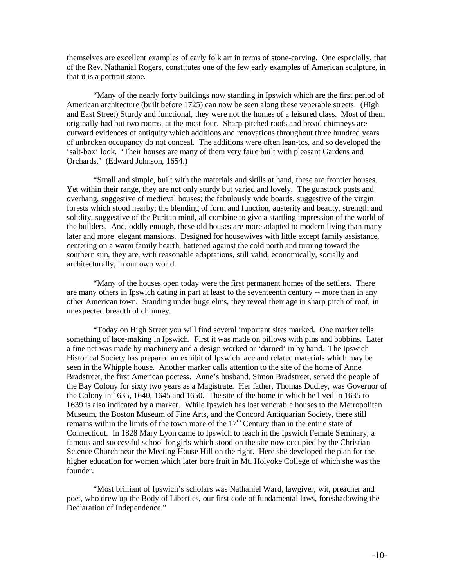themselves are excellent examples of early folk art in terms of stone-carving. One especially, that of the Rev. Nathanial Rogers, constitutes one of the few early examples of American sculpture, in that it is a portrait stone.

"Many of the nearly forty buildings now standing in Ipswich which are the first period of American architecture (built before 1725) can now be seen along these venerable streets. (High and East Street) Sturdy and functional, they were not the homes of a leisured class. Most of them originally had but two rooms, at the most four. Sharp-pitched roofs and broad chimneys are outward evidences of antiquity which additions and renovations throughout three hundred years of unbroken occupancy do not conceal. The additions were often lean-tos, and so developed the 'salt-box' look. 'Their houses are many of them very faire built with pleasant Gardens and Orchards.' (Edward Johnson, 1654.)

"Small and simple, built with the materials and skills at hand, these are frontier houses. Yet within their range, they are not only sturdy but varied and lovely. The gunstock posts and overhang, suggestive of medieval houses; the fabulously wide boards, suggestive of the virgin forests which stood nearby; the blending of form and function, austerity and beauty, strength and solidity, suggestive of the Puritan mind, all combine to give a startling impression of the world of the builders. And, oddly enough, these old houses are more adapted to modern living than many later and more elegant mansions. Designed for housewives with little except family assistance, centering on a warm family hearth, battened against the cold north and turning toward the southern sun, they are, with reasonable adaptations, still valid, economically, socially and architecturally, in our own world.

"Many of the houses open today were the first permanent homes of the settlers. There are many others in Ipswich dating in part at least to the seventeenth century -- more than in any other American town. Standing under huge elms, they reveal their age in sharp pitch of roof, in unexpected breadth of chimney.

"Today on High Street you will find several important sites marked. One marker tells something of lace-making in Ipswich. First it was made on pillows with pins and bobbins. Later a fine net was made by machinery and a design worked or 'darned' in by hand. The Ipswich Historical Society has prepared an exhibit of Ipswich lace and related materials which may be seen in the Whipple house. Another marker calls attention to the site of the home of Anne Bradstreet, the first American poetess. Anne's husband, Simon Bradstreet, served the people of the Bay Colony for sixty two years as a Magistrate. Her father, Thomas Dudley, was Governor of the Colony in 1635, 1640, 1645 and 1650. The site of the home in which he lived in 1635 to 1639 is also indicated by a marker. While Ipswich has lost venerable houses to the Metropolitan Museum, the Boston Museum of Fine Arts, and the Concord Antiquarian Society, there still remains within the limits of the town more of the 17<sup>th</sup> Century than in the entire state of Connecticut. In 1828 Mary Lyon came to Ipswich to teach in the Ipswich Female Seminary, a famous and successful school for girls which stood on the site now occupied by the Christian Science Church near the Meeting House Hill on the right. Here she developed the plan for the higher education for women which later bore fruit in Mt. Holyoke College of which she was the founder.

"Most brilliant of Ipswich's scholars was Nathaniel Ward, lawgiver, wit, preacher and poet, who drew up the Body of Liberties, our first code of fundamental laws, foreshadowing the Declaration of Independence."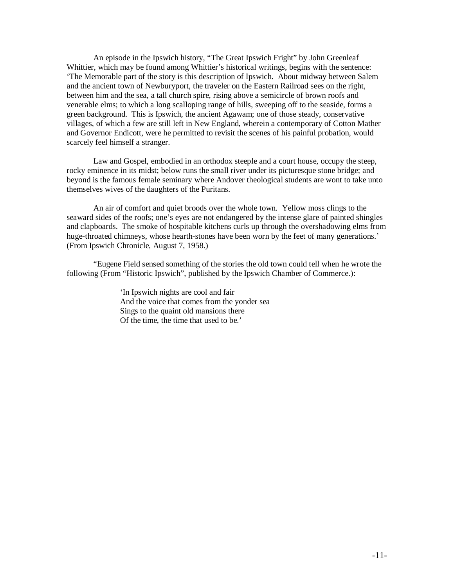An episode in the Ipswich history, "The Great Ipswich Fright" by John Greenleaf Whittier, which may be found among Whittier's historical writings, begins with the sentence: 'The Memorable part of the story is this description of Ipswich. About midway between Salem and the ancient town of Newburyport, the traveler on the Eastern Railroad sees on the right, between him and the sea, a tall church spire, rising above a semicircle of brown roofs and venerable elms; to which a long scalloping range of hills, sweeping off to the seaside, forms a green background. This is Ipswich, the ancient Agawam; one of those steady, conservative villages, of which a few are still left in New England, wherein a contemporary of Cotton Mather and Governor Endicott, were he permitted to revisit the scenes of his painful probation, would scarcely feel himself a stranger.

Law and Gospel, embodied in an orthodox steeple and a court house, occupy the steep, rocky eminence in its midst; below runs the small river under its picturesque stone bridge; and beyond is the famous female seminary where Andover theological students are wont to take unto themselves wives of the daughters of the Puritans.

An air of comfort and quiet broods over the whole town. Yellow moss clings to the seaward sides of the roofs; one's eyes are not endangered by the intense glare of painted shingles and clapboards. The smoke of hospitable kitchens curls up through the overshadowing elms from huge-throated chimneys, whose hearth-stones have been worn by the feet of many generations.' (From Ipswich Chronicle, August 7, 1958.)

"Eugene Field sensed something of the stories the old town could tell when he wrote the following (From "Historic Ipswich", published by the Ipswich Chamber of Commerce.):

> 'In Ipswich nights are cool and fair And the voice that comes from the yonder sea Sings to the quaint old mansions there Of the time, the time that used to be.'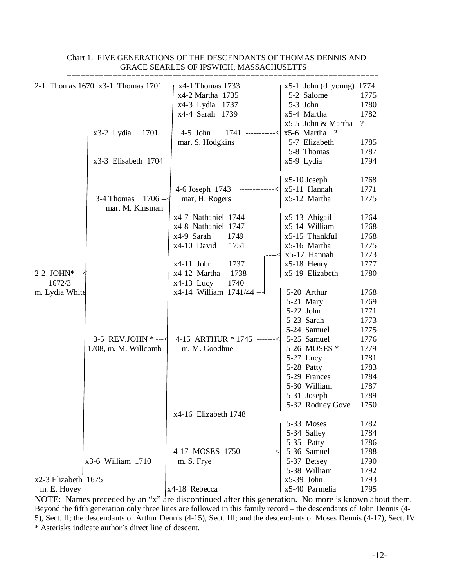| 2-1 Thomas 1670 x3-1 Thomas 1701 |                                                              | x4-1 Thomas 1733            | $x5-1$ John (d. young) 1774 |               |
|----------------------------------|--------------------------------------------------------------|-----------------------------|-----------------------------|---------------|
|                                  |                                                              | x4-2 Martha 1735            | 5-2 Salome                  | 1775          |
|                                  |                                                              | x4-3 Lydia 1737             | 5-3 John                    | 1780          |
|                                  |                                                              | x4-4 Sarah 1739             | x5-4 Martha                 | 1782          |
|                                  |                                                              |                             | x5-5 John & Martha          | $\mathcal{P}$ |
|                                  | x3-2 Lydia<br>1701                                           | $4-5$ John<br>1741          | x5-6 Martha ?               |               |
|                                  |                                                              | mar. S. Hodgkins            | 5-7 Elizabeth               | 1785          |
|                                  |                                                              |                             | 5-8 Thomas                  | 1787          |
|                                  | x3-3 Elisabeth 1704                                          |                             | x5-9 Lydia                  | 1794          |
|                                  |                                                              |                             |                             |               |
|                                  |                                                              |                             | $x5-10$ Joseph              | 1768          |
|                                  |                                                              | 4-6 Joseph 1743             | x5-11 Hannah                | 1771          |
|                                  | $1706 - $<br>3-4 Thomas                                      | mar, H. Rogers              | x5-12 Martha                | 1775          |
|                                  | mar. M. Kinsman                                              |                             |                             |               |
|                                  |                                                              | x4-7 Nathaniel 1744         | x5-13 Abigail               | 1764          |
|                                  |                                                              | x4-8 Nathaniel 1747         | x5-14 William               | 1768          |
|                                  |                                                              | x4-9 Sarah<br>1749          | x5-15 Thankful              | 1768          |
|                                  |                                                              | x4-10 David<br>1751         | x5-16 Martha                | 1775          |
|                                  |                                                              |                             | x5-17 Hannah                | 1773          |
|                                  |                                                              | $x4-11$ John<br>1737        | $x5-18$ Henry               | 1777          |
| 2-2 JOHN*--- $\triangleleft$     |                                                              | x4-12 Martha<br>1738        | x5-19 Elizabeth             | 1780          |
| 1672/3                           |                                                              | $x4-13$ Lucy<br>1740        |                             |               |
| m. Lydia White                   |                                                              | x4-14 William 1741/44 ---   | 5-20 Arthur                 | 1768          |
|                                  |                                                              |                             | 5-21 Mary                   | 1769          |
|                                  |                                                              |                             | 5-22 John                   | 1771          |
|                                  | 3-5 REV.JOHN $*$ --- $\triangleleft$<br>1708, m. M. Willcomb |                             | 5-23 Sarah                  | 1773          |
|                                  |                                                              |                             | 5-24 Samuel                 | 1775          |
|                                  |                                                              | 4-15 ARTHUR * 1745 -------< | 5-25 Samuel                 | 1776          |
|                                  |                                                              | m. M. Goodhue               | 5-26 MOSES *                | 1779          |
|                                  |                                                              |                             | 5-27 Lucy                   | 1781          |
|                                  |                                                              |                             | 5-28 Patty                  | 1783          |
|                                  |                                                              |                             | 5-29 Frances                | 1784          |
|                                  |                                                              |                             | 5-30 William                | 1787          |
|                                  |                                                              |                             | 5-31 Joseph                 | 1789          |
|                                  |                                                              |                             | 5-32 Rodney Gove            | 1750          |
|                                  |                                                              | x4-16 Elizabeth 1748        |                             |               |
|                                  |                                                              |                             | 5-33 Moses                  | 1782          |
|                                  |                                                              |                             | 5-34 Salley                 | 1784          |
|                                  | x3-6 William 1710                                            |                             | 5-35 Patty                  | 1786          |
|                                  |                                                              | 4-17 MOSES 1750             | 5-36 Samuel                 | 1788          |
|                                  |                                                              | m. S. Frye                  | 5-37 Betsey                 | 1790          |
|                                  |                                                              |                             | 5-38 William                | 1792          |
| x2-3 Elizabeth 1675              |                                                              |                             | $x5-39$ John                | 1793          |
| m. E. Hovey                      |                                                              | x4-18 Rebecca               | x5-40 Parmelia              | 1795          |

# Chart 1. FIVE GENERATIONS OF THE DESCENDANTS OF THOMAS DENNIS AND GRACE SEARLES OF IPSWICH, MASSACHUSETTS

NOTE: Names preceded by an "x" are discontinued after this generation. No more is known about them. Beyond the fifth generation only three lines are followed in this family record – the descendants of John Dennis (4- 5), Sect. II; the descendants of Arthur Dennis (4-15), Sect. III; and the descendants of Moses Dennis (4-17), Sect. IV. \* Asterisks indicate author's direct line of descent.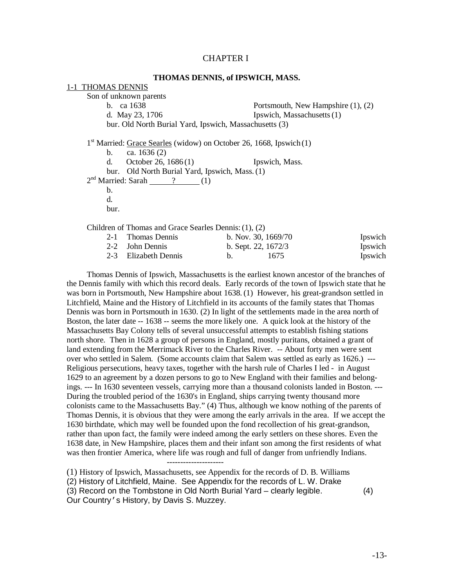## CHAPTER I

#### **THOMAS DENNIS, of IPSWICH, MASS.**

#### 1-1 THOMAS DENNIS

Son of unknown parents b. ca  $1638$  Portsmouth, New Hampshire  $(1)$ ,  $(2)$ d. May  $23.1706$  Ipswich, Massachusetts $(1)$ bur. Old North Burial Yard, Ipswich, Massachusetts (3) 1<sup>st</sup> Married: Grace Searles (widow) on October 26, 1668, Ipswich (1) b. ca. 1636 (2) d. October 26, 1686 (1) Ipswich, Mass. bur. Old North Burial Yard, Ipswich, Mass. (1)  $2<sup>nd</sup>$  Married: Sarah  $\qquad$  ? (1) b. d. bur. Children of Thomas and Grace Searles Dennis:(1), (2) 2-1 Thomas Dennis b. Nov. 30, 1669/70 Ipswich 2-2 John Dennis b. Sept. 22, 1672/3 Ipswich

2-3 Elizabeth Dennis b. 1675 Ipswich

Thomas Dennis of Ipswich, Massachusetts is the earliest known ancestor of the branches of the Dennis family with which this record deals. Early records of the town of Ipswich state that he was born in Portsmouth, New Hampshire about 1638. (1) However, his great-grandson settled in Litchfield, Maine and the History of Litchfield in its accounts of the family states that Thomas Dennis was born in Portsmouth in 1630. (2) In light of the settlements made in the area north of Boston, the later date -- 1638 -- seems the more likely one. A quick look at the history of the Massachusetts Bay Colony tells of several unsuccessful attempts to establish fishing stations north shore. Then in 1628 a group of persons in England, mostly puritans, obtained a grant of land extending from the Merrimack River to the Charles River. -- About forty men were sent over who settled in Salem. (Some accounts claim that Salem was settled as early as 1626.) --- Religious persecutions, heavy taxes, together with the harsh rule of Charles I led - in August 1629 to an agreement by a dozen persons to go to New England with their families and belongings. --- In 1630 seventeen vessels, carrying more than a thousand colonists landed in Boston. --- During the troubled period of the 1630's in England, ships carrying twenty thousand more colonists came to the Massachusetts Bay." (4) Thus, although we know nothing of the parents of Thomas Dennis, it is obvious that they were among the early arrivals in the area. If we accept the 1630 birthdate, which may well be founded upon the fond recollection of his great-grandson, rather than upon fact, the family were indeed among the early settlers on these shores. Even the 1638 date, in New Hampshire, places them and their infant son among the first residents of what was then frontier America, where life was rough and full of danger from unfriendly Indians. ---------------------

(1) History of Ipswich, Massachusetts, see Appendix for the records of D. B. Williams (2) History of Litchfield, Maine. See Appendix for the records of L. W. Drake (3) Record on the Tombstone in Old North Burial Yard – clearly legible. (4) Our Country's History, by Davis S. Muzzey.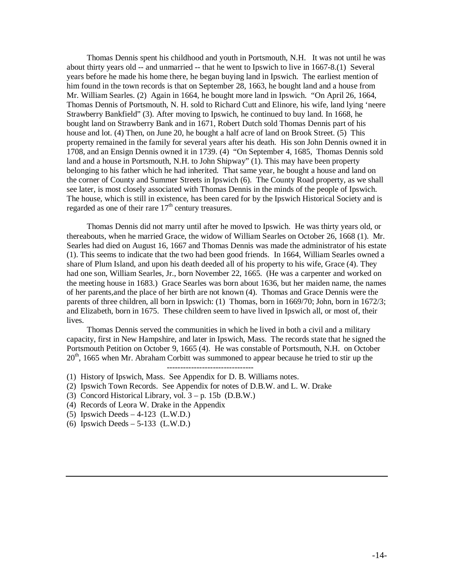Thomas Dennis spent his childhood and youth in Portsmouth, N.H. It was not until he was about thirty years old -- and unmarried -- that he went to Ipswich to live in 1667-8.(1) Several years before he made his home there, he began buying land in Ipswich. The earliest mention of him found in the town records is that on September 28, 1663, he bought land and a house from Mr. William Searles. (2) Again in 1664, he bought more land in Ipswich. "On April 26, 1664, Thomas Dennis of Portsmouth, N. H. sold to Richard Cutt and Elinore, his wife, land lying 'neere Strawberry Bankfield" (3). After moving to Ipswich, he continued to buy land. In 1668, he bought land on Strawberry Bank and in 1671, Robert Dutch sold Thomas Dennis part of his house and lot. (4) Then, on June 20, he bought a half acre of land on Brook Street. (5) This property remained in the family for several years after his death. His son John Dennis owned it in 1708, and an Ensign Dennis owned it in 1739. (4) "On September 4, 1685, Thomas Dennis sold land and a house in Portsmouth, N.H. to John Shipway" (1). This may have been property belonging to his father which he had inherited. That same year, he bought a house and land on the corner of County and Summer Streets in Ipswich (6). The County Road property, as we shall see later, is most closely associated with Thomas Dennis in the minds of the people of Ipswich. The house, which is still in existence, has been cared for by the Ipswich Historical Society and is regarded as one of their rare  $17<sup>th</sup>$  century treasures.

Thomas Dennis did not marry until after he moved to Ipswich. He was thirty years old, or thereabouts, when he married Grace, the widow of William Searles on October 26, 1668 (1). Mr. Searles had died on August 16, 1667 and Thomas Dennis was made the administrator of his estate (1). This seems to indicate that the two had been good friends. In 1664, William Searles owned a share of Plum Island, and upon his death deeded all of his property to his wife, Grace (4). They had one son, William Searles, Jr., born November 22, 1665. (He was a carpenter and worked on the meeting house in 1683.) Grace Searles was born about 1636, but her maiden name, the names of her parents,and the place of her birth are not known (4). Thomas and Grace Dennis were the parents of three children, all born in Ipswich: (1) Thomas, born in 1669/70; John, born in 1672/3; and Elizabeth, born in 1675. These children seem to have lived in Ipswich all, or most of, their lives.

Thomas Dennis served the communities in which he lived in both a civil and a military capacity, first in New Hampshire, and later in Ipswich, Mass. The records state that he signed the Portsmouth Petition on October 9, 1665 (4). He was constable of Portsmouth, N.H. on October 20<sup>th</sup>, 1665 when Mr. Abraham Corbitt was summoned to appear because he tried to stir up the

- (1) History of Ipswich, Mass. See Appendix for D. B. Williams notes.
- (2) Ipswich Town Records. See Appendix for notes of D.B.W. and L. W. Drake
- (3) Concord Historical Library, vol.  $3 p$ . 15b (D.B.W.)
- (4) Records of Leora W. Drake in the Appendix
- (5) Ipswich Deeds 4-123 (L.W.D.)
- (6) Ipswich Deeds  $-5-133$  (L.W.D.)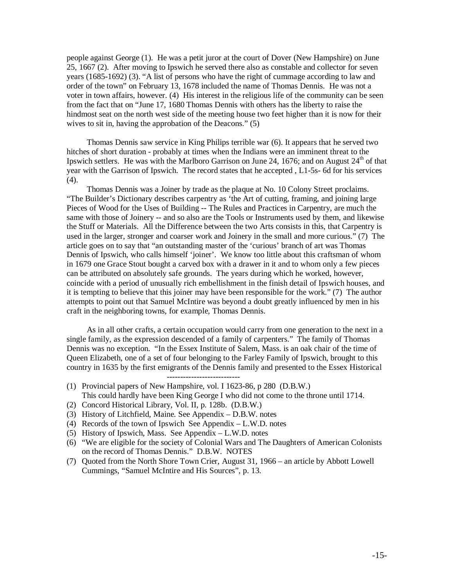people against George (1). He was a petit juror at the court of Dover (New Hampshire) on June 25, 1667 (2). After moving to Ipswich he served there also as constable and collector for seven years (1685-1692) (3). "A list of persons who have the right of cummage according to law and order of the town" on February 13, 1678 included the name of Thomas Dennis. He was not a voter in town affairs, however. (4) His interest in the religious life of the community can be seen from the fact that on "June 17, 1680 Thomas Dennis with others has the liberty to raise the hindmost seat on the north west side of the meeting house two feet higher than it is now for their wives to sit in, having the approbation of the Deacons." (5)

Thomas Dennis saw service in King Philips terrible war (6). It appears that he served two hitches of short duration - probably at times when the Indians were an imminent threat to the Ipswich settlers. He was with the Marlboro Garrison on June 24, 1676; and on August  $24<sup>th</sup>$  of that year with the Garrison of Ipswich. The record states that he accepted , L1-5s- 6d for his services (4).

Thomas Dennis was a Joiner by trade as the plaque at No. 10 Colony Street proclaims. "The Builder's Dictionary describes carpentry as 'the Art of cutting, framing, and joining large Pieces of Wood for the Uses of Building -- The Rules and Practices in Carpentry, are much the same with those of Joinery -- and so also are the Tools or Instruments used by them, and likewise the Stuff or Materials. All the Difference between the two Arts consists in this, that Carpentry is used in the larger, stronger and coarser work and Joinery in the small and more curious." (7) The article goes on to say that "an outstanding master of the 'curious' branch of art was Thomas Dennis of Ipswich, who calls himself 'joiner'. We know too little about this craftsman of whom in 1679 one Grace Stout bought a carved box with a drawer in it and to whom only a few pieces can be attributed on absolutely safe grounds. The years during which he worked, however, coincide with a period of unusually rich embellishment in the finish detail of Ipswich houses, and it is tempting to believe that this joiner may have been responsible for the work." (7) The author attempts to point out that Samuel McIntire was beyond a doubt greatly influenced by men in his craft in the neighboring towns, for example, Thomas Dennis.

As in all other crafts, a certain occupation would carry from one generation to the next in a single family, as the expression descended of a family of carpenters." The family of Thomas Dennis was no exception. "In the Essex Institute of Salem, Mass. is an oak chair of the time of Queen Elizabeth, one of a set of four belonging to the Farley Family of Ipswich, brought to this country in 1635 by the first emigrants of the Dennis family and presented to the Essex Historical

- (1) Provincial papers of New Hampshire, vol. I 1623-86, p 280 (D.B.W.) This could hardly have been King George I who did not come to the throne until 1714.
- (2) Concord Historical Library, Vol. II, p. 128b. (D.B.W.)
- (3) History of Litchfield, Maine. See Appendix D.B.W. notes
- (4) Records of the town of Ipswich See Appendix L.W.D. notes
- (5) History of Ipswich, Mass. See Appendix L.W.D. notes
- (6) "We are eligible for the society of Colonial Wars and The Daughters of American Colonists on the record of Thomas Dennis." D.B.W. NOTES
- (7) Quoted from the North Shore Town Crier, August 31, 1966 an article by Abbott Lowell Cummings, "Samuel McIntire and His Sources", p. 13.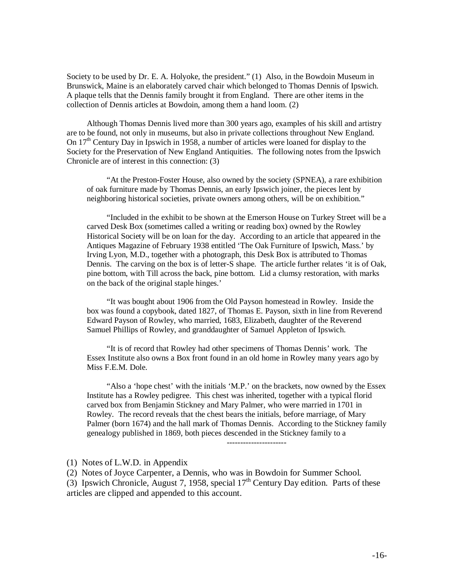Society to be used by Dr. E. A. Holyoke, the president." (1) Also, in the Bowdoin Museum in Brunswick, Maine is an elaborately carved chair which belonged to Thomas Dennis of Ipswich. A plaque tells that the Dennis family brought it from England. There are other items in the collection of Dennis articles at Bowdoin, among them a hand loom. (2)

Although Thomas Dennis lived more than 300 years ago, examples of his skill and artistry are to be found, not only in museums, but also in private collections throughout New England. On  $17<sup>th</sup>$  Century Day in Ipswich in 1958, a number of articles were loaned for display to the Society for the Preservation of New England Antiquities. The following notes from the Ipswich Chronicle are of interest in this connection: (3)

"At the Preston-Foster House, also owned by the society (SPNEA), a rare exhibition of oak furniture made by Thomas Dennis, an early Ipswich joiner, the pieces lent by neighboring historical societies, private owners among others, will be on exhibition."

"Included in the exhibit to be shown at the Emerson House on Turkey Street will be a carved Desk Box (sometimes called a writing or reading box) owned by the Rowley Historical Society will be on loan for the day. According to an article that appeared in the Antiques Magazine of February 1938 entitled 'The Oak Furniture of Ipswich, Mass.' by Irving Lyon, M.D., together with a photograph, this Desk Box is attributed to Thomas Dennis. The carving on the box is of letter-S shape. The article further relates 'it is of Oak, pine bottom, with Till across the back, pine bottom. Lid a clumsy restoration, with marks on the back of the original staple hinges.'

"It was bought about 1906 from the Old Payson homestead in Rowley. Inside the box was found a copybook, dated 1827, of Thomas E. Payson, sixth in line from Reverend Edward Payson of Rowley, who married, 1683, Elizabeth, daughter of the Reverend Samuel Phillips of Rowley, and granddaughter of Samuel Appleton of Ipswich.

"It is of record that Rowley had other specimens of Thomas Dennis' work. The Essex Institute also owns a Box front found in an old home in Rowley many years ago by Miss F.E.M. Dole.

"Also a 'hope chest' with the initials 'M.P.' on the brackets, now owned by the Essex Institute has a Rowley pedigree. This chest was inherited, together with a typical florid carved box from Benjamin Stickney and Mary Palmer, who were married in 1701 in Rowley. The record reveals that the chest bears the initials, before marriage, of Mary Palmer (born 1674) and the hall mark of Thomas Dennis. According to the Stickney family genealogy published in 1869, both pieces descended in the Stickney family to a

----------------------

(1) Notes of L.W.D. in Appendix

(2) Notes of Joyce Carpenter, a Dennis, who was in Bowdoin for Summer School.

(3) Ipswich Chronicle, August 7, 1958, special  $17<sup>th</sup>$  Century Day edition. Parts of these articles are clipped and appended to this account.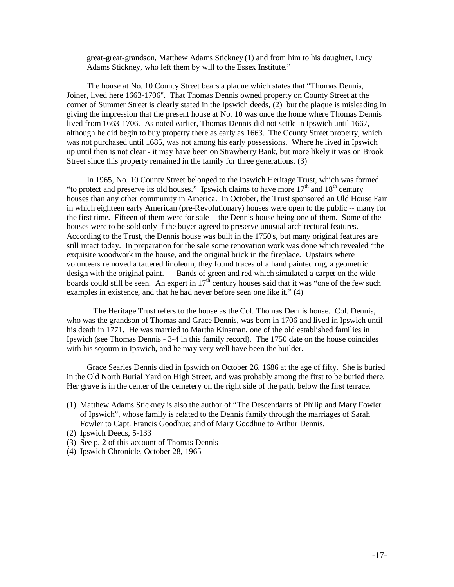great-great-grandson, Matthew Adams Stickney (1) and from him to his daughter, Lucy Adams Stickney, who left them by will to the Essex Institute."

The house at No. 10 County Street bears a plaque which states that "Thomas Dennis, Joiner, lived here 1663-1706". That Thomas Dennis owned property on County Street at the corner of Summer Street is clearly stated in the Ipswich deeds, (2) but the plaque is misleading in giving the impression that the present house at No. 10 was once the home where Thomas Dennis lived from 1663-1706. As noted earlier, Thomas Dennis did not settle in Ipswich until 1667, although he did begin to buy property there as early as 1663. The County Street property, which was not purchased until 1685, was not among his early possessions. Where he lived in Ipswich up until then is not clear - it may have been on Strawberry Bank, but more likely it was on Brook Street since this property remained in the family for three generations. (3)

In 1965, No. 10 County Street belonged to the Ipswich Heritage Trust, which was formed "to protect and preserve its old houses." Ipswich claims to have more  $17<sup>th</sup>$  and  $18<sup>th</sup>$  century houses than any other community in America. In October, the Trust sponsored an Old House Fair in which eighteen early American (pre-Revolutionary) houses were open to the public -- many for the first time. Fifteen of them were for sale -- the Dennis house being one of them. Some of the houses were to be sold only if the buyer agreed to preserve unusual architectural features. According to the Trust, the Dennis house was built in the 1750's, but many original features are still intact today. In preparation for the sale some renovation work was done which revealed "the exquisite woodwork in the house, and the original brick in the fireplace. Upstairs where volunteers removed a tattered linoleum, they found traces of a hand painted rug, a geometric design with the original paint. --- Bands of green and red which simulated a carpet on the wide boards could still be seen. An expert in  $17<sup>th</sup>$  century houses said that it was "one of the few such examples in existence, and that he had never before seen one like it." (4)

The Heritage Trust refers to the house as the Col. Thomas Dennis house. Col. Dennis, who was the grandson of Thomas and Grace Dennis, was born in 1706 and lived in Ipswich until his death in 1771. He was married to Martha Kinsman, one of the old established families in Ipswich (see Thomas Dennis - 3-4 in this family record). The 1750 date on the house coincides with his sojourn in Ipswich, and he may very well have been the builder.

Grace Searles Dennis died in Ipswich on October 26, 1686 at the age of fifty. She is buried in the Old North Burial Yard on High Street, and was probably among the first to be buried there. Her grave is in the center of the cemetery on the right side of the path, below the first terrace.

-----------------------------------

- (1) Matthew Adams Stickney is also the author of "The Descendants of Philip and Mary Fowler of Ipswich", whose family is related to the Dennis family through the marriages of Sarah Fowler to Capt. Francis Goodhue; and of Mary Goodhue to Arthur Dennis.
- (2) Ipswich Deeds, 5-133
- (3) See p. 2 of this account of Thomas Dennis
- (4) Ipswich Chronicle, October 28, 1965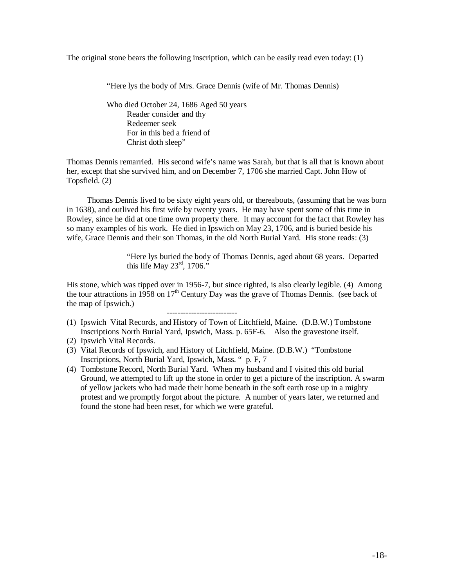The original stone bears the following inscription, which can be easily read even today: (1)

"Here lys the body of Mrs. Grace Dennis (wife of Mr. Thomas Dennis)

Who died October 24, 1686 Aged 50 years Reader consider and thy Redeemer seek For in this bed a friend of Christ doth sleep"

Thomas Dennis remarried. His second wife's name was Sarah, but that is all that is known about her, except that she survived him, and on December 7, 1706 she married Capt. John How of Topsfield. (2)

Thomas Dennis lived to be sixty eight years old, or thereabouts, (assuming that he was born in 1638), and outlived his first wife by twenty years. He may have spent some of this time in Rowley, since he did at one time own property there. It may account for the fact that Rowley has so many examples of his work. He died in Ipswich on May 23, 1706, and is buried beside his wife, Grace Dennis and their son Thomas, in the old North Burial Yard. His stone reads: (3)

> "Here lys buried the body of Thomas Dennis, aged about 68 years. Departed this life May  $23^{\text{rd}}$ , 1706."

His stone, which was tipped over in 1956-7, but since righted, is also clearly legible. (4) Among the tour attractions in 1958 on  $17<sup>th</sup>$  Century Day was the grave of Thomas Dennis. (see back of the map of Ipswich.)

- (1) Ipswich Vital Records, and History of Town of Litchfield, Maine. (D.B.W.) Tombstone Inscriptions North Burial Yard, Ipswich, Mass. p. 65F-6. Also the gravestone itself.
- (2) Ipswich Vital Records.
- (3) Vital Records of Ipswich, and History of Litchfield, Maine. (D.B.W.) "Tombstone Inscriptions, North Burial Yard, Ipswich, Mass. " p. F, 7

--------------------------

(4) Tombstone Record, North Burial Yard. When my husband and I visited this old burial Ground, we attempted to lift up the stone in order to get a picture of the inscription. A swarm of yellow jackets who had made their home beneath in the soft earth rose up in a mighty protest and we promptly forgot about the picture. A number of years later, we returned and found the stone had been reset, for which we were grateful.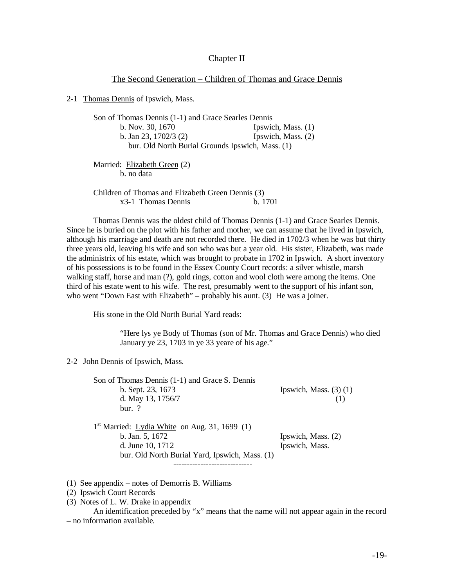#### Chapter II

#### The Second Generation – Children of Thomas and Grace Dennis

2-1 Thomas Dennis of Ipswich, Mass.

| Son of Thomas Dennis (1-1) and Grace Searles Dennis |                      |  |
|-----------------------------------------------------|----------------------|--|
| b. Nov. 30, 1670                                    | Ipswich, Mass. $(1)$ |  |
| b. Jan 23, $1702/3$ (2)                             | Ipswich, Mass. (2)   |  |
| bur. Old North Burial Grounds Ipswich, Mass. (1)    |                      |  |
| Married: Elizabeth Green (2)<br>h no data           |                      |  |

Children of Thomas and Elizabeth Green Dennis (3) x3-1 Thomas Dennis b. 1701

Thomas Dennis was the oldest child of Thomas Dennis (1-1) and Grace Searles Dennis. Since he is buried on the plot with his father and mother, we can assume that he lived in Ipswich, although his marriage and death are not recorded there. He died in 1702/3 when he was but thirty three years old, leaving his wife and son who was but a year old. His sister, Elizabeth, was made the administrix of his estate, which was brought to probate in 1702 in Ipswich. A short inventory of his possessions is to be found in the Essex County Court records: a silver whistle, marsh walking staff, horse and man (?), gold rings, cotton and wool cloth were among the items. One third of his estate went to his wife. The rest, presumably went to the support of his infant son, who went "Down East with Elizabeth" – probably his aunt. (3) He was a joiner.

His stone in the Old North Burial Yard reads:

"Here lys ye Body of Thomas (son of Mr. Thomas and Grace Dennis) who died January ye 23, 1703 in ye 33 yeare of his age."

2-2 John Dennis of Ipswich, Mass.

| Son of Thomas Dennis (1-1) and Grace S. Dennis            |                            |
|-----------------------------------------------------------|----------------------------|
| b. Sept. 23, 1673                                         | Ipswich, Mass. $(3)$ $(1)$ |
| d. May 13, 1756/7                                         |                            |
| $bur.$ ?                                                  |                            |
| 1 <sup>st</sup> Married: Lydia White on Aug. 31, 1699 (1) |                            |
| b. Jan. 5, 1672                                           | Ipswich, Mass. (2)         |
| d. June 10, 1712                                          | Ipswich, Mass.             |
| bur. Old North Burial Yard, Ipswich, Mass. (1)            |                            |
|                                                           |                            |

(1) See appendix – notes of Demorris B. Williams

(2) Ipswich Court Records

(3) Notes of L. W. Drake in appendix

An identification preceded by "x" means that the name will not appear again in the record – no information available.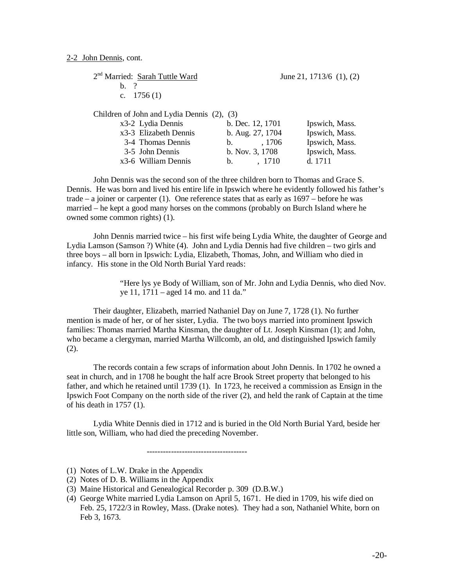| 2 <sup>nd</sup> Married: Sarah Tuttle Ward                |                  | June 21, $1713/6$ (1), (2)    |  |
|-----------------------------------------------------------|------------------|-------------------------------|--|
| $h \gamma$                                                |                  |                               |  |
| c. $1756(1)$                                              |                  |                               |  |
|                                                           |                  |                               |  |
| Children of John and Lydia Dennis (2), (3)                |                  |                               |  |
| x3-2 Lydia Dennis                                         | b. Dec. 12, 1701 | Ipswich, Mass.                |  |
| $\alpha$ $\alpha$ $\beta$ $\beta$ $\beta$ $\beta$ $\beta$ | 85.1501          | <b>T</b> $\cdot$ 1 <b>1 F</b> |  |

|                       |                  |        | $\blacksquare$ |
|-----------------------|------------------|--------|----------------|
| x3-3 Elizabeth Dennis | b. Aug. 27, 1704 |        | Ipswich, Mass. |
| 3-4 Thomas Dennis     | $h_{\rm m}$      | . 1706 | Ipswich, Mass. |
| 3-5 John Dennis       | b. Nov. $3.1708$ |        | Ipswich, Mass. |
| x3-6 William Dennis   | $h_{\cdot}$      | . 1710 | d. 1711        |

John Dennis was the second son of the three children born to Thomas and Grace S. Dennis. He was born and lived his entire life in Ipswich where he evidently followed his father's trade  $-$  a joiner or carpenter (1). One reference states that as early as  $1697$  – before he was married – he kept a good many horses on the commons (probably on Burch Island where he owned some common rights) (1).

John Dennis married twice – his first wife being Lydia White, the daughter of George and Lydia Lamson (Samson ?) White (4). John and Lydia Dennis had five children – two girls and three boys – all born in Ipswich: Lydia, Elizabeth, Thomas, John, and William who died in infancy. His stone in the Old North Burial Yard reads:

> "Here lys ye Body of William, son of Mr. John and Lydia Dennis, who died Nov. ye 11, 1711 – aged 14 mo. and 11 da."

Their daughter, Elizabeth, married Nathaniel Day on June 7, 1728 (1). No further mention is made of her, or of her sister, Lydia. The two boys married into prominent Ipswich families: Thomas married Martha Kinsman, the daughter of Lt. Joseph Kinsman (1); and John, who became a clergyman, married Martha Willcomb, an old, and distinguished Ipswich family (2).

The records contain a few scraps of information about John Dennis. In 1702 he owned a seat in church, and in 1708 he bought the half acre Brook Street property that belonged to his father, and which he retained until 1739 (1). In 1723, he received a commission as Ensign in the Ipswich Foot Company on the north side of the river (2), and held the rank of Captain at the time of his death in 1757 (1).

Lydia White Dennis died in 1712 and is buried in the Old North Burial Yard, beside her little son, William, who had died the preceding November.

(1) Notes of L.W. Drake in the Appendix

-------------------------------------

<sup>(2)</sup> Notes of D. B. Williams in the Appendix

<sup>(3)</sup> Maine Historical and Genealogical Recorder p. 309 (D.B.W.)

<sup>(4)</sup> George White married Lydia Lamson on April 5, 1671. He died in 1709, his wife died on Feb. 25, 1722/3 in Rowley, Mass. (Drake notes). They had a son, Nathaniel White, born on Feb 3, 1673.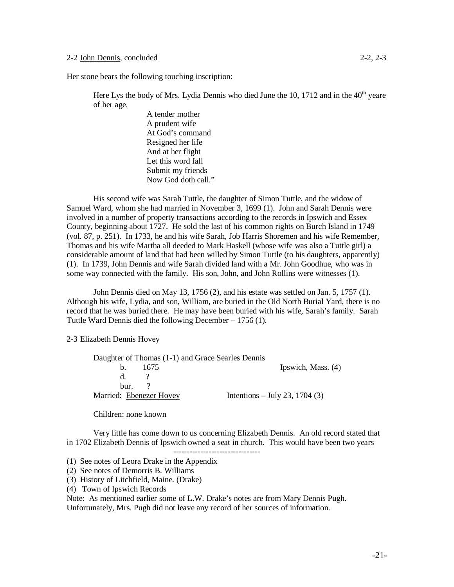Here Lys the body of Mrs. Lydia Dennis who died June the 10, 1712 and in the  $40<sup>th</sup>$  yeare of her age.

> A tender mother A prudent wife At God's command Resigned her life And at her flight Let this word fall Submit my friends Now God doth call."

His second wife was Sarah Tuttle, the daughter of Simon Tuttle, and the widow of Samuel Ward, whom she had married in November 3, 1699 (1). John and Sarah Dennis were involved in a number of property transactions according to the records in Ipswich and Essex County, beginning about 1727. He sold the last of his common rights on Burch Island in 1749 (vol. 87, p. 251). In 1733, he and his wife Sarah, Job Harris Shoremen and his wife Remember, Thomas and his wife Martha all deeded to Mark Haskell (whose wife was also a Tuttle girl) a considerable amount of land that had been willed by Simon Tuttle (to his daughters, apparently) (1). In 1739, John Dennis and wife Sarah divided land with a Mr. John Goodhue, who was in some way connected with the family. His son, John, and John Rollins were witnesses (1).

John Dennis died on May 13, 1756 (2), and his estate was settled on Jan. 5, 1757 (1). Although his wife, Lydia, and son, William, are buried in the Old North Burial Yard, there is no record that he was buried there. He may have been buried with his wife, Sarah's family. Sarah Tuttle Ward Dennis died the following December – 1756 (1).

### 2-3 Elizabeth Dennis Hovey

|                         |           | Daughter of Thomas (1-1) and Grace Searles Dennis |
|-------------------------|-----------|---------------------------------------------------|
|                         | b. $1675$ | Ipswich, Mass. (4)                                |
| d                       |           |                                                   |
| $_{\text{bur.}}$ ?      |           |                                                   |
| Married: Ebenezer Hovey |           | Intentions – July 23, 1704 $(3)$                  |

Children: none known

Very little has come down to us concerning Elizabeth Dennis. An old record stated that in 1702 Elizabeth Dennis of Ipswich owned a seat in church. This would have been two years --------------------------------

(1) See notes of Leora Drake in the Appendix

- (2) See notes of Demorris B. Williams
- (3) History of Litchfield, Maine. (Drake)
- (4) Town of Ipswich Records

Note: As mentioned earlier some of L.W. Drake's notes are from Mary Dennis Pugh. Unfortunately, Mrs. Pugh did not leave any record of her sources of information.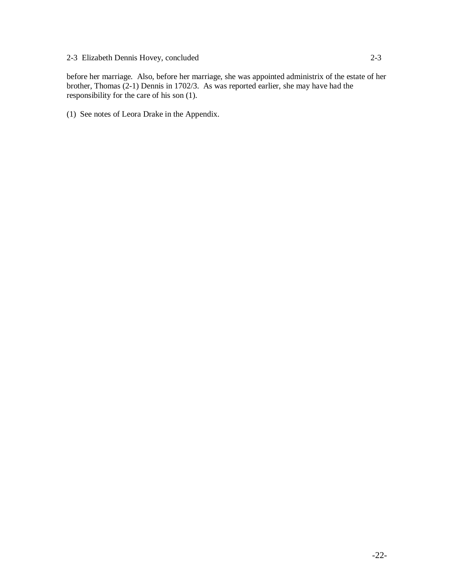before her marriage. Also, before her marriage, she was appointed administrix of the estate of her brother, Thomas (2-1) Dennis in 1702/3. As was reported earlier, she may have had the responsibility for the care of his son (1).

(1) See notes of Leora Drake in the Appendix.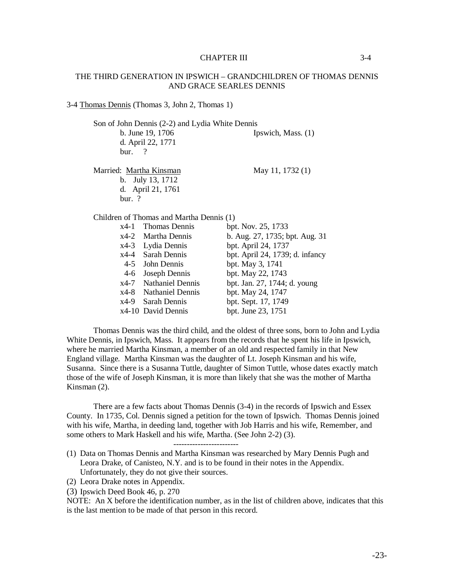#### CHAPTER III 3-4

#### THE THIRD GENERATION IN IPSWICH – GRANDCHILDREN OF THOMAS DENNIS AND GRACE SEARLES DENNIS

#### 3-4 Thomas Dennis (Thomas 3, John 2, Thomas 1)

d. April 22, 1771

Son of John Dennis (2-2) and Lydia White Dennis

b. June 19, 1706 Ipswich, Mass. (1)

Married: Martha Kinsman May 11, 1732 (1)

bur. ?

b. July 13, 1712 d. April 21, 1761 bur. ?

Children of Thomas and Martha Dennis (1)

|         | x4-1 Thomas Dennis    | bpt. Nov. 25, 1733              |
|---------|-----------------------|---------------------------------|
|         | x4-2 Martha Dennis    | b. Aug. 27, 1735; bpt. Aug. 31  |
| $x4-3$  | Lydia Dennis          | bpt. April 24, 1737             |
|         | x4-4 Sarah Dennis     | bpt. April 24, 1739; d. infancy |
| $4 - 5$ | John Dennis           | bpt. May 3, 1741                |
| $4-6$   | Joseph Dennis         | bpt. May 22, 1743               |
|         | x4-7 Nathaniel Dennis | bpt. Jan. 27, 1744; d. young    |
|         | x4-8 Nathaniel Dennis | bpt. May 24, 1747               |
| x4-9    | Sarah Dennis          | bpt. Sept. 17, 1749             |
|         | x4-10 David Dennis    | bpt. June 23, 1751              |

Thomas Dennis was the third child, and the oldest of three sons, born to John and Lydia White Dennis, in Ipswich, Mass. It appears from the records that he spent his life in Ipswich, where he married Martha Kinsman, a member of an old and respected family in that New England village. Martha Kinsman was the daughter of Lt. Joseph Kinsman and his wife, Susanna. Since there is a Susanna Tuttle, daughter of Simon Tuttle, whose dates exactly match those of the wife of Joseph Kinsman, it is more than likely that she was the mother of Martha Kinsman (2).

There are a few facts about Thomas Dennis (3-4) in the records of Ipswich and Essex County. In 1735, Col. Dennis signed a petition for the town of Ipswich. Thomas Dennis joined with his wife, Martha, in deeding land, together with Job Harris and his wife, Remember, and some others to Mark Haskell and his wife, Martha. (See John 2-2) (3).

------------------------

- (1) Data on Thomas Dennis and Martha Kinsman was researched by Mary Dennis Pugh and Leora Drake, of Canisteo, N.Y. and is to be found in their notes in the Appendix. Unfortunately, they do not give their sources.
- (2) Leora Drake notes in Appendix.
- (3) Ipswich Deed Book 46, p. 270

NOTE: An X before the identification number, as in the list of children above, indicates that this is the last mention to be made of that person in this record.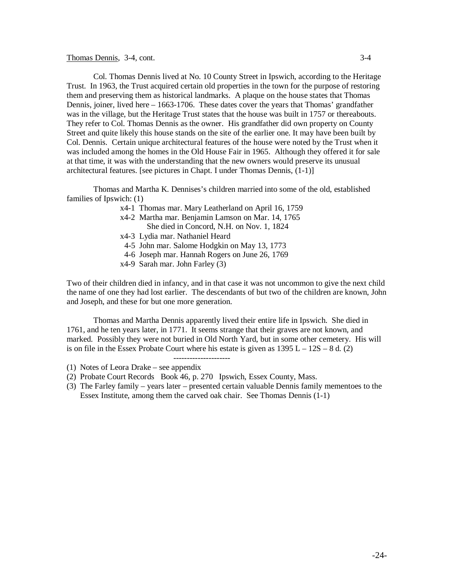#### Thomas Dennis, 3-4, cont. 3-4

Col. Thomas Dennis lived at No. 10 County Street in Ipswich, according to the Heritage Trust. In 1963, the Trust acquired certain old properties in the town for the purpose of restoring them and preserving them as historical landmarks. A plaque on the house states that Thomas Dennis, joiner, lived here – 1663-1706. These dates cover the years that Thomas' grandfather was in the village, but the Heritage Trust states that the house was built in 1757 or thereabouts. They refer to Col. Thomas Dennis as the owner. His grandfather did own property on County Street and quite likely this house stands on the site of the earlier one. It may have been built by Col. Dennis. Certain unique architectural features of the house were noted by the Trust when it was included among the homes in the Old House Fair in 1965. Although they offered it for sale at that time, it was with the understanding that the new owners would preserve its unusual architectural features. [see pictures in Chapt. I under Thomas Dennis, (1-1)]

Thomas and Martha K. Dennises's children married into some of the old, established families of Ipswich: (1)

- x4-1 Thomas mar. Mary Leatherland on April 16, 1759
- x4-2 Martha mar. Benjamin Lamson on Mar. 14, 1765 She died in Concord, N.H. on Nov. 1, 1824
- x4-3 Lydia mar. Nathaniel Heard
- 4-5 John mar. Salome Hodgkin on May 13, 1773
- 4-6 Joseph mar. Hannah Rogers on June 26, 1769
- x4-9 Sarah mar. John Farley (3)

Two of their children died in infancy, and in that case it was not uncommon to give the next child the name of one they had lost earlier. The descendants of but two of the children are known, John and Joseph, and these for but one more generation.

Thomas and Martha Dennis apparently lived their entire life in Ipswich. She died in 1761, and he ten years later, in 1771. It seems strange that their graves are not known, and marked. Possibly they were not buried in Old North Yard, but in some other cemetery. His will is on file in the Essex Probate Court where his estate is given as  $1395 L - 12S - 8 d$ . (2)

---------------------

- (1) Notes of Leora Drake see appendix
- (2) Probate Court Records Book 46, p. 270 Ipswich, Essex County, Mass.
- (3) The Farley family years later presented certain valuable Dennis family mementoes to the Essex Institute, among them the carved oak chair. See Thomas Dennis (1-1)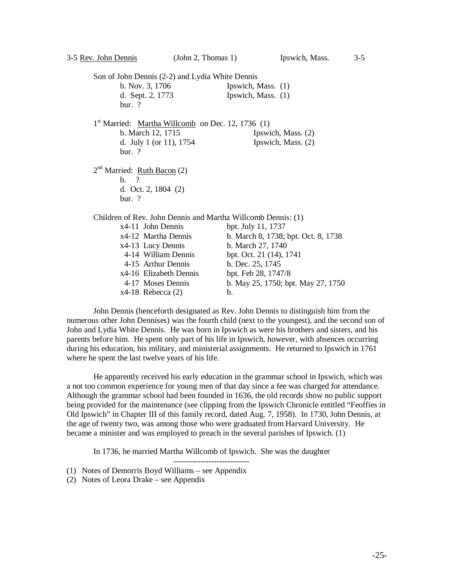Son of John Dennis (2-2) and Lydia White Dennis b. Nov. 3, 1706 Ipswich, Mass. (1) d. Sept. 2, 1773 Ipswich, Mass. (1) bur. ? 1<sup>st</sup> Married: Martha Willcomb on Dec. 12, 1736 (1) b. March 12, 1715 Ipswich, Mass. (2) d. July 1 (or 11), 1754 Ipswich, Mass. (2) bur. ? 2<sup>nd</sup> Married: <u>Ruth Bacon</u> (2) b. ? d. Oct. 2, 1804 (2) bur. ? Children of Rev. John Dennis and Martha Willcomb Dennis: (1) x4-11 John Dennis bpt. July 11, 1737

| x4-12 Martha Dennis    | b. March 8, 1738; bpt. Oct. 8, 1738 |
|------------------------|-------------------------------------|
| x4-13 Lucy Dennis      | b. March 27, 1740                   |
| 4-14 William Dennis    | bpt. Oct. 21 (14), 1741             |
| 4-15 Arthur Dennis     | b. Dec. 25, 1745                    |
| x4-16 Elizabeth Dennis | bpt. Feb 28, 1747/8                 |
| 4-17 Moses Dennis      | b. May 25, 1750; bpt. May 27, 1750  |
| $x4-18$ Rebecca $(2)$  | h.                                  |

John Dennis (henceforth designated as Rev. John Dennis to distinguish him from the numerous other John Dennises) was the fourth child (next to the youngest), and the second son of John and Lydia White Dennis. He was born in Ipswich as were his brothers and sisters, and his parents before him. He spent only part of his life in Ipswich, however, with absences occurring during his education, his military, and ministerial assignments. He returned to Ipswich in 1761 where he spent the last twelve years of his life.

He apparently received his early education in the grammar school in Ipswich, which was a not too common experience for young men of that day since a fee was charged for attendance. Although the grammar school had been founded in 1636, the old records show no public support being provided for the maintenance (see clipping from the Ipswich Chronicle entitled "Feoffies in Old Ipswich" in Chapter III of this family record, dated Aug. 7, 1958). In 1730, John Dennis, at the age of twenty two, was among those who were graduated from Harvard University. He became a minister and was employed to preach in the several parishes of Ipswich. (1)

In 1736, he married Martha Willcomb of Ipswich. She was the daughter

----------------------------

- (1) Notes of Demorris Boyd Williams see Appendix
- (2) Notes of Leora Drake see Appendix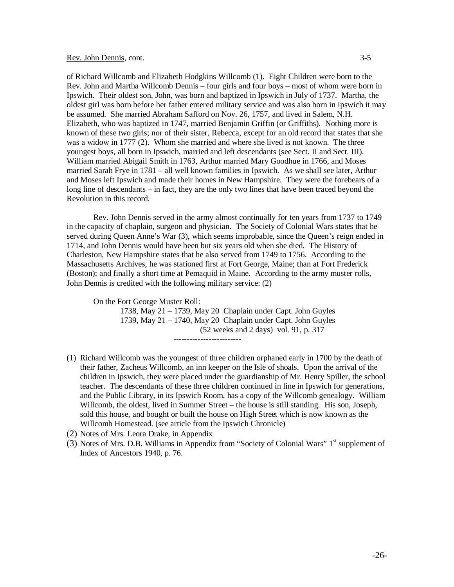#### Rev. John Dennis, cont. 3-5

of Richard Willcomb and Elizabeth Hodgkins Willcomb (1). Eight Children were born to the Rev. John and Martha Willcomb Dennis – four girls and four boys – most of whom were born in Ipswich. Their oldest son, John, was born and baptized in Ipswich in July of 1737. Martha, the oldest girl was born before her father entered military service and was also born in Ipswich it may be assumed. She married Abraham Safford on Nov. 26, 1757, and lived in Salem, N.H. Elizabeth, who was baptized in 1747, married Benjamin Griffin (or Griffiths). Nothing more is known of these two girls; nor of their sister, Rebecca, except for an old record that states that she was a widow in 1777 (2). Whom she married and where she lived is not known. The three youngest boys, all born in Ipswich, married and left descendants (see Sect. II and Sect. III). William married Abigail Smith in 1763, Arthur married Mary Goodhue in 1766, and Moses married Sarah Frye in 1781 – all well known families in Ipswich. As we shall see later, Arthur and Moses left Ipswich and made their homes in New Hampshire. They were the forebears of a long line of descendants – in fact, they are the only two lines that have been traced beyond the Revolution in this record.

Rev. John Dennis served in the army almost continually for ten years from 1737 to 1749 in the capacity of chaplain, surgeon and physician. The Society of Colonial Wars states that he served during Queen Anne's War (3), which seems improbable, since the Queen's reign ended in 1714, and John Dennis would have been but six years old when she died. The History of Charleston, New Hampshire states that he also served from 1749 to 1756. According to the Massachusetts Archives, he was stationed first at Fort George, Maine; than at Fort Frederick (Boston); and finally a short time at Pemaquid in Maine. According to the army muster rolls, John Dennis is credited with the following military service: (2)

On the Fort George Muster Roll:

1738, May 21 – 1739, May 20 Chaplain under Capt. John Guyles 1739, May 21 – 1740, May 20 Chaplain under Capt. John Guyles (52 weeks and 2 days) vol. 91, p. 317 -------------------------

- (1) Richard Willcomb was the youngest of three children orphaned early in 1700 by the death of their father, Zacheus Willcomb, an inn keeper on the Isle of shoals. Upon the arrival of the children in Ipswich, they were placed under the guardianship of Mr. Henry Spiller, the school teacher. The descendants of these three children continued in line in Ipswich for generations, and the Public Library, in its Ipswich Room, has a copy of the Willcomb genealogy. William Willcomb, the oldest, lived in Summer Street – the house is still standing. His son, Joseph, sold this house, and bought or built the house on High Street which is now known as the Willcomb Homestead. (see article from the Ipswich Chronicle)
- (2) Notes of Mrs. Leora Drake, in Appendix
- (3) Notes of Mrs. D.B. Williams in Appendix from "Society of Colonial Wars"  $1<sup>st</sup>$  supplement of Index of Ancestors 1940, p. 76.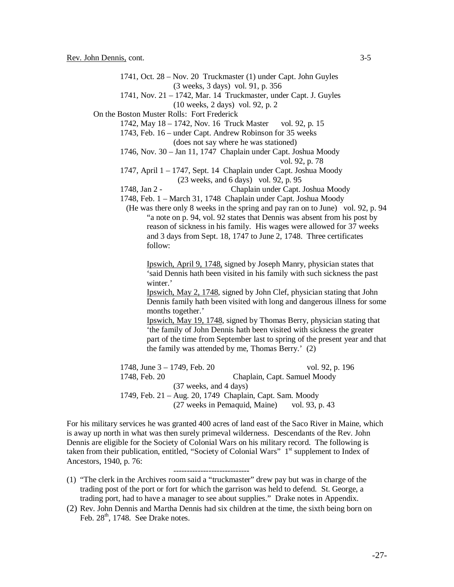1741, Oct. 28 – Nov. 20 Truckmaster (1) under Capt. John Guyles (3 weeks, 3 days) vol. 91, p. 356 1741, Nov. 21 – 1742, Mar. 14 Truckmaster, under Capt. J. Guyles (10 weeks, 2 days) vol. 92, p. 2 On the Boston Muster Rolls: Fort Frederick 1742, May 18 – 1742, Nov. 16 Truck Master vol. 92, p. 15 1743, Feb. 16 – under Capt. Andrew Robinson for 35 weeks (does not say where he was stationed) 1746, Nov. 30 – Jan 11, 1747 Chaplain under Capt. Joshua Moody vol. 92, p. 78 1747, April 1 – 1747, Sept. 14 Chaplain under Capt. Joshua Moody (23 weeks, and 6 days) vol. 92, p. 95 1748, Jan 2 - Chaplain under Capt. Joshua Moody 1748, Feb. 1 – March 31, 1748 Chaplain under Capt. Joshua Moody (He was there only 8 weeks in the spring and pay ran on to June) vol. 92, p. 94 "a note on p. 94, vol. 92 states that Dennis was absent from his post by reason of sickness in his family. His wages were allowed for 37 weeks and 3 days from Sept. 18, 1747 to June 2, 1748. Three certificates follow: Ipswich, April 9, 1748, signed by Joseph Manry, physician states that 'said Dennis hath been visited in his family with such sickness the past winter.' Ipswich, May 2, 1748, signed by John Clef, physician stating that John Dennis family hath been visited with long and dangerous illness for some months together.' Ipswich, May 19, 1748, signed by Thomas Berry, physician stating that 'the family of John Dennis hath been visited with sickness the greater part of the time from September last to spring of the present year and that the family was attended by me, Thomas Berry.' (2) 1748, June 3 – 1749, Feb. 20 vol. 92, p. 196 1748, Feb. 20 Chaplain, Capt. Samuel Moody (37 weeks, and 4 days) 1749, Feb. 21 – Aug. 20, 1749 Chaplain, Capt. Sam. Moody (27 weeks in Pemaquid, Maine) vol. 93, p. 43

For his military services he was granted 400 acres of land east of the Saco River in Maine, which is away up north in what was then surely primeval wilderness. Descendants of the Rev. John Dennis are eligible for the Society of Colonial Wars on his military record. The following is taken from their publication, entitled, "Society of Colonial Wars"  $1<sup>st</sup>$  supplement to Index of Ancestors, 1940, p. 76:

(1) "The clerk in the Archives room said a "truckmaster" drew pay but was in charge of the trading post of the port or fort for which the garrison was held to defend. St. George, a trading port, had to have a manager to see about supplies." Drake notes in Appendix.

----------------------------

(2) Rev. John Dennis and Martha Dennis had six children at the time, the sixth being born on Feb.  $28<sup>th</sup>$ , 1748. See Drake notes.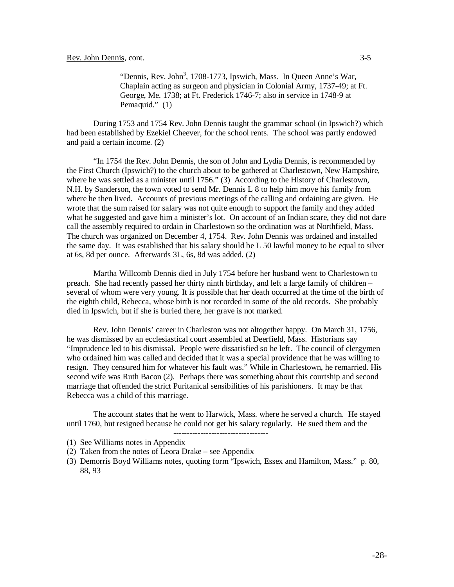"Dennis, Rev. John<sup>3</sup>, 1708-1773, Ipswich, Mass. In Queen Anne's War, Chaplain acting as surgeon and physician in Colonial Army, 1737-49; at Ft. George, Me. 1738; at Ft. Frederick 1746-7; also in service in 1748-9 at Pemaquid." (1)

During 1753 and 1754 Rev. John Dennis taught the grammar school (in Ipswich?) which had been established by Ezekiel Cheever, for the school rents. The school was partly endowed and paid a certain income. (2)

"In 1754 the Rev. John Dennis, the son of John and Lydia Dennis, is recommended by the First Church (Ipswich?) to the church about to be gathered at Charlestown, New Hampshire, where he was settled as a minister until 1756." (3) According to the History of Charlestown. N.H. by Sanderson, the town voted to send Mr. Dennis L 8 to help him move his family from where he then lived. Accounts of previous meetings of the calling and ordaining are given. He wrote that the sum raised for salary was not quite enough to support the family and they added what he suggested and gave him a minister's lot. On account of an Indian scare, they did not dare call the assembly required to ordain in Charlestown so the ordination was at Northfield, Mass. The church was organized on December 4, 1754. Rev. John Dennis was ordained and installed the same day. It was established that his salary should be L 50 lawful money to be equal to silver at 6s, 8d per ounce. Afterwards 3L, 6s, 8d was added. (2)

Martha Willcomb Dennis died in July 1754 before her husband went to Charlestown to preach. She had recently passed her thirty ninth birthday, and left a large family of children – several of whom were very young. It is possible that her death occurred at the time of the birth of the eighth child, Rebecca, whose birth is not recorded in some of the old records. She probably died in Ipswich, but if she is buried there, her grave is not marked.

Rev. John Dennis' career in Charleston was not altogether happy. On March 31, 1756, he was dismissed by an ecclesiastical court assembled at Deerfield, Mass. Historians say "Imprudence led to his dismissal. People were dissatisfied so he left. The council of clergymen who ordained him was called and decided that it was a special providence that he was willing to resign. They censured him for whatever his fault was." While in Charlestown, he remarried. His second wife was Ruth Bacon (2). Perhaps there was something about this courtship and second marriage that offended the strict Puritanical sensibilities of his parishioners. It may be that Rebecca was a child of this marriage.

The account states that he went to Harwick, Mass. where he served a church. He stayed until 1760, but resigned because he could not get his salary regularly. He sued them and the -----------------------------------

<sup>(1)</sup> See Williams notes in Appendix

<sup>(2)</sup> Taken from the notes of Leora Drake – see Appendix

<sup>(3)</sup> Demorris Boyd Williams notes, quoting form "Ipswich, Essex and Hamilton, Mass." p. 80, 88, 93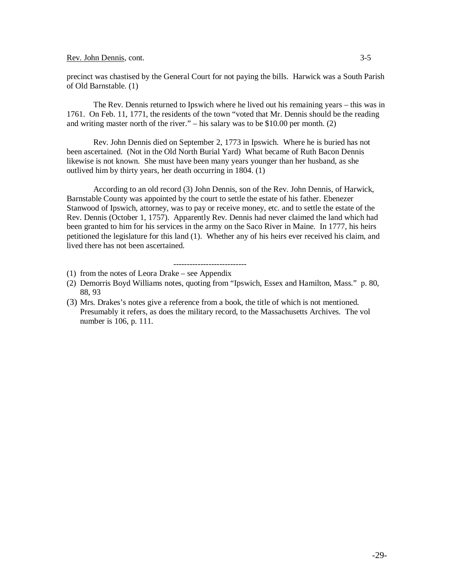Rev. John Dennis, cont. 3-5

precinct was chastised by the General Court for not paying the bills. Harwick was a South Parish of Old Barnstable. (1)

The Rev. Dennis returned to Ipswich where he lived out his remaining years – this was in 1761. On Feb. 11, 1771, the residents of the town "voted that Mr. Dennis should be the reading and writing master north of the river." – his salary was to be \$10.00 per month. (2)

Rev. John Dennis died on September 2, 1773 in Ipswich. Where he is buried has not been ascertained. (Not in the Old North Burial Yard) What became of Ruth Bacon Dennis likewise is not known. She must have been many years younger than her husband, as she outlived him by thirty years, her death occurring in 1804. (1)

According to an old record (3) John Dennis, son of the Rev. John Dennis, of Harwick, Barnstable County was appointed by the court to settle the estate of his father. Ebenezer Stanwood of Ipswich, attorney, was to pay or receive money, etc. and to settle the estate of the Rev. Dennis (October 1, 1757). Apparently Rev. Dennis had never claimed the land which had been granted to him for his services in the army on the Saco River in Maine. In 1777, his heirs petitioned the legislature for this land (1). Whether any of his heirs ever received his claim, and lived there has not been ascertained.

#### ---------------------------

- (1) from the notes of Leora Drake see Appendix
- (2) Demorris Boyd Williams notes, quoting from "Ipswich, Essex and Hamilton, Mass." p. 80, 88, 93
- (3) Mrs. Drakes's notes give a reference from a book, the title of which is not mentioned. Presumably it refers, as does the military record, to the Massachusetts Archives. The vol number is 106, p. 111.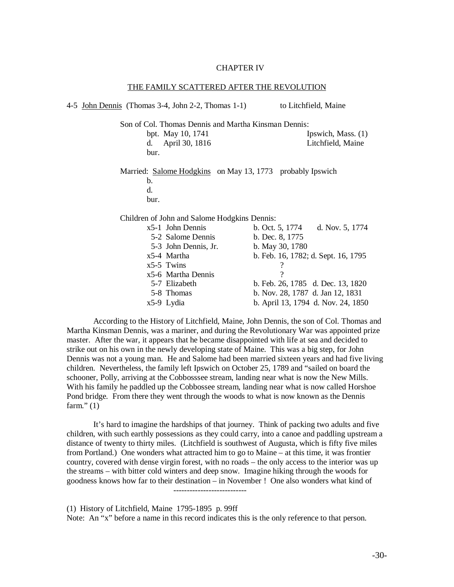#### CHAPTER IV

THE FAMILY SCATTEDED AFTER THE REVOLUTION

| THE PAINIET SCATTERED APTER THE REVOLUTION                |                                     |  |  |
|-----------------------------------------------------------|-------------------------------------|--|--|
| 4-5 John Dennis (Thomas 3-4, John 2-2, Thomas 1-1)        | to Litchfield, Maine                |  |  |
| Son of Col. Thomas Dennis and Martha Kinsman Dennis:      |                                     |  |  |
| bpt. May 10, 1741                                         | Ipswich, Mass. (1)                  |  |  |
| April 30, 1816<br>d.                                      | Litchfield, Maine                   |  |  |
| bur.                                                      |                                     |  |  |
| Married: Salome Hodgkins on May 13, 1773 probably Ipswich |                                     |  |  |
| b.                                                        |                                     |  |  |
| d.                                                        |                                     |  |  |
| bur.                                                      |                                     |  |  |
| Children of John and Salome Hodgkins Dennis:              |                                     |  |  |
| $x5-1$ John Dennis                                        | b. Oct. 5, 1774 d. Nov. 5, 1774     |  |  |
| 5-2 Salome Dennis                                         | b. Dec. 8, 1775                     |  |  |
| 5-3 John Dennis, Jr.                                      | b. May 30, 1780                     |  |  |
| x5-4 Martha                                               | b. Feb. 16, 1782; d. Sept. 16, 1795 |  |  |
| $x5-5$ Twins                                              | ?                                   |  |  |
| x5-6 Martha Dennis                                        | $\gamma$                            |  |  |
| 5-7 Elizabeth                                             | b. Feb. 26, 1785 d. Dec. 13, 1820   |  |  |
| 5-8 Thomas                                                | b. Nov. 28, 1787 d. Jan 12, 1831    |  |  |

x5-9 Lydia b. April 13, 1794 d. Nov. 24, 1850 According to the History of Litchfield, Maine, John Dennis, the son of Col. Thomas and Martha Kinsman Dennis, was a mariner, and during the Revolutionary War was appointed prize master. After the war, it appears that he became disappointed with life at sea and decided to strike out on his own in the newly developing state of Maine. This was a big step, for John Dennis was not a young man. He and Salome had been married sixteen years and had five living children. Nevertheless, the family left Ipswich on October 25, 1789 and "sailed on board the

schooner, Polly, arriving at the Cobbosssee stream, landing near what is now the New Mills. With his family he paddled up the Cobbossee stream, landing near what is now called Horshoe Pond bridge. From there they went through the woods to what is now known as the Dennis farm." $(1)$ 

It's hard to imagine the hardships of that journey. Think of packing two adults and five children, with such earthly possessions as they could carry, into a canoe and paddling upstream a distance of twenty to thirty miles. (Litchfield is southwest of Augusta, which is fifty five miles from Portland.) One wonders what attracted him to go to Maine – at this time, it was frontier country, covered with dense virgin forest, with no roads – the only access to the interior was up the streams – with bitter cold winters and deep snow. Imagine hiking through the woods for goodness knows how far to their destination – in November ! One also wonders what kind of

---------------------------

(1) History of Litchfield, Maine 1795-1895 p. 99ff

Note: An "x" before a name in this record indicates this is the only reference to that person.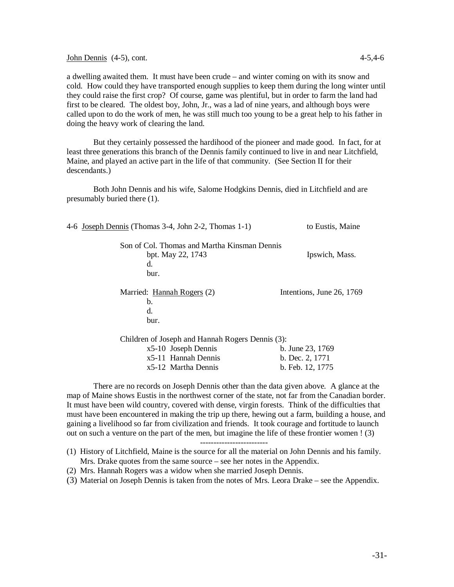John Dennis (4-5), cont. 4-5,4-6

a dwelling awaited them. It must have been crude – and winter coming on with its snow and cold. How could they have transported enough supplies to keep them during the long winter until they could raise the first crop? Of course, game was plentiful, but in order to farm the land had first to be cleared. The oldest boy, John, Jr., was a lad of nine years, and although boys were called upon to do the work of men, he was still much too young to be a great help to his father in doing the heavy work of clearing the land.

But they certainly possessed the hardihood of the pioneer and made good. In fact, for at least three generations this branch of the Dennis family continued to live in and near Litchfield, Maine, and played an active part in the life of that community. (See Section II for their descendants.)

Both John Dennis and his wife, Salome Hodgkins Dennis, died in Litchfield and are presumably buried there (1).

| 4-6 Joseph Dennis (Thomas 3-4, John 2-2, Thomas 1-1) | to Eustis, Maine          |
|------------------------------------------------------|---------------------------|
| Son of Col. Thomas and Martha Kinsman Dennis         |                           |
| bpt. May 22, 1743                                    | Ipswich, Mass.            |
| d.                                                   |                           |
| bur.                                                 |                           |
| Married: Hannah Rogers (2)                           | Intentions, June 26, 1769 |
| b.                                                   |                           |
| d.                                                   |                           |
| bur.                                                 |                           |
| Children of Joseph and Hannah Rogers Dennis (3):     |                           |
| $x5-10$ Joseph Dennis                                | b. June 23, 1769          |
| x5-11 Hannah Dennis                                  | b. Dec. 2, 1771           |
| x5-12 Martha Dennis                                  | b. Feb. 12, 1775          |
|                                                      |                           |

There are no records on Joseph Dennis other than the data given above. A glance at the map of Maine shows Eustis in the northwest corner of the state, not far from the Canadian border. It must have been wild country, covered with dense, virgin forests. Think of the difficulties that must have been encountered in making the trip up there, hewing out a farm, building a house, and gaining a livelihood so far from civilization and friends. It took courage and fortitude to launch out on such a venture on the part of the men, but imagine the life of these frontier women ! (3)

-------------------------

- (1) History of Litchfield, Maine is the source for all the material on John Dennis and his family. Mrs. Drake quotes from the same source – see her notes in the Appendix.
- (2) Mrs. Hannah Rogers was a widow when she married Joseph Dennis.
- (3) Material on Joseph Dennis is taken from the notes of Mrs. Leora Drake see the Appendix.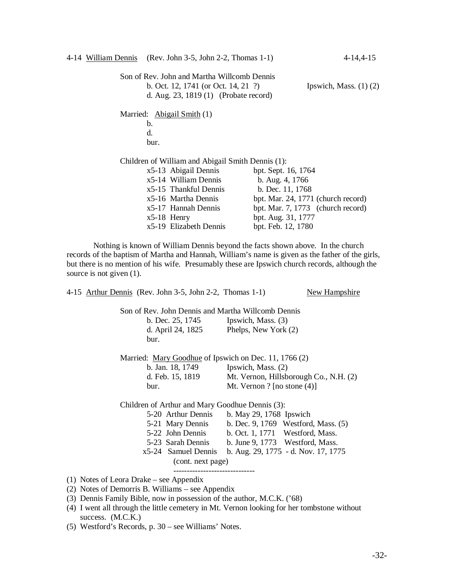|  | 4-14 William Dennis (Rev. John 3-5, John 2-2, Thomas 1-1)                                                                            |                     | 4-14,4-15                          |
|--|--------------------------------------------------------------------------------------------------------------------------------------|---------------------|------------------------------------|
|  | Son of Rev. John and Martha Willcomb Dennis<br>b. Oct. 12, 1741 (or Oct. 14, 21 $\degree$ )<br>d. Aug. 23, 1819 (1) (Probate record) |                     | Ipswich, Mass. $(1)$ $(2)$         |
|  | Married: Abigail Smith (1)                                                                                                           |                     |                                    |
|  | $\mathbf b$ .                                                                                                                        |                     |                                    |
|  | d.                                                                                                                                   |                     |                                    |
|  | bur.                                                                                                                                 |                     |                                    |
|  | Children of William and Abigail Smith Dennis (1):                                                                                    |                     |                                    |
|  | x5-13 Abigail Dennis                                                                                                                 | bpt. Sept. 16, 1764 |                                    |
|  | x5-14 William Dennis                                                                                                                 | b. Aug. 4, 1766     |                                    |
|  | x5-15 Thankful Dennis                                                                                                                | b. Dec. 11, 1768    |                                    |
|  | x5-16 Martha Dennis                                                                                                                  |                     | bpt. Mar. 24, 1771 (church record) |
|  | x5-17 Hannah Dennis                                                                                                                  |                     | bpt. Mar. 7, 1773 (church record)  |
|  | $x5-18$ Henry                                                                                                                        | bpt. Aug. 31, 1777  |                                    |
|  | x5-19 Elizabeth Dennis                                                                                                               | bpt. Feb. 12, 1780  |                                    |

Nothing is known of William Dennis beyond the facts shown above. In the church records of the baptism of Martha and Hannah, William's name is given as the father of the girls, but there is no mention of his wife. Presumably these are Ipswich church records, although the source is not given  $(1)$ .

| 4-15 Arthur Dennis (Rev. John 3-5, John 2-2, Thomas 1-1) | New Hampshire                                        |  |  |  |
|----------------------------------------------------------|------------------------------------------------------|--|--|--|
| Son of Rev. John Dennis and Martha Willcomb Dennis       |                                                      |  |  |  |
| b. Dec. 25, 1745 Ipswich, Mass. (3)                      |                                                      |  |  |  |
|                                                          | d. April 24, 1825 Phelps, New York $(2)$             |  |  |  |
| bur.                                                     |                                                      |  |  |  |
| Married: Mary Goodhue of Ipswich on Dec. 11, 1766 (2)    |                                                      |  |  |  |
| b. Jan. 18, 1749 Ipswich, Mass. (2)                      |                                                      |  |  |  |
| d. Feb. 15, 1819                                         | Mt. Vernon, Hillsborough Co., N.H. (2)               |  |  |  |
| bur.                                                     | Mt. Vernon ? [no stone $(4)$ ]                       |  |  |  |
| Children of Arthur and Mary Goodhue Dennis (3):          |                                                      |  |  |  |
| 5-20 Arthur Dennis                                       | b. May 29, 1768 Ipswich                              |  |  |  |
|                                                          | 5-21 Mary Dennis b. Dec. 9, 1769 Westford, Mass. (5) |  |  |  |
| 5-22 John Dennis                                         | b. Oct. 1, 1771 Westford, Mass.                      |  |  |  |
| 5-23 Sarah Dennis                                        | b. June $9, 1773$ Westford, Mass.                    |  |  |  |
| x5-24 Samuel Dennis                                      | b. Aug. 29, 1775 - d. Nov. 17, 1775                  |  |  |  |
| (cont. next page)                                        |                                                      |  |  |  |
| (1) Notes of Leora Drake – see Appendix                  |                                                      |  |  |  |
|                                                          |                                                      |  |  |  |

- (2) Notes of Demorris B. Williams see Appendix
- (3) Dennis Family Bible, now in possession of the author, M.C.K. ('68)
- (4) I went all through the little cemetery in Mt. Vernon looking for her tombstone without success. (M.C.K.)
- (5) Westford's Records, p. 30 see Williams' Notes.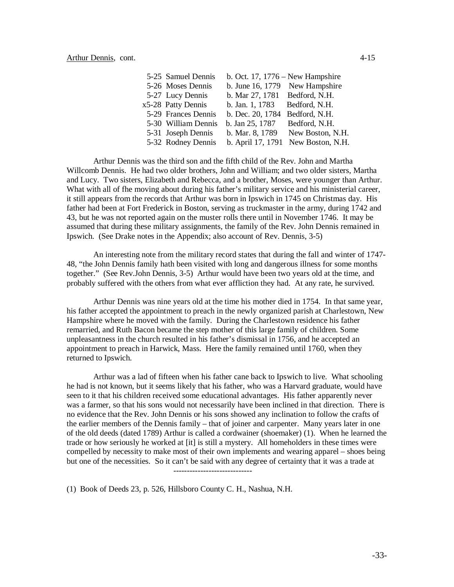| 5-25 Samuel Dennis  | b. Oct. 17, $1776 - New Hampshire$ |                                    |
|---------------------|------------------------------------|------------------------------------|
| 5-26 Moses Dennis   | b. June 16, 1779 New Hampshire     |                                    |
| 5-27 Lucy Dennis    | b. Mar 27, 1781 Bedford, N.H.      |                                    |
| x5-28 Patty Dennis  | b. Jan. 1, 1783                    | Bedford, N.H.                      |
| 5-29 Frances Dennis | b. Dec. 20, 1784                   | Bedford, N.H.                      |
| 5-30 William Dennis | b. Jan 25, 1787                    | Bedford, N.H.                      |
| 5-31 Joseph Dennis  | b. Mar. 8, 1789                    | New Boston, N.H.                   |
| 5-32 Rodney Dennis  |                                    | b. April 17, 1791 New Boston, N.H. |

Arthur Dennis was the third son and the fifth child of the Rev. John and Martha Willcomb Dennis. He had two older brothers, John and William; and two older sisters, Martha and Lucy. Two sisters, Elizabeth and Rebecca, and a brother, Moses, were younger than Arthur. What with all of fhe moving about during his father's military service and his ministerial career, it still appears from the records that Arthur was born in Ipswich in 1745 on Christmas day. His father had been at Fort Frederick in Boston, serving as truckmaster in the army, during 1742 and 43, but he was not reported again on the muster rolls there until in November 1746. It may be assumed that during these military assignments, the family of the Rev. John Dennis remained in Ipswich. (See Drake notes in the Appendix; also account of Rev. Dennis, 3-5)

An interesting note from the military record states that during the fall and winter of 1747- 48, "the John Dennis family hath been visited with long and dangerous illness for some months together." (See Rev.John Dennis, 3-5) Arthur would have been two years old at the time, and probably suffered with the others from what ever affliction they had. At any rate, he survived.

Arthur Dennis was nine years old at the time his mother died in 1754. In that same year, his father accepted the appointment to preach in the newly organized parish at Charlestown, New Hampshire where he moved with the family. During the Charlestown residence his father remarried, and Ruth Bacon became the step mother of this large family of children. Some unpleasantness in the church resulted in his father's dismissal in 1756, and he accepted an appointment to preach in Harwick, Mass. Here the family remained until 1760, when they returned to Ipswich.

Arthur was a lad of fifteen when his father cane back to Ipswich to live. What schooling he had is not known, but it seems likely that his father, who was a Harvard graduate, would have seen to it that his children received some educational advantages. His father apparently never was a farmer, so that his sons would not necessarily have been inclined in that direction. There is no evidence that the Rev. John Dennis or his sons showed any inclination to follow the crafts of the earlier members of the Dennis family – that of joiner and carpenter. Many years later in one of the old deeds (dated 1789) Arthur is called a cordwainer (shoemaker) (1). When he learned the trade or how seriously he worked at [it] is still a mystery. All homeholders in these times were compelled by necessity to make most of their own implements and wearing apparel – shoes being but one of the necessities. So it can't be said with any degree of certainty that it was a trade at -----------------------------

(1) Book of Deeds 23, p. 526, Hillsboro County C. H., Nashua, N.H.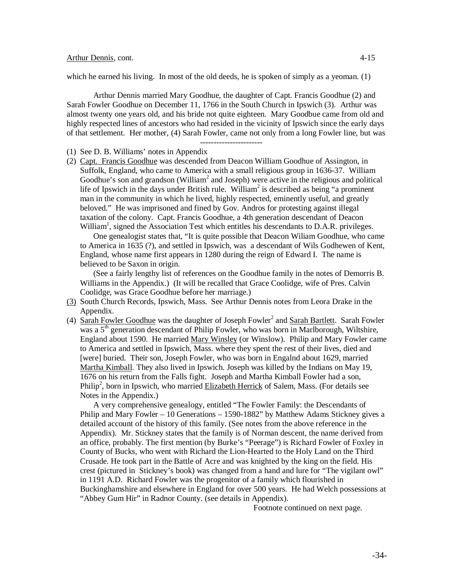#### Arthur Dennis, cont. 4-15

which he earned his living. In most of the old deeds, he is spoken of simply as a yeoman. (1)

Arthur Dennis married Mary Goodhue, the daughter of Capt. Francis Goodhue (2) and Sarah Fowler Goodhue on December 11, 1766 in the South Church in Ipswich (3). Arthur was almost twenty one years old, and his bride not quite eighteen. Mary Goodbue came from old and highly respected lines of ancestors who had resided in the vicinity of Ipswich since the early days of that settlement. Her mother, (4) Sarah Fowler, came not only from a long Fowler line, but was

- (1) See D. B. Williams' notes in Appendix
- (2) Capt. Francis Goodhue was descended from Deacon William Goodhue of Assington, in Suffolk, England, who came to America with a small religious group in 1636-37. William Goodhue's son and grandson (William<sup>2</sup> and Joseph) were active in the religious and political life of Ipswich in the days under British rule. William<sup>2</sup> is described as being "a prominent man in the community in which he lived, highly respected, eminently useful, and greatly beloved." He was imprisoned and fined by Gov. Andros for protesting against illegal taxation of the colony. Capt. Francis Goodhue, a 4th generation descendant of Deacon William<sup>1</sup>, signed the Association Test which entitles his descendants to D.A.R. privileges.

One genealogist states that, "It is quite possible that Deacon Wiliam Goodhue, who came to America in 1635 (?), and settled in Ipswich, was a descendant of Wils Godhewen of Kent, England, whose name first appears in 1280 during the reign of Edward I. The name is believed to be Saxon in origin.

(See a fairly lengthy list of references on the Goodhue family in the notes of Demorris B. Williams in the Appendix.) (It will be recalled that Grace Coolidge, wife of Pres. Calvin Coolidge, was Grace Goodhue before her marriage.)

- (3) South Church Records, Ipswich, Mass. See Arthur Dennis notes from Leora Drake in the Appendix.
- (4)  $\frac{\text{Sarah} \text{ Fowler} \text{Good}$ hue was the daughter of Joseph Fowler<sup>2</sup> and  $\frac{\text{Sarah} \text{ Bartlett}}{\text{Bartlett}}$ . Sarah Fowler was a 5<sup>th</sup> generation descendant of Philip Fowler, who was born in Marlborough, Wiltshire, England about 1590. He married Mary Winsley (or Winslow). Philip and Mary Fowler came to America and settled in Ipswich, Mass. where they spent the rest of their lives, died and [were] buried. Their son, Joseph Fowler, who was born in Engalnd about 1629, married Martha Kimball. They also lived in Ipswich. Joseph was killed by the Indians on May 19, 1676 on his return from the Falls fight. Joseph and Martha Kimball Fowler had a son, Philip<sup>2</sup>, born in Ipswich, who married Elizabeth Herrick of Salem, Mass. (For details see Notes in the Appendix.)

A very comprehensive genealogy, entitled "The Fowler Family: the Descendants of Philip and Mary Fowler – 10 Generations – 1590-1882" by Matthew Adams Stickney gives a detailed account of the history of this family. (See notes from the above reference in the Appendix). Mr. Stickney states that the family is of Norman descent, the name derived from an office, probably. The first mention (by Burke's "Peerage") is Richard Fowler of Foxley in County of Bucks, who went with Richard the Lion-Hearted to the Holy Land on the Third Crusade. He took part in the Battle of Acre and was knighted by the king on the field. His crest (pictured in Stickney's book) was changed from a hand and lure for "The vigilant owl" in 1191 A.D. Richard Fowler was the progenitor of a family which flourished in Buckinghamshire and elsewhere in England for over 500 years. He had Welch possessions at "Abbey Gum Hir" in Radnor County. (see details in Appendix).

Footnote continued on next page.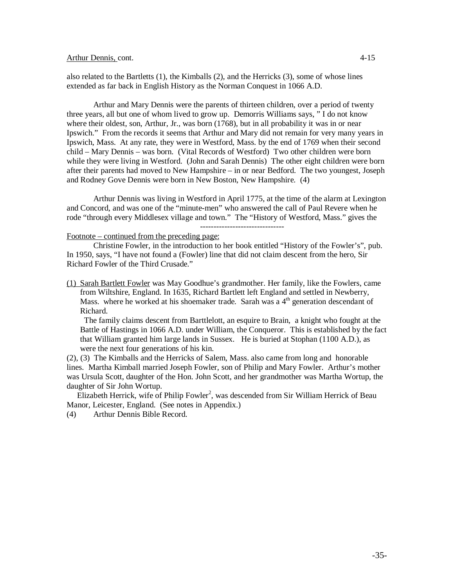#### Arthur Dennis, cont. 4-15

also related to the Bartletts (1), the Kimballs (2), and the Herricks (3), some of whose lines extended as far back in English History as the Norman Conquest in 1066 A.D.

Arthur and Mary Dennis were the parents of thirteen children, over a period of twenty three years, all but one of whom lived to grow up. Demorris Williams says, " I do not know where their oldest, son, Arthur, Jr., was born (1768), but in all probability it was in or near Ipswich." From the records it seems that Arthur and Mary did not remain for very many years in Ipswich, Mass. At any rate, they were in Westford, Mass. by the end of 1769 when their second child – Mary Dennis – was born. (Vital Records of Westford) Two other children were born while they were living in Westford. (John and Sarah Dennis) The other eight children were born after their parents had moved to New Hampshire – in or near Bedford. The two youngest, Joseph and Rodney Gove Dennis were born in New Boston, New Hampshire. (4)

Arthur Dennis was living in Westford in April 1775, at the time of the alarm at Lexington and Concord, and was one of the "minute-men" who answered the call of Paul Revere when he rode "through every Middlesex village and town." The "History of Westford, Mass." gives the

#### Footnote – continued from the preceding page:

Christine Fowler, in the introduction to her book entitled "History of the Fowler's", pub. In 1950, says, "I have not found a (Fowler) line that did not claim descent from the hero, Sir Richard Fowler of the Third Crusade."

(1) Sarah Bartlett Fowler was May Goodhue's grandmother. Her family, like the Fowlers, came from Wiltshire, England. In 1635, Richard Bartlett left England and settled in Newberry, Mass. where he worked at his shoemaker trade. Sarah was a  $4<sup>th</sup>$  generation descendant of Richard.

The family claims descent from Barttlelott, an esquire to Brain, a knight who fought at the Battle of Hastings in 1066 A.D. under William, the Conqueror. This is established by the fact that William granted him large lands in Sussex. He is buried at Stophan (1100 A.D.), as were the next four generations of his kin.

(2), (3) The Kimballs and the Herricks of Salem, Mass. also came from long and honorable lines. Martha Kimball married Joseph Fowler, son of Philip and Mary Fowler. Arthur's mother was Ursula Scott, daughter of the Hon. John Scott, and her grandmother was Martha Wortup, the daughter of Sir John Wortup.

Elizabeth Herrick, wife of Philip Fowler<sup>2</sup>, was descended from Sir William Herrick of Beau Manor, Leicester, England. (See notes in Appendix.)

(4) Arthur Dennis Bible Record.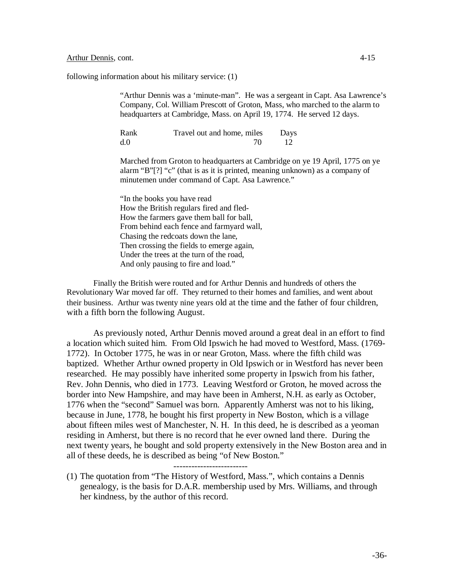#### Arthur Dennis, cont. 4-15

following information about his military service: (1)

"Arthur Dennis was a 'minute-man". He was a sergeant in Capt. Asa Lawrence's Company, Col. William Prescott of Groton, Mass, who marched to the alarm to headquarters at Cambridge, Mass. on April 19, 1774. He served 12 days.

| Rank | Travel out and home, miles | Days |
|------|----------------------------|------|
| d.0  |                            |      |

Marched from Groton to headquarters at Cambridge on ye 19 April, 1775 on ye alarm "B"[?] "c" (that is as it is printed, meaning unknown) as a company of minutemen under command of Capt. Asa Lawrence."

"In the books you have read How the British regulars fired and fled-How the farmers gave them ball for ball, From behind each fence and farmyard wall, Chasing the redcoats down the lane, Then crossing the fields to emerge again, Under the trees at the turn of the road, And only pausing to fire and load."

Finally the British were routed and for Arthur Dennis and hundreds of others the Revolutionary War moved far off. They returned to their homes and families, and went about their business. Arthur was twenty nine years old at the time and the father of four children, with a fifth born the following August.

As previously noted, Arthur Dennis moved around a great deal in an effort to find a location which suited him. From Old Ipswich he had moved to Westford, Mass. (1769- 1772). In October 1775, he was in or near Groton, Mass. where the fifth child was baptized. Whether Arthur owned property in Old Ipswich or in Westford has never been researched. He may possibly have inherited some property in Ipswich from his father, Rev. John Dennis, who died in 1773. Leaving Westford or Groton, he moved across the border into New Hampshire, and may have been in Amherst, N.H. as early as October, 1776 when the "second" Samuel was born. Apparently Amherst was not to his liking, because in June, 1778, he bought his first property in New Boston, which is a village about fifteen miles west of Manchester, N. H. In this deed, he is described as a yeoman residing in Amherst, but there is no record that he ever owned land there. During the next twenty years, he bought and sold property extensively in the New Boston area and in all of these deeds, he is described as being "of New Boston."

-------------------------

(1) The quotation from "The History of Westford, Mass.", which contains a Dennis genealogy, is the basis for D.A.R. membership used by Mrs. Williams, and through her kindness, by the author of this record.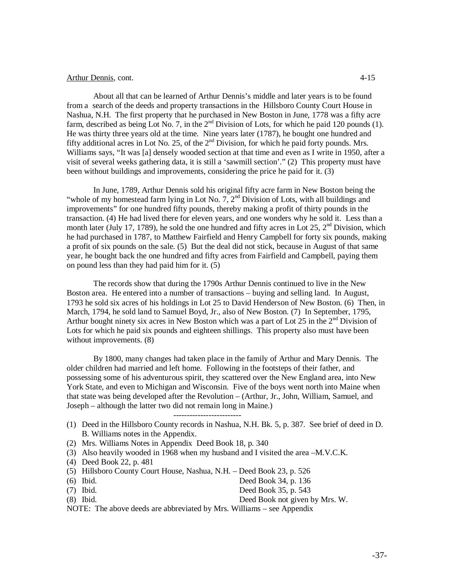About all that can be learned of Arthur Dennis's middle and later years is to be found from a search of the deeds and property transactions in the Hillsboro County Court House in Nashua, N.H. The first property that he purchased in New Boston in June, 1778 was a fifty acre farm, described as being Lot No. 7, in the  $2<sup>nd</sup>$  Division of Lots, for which he paid 120 pounds (1). He was thirty three years old at the time. Nine years later (1787), he bought one hundred and fifty additional acres in Lot No. 25, of the  $2<sup>nd</sup>$  Division, for which he paid forty pounds. Mrs. Williams says, "It was [a] densely wooded section at that time and even as I write in 1950, after a visit of several weeks gathering data, it is still a 'sawmill section'." (2) This property must have been without buildings and improvements, considering the price he paid for it. (3)

In June, 1789, Arthur Dennis sold his original fifty acre farm in New Boston being the "whole of my homestead farm lying in Lot No. 7, 2<sup>nd</sup> Division of Lots, with all buildings and improvements" for one hundred fifty pounds, thereby making a profit of thirty pounds in the transaction. (4) He had lived there for eleven years, and one wonders why he sold it. Less than a month later (July 17, 1789), he sold the one hundred and fifty acres in Lot 25,  $2<sup>nd</sup>$  Division, which he had purchased in 1787, to Matthew Fairfield and Henry Campbell for forty six pounds, making a profit of six pounds on the sale. (5) But the deal did not stick, because in August of that same year, he bought back the one hundred and fifty acres from Fairfield and Campbell, paying them on pound less than they had paid him for it. (5)

The records show that during the 1790s Arthur Dennis continued to live in the New Boston area. He entered into a number of transactions – buying and selling land. In August, 1793 he sold six acres of his holdings in Lot 25 to David Henderson of New Boston. (6) Then, in March, 1794, he sold land to Samuel Boyd, Jr., also of New Boston. (7) In September, 1795, Arthur bought ninety six acres in New Boston which was a part of Lot 25 in the  $2<sup>nd</sup>$  Division of Lots for which he paid six pounds and eighteen shillings. This property also must have been without improvements. (8)

By 1800, many changes had taken place in the family of Arthur and Mary Dennis. The older children had married and left home. Following in the footsteps of their father, and possessing some of his adventurous spirit, they scattered over the New England area, into New York State, and even to Michigan and Wisconsin. Five of the boys went north into Maine when that state was being developed after the Revolution – (Arthur, Jr., John, William, Samuel, and Joseph – although the latter two did not remain long in Maine.)

- (1) Deed in the Hillsboro County records in Nashua, N.H. Bk. 5, p. 387. See brief of deed in D. B. Williams notes in the Appendix.
- (2) Mrs. Williams Notes in Appendix Deed Book 18, p. 340
- (3) Also heavily wooded in 1968 when my husband and I visited the area –M.V.C.K.

-------------------------

- (4) Deed Book 22, p. 481
- (5) Hillsboro County Court House, Nashua, N.H. Deed Book 23, p. 526
- (6) Ibid. Deed Book 34, p. 136
- (7) Ibid. Deed Book 35, p. 543
- (8) Ibid. Deed Book not given by Mrs. W.
- NOTE: The above deeds are abbreviated by Mrs. Williams see Appendix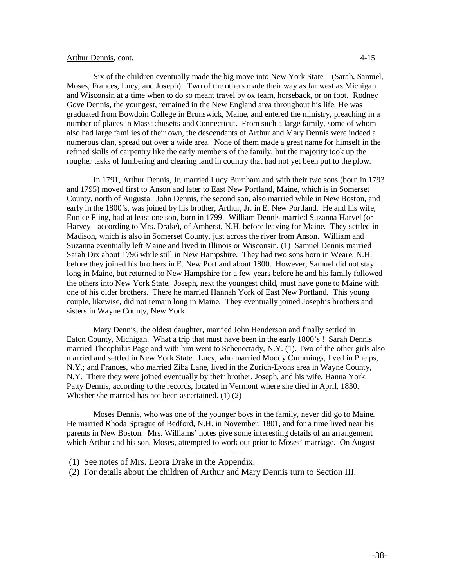Six of the children eventually made the big move into New York State – (Sarah, Samuel, Moses, Frances, Lucy, and Joseph). Two of the others made their way as far west as Michigan and Wisconsin at a time when to do so meant travel by ox team, horseback, or on foot. Rodney Gove Dennis, the youngest, remained in the New England area throughout his life. He was graduated from Bowdoin College in Brunswick, Maine, and entered the ministry, preaching in a number of places in Massachusetts and Connecticut. From such a large family, some of whom also had large families of their own, the descendants of Arthur and Mary Dennis were indeed a numerous clan, spread out over a wide area. None of them made a great name for himself in the refined skills of carpentry like the early members of the family, but the majority took up the rougher tasks of lumbering and clearing land in country that had not yet been put to the plow.

In 1791, Arthur Dennis, Jr. married Lucy Burnham and with their two sons (born in 1793 and 1795) moved first to Anson and later to East New Portland, Maine, which is in Somerset County, north of Augusta. John Dennis, the second son, also married while in New Boston, and early in the 1800's, was joined by his brother, Arthur, Jr. in E. New Portland. He and his wife, Eunice Fling, had at least one son, born in 1799. William Dennis married Suzanna Harvel (or Harvey - according to Mrs. Drake), of Amherst, N.H. before leaving for Maine. They settled in Madison, which is also in Somerset County, just across the river from Anson. William and Suzanna eventually left Maine and lived in Illinois or Wisconsin. (1) Samuel Dennis married Sarah Dix about 1796 while still in New Hampshire. They had two sons born in Weare, N.H. before they joined his brothers in E. New Portland about 1800. However, Samuel did not stay long in Maine, but returned to New Hampshire for a few years before he and his family followed the others into New York State. Joseph, next the youngest child, must have gone to Maine with one of his older brothers. There he married Hannah York of East New Portland. This young couple, likewise, did not remain long in Maine. They eventually joined Joseph's brothers and sisters in Wayne County, New York.

Mary Dennis, the oldest daughter, married John Henderson and finally settled in Eaton County, Michigan. What a trip that must have been in the early 1800's ! Sarah Dennis married Theophilus Page and with him went to Schenectady, N.Y. (1). Two of the other girls also married and settled in New York State. Lucy, who married Moody Cummings, lived in Phelps, N.Y.; and Frances, who married Ziba Lane, lived in the Zurich-Lyons area in Wayne County, N.Y. There they were joined eventually by their brother, Joseph, and his wife, Hanna York. Patty Dennis, according to the records, located in Vermont where she died in April, 1830. Whether she married has not been ascertained. (1) (2)

Moses Dennis, who was one of the younger boys in the family, never did go to Maine. He married Rhoda Sprague of Bedford, N.H. in November, 1801, and for a time lived near his parents in New Boston. Mrs. Williams' notes give some interesting details of an arrangement which Arthur and his son, Moses, attempted to work out prior to Moses' marriage. On August ---------------------------

- (1) See notes of Mrs. Leora Drake in the Appendix.
- (2) For details about the children of Arthur and Mary Dennis turn to Section III.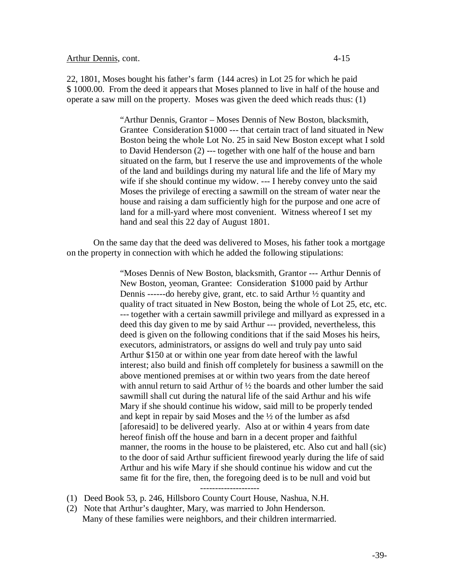22, 1801, Moses bought his father's farm (144 acres) in Lot 25 for which he paid \$ 1000.00. From the deed it appears that Moses planned to live in half of the house and operate a saw mill on the property. Moses was given the deed which reads thus: (1)

> "Arthur Dennis, Grantor – Moses Dennis of New Boston, blacksmith, Grantee Consideration \$1000 --- that certain tract of land situated in New Boston being the whole Lot No. 25 in said New Boston except what I sold to David Henderson (2) --- together with one half of the house and barn situated on the farm, but I reserve the use and improvements of the whole of the land and buildings during my natural life and the life of Mary my wife if she should continue my widow. --- I hereby convey unto the said Moses the privilege of erecting a sawmill on the stream of water near the house and raising a dam sufficiently high for the purpose and one acre of land for a mill-yard where most convenient. Witness whereof I set my hand and seal this 22 day of August 1801.

On the same day that the deed was delivered to Moses, his father took a mortgage on the property in connection with which he added the following stipulations:

> "Moses Dennis of New Boston, blacksmith, Grantor --- Arthur Dennis of New Boston, yeoman, Grantee: Consideration \$1000 paid by Arthur Dennis ------do hereby give, grant, etc. to said Arthur ½ quantity and quality of tract situated in New Boston, being the whole of Lot 25, etc, etc. --- together with a certain sawmill privilege and millyard as expressed in a deed this day given to me by said Arthur --- provided, nevertheless, this deed is given on the following conditions that if the said Moses his heirs, executors, administrators, or assigns do well and truly pay unto said Arthur \$150 at or within one year from date hereof with the lawful interest; also build and finish off completely for business a sawmill on the above mentioned premises at or within two years from the date hereof with annul return to said Arthur of ½ the boards and other lumber the said sawmill shall cut during the natural life of the said Arthur and his wife Mary if she should continue his widow, said mill to be properly tended and kept in repair by said Moses and the ½ of the lumber as afsd [aforesaid] to be delivered yearly. Also at or within 4 years from date hereof finish off the house and barn in a decent proper and faithful manner, the rooms in the house to be plaistered, etc. Also cut and hall (sic) to the door of said Arthur sufficient firewood yearly during the life of said Arthur and his wife Mary if she should continue his widow and cut the same fit for the fire, then, the foregoing deed is to be null and void but

- (1) Deed Book 53, p. 246, Hillsboro County Court House, Nashua, N.H.
- (2) Note that Arthur's daughter, Mary, was married to John Henderson. Many of these families were neighbors, and their children intermarried.

--------------------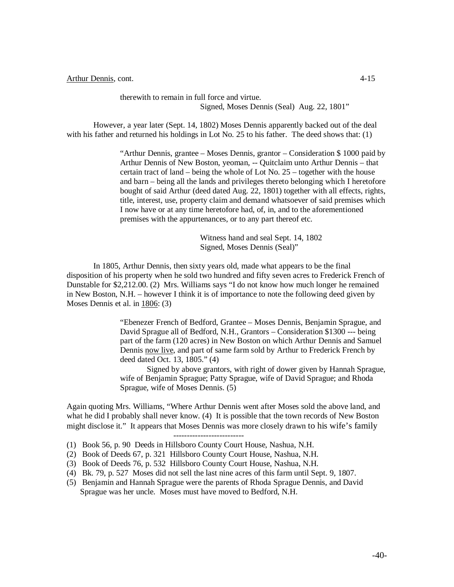therewith to remain in full force and virtue. Signed, Moses Dennis (Seal) Aug. 22, 1801"

However, a year later (Sept. 14, 1802) Moses Dennis apparently backed out of the deal with his father and returned his holdings in Lot No. 25 to his father. The deed shows that: (1)

> "Arthur Dennis, grantee – Moses Dennis, grantor – Consideration \$ 1000 paid by Arthur Dennis of New Boston, yeoman, -- Quitclaim unto Arthur Dennis – that certain tract of land – being the whole of Lot No. 25 – together with the house and barn – being all the lands and privileges thereto belonging which I heretofore bought of said Arthur (deed dated Aug. 22, 1801) together with all effects, rights, title, interest, use, property claim and demand whatsoever of said premises which I now have or at any time heretofore had, of, in, and to the aforementioned premises with the appurtenances, or to any part thereof etc.

> > Witness hand and seal Sept. 14, 1802 Signed, Moses Dennis (Seal)"

In 1805, Arthur Dennis, then sixty years old, made what appears to be the final disposition of his property when he sold two hundred and fifty seven acres to Frederick French of Dunstable for \$2,212.00. (2) Mrs. Williams says "I do not know how much longer he remained in New Boston, N.H. – however I think it is of importance to note the following deed given by Moses Dennis et al. in 1806: (3)

> "Ebenezer French of Bedford, Grantee – Moses Dennis, Benjamin Sprague, and David Sprague all of Bedford, N.H., Grantors – Consideration \$1300 --- being part of the farm (120 acres) in New Boston on which Arthur Dennis and Samuel Dennis now live, and part of same farm sold by Arthur to Frederick French by deed dated Oct. 13, 1805." (4)

Signed by above grantors, with right of dower given by Hannah Sprague, wife of Benjamin Sprague; Patty Sprague, wife of David Sprague; and Rhoda Sprague, wife of Moses Dennis. (5)

Again quoting Mrs. Williams, "Where Arthur Dennis went after Moses sold the above land, and what he did I probably shall never know. (4) It is possible that the town records of New Boston might disclose it." It appears that Moses Dennis was more closely drawn to his wife's family

--------------------------

- (1) Book 56, p. 90 Deeds in Hillsboro County Court House, Nashua, N.H.
- (2) Book of Deeds 67, p. 321 Hillsboro County Court House, Nashua, N.H.
- (3) Book of Deeds 76, p. 532 Hillsboro County Court House, Nashua, N.H.
- (4) Bk. 79, p. 527 Moses did not sell the last nine acres of this farm until Sept. 9, 1807.
- (5) Benjamin and Hannah Sprague were the parents of Rhoda Sprague Dennis, and David Sprague was her uncle. Moses must have moved to Bedford, N.H.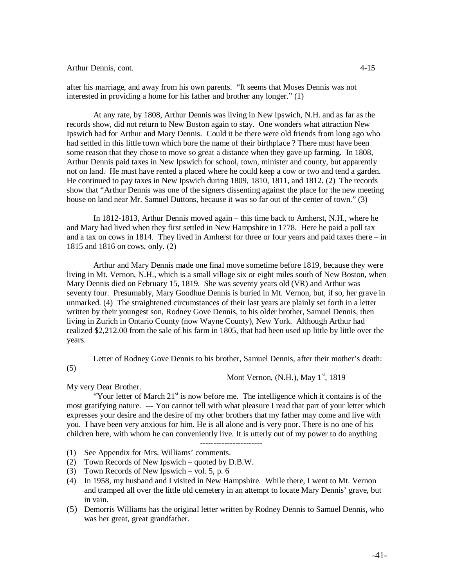after his marriage, and away from his own parents. "It seems that Moses Dennis was not interested in providing a home for his father and brother any longer." (1)

At any rate, by 1808, Arthur Dennis was living in New Ipswich, N.H. and as far as the records show, did not return to New Boston again to stay. One wonders what attraction New Ipswich had for Arthur and Mary Dennis. Could it be there were old friends from long ago who had settled in this little town which bore the name of their birthplace ? There must have been some reason that they chose to move so great a distance when they gave up farming. In 1808, Arthur Dennis paid taxes in New Ipswich for school, town, minister and county, but apparently not on land. He must have rented a placed where he could keep a cow or two and tend a garden. He continued to pay taxes in New Ipswich during 1809, 1810, 1811, and 1812. (2) The records show that "Arthur Dennis was one of the signers dissenting against the place for the new meeting house on land near Mr. Samuel Duttons, because it was so far out of the center of town." (3)

In 1812-1813, Arthur Dennis moved again – this time back to Amherst, N.H., where he and Mary had lived when they first settled in New Hampshire in 1778. Here he paid a poll tax and a tax on cows in 1814. They lived in Amherst for three or four years and paid taxes there – in 1815 and 1816 on cows, only. (2)

Arthur and Mary Dennis made one final move sometime before 1819, because they were living in Mt. Vernon, N.H., which is a small village six or eight miles south of New Boston, when Mary Dennis died on February 15, 1819. She was seventy years old (VR) and Arthur was seventy four. Presumably, Mary Goodhue Dennis is buried in Mt. Vernon, but, if so, her grave in unmarked. (4) The straightened circumstances of their last years are plainly set forth in a letter written by their youngest son, Rodney Gove Dennis, to his older brother, Samuel Dennis, then living in Zurich in Ontario County (now Wayne County), New York. Although Arthur had realized \$2,212.00 from the sale of his farm in 1805, that had been used up little by little over the years.

Letter of Rodney Gove Dennis to his brother, Samuel Dennis, after their mother's death:

(5)

# Mont Vernon, (N.H.), May  $1<sup>st</sup>$ , 1819

My very Dear Brother.

"Your letter of March  $21<sup>st</sup>$  is now before me. The intelligence which it contains is of the most gratifying nature. --- You cannot tell with what pleasure I read that part of your letter which expresses your desire and the desire of my other brothers that my father may come and live with you. I have been very anxious for him. He is all alone and is very poor. There is no one of his children here, with whom he can conveniently live. It is utterly out of my power to do anything

- ----------------------- (1) See Appendix for Mrs. Williams' comments.
- (2) Town Records of New Ipswich quoted by D.B.W.
- (3) Town Records of New Ipswich vol. 5, p. 6
- (4) In 1958, my husband and I visited in New Hampshire. While there, I went to Mt. Vernon and tramped all over the little old cemetery in an attempt to locate Mary Dennis' grave, but in vain.
- (5) Demorris Williams has the original letter written by Rodney Dennis to Samuel Dennis, who was her great, great grandfather.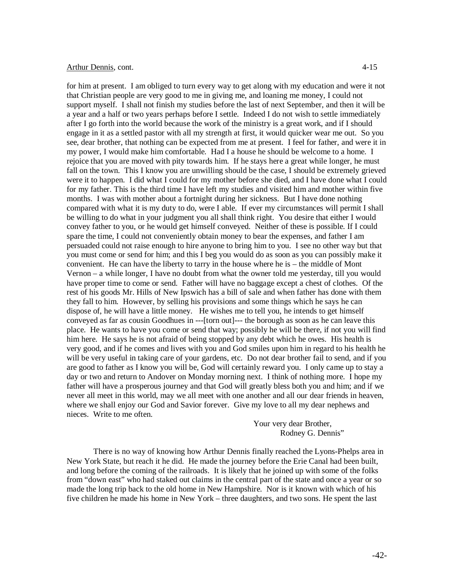for him at present. I am obliged to turn every way to get along with my education and were it not that Christian people are very good to me in giving me, and loaning me money, I could not support myself. I shall not finish my studies before the last of next September, and then it will be a year and a half or two years perhaps before I settle. Indeed I do not wish to settle immediately after I go forth into the world because the work of the ministry is a great work, and if I should engage in it as a settled pastor with all my strength at first, it would quicker wear me out. So you see, dear brother, that nothing can be expected from me at present. I feel for father, and were it in my power, I would make him comfortable. Had I a house he should be welcome to a home. I rejoice that you are moved with pity towards him. If he stays here a great while longer, he must fall on the town. This I know you are unwilling should be the case, I should be extremely grieved were it to happen. I did what I could for my mother before she died, and I have done what I could for my father. This is the third time I have left my studies and visited him and mother within five months. I was with mother about a fortnight during her sickness. But I have done nothing compared with what it is my duty to do, were I able. If ever my circumstances will permit I shall be willing to do what in your judgment you all shall think right. You desire that either I would convey father to you, or he would get himself conveyed. Neither of these is possible. If I could spare the time, I could not conveniently obtain money to bear the expenses, and father I am persuaded could not raise enough to hire anyone to bring him to you. I see no other way but that you must come or send for him; and this I beg you would do as soon as you can possibly make it convenient. He can have the liberty to tarry in the house where he is – the middle of Mont Vernon – a while longer, I have no doubt from what the owner told me yesterday, till you would have proper time to come or send. Father will have no baggage except a chest of clothes. Of the rest of his goods Mr. Hills of New Ipswich has a bill of sale and when father has done with them they fall to him. However, by selling his provisions and some things which he says he can dispose of, he will have a little money. He wishes me to tell you, he intends to get himself conveyed as far as cousin Goodhues in ---[torn out]--- the borough as soon as he can leave this place. He wants to have you come or send that way; possibly he will be there, if not you will find him here. He says he is not afraid of being stopped by any debt which he owes. His health is very good, and if he comes and lives with you and God smiles upon him in regard to his health he will be very useful in taking care of your gardens, etc. Do not dear brother fail to send, and if you are good to father as I know you will be, God will certainly reward you. I only came up to stay a day or two and return to Andover on Monday morning next. I think of nothing more. I hope my father will have a prosperous journey and that God will greatly bless both you and him; and if we never all meet in this world, may we all meet with one another and all our dear friends in heaven, where we shall enjoy our God and Savior forever. Give my love to all my dear nephews and nieces. Write to me often.

> Your very dear Brother, Rodney G. Dennis"

There is no way of knowing how Arthur Dennis finally reached the Lyons-Phelps area in New York State, but reach it he did. He made the journey before the Erie Canal had been built, and long before the coming of the railroads. It is likely that he joined up with some of the folks from "down east" who had staked out claims in the central part of the state and once a year or so made the long trip back to the old home in New Hampshire. Nor is it known with which of his five children he made his home in New York – three daughters, and two sons. He spent the last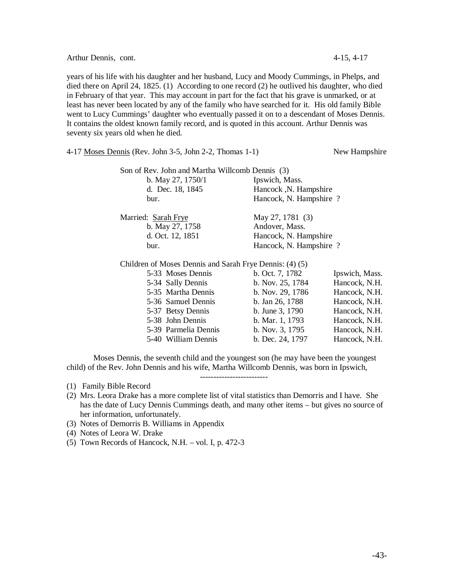Arthur Dennis, cont. 4-15, 4-17

years of his life with his daughter and her husband, Lucy and Moody Cummings, in Phelps, and died there on April 24, 1825. (1) According to one record (2) he outlived his daughter, who died in February of that year. This may account in part for the fact that his grave is unmarked, or at least has never been located by any of the family who have searched for it. His old family Bible went to Lucy Cummings' daughter who eventually passed it on to a descendant of Moses Dennis. It contains the oldest known family record, and is quoted in this account. Arthur Dennis was seventy six years old when he died.

| 4-17 <u>Moses Dennis</u> (Rev. John 3-5, John 2-2, Thomas 1-1) |                        | New Hampshire  |
|----------------------------------------------------------------|------------------------|----------------|
| Son of Rev. John and Martha Willcomb Dennis (3)                |                        |                |
| b. May 27, 1750/1                                              | Ipswich, Mass.         |                |
| d. Dec. 18, 1845                                               | Hancock, N. Hampshire  |                |
| bur.                                                           | Hancock, N. Hampshire? |                |
| Married: Sarah Frye                                            | May 27, 1781 (3)       |                |
| b. May 27, 1758                                                | Andover, Mass.         |                |
| d. Oct. 12, 1851                                               | Hancock, N. Hampshire  |                |
| bur.                                                           | Hancock, N. Hampshire? |                |
| Children of Moses Dennis and Sarah Frye Dennis: (4) (5)        |                        |                |
| 5-33 Moses Dennis                                              | b. Oct. 7, 1782        | Ipswich, Mass. |
| 5-34 Sally Dennis                                              | b. Nov. 25, 1784       | Hancock, N.H.  |
| 5-35 Martha Dennis                                             | b. Nov. $29, 1786$     | Hancock, N.H.  |
| 5-36 Samuel Dennis                                             | b. Jan 26, 1788        | Hancock, N.H.  |
| 5-37 Betsy Dennis                                              | b. June 3, 1790        | Hancock, N.H.  |
| 5-38 John Dennis                                               | b. Mar. 1, 1793        | Hancock, N.H.  |
| 5-39 Parmelia Dennis                                           | b. Nov. $3, 1795$      | Hancock, N.H.  |
| 5-40 William Dennis                                            | b. Dec. 24, 1797       | Hancock, N.H.  |

Moses Dennis, the seventh child and the youngest son (he may have been the youngest child) of the Rev. John Dennis and his wife, Martha Willcomb Dennis, was born in Ipswich,

-------------------------

- (1) Family Bible Record
- (2) Mrs. Leora Drake has a more complete list of vital statistics than Demorris and I have. She has the date of Lucy Dennis Cummings death, and many other items – but gives no source of her information, unfortunately.
- (3) Notes of Demorris B. Williams in Appendix
- (4) Notes of Leora W. Drake
- (5) Town Records of Hancock, N.H. vol. I, p. 472-3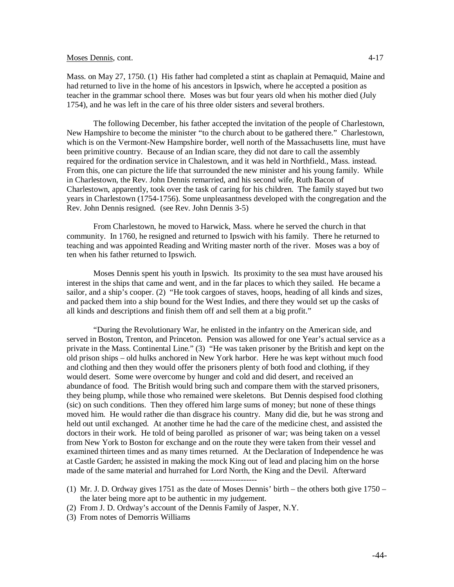## Moses Dennis, cont. 4-17

Mass. on May 27, 1750. (1) His father had completed a stint as chaplain at Pemaquid, Maine and had returned to live in the home of his ancestors in Ipswich, where he accepted a position as teacher in the grammar school there. Moses was but four years old when his mother died (July 1754), and he was left in the care of his three older sisters and several brothers.

The following December, his father accepted the invitation of the people of Charlestown, New Hampshire to become the minister "to the church about to be gathered there." Charlestown, which is on the Vermont-New Hampshire border, well north of the Massachusetts line, must have been primitive country. Because of an Indian scare, they did not dare to call the assembly required for the ordination service in Chalestown, and it was held in Northfield., Mass. instead. From this, one can picture the life that surrounded the new minister and his young family. While in Charlestown, the Rev. John Dennis remarried, and his second wife, Ruth Bacon of Charlestown, apparently, took over the task of caring for his children. The family stayed but two years in Charlestown (1754-1756). Some unpleasantness developed with the congregation and the Rev. John Dennis resigned. (see Rev. John Dennis 3-5)

From Charlestown, he moved to Harwick, Mass. where he served the church in that community. In 1760, he resigned and returned to Ipswich with his family. There he returned to teaching and was appointed Reading and Writing master north of the river. Moses was a boy of ten when his father returned to Ipswich.

Moses Dennis spent his youth in Ipswich. Its proximity to the sea must have aroused his interest in the ships that came and went, and in the far places to which they sailed. He became a sailor, and a ship's cooper. (2) "He took cargoes of staves, hoops, heading of all kinds and sizes, and packed them into a ship bound for the West Indies, and there they would set up the casks of all kinds and descriptions and finish them off and sell them at a big profit."

"During the Revolutionary War, he enlisted in the infantry on the American side, and served in Boston, Trenton, and Princeton. Pension was allowed for one Year's actual service as a private in the Mass. Continental Line." (3) "He was taken prisoner by the British and kept on the old prison ships – old hulks anchored in New York harbor. Here he was kept without much food and clothing and then they would offer the prisoners plenty of both food and clothing, if they would desert. Some were overcome by hunger and cold and did desert, and received an abundance of food. The British would bring such and compare them with the starved prisoners, they being plump, while those who remained were skeletons. But Dennis despised food clothing (sic) on such conditions. Then they offered him large sums of money; but none of these things moved him. He would rather die than disgrace his country. Many did die, but he was strong and held out until exchanged. At another time he had the care of the medicine chest, and assisted the doctors in their work. He told of being parolled as prisoner of war; was being taken on a vessel from New York to Boston for exchange and on the route they were taken from their vessel and examined thirteen times and as many times returned. At the Declaration of Independence he was at Castle Garden; he assisted in making the mock King out of lead and placing him on the horse made of the same material and hurrahed for Lord North, the King and the Devil. Afterward

---------------------

- (1) Mr. J. D. Ordway gives 1751 as the date of Moses Dennis' birth the others both give 1750 the later being more apt to be authentic in my judgement.
- (2) From J. D. Ordway's account of the Dennis Family of Jasper, N.Y.
- (3) From notes of Demorris Williams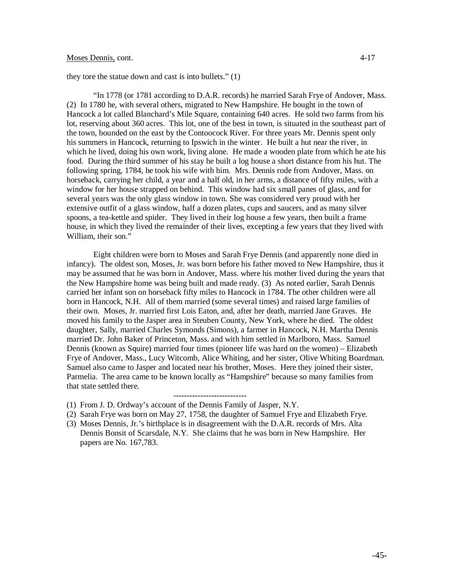## Moses Dennis, cont. 4-17

they tore the statue down and cast is into bullets." (1)

"In 1778 (or 1781 according to D.A.R. records) he married Sarah Frye of Andover, Mass. (2) In 1780 he, with several others, migrated to New Hampshire. He bought in the town of Hancock a lot called Blanchard's Mile Square, containing 640 acres. He sold two farms from his lot, reserving about 360 acres. This lot, one of the best in town, is situated in the southeast part of the town, bounded on the east by the Contoocock River. For three years Mr. Dennis spent only his summers in Hancock, returning to Ipswich in the winter. He built a hut near the river, in which he lived, doing his own work, living alone. He made a wooden plate from which he ate his food. During the third summer of his stay he built a log house a short distance from his hut. The following spring, 1784, he took his wife with him. Mrs. Dennis rode from Andover, Mass. on horseback, carrying her child, a year and a half old, in her arms, a distance of fifty miles, with a window for her house strapped on behind. This window had six small panes of glass, and for several years was the only glass window in town. She was considered very proud with her extensive outfit of a glass window, half a dozen plates, cups and saucers, and as many silver spoons, a tea-kettle and spider. They lived in their log house a few years, then built a frame house, in which they lived the remainder of their lives, excepting a few years that they lived with William, their son."

Eight children were born to Moses and Sarah Frye Dennis (and apparently none died in infancy). The oldest son, Moses, Jr. was born before his father moved to New Hampshire, thus it may be assumed that he was born in Andover, Mass. where his mother lived during the years that the New Hampshire home was being built and made ready. (3) As noted earlier, Sarah Dennis carried her infant son on horseback fifty miles to Hancock in 1784. The other children were all born in Hancock, N.H. All of them married (some several times) and raised large families of their own. Moses, Jr. married first Lois Eaton, and, after her death, married Jane Graves. He moved his family to the Jasper area in Steuben County, New York, where he died. The oldest daughter, Sally, married Charles Symonds (Simons), a farmer in Hancock, N.H. Martha Dennis married Dr. John Baker of Princeton, Mass. and with him settled in Marlboro, Mass. Samuel Dennis (known as Squire) married four times (pioneer life was hard on the women) – Elizabeth Frye of Andover, Mass., Lucy Witcomb, Alice Whiting, and her sister, Olive Whiting Boardman. Samuel also came to Jasper and located near his brother, Moses. Here they joined their sister, Parmelia. The area came to be known locally as "Hampshire" because so many families from that state settled there.

---------------------------

(3) Moses Dennis, Jr.'s birthplace is in disagreement with the D.A.R. records of Mrs. Alta Dennis Bonsit of Scarsdale, N.Y. She claims that he was born in New Hampshire. Her papers are No. 167,783.

<sup>(1)</sup> From J. D. Ordway's account of the Dennis Family of Jasper, N.Y.

<sup>(2)</sup> Sarah Frye was born on May 27, 1758, the daughter of Samuel Frye and Elizabeth Frye.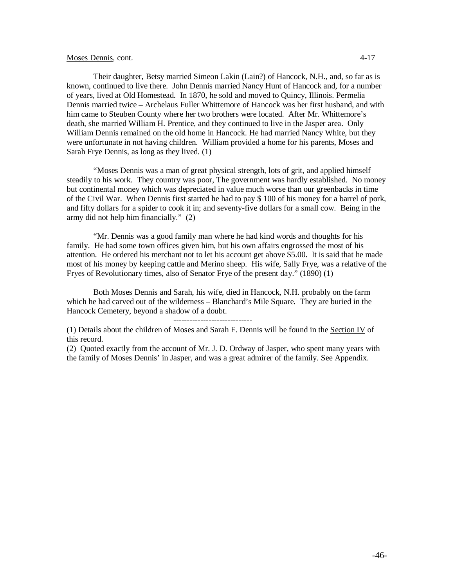## Moses Dennis, cont. 4-17

Their daughter, Betsy married Simeon Lakin (Lain?) of Hancock, N.H., and, so far as is known, continued to live there. John Dennis married Nancy Hunt of Hancock and, for a number of years, lived at Old Homestead. In 1870, he sold and moved to Quincy, Illinois. Permelia Dennis married twice – Archelaus Fuller Whittemore of Hancock was her first husband, and with him came to Steuben County where her two brothers were located. After Mr. Whittemore's death, she married William H. Prentice, and they continued to live in the Jasper area. Only William Dennis remained on the old home in Hancock. He had married Nancy White, but they were unfortunate in not having children. William provided a home for his parents, Moses and Sarah Frye Dennis, as long as they lived. (1)

"Moses Dennis was a man of great physical strength, lots of grit, and applied himself steadily to his work. They country was poor, The government was hardly established. No money but continental money which was depreciated in value much worse than our greenbacks in time of the Civil War. When Dennis first started he had to pay \$ 100 of his money for a barrel of pork, and fifty dollars for a spider to cook it in; and seventy-five dollars for a small cow. Being in the army did not help him financially." (2)

"Mr. Dennis was a good family man where he had kind words and thoughts for his family. He had some town offices given him, but his own affairs engrossed the most of his attention. He ordered his merchant not to let his account get above \$5.00. It is said that he made most of his money by keeping cattle and Merino sheep. His wife, Sally Frye, was a relative of the Fryes of Revolutionary times, also of Senator Frye of the present day." (1890) (1)

Both Moses Dennis and Sarah, his wife, died in Hancock, N.H. probably on the farm which he had carved out of the wilderness – Blanchard's Mile Square. They are buried in the Hancock Cemetery, beyond a shadow of a doubt.

-----------------------------

(1) Details about the children of Moses and Sarah F. Dennis will be found in the Section IV of this record.

(2) Quoted exactly from the account of Mr. J. D. Ordway of Jasper, who spent many years with the family of Moses Dennis' in Jasper, and was a great admirer of the family. See Appendix.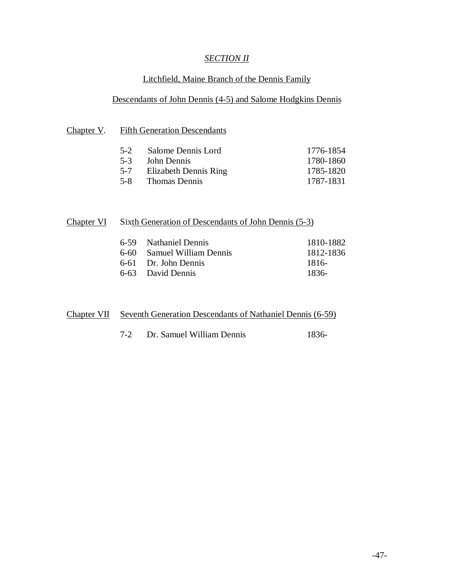# *SECTION II*

# Litchfield, Maine Branch of the Dennis Family

# Descendants of John Dennis (4-5) and Salome Hodgkins Dennis

# Chapter V. Fifth Generation Descendants

| 5-2 Salome Dennis Lord    | 1776-1854 |
|---------------------------|-----------|
| 5-3 John Dennis           | 1780-1860 |
| 5-7 Elizabeth Dennis Ring | 1785-1820 |
| 5-8 Thomas Dennis         | 1787-1831 |

| Chapter VI<br>Sixth Generation of Descendants of John Dennis (5-3) |  |
|--------------------------------------------------------------------|--|
|--------------------------------------------------------------------|--|

| 6-59 Nathaniel Dennis      | 1810-1882 |
|----------------------------|-----------|
| 6-60 Samuel William Dennis | 1812-1836 |
| 6-61 Dr. John Dennis       | -1816     |
| 6-63 David Dennis          | -1836     |

| <b>Chapter VII</b> Seventh Generation Descendants of Nathaniel Dennis (6-59) |
|------------------------------------------------------------------------------|
|------------------------------------------------------------------------------|

| 7-2 | Dr. Samuel William Dennis | 1836- |
|-----|---------------------------|-------|
|     |                           |       |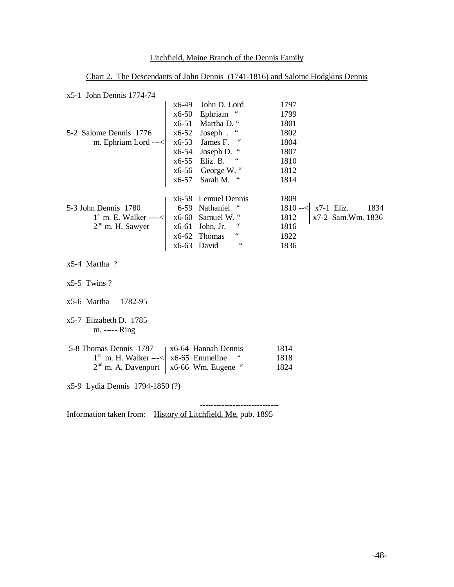# Litchfield, Maine Branch of the Dennis Family

Chart 2. The Descendants of John Dennis (1741-1816) and Salome Hodgkins Dennis

| $x5-1$ John Dennis 1774-74 |  |
|----------------------------|--|
|                            |  |

|                                                    |       | x6-49 John D. Lord                                             | 1797                               |
|----------------------------------------------------|-------|----------------------------------------------------------------|------------------------------------|
|                                                    |       | x6-50 Ephriam "                                                | 1799                               |
|                                                    |       | x6-51 Martha D. "                                              | 1801                               |
| 5-2 Salome Dennis 1776                             |       | $x6-52$ Joseph. "                                              | 1802                               |
| m. Ephriam Lord $---$                              |       | $x6-53$ James F. "                                             | 1804                               |
|                                                    |       | $x6-54$ Joseph D. "                                            | 1807                               |
|                                                    |       | x6-55 Eliz. B. "                                               | 1810                               |
|                                                    |       | $x6-56$ George W."                                             | 1812                               |
|                                                    | x6-57 | Sarah M. "                                                     | 1814                               |
|                                                    |       | x6-58 Lemuel Dennis                                            | 1809                               |
| 5-3 John Dennis 1780                               |       | 6-59 Nathaniel "                                               | $x7-1$ Eliz.<br>1834<br>$1810 - <$ |
| $1st$ m. E. Walker ----< $\vert$ x6-60 Samuel W. " |       |                                                                | 1812<br>x7-2 Sam.Wm. 1836          |
| $2nd$ m. H. Sawyer                                 |       | $\ddot{\phantom{0}}$<br>x6-61 John, Jr.                        | 1816                               |
|                                                    |       | $\boldsymbol{\epsilon}\boldsymbol{\epsilon}$<br>$x6-62$ Thomas | 1822                               |
|                                                    |       | 66<br>x6-63 David                                              | 1836                               |
| $x$ 5-4 Martha?                                    |       |                                                                |                                    |
|                                                    |       |                                                                |                                    |

- x5-5 Twins ?
- x5-6 Martha 1782-95
- x5-7 Elizabeth D. 1785 m. ----- Ring

| 5-8 Thomas Dennis 1787   x6-64 Hannah Dennis |                                            | 1814 |
|----------------------------------------------|--------------------------------------------|------|
|                                              | $1st$ m. H. Walker ---<  x6-65 Emmeline "  | 1818 |
|                                              | $2nd$ m. A. Davenport   x6-66 Wm. Eugene " | 1824 |

x5-9 Lydia Dennis 1794-1850 (?)

----------------------------- Information taken from: History of Litchfield, Me. pub. 1895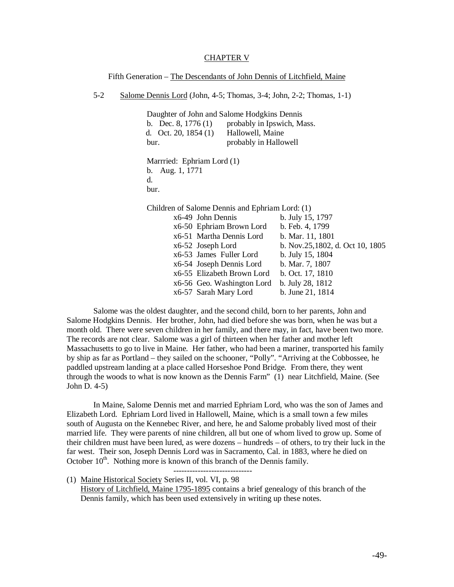### CHAPTER V

Fifth Generation – The Descendants of John Dennis of Litchfield, Maine

5-2 Salome Dennis Lord (John, 4-5; Thomas, 3-4; John, 2-2; Thomas, 1-1)

Daughter of John and Salome Hodgkins Dennis b. Dec. 8, 1776 (1) probably in Ipswich, Mass.<br>d. Oct. 20, 1854 (1) Hallowell, Maine d. Oct. 20, 1854 (1) bur. probably in Hallowell

Marrried: Ephriam Lord (1) b. Aug. 1, 1771 d. bur.

Children of Salome Dennis and Ephriam Lord: (1)

|  | x6-49 John Dennis          | b. July 15, 1797                |
|--|----------------------------|---------------------------------|
|  | x6-50 Ephriam Brown Lord   | b. Feb. 4, 1799                 |
|  | x6-51 Martha Dennis Lord   | b. Mar. 11, 1801                |
|  | x6-52 Joseph Lord          | b. Nov.25,1802, d. Oct 10, 1805 |
|  | x6-53 James Fuller Lord    | b. July 15, 1804                |
|  | x6-54 Joseph Dennis Lord   | b. Mar. 7, 1807                 |
|  | x6-55 Elizabeth Brown Lord | b. Oct. 17, 1810                |
|  | x6-56 Geo. Washington Lord | b. July 28, 1812                |
|  | x6-57 Sarah Mary Lord      | b. June 21, 1814                |

Salome was the oldest daughter, and the second child, born to her parents, John and Salome Hodgkins Dennis. Her brother, John, had died before she was born, when he was but a month old. There were seven children in her family, and there may, in fact, have been two more. The records are not clear. Salome was a girl of thirteen when her father and mother left Massachusetts to go to live in Maine. Her father, who had been a mariner, transported his family by ship as far as Portland – they sailed on the schooner, "Polly". "Arriving at the Cobbossee, he paddled upstream landing at a place called Horseshoe Pond Bridge. From there, they went through the woods to what is now known as the Dennis Farm" (1) near Litchfield, Maine. (See John D. 4-5)

In Maine, Salome Dennis met and married Ephriam Lord, who was the son of James and Elizabeth Lord. Ephriam Lord lived in Hallowell, Maine, which is a small town a few miles south of Augusta on the Kennebec River, and here, he and Salome probably lived most of their married life. They were parents of nine children, all but one of whom lived to grow up. Some of their children must have been lured, as were dozens – hundreds – of others, to try their luck in the far west. Their son, Joseph Dennis Lord was in Sacramento, Cal. in 1883, where he died on October 10<sup>th</sup>. Nothing more is known of this branch of the Dennis family.

-----------------------------

(1) Maine Historical Society Series II, vol. VI, p. 98 History of Litchfield, Maine 1795-1895 contains a brief genealogy of this branch of the Dennis family, which has been used extensively in writing up these notes.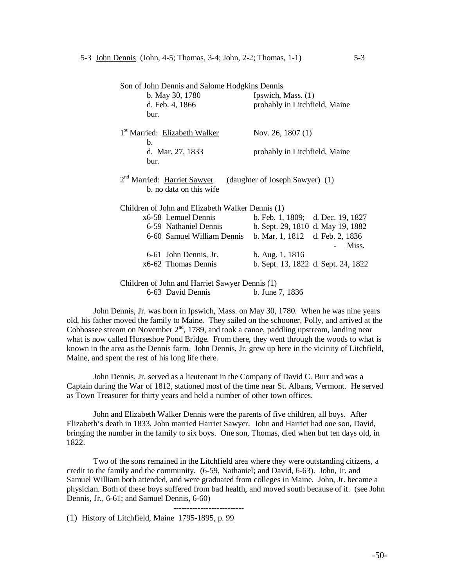| Son of John Dennis and Salome Hodgkins Dennis    |                                     |
|--------------------------------------------------|-------------------------------------|
| b. May 30, 1780                                  | Ipswich, Mass. (1)                  |
| d. Feb. 4, 1866                                  | probably in Litchfield, Maine       |
| bur.                                             |                                     |
|                                                  |                                     |
| 1 <sup>st</sup> Married: Elizabeth Walker        | Nov. 26, 1807 $(1)$                 |
| b.                                               |                                     |
| d. Mar. 27, 1833                                 | probably in Litchfield, Maine       |
| bur.                                             |                                     |
|                                                  |                                     |
| 2 <sup>nd</sup> Married: Harriet Sawyer          | (daughter of Joseph Sawyer) (1)     |
| b. no data on this wife                          |                                     |
|                                                  |                                     |
| Children of John and Elizabeth Walker Dennis (1) |                                     |
| x6-58 Lemuel Dennis                              | b. Feb. 1, 1809; d. Dec. 19, 1827   |
| 6-59 Nathaniel Dennis                            | b. Sept. 29, 1810 d. May 19, 1882   |
| 6-60 Samuel William Dennis                       | b. Mar. 1, 1812 d. Feb. 2, 1836     |
|                                                  | Miss.                               |
| 6-61 John Dennis, Jr.                            | b. Aug. 1, 1816                     |
| x6-62 Thomas Dennis                              | b. Sept. 13, 1822 d. Sept. 24, 1822 |
|                                                  |                                     |
| Children of John and Harriet Sawyer Dennis (1)   |                                     |
|                                                  |                                     |

6-63 David Dennis b. June 7, 1836

John Dennis, Jr. was born in Ipswich, Mass. on May 30, 1780. When he was nine years old, his father moved the family to Maine. They sailed on the schooner, Polly, and arrived at the Cobbossee stream on November  $2<sup>nd</sup>$ , 1789, and took a canoe, paddling upstream, landing near what is now called Horseshoe Pond Bridge. From there, they went through the woods to what is known in the area as the Dennis farm. John Dennis, Jr. grew up here in the vicinity of Litchfield, Maine, and spent the rest of his long life there.

John Dennis, Jr. served as a lieutenant in the Company of David C. Burr and was a Captain during the War of 1812, stationed most of the time near St. Albans, Vermont. He served as Town Treasurer for thirty years and held a number of other town offices.

John and Elizabeth Walker Dennis were the parents of five children, all boys. After Elizabeth's death in 1833, John married Harriet Sawyer. John and Harriet had one son, David, bringing the number in the family to six boys. One son, Thomas, died when but ten days old, in 1822.

Two of the sons remained in the Litchfield area where they were outstanding citizens, a credit to the family and the community. (6-59, Nathaniel; and David, 6-63). John, Jr. and Samuel William both attended, and were graduated from colleges in Maine. John, Jr. became a physician. Both of these boys suffered from bad health, and moved south because of it. (see John Dennis, Jr., 6-61; and Samuel Dennis, 6-60)

--------------------------

(1) History of Litchfield, Maine 1795-1895, p. 99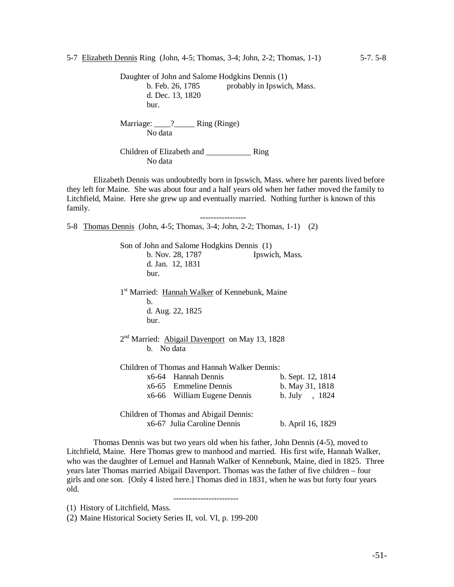Daughter of John and Salome Hodgkins Dennis (1) b. Feb. 26, 1785 probably in Ipswich, Mass. d. Dec. 13, 1820 bur. Marriage: 22 Ring (Ringe)

No data

Children of Elizabeth and \_\_\_\_\_\_\_\_\_\_\_ Ring No data

Elizabeth Dennis was undoubtedly born in Ipswich, Mass. where her parents lived before they left for Maine. She was about four and a half years old when her father moved the family to Litchfield, Maine. Here she grew up and eventually married. Nothing further is known of this family.

-----------------

5-8 Thomas Dennis (John, 4-5; Thomas, 3-4; John, 2-2; Thomas, 1-1) (2)

Son of John and Salome Hodgkins Dennis (1) b. Nov. 28, 1787 Ipswich, Mass. d. Jan. 12, 1831 bur. 1<sup>st</sup> Married: Hannah Walker of Kennebunk, Maine b. d. Aug. 22, 1825 bur. 2<sup>nd</sup> Married: Abigail Davenport on May 13, 1828 b. No data Children of Thomas and Hannah Walker Dennis: x6-64 Hannah Dennis b. Sept. 12, 1814 x6-65 Emmeline Dennis b. May 31, 1818 x6-66 William Eugene Dennis b. July , 1824 Children of Thomas and Abigail Dennis: x6-67 Julia Caroline Dennis b. April 16, 1829

Thomas Dennis was but two years old when his father, John Dennis (4-5), moved to Litchfield, Maine. Here Thomas grew to manhood and married. His first wife, Hannah Walker, who was the daughter of Lemuel and Hannah Walker of Kennebunk, Maine, died in 1825. Three years later Thomas married Abigail Davenport. Thomas was the father of five children – four girls and one son. [Only 4 listed here.] Thomas died in 1831, when he was but forty four years old.

------------------------

(1) History of Litchfield, Mass.

(2) Maine Historical Society Series II, vol. VI, p. 199-200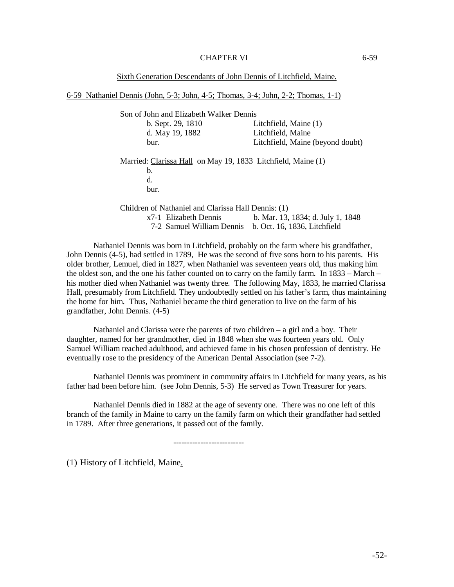## CHAPTER VI 6-59

Sixth Generation Descendants of John Dennis of Litchfield, Maine.

6-59 Nathaniel Dennis (John, 5-3; John, 4-5; Thomas, 3-4; John, 2-2; Thomas, 1-1)

Son of John and Elizabeth Walker Dennis b. Sept. 29, 1810 Litchfield, Maine (1) d. May 19, 1882 Litchfield, Maine bur. Litchfield, Maine (beyond doubt) Married: Clarissa Hall on May 19, 1833 Litchfield, Maine (1) b. d. bur. Children of Nathaniel and Clarissa Hall Dennis: (1)

x7-1 Elizabeth Dennis b. Mar. 13, 1834; d. July 1, 1848 7-2 Samuel William Dennis b. Oct. 16, 1836, Litchfield

Nathaniel Dennis was born in Litchfield, probably on the farm where his grandfather, John Dennis (4-5), had settled in 1789, He was the second of five sons born to his parents. His older brother, Lemuel, died in 1827, when Nathaniel was seventeen years old, thus making him the oldest son, and the one his father counted on to carry on the family farm. In 1833 – March – his mother died when Nathaniel was twenty three. The following May, 1833, he married Clarissa Hall, presumably from Litchfield. They undoubtedly settled on his father's farm, thus maintaining the home for him. Thus, Nathaniel became the third generation to live on the farm of his grandfather, John Dennis. (4-5)

Nathaniel and Clarissa were the parents of two children – a girl and a boy. Their daughter, named for her grandmother, died in 1848 when she was fourteen years old. Only Samuel William reached adulthood, and achieved fame in his chosen profession of dentistry. He eventually rose to the presidency of the American Dental Association (see 7-2).

Nathaniel Dennis was prominent in community affairs in Litchfield for many years, as his father had been before him. (see John Dennis, 5-3) He served as Town Treasurer for years.

Nathaniel Dennis died in 1882 at the age of seventy one. There was no one left of this branch of the family in Maine to carry on the family farm on which their grandfather had settled in 1789. After three generations, it passed out of the family.

--------------------------

(1) History of Litchfield, Maine.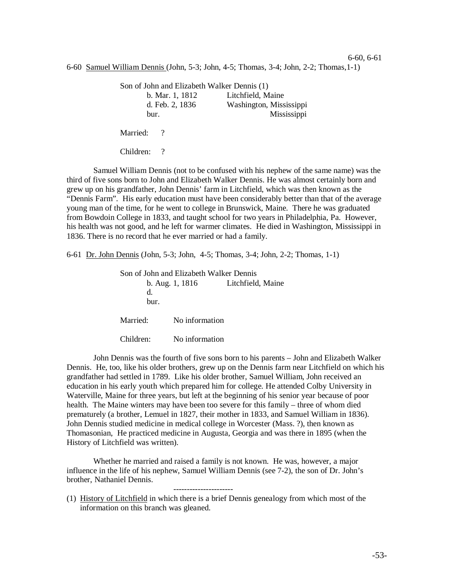#### 6-60, 6-61

6-60 Samuel William Dennis (John, 5-3; John, 4-5; Thomas, 3-4; John, 2-2; Thomas,1-1)

| Son of John and Elizabeth Walker Dennis (1) |                         |
|---------------------------------------------|-------------------------|
| b. Mar. 1, 1812                             | Litchfield, Maine       |
| d. Feb. 2, 1836                             | Washington, Mississippi |
| bur.                                        | Mississippi             |
| Married:                                    |                         |

Children: ?

Samuel William Dennis (not to be confused with his nephew of the same name) was the third of five sons born to John and Elizabeth Walker Dennis. He was almost certainly born and grew up on his grandfather, John Dennis' farm in Litchfield, which was then known as the "Dennis Farm". His early education must have been considerably better than that of the average young man of the time, for he went to college in Brunswick, Maine. There he was graduated from Bowdoin College in 1833, and taught school for two years in Philadelphia, Pa. However, his health was not good, and he left for warmer climates. He died in Washington, Mississippi in 1836. There is no record that he ever married or had a family.

6-61 Dr. John Dennis (John, 5-3; John, 4-5; Thomas, 3-4; John, 2-2; Thomas, 1-1)

| Son of John and Elizabeth Walker Dennis |                   |                   |  |
|-----------------------------------------|-------------------|-------------------|--|
|                                         | $b.$ Aug. 1, 1816 | Litchfield, Maine |  |
| d.                                      |                   |                   |  |
| bur.                                    |                   |                   |  |
| Married:                                | No information    |                   |  |
|                                         |                   |                   |  |
| Children:                               | No information    |                   |  |

John Dennis was the fourth of five sons born to his parents – John and Elizabeth Walker Dennis. He, too, like his older brothers, grew up on the Dennis farm near Litchfield on which his grandfather had settled in 1789. Like his older brother, Samuel William, John received an education in his early youth which prepared him for college. He attended Colby University in Waterville, Maine for three years, but left at the beginning of his senior year because of poor health. The Maine winters may have been too severe for this family – three of whom died prematurely (a brother, Lemuel in 1827, their mother in 1833, and Samuel William in 1836). John Dennis studied medicine in medical college in Worcester (Mass. ?), then known as Thomasonian, He practiced medicine in Augusta, Georgia and was there in 1895 (when the History of Litchfield was written).

Whether he married and raised a family is not known. He was, however, a major influence in the life of his nephew, Samuel William Dennis (see 7-2), the son of Dr. John's brother, Nathaniel Dennis.

----------------------

(1) History of Litchfield in which there is a brief Dennis genealogy from which most of the information on this branch was gleaned.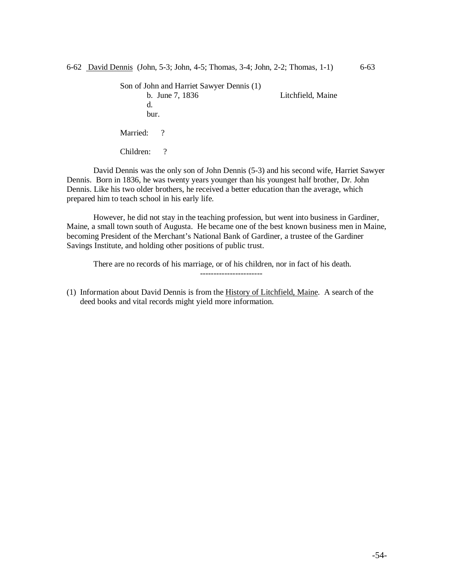Son of John and Harriet Sawyer Dennis (1) b. June 7, 1836 Litchfield, Maine d. bur. Married: ? Children: ?

David Dennis was the only son of John Dennis (5-3) and his second wife, Harriet Sawyer Dennis. Born in 1836, he was twenty years younger than his youngest half brother, Dr. John Dennis. Like his two older brothers, he received a better education than the average, which prepared him to teach school in his early life.

However, he did not stay in the teaching profession, but went into business in Gardiner, Maine, a small town south of Augusta. He became one of the best known business men in Maine, becoming President of the Merchant's National Bank of Gardiner, a trustee of the Gardiner Savings Institute, and holding other positions of public trust.

There are no records of his marriage, or of his children, nor in fact of his death.

(1) Information about David Dennis is from the History of Litchfield, Maine. A search of the deed books and vital records might yield more information.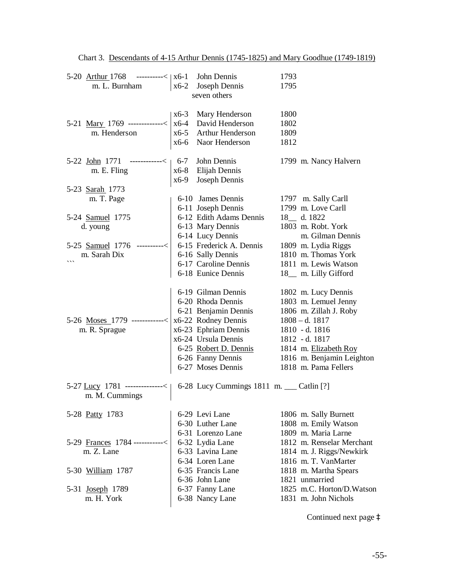| 5-20 Arthur 1768 ---------< $x$ 6-1 John Dennis<br>m. L. Burnham $x$ 6-2 Joseph Dennis                                                                                                                                                                 |                       | 1793<br>1795                                                                                                 |
|--------------------------------------------------------------------------------------------------------------------------------------------------------------------------------------------------------------------------------------------------------|-----------------------|--------------------------------------------------------------------------------------------------------------|
|                                                                                                                                                                                                                                                        | seven others          |                                                                                                              |
|                                                                                                                                                                                                                                                        |                       | 1800                                                                                                         |
|                                                                                                                                                                                                                                                        |                       | 1802                                                                                                         |
|                                                                                                                                                                                                                                                        |                       | 1809                                                                                                         |
| 5-21 Mary 1769 ------------< $\begin{array}{ l l }\n x6-3 & Mary Henderson \\  x6-4 & David Henderson \\  x6-5 & Arthur Henderson \\  x6-6 & Naor Henderson\n\end{array}$                                                                              |                       | 1812                                                                                                         |
|                                                                                                                                                                                                                                                        |                       |                                                                                                              |
| 5-22 John 1771 -----------< $\begin{vmatrix} 6-7 & \text{John Dennis} \\ \text{xc} & \text{Elying} \\ \text{xc} & \text{Flying} \\ \text{xc} & \text{Flying} \end{vmatrix}$                                                                            |                       | 1799 m. Nancy Halvern                                                                                        |
|                                                                                                                                                                                                                                                        |                       |                                                                                                              |
|                                                                                                                                                                                                                                                        |                       |                                                                                                              |
| 5-23 Sarah 1773                                                                                                                                                                                                                                        |                       |                                                                                                              |
| m. T. Page                                                                                                                                                                                                                                             |                       | 6-10 James Dennis 1797 m. Sally Carll                                                                        |
|                                                                                                                                                                                                                                                        |                       |                                                                                                              |
|                                                                                                                                                                                                                                                        |                       |                                                                                                              |
|                                                                                                                                                                                                                                                        |                       |                                                                                                              |
|                                                                                                                                                                                                                                                        |                       | m. Gilman Dennis                                                                                             |
| 5-24 Samuel 1775<br>d. young<br>5-25 Samuel 1776<br>m. Sarah Dix<br>m. Sarah Dix<br>(6-14 Lucy Dennis<br>6-14 Lucy Dennis<br>6-14 Lucy Dennis<br>6-14 Lucy Dennis<br>6-14 Lucy Dennis<br>6-14 Lucy Dennis<br>6-15 Frederick A. Dennis<br>1809 m. Lydia |                       |                                                                                                              |
|                                                                                                                                                                                                                                                        |                       |                                                                                                              |
|                                                                                                                                                                                                                                                        |                       |                                                                                                              |
|                                                                                                                                                                                                                                                        | 6-18 Eunice Dennis    | 18_ m. Lilly Gifford                                                                                         |
|                                                                                                                                                                                                                                                        |                       |                                                                                                              |
|                                                                                                                                                                                                                                                        | 6-19 Gilman Dennis    | 1802 m. Lucy Dennis                                                                                          |
|                                                                                                                                                                                                                                                        |                       | 6-20 Rhoda Dennis 1803 m. Lemuel Jenny                                                                       |
|                                                                                                                                                                                                                                                        | 6-21 Benjamin Dennis  | 1806 m. Zillah J. Roby                                                                                       |
| 5-26 Moses 1779 ------------< $x6-22$ Rodney Dennis<br>m. R. Sprague $x6-23$ Ephriam Dennis                                                                                                                                                            |                       | $1808 - d. 1817$                                                                                             |
| m. R. Sprague                                                                                                                                                                                                                                          | x6-23 Ephriam Dennis  | 1810 - d. 1816                                                                                               |
|                                                                                                                                                                                                                                                        | $x6-24$ Ursula Dennis | 1812 - d. 1817                                                                                               |
|                                                                                                                                                                                                                                                        |                       |                                                                                                              |
|                                                                                                                                                                                                                                                        |                       |                                                                                                              |
|                                                                                                                                                                                                                                                        |                       | 6-25 Robert D. Dennis<br>6-26 Fanny Dennis<br>6-27 Moses Dennis<br>6-27 Moses Dennis<br>1818 m. Pama Fellers |
| 5-27 <u>Lucy</u> 1781 -------------< 6-28 Lucy Cummings 1811 m. ___ Catlin [?] m. M. Cummings                                                                                                                                                          |                       |                                                                                                              |
|                                                                                                                                                                                                                                                        |                       |                                                                                                              |
|                                                                                                                                                                                                                                                        |                       |                                                                                                              |
| 5-28 Patty 1783                                                                                                                                                                                                                                        | 6-29 Levi Lane        | 1806 m. Sally Burnett                                                                                        |
|                                                                                                                                                                                                                                                        | 6-30 Luther Lane      | 1808 m. Emily Watson                                                                                         |
|                                                                                                                                                                                                                                                        | 6-31 Lorenzo Lane     | 1809 m. Maria Larne                                                                                          |
| 5-29 Frances 1784 -----------<                                                                                                                                                                                                                         | 6-32 Lydia Lane       | 1812 m. Renselar Merchant                                                                                    |
| m. Z. Lane                                                                                                                                                                                                                                             | 6-33 Lavina Lane      | 1814 m. J. Riggs/Newkirk                                                                                     |
|                                                                                                                                                                                                                                                        | 6-34 Loren Lane       | 1816 m. T. VanMarter                                                                                         |
| 5-30 William 1787                                                                                                                                                                                                                                      | 6-35 Francis Lane     | 1818 m. Martha Spears                                                                                        |
|                                                                                                                                                                                                                                                        | 6-36 John Lane        | 1821 unmarried                                                                                               |
| 5-31 <u>Joseph</u> 1789                                                                                                                                                                                                                                | 6-37 Fanny Lane       | 1825 m.C. Horton/D. Watson                                                                                   |
| m. H. York                                                                                                                                                                                                                                             | 6-38 Nancy Lane       | 1831 m. John Nichols                                                                                         |

Chart 3. Descendants of 4-15 Arthur Dennis (1745-1825) and Mary Goodhue (1749-1819)

Continued next page à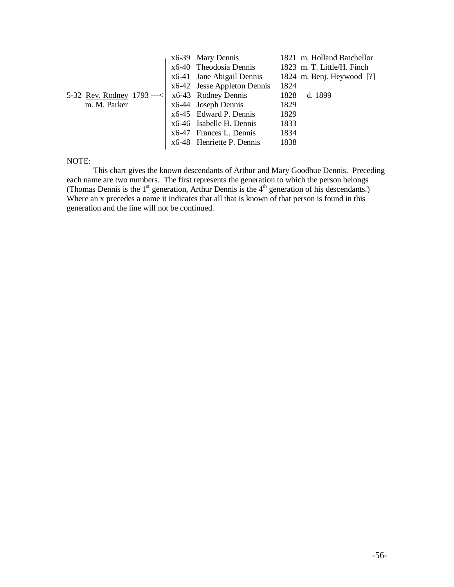|                                                         | x6-39 Mary Dennis           | 1821 m. Holland Batchellor  |
|---------------------------------------------------------|-----------------------------|-----------------------------|
|                                                         | x6-40 Theodosia Dennis      | 1823 m. T. Little/H. Finch  |
|                                                         | x6-41 Jane Abigail Dennis   | 1824 m. Benj. Heywood $[?]$ |
|                                                         | x6-42 Jesse Appleton Dennis | 1824                        |
| 5-32 <u>Rev. Rodney</u> 1793 ---<   x6-43 Rodney Dennis |                             | 1828<br>d. 1899             |
| m. M. Parker                                            | $\vert$ x6-44 Joseph Dennis | 1829                        |
|                                                         | x6-45 Edward P. Dennis      | 1829                        |
|                                                         | x6-46 Isabelle H. Dennis    | 1833                        |
|                                                         | x6-47 Frances L. Dennis     | 1834                        |
|                                                         | x6-48 Henriette P. Dennis   | 1838                        |

## NOTE:

This chart gives the known descendants of Arthur and Mary Goodhue Dennis. Preceding each name are two numbers. The first represents the generation to which the person belongs (Thomas Dennis is the  $1<sup>st</sup>$  generation, Arthur Dennis is the  $4<sup>th</sup>$  generation of his descendants.) Where an x precedes a name it indicates that all that is known of that person is found in this generation and the line will not be continued.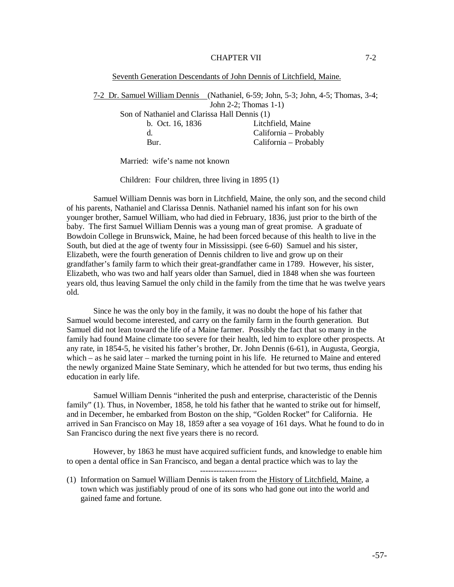## CHAPTER VII 7-2

#### Seventh Generation Descendants of John Dennis of Litchfield, Maine.

7-2 Dr. Samuel William Dennis (Nathaniel, 6-59; John, 5-3; John, 4-5; Thomas, 3-4; John 2-2; Thomas 1-1) Son of Nathaniel and Clarissa Hall Dennis (1) b. Oct. 16, 1836 Litchfield, Maine d. California – Probably Bur. California – Probably

Married: wife's name not known

Children: Four children, three living in 1895 (1)

Samuel William Dennis was born in Litchfield, Maine, the only son, and the second child of his parents, Nathaniel and Clarissa Dennis. Nathaniel named his infant son for his own younger brother, Samuel William, who had died in February, 1836, just prior to the birth of the baby. The first Samuel William Dennis was a young man of great promise. A graduate of Bowdoin College in Brunswick, Maine, he had been forced because of this health to live in the South, but died at the age of twenty four in Mississippi. (see 6-60) Samuel and his sister, Elizabeth, were the fourth generation of Dennis children to live and grow up on their grandfather's family farm to which their great-grandfather came in 1789. However, his sister, Elizabeth, who was two and half years older than Samuel, died in 1848 when she was fourteen years old, thus leaving Samuel the only child in the family from the time that he was twelve years old.

Since he was the only boy in the family, it was no doubt the hope of his father that Samuel would become interested, and carry on the family farm in the fourth generation. But Samuel did not lean toward the life of a Maine farmer. Possibly the fact that so many in the family had found Maine climate too severe for their health, led him to explore other prospects. At any rate, in 1854-5, he visited his father's brother, Dr. John Dennis (6-61), in Augusta, Georgia, which – as he said later – marked the turning point in his life. He returned to Maine and entered the newly organized Maine State Seminary, which he attended for but two terms, thus ending his education in early life.

Samuel William Dennis "inherited the push and enterprise, characteristic of the Dennis family" (1). Thus, in November, 1858, he told his father that he wanted to strike out for himself. and in December, he embarked from Boston on the ship, "Golden Rocket" for California. He arrived in San Francisco on May 18, 1859 after a sea voyage of 161 days. What he found to do in San Francisco during the next five years there is no record.

However, by 1863 he must have acquired sufficient funds, and knowledge to enable him to open a dental office in San Francisco, and began a dental practice which was to lay the

---------------------

(1) Information on Samuel William Dennis is taken from the History of Litchfield, Maine, a town which was justifiably proud of one of its sons who had gone out into the world and gained fame and fortune.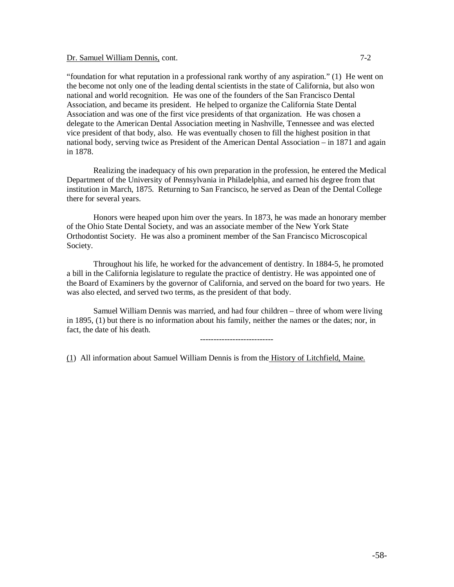## Dr. Samuel William Dennis, cont. 7-2

"foundation for what reputation in a professional rank worthy of any aspiration." (1) He went on the become not only one of the leading dental scientists in the state of California, but also won national and world recognition. He was one of the founders of the San Francisco Dental Association, and became its president. He helped to organize the California State Dental Association and was one of the first vice presidents of that organization. He was chosen a delegate to the American Dental Association meeting in Nashville, Tennessee and was elected vice president of that body, also. He was eventually chosen to fill the highest position in that national body, serving twice as President of the American Dental Association – in 1871 and again in 1878.

Realizing the inadequacy of his own preparation in the profession, he entered the Medical Department of the University of Pennsylvania in Philadelphia, and earned his degree from that institution in March, 1875. Returning to San Francisco, he served as Dean of the Dental College there for several years.

Honors were heaped upon him over the years. In 1873, he was made an honorary member of the Ohio State Dental Society, and was an associate member of the New York State Orthodontist Society. He was also a prominent member of the San Francisco Microscopical Society.

Throughout his life, he worked for the advancement of dentistry. In 1884-5, he promoted a bill in the California legislature to regulate the practice of dentistry. He was appointed one of the Board of Examiners by the governor of California, and served on the board for two years. He was also elected, and served two terms, as the president of that body.

Samuel William Dennis was married, and had four children – three of whom were living in 1895, (1) but there is no information about his family, neither the names or the dates; nor, in fact, the date of his death.

---------------------------

(1) All information about Samuel William Dennis is from the History of Litchfield, Maine.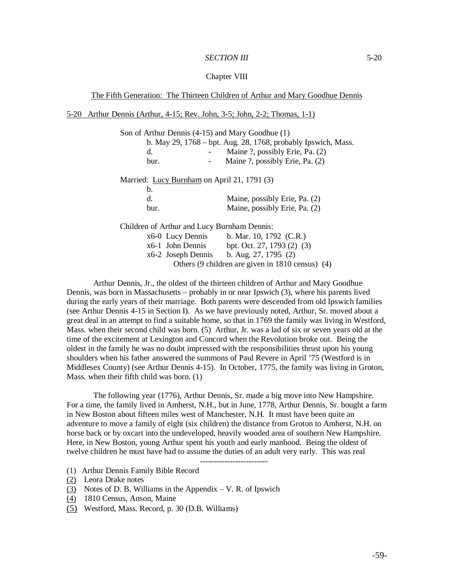## *SECTION III* 5-20

### Chapter VIII

The Fifth Generation: The Thirteen Children of Arthur and Mary Goodhue Dennis

## 5-20 Arthur Dennis (Arthur, 4-15; Rev. John, 3-5; John, 2-2; Thomas, 1-1)

| Son of Arthur Dennis (4-15) and Mary Goodhue (1) |                                                               |  |  |
|--------------------------------------------------|---------------------------------------------------------------|--|--|
|                                                  | b. May 29, 1768 – bpt. Aug. 28, 1768, probably Ipswich, Mass. |  |  |
| d.                                               | Maine ?, possibly Erie, Pa. (2)                               |  |  |
| bur.                                             | Maine ?, possibly Erie, Pa. (2)                               |  |  |
| Married: Lucy Burnham on April 21, 1791 (3)      |                                                               |  |  |
| b.                                               |                                                               |  |  |
| d.                                               | Maine, possibly Erie, Pa. (2)                                 |  |  |
| bur.                                             | Maine, possibly Erie, Pa. (2)                                 |  |  |
| Children of Arthur and Lucy Burnham Dennis:      |                                                               |  |  |
| x6-0 Lucy Dennis b. Mar. 10, 1792 (C.R.)         |                                                               |  |  |
| $x6-1$ John Dennis                               | bpt. Oct. 27, 1793 (2) (3)                                    |  |  |
|                                                  | x6-2 Joseph Dennis b. Aug. 27, 1795 (2)                       |  |  |
|                                                  | Others (9 children are given in 1810 census) (4)              |  |  |

Arthur Dennis, Jr., the oldest of the thirteen children of Arthur and Mary Goodhue Dennis, was born in Massachusetts – probably in or near Ipswich (3), where his parents lived during the early years of their marriage. Both parents were descended from old Ipswich families (see Arthur Dennis 4-15 in Section I). As we have previously noted, Arthur, Sr. moved about a great deal in an attempt to find a suitable home, so that in 1769 the family was living in Westford, Mass. when their second child was born. (5) Arthur, Jr. was a lad of six or seven years old at the time of the excitement at Lexington and Concord when the Revolution broke out. Being the oldest in the family he was no doubt impressed with the responsibilities thrust upon his young shoulders when his father answered the summons of Paul Revere in April '75 (Westford is in Middlesex County) (see Arthur Dennis 4-15). In October, 1775, the family was living in Groton, Mass. when their fifth child was born. (1)

The following year (1776), Arthur Dennis, Sr. made a big move into New Hampshire. For a time, the family lived in Amherst, N.H., but in June, 1778, Arthur Dennis, Sr. bought a farm in New Boston about fifteen miles west of Manchester, N.H. It must have been quite an adventure to move a family of eight (six children) the distance from Groton to Amherst, N.H. on horse back or by oxcart into the undeveloped, heavily wooded area of southern New Hampshire. Here, in New Boston, young Arthur spent his youth and early manhood. Being the oldest of twelve children he must have had to assume the duties of an adult very early. This was real

-------------------------

- (1) Arthur Dennis Family Bible Record
- (2) Leora Drake notes
- (3) Notes of D. B. Williams in the Appendix  $V$ . R. of Ipswich
- (4) 1810 Census, Anson, Maine
- (5) Westford, Mass. Record, p. 30 (D.B. Williams)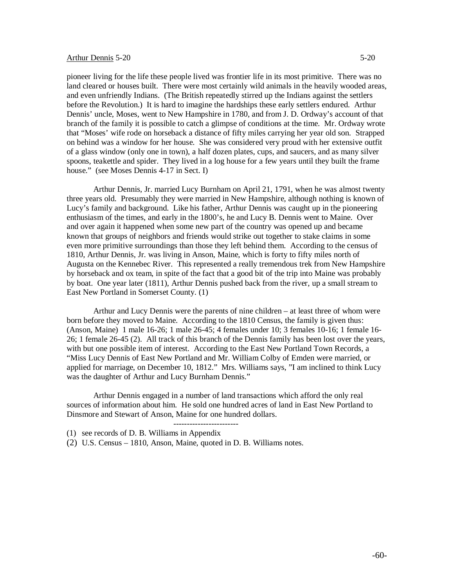## Arthur Dennis 5-20 5-20

pioneer living for the life these people lived was frontier life in its most primitive. There was no land cleared or houses built. There were most certainly wild animals in the heavily wooded areas, and even unfriendly Indians. (The British repeatedly stirred up the Indians against the settlers before the Revolution.) It is hard to imagine the hardships these early settlers endured. Arthur Dennis' uncle, Moses, went to New Hampshire in 1780, and from J. D. Ordway's account of that branch of the family it is possible to catch a glimpse of conditions at the time. Mr. Ordway wrote that "Moses' wife rode on horseback a distance of fifty miles carrying her year old son. Strapped on behind was a window for her house. She was considered very proud with her extensive outfit of a glass window (only one in town), a half dozen plates, cups, and saucers, and as many silver spoons, teakettle and spider. They lived in a log house for a few years until they built the frame house." (see Moses Dennis 4-17 in Sect. I)

Arthur Dennis, Jr. married Lucy Burnham on April 21, 1791, when he was almost twenty three years old. Presumably they were married in New Hampshire, although nothing is known of Lucy's family and background. Like his father, Arthur Dennis was caught up in the pioneering enthusiasm of the times, and early in the 1800's, he and Lucy B. Dennis went to Maine. Over and over again it happened when some new part of the country was opened up and became known that groups of neighbors and friends would strike out together to stake claims in some even more primitive surroundings than those they left behind them. According to the census of 1810, Arthur Dennis, Jr. was living in Anson, Maine, which is forty to fifty miles north of Augusta on the Kennebec River. This represented a really tremendous trek from New Hampshire by horseback and ox team, in spite of the fact that a good bit of the trip into Maine was probably by boat. One year later (1811), Arthur Dennis pushed back from the river, up a small stream to East New Portland in Somerset County. (1)

Arthur and Lucy Dennis were the parents of nine children – at least three of whom were born before they moved to Maine. According to the 1810 Census, the family is given thus: (Anson, Maine) 1 male 16-26; 1 male 26-45; 4 females under 10; 3 females 10-16; 1 female 16- 26; 1 female 26-45 (2). All track of this branch of the Dennis family has been lost over the years, with but one possible item of interest. According to the East New Portland Town Records, a "Miss Lucy Dennis of East New Portland and Mr. William Colby of Emden were married, or applied for marriage, on December 10, 1812." Mrs. Williams says, "I am inclined to think Lucy was the daughter of Arthur and Lucy Burnham Dennis."

Arthur Dennis engaged in a number of land transactions which afford the only real sources of information about him. He sold one hundred acres of land in East New Portland to Dinsmore and Stewart of Anson, Maine for one hundred dollars. ------------------------

- (1) see records of D. B. Williams in Appendix
- (2) U.S. Census 1810, Anson, Maine, quoted in D. B. Williams notes.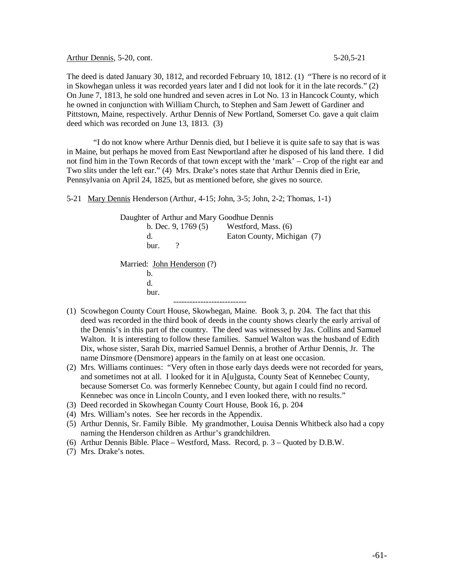Arthur Dennis, 5-20, cont. 5-20, 5-21

The deed is dated January 30, 1812, and recorded February 10, 1812. (1) "There is no record of it in Skowhegan unless it was recorded years later and I did not look for it in the late records." (2) On June 7, 1813, he sold one hundred and seven acres in Lot No. 13 in Hancock County, which he owned in conjunction with William Church, to Stephen and Sam Jewett of Gardiner and Pittstown, Maine, respectively. Arthur Dennis of New Portland, Somerset Co. gave a quit claim deed which was recorded on June 13, 1813. (3)

"I do not know where Arthur Dennis died, but I believe it is quite safe to say that is was in Maine, but perhaps he moved from East Newportland after he disposed of his land there. I did not find him in the Town Records of that town except with the 'mark' – Crop of the right ear and Two slits under the left ear." (4) Mrs. Drake's notes state that Arthur Dennis died in Erie, Pennsylvania on April 24, 1825, but as mentioned before, she gives no source.

5-21 Mary Dennis Henderson (Arthur, 4-15; John, 3-5; John, 2-2; Thomas, 1-1)

Daughter of Arthur and Mary Goodhue Dennis b. Dec. 9, 1769 (5) Westford, Mass. (6) d. Eaton County, Michigan (7) bur. ? Married: John Henderson (?) b. d. bur. ---------------------------

- (1) Scowhegon County Court House, Skowhegan, Maine. Book 3, p. 204. The fact that this deed was recorded in the third book of deeds in the county shows clearly the early arrival of the Dennis's in this part of the country. The deed was witnessed by Jas. Collins and Samuel Walton. It is interesting to follow these families. Samuel Walton was the husband of Edith Dix, whose sister, Sarah Dix, married Samuel Dennis, a brother of Arthur Dennis, Jr. The name Dinsmore (Densmore) appears in the family on at least one occasion.
- (2) Mrs. Williams continues: "Very often in those early days deeds were not recorded for years, and sometimes not at all. I looked for it in A[u]gusta, County Seat of Kennebec County, because Somerset Co. was formerly Kennebec County, but again I could find no record. Kennebec was once in Lincoln County, and I even looked there, with no results."
- (3) Deed recorded in Skowhegan County Court House, Book 16, p. 204
- (4) Mrs. William's notes. See her records in the Appendix.
- (5) Arthur Dennis, Sr. Family Bible. My grandmother, Louisa Dennis Whitbeck also had a copy naming the Henderson children as Arthur's grandchildren.
- (6) Arthur Dennis Bible. Place Westford, Mass. Record, p. 3 Quoted by D.B.W.
- (7) Mrs. Drake's notes.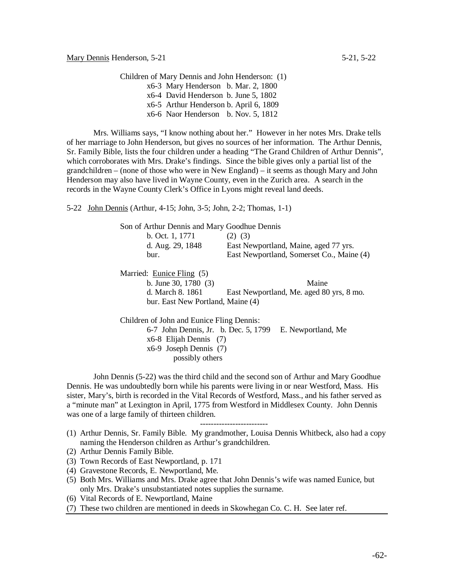Children of Mary Dennis and John Henderson: (1)

x6-3 Mary Henderson b. Mar. 2, 1800 x6-4 David Henderson b. June 5, 1802 x6-5 Arthur Henderson b. April 6, 1809

x6-6 Naor Henderson b. Nov. 5, 1812

Mrs. Williams says, "I know nothing about her." However in her notes Mrs. Drake tells of her marriage to John Henderson, but gives no sources of her information. The Arthur Dennis, Sr. Family Bible, lists the four children under a heading "The Grand Children of Arthur Dennis", which corroborates with Mrs. Drake's findings. Since the bible gives only a partial list of the grandchildren – (none of those who were in New England) – it seems as though Mary and John Henderson may also have lived in Wayne County, even in the Zurich area. A search in the records in the Wayne County Clerk's Office in Lyons might reveal land deeds.

5-22 John Dennis (Arthur, 4-15; John, 3-5; John, 2-2; Thomas, 1-1)

Son of Arthur Dennis and Mary Goodhue Dennis<br> $\frac{1}{2}$   $\frac{1}{2}$   $\frac{1}{2}$ b.  $\Omega_{\text{ct}}$  1, 1771

| East Newportland, Maine, aged 77 yrs.<br>d. Aug. 29, 1848 |  |
|-----------------------------------------------------------|--|
| East Newportland, Somerset Co., Maine (4)<br>bur.         |  |

Married: Eunice Fling (5)

b. June 30, 1780 (3) Maine d. March 8. 1861 East Newportland, Me. aged 80 yrs, 8 mo. bur. East New Portland, Maine (4)

Children of John and Eunice Fling Dennis:

6-7 John Dennis, Jr. b. Dec. 5, 1799 E. Newportland, Me x6-8 Elijah Dennis (7) x6-9 Joseph Dennis (7) possibly others

John Dennis (5-22) was the third child and the second son of Arthur and Mary Goodhue Dennis. He was undoubtedly born while his parents were living in or near Westford, Mass. His sister, Mary's, birth is recorded in the Vital Records of Westford, Mass., and his father served as a "minute man" at Lexington in April, 1775 from Westford in Middlesex County. John Dennis was one of a large family of thirteen children.

-------------------------

- (2) Arthur Dennis Family Bible.
- (3) Town Records of East Newportland, p. 171
- (4) Gravestone Records, E. Newportland, Me.
- (5) Both Mrs. Williams and Mrs. Drake agree that John Dennis's wife was named Eunice, but only Mrs. Drake's unsubstantiated notes supplies the surname.
- (6) Vital Records of E. Newportland, Maine

(7) These two children are mentioned in deeds in Skowhegan Co. C. H. See later ref.

<sup>(1)</sup> Arthur Dennis, Sr. Family Bible. My grandmother, Louisa Dennis Whitbeck, also had a copy naming the Henderson children as Arthur's grandchildren.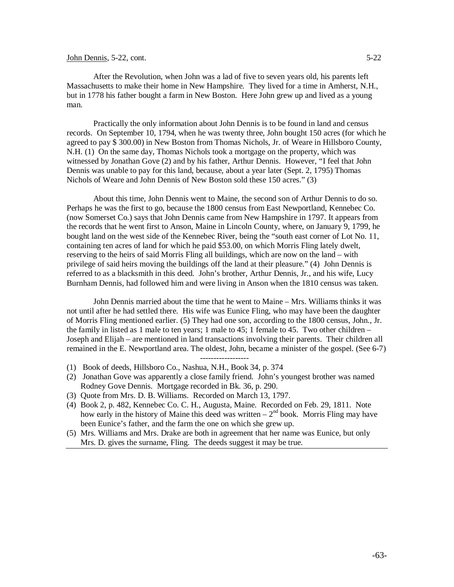## John Dennis,  $5-22$ , cont.  $5-22$

After the Revolution, when John was a lad of five to seven years old, his parents left Massachusetts to make their home in New Hampshire. They lived for a time in Amherst, N.H., but in 1778 his father bought a farm in New Boston. Here John grew up and lived as a young man.

Practically the only information about John Dennis is to be found in land and census records. On September 10, 1794, when he was twenty three, John bought 150 acres (for which he agreed to pay \$ 300.00) in New Boston from Thomas Nichols, Jr. of Weare in Hillsboro County, N.H. (1) On the same day, Thomas Nichols took a mortgage on the property, which was witnessed by Jonathan Gove (2) and by his father, Arthur Dennis. However, "I feel that John Dennis was unable to pay for this land, because, about a year later (Sept. 2, 1795) Thomas Nichols of Weare and John Dennis of New Boston sold these 150 acres." (3)

About this time, John Dennis went to Maine, the second son of Arthur Dennis to do so. Perhaps he was the first to go, because the 1800 census from East Newportland, Kennebec Co. (now Somerset Co.) says that John Dennis came from New Hampshire in 1797. It appears from the records that he went first to Anson, Maine in Lincoln County, where, on January 9, 1799, he bought land on the west side of the Kennebec River, being the "south east corner of Lot No. 11, containing ten acres of land for which he paid \$53.00, on which Morris Fling lately dwelt, reserving to the heirs of said Morris Fling all buildings, which are now on the land – with privilege of said heirs moving the buildings off the land at their pleasure." (4) John Dennis is referred to as a blacksmith in this deed. John's brother, Arthur Dennis, Jr., and his wife, Lucy Burnham Dennis, had followed him and were living in Anson when the 1810 census was taken.

John Dennis married about the time that he went to Maine – Mrs. Williams thinks it was not until after he had settled there. His wife was Eunice Fling, who may have been the daughter of Morris Fling mentioned earlier. (5) They had one son, according to the 1800 census, John., Jr. the family in listed as 1 male to ten years; 1 male to 45; 1 female to 45. Two other children – Joseph and Elijah – are mentioned in land transactions involving their parents. Their children all remained in the E. Newportland area. The oldest, John, became a minister of the gospel. (See 6-7)

------------------

- (1) Book of deeds, Hillsboro Co., Nashua, N.H., Book 34, p. 374
- (2) Jonathan Gove was apparently a close family friend. John's youngest brother was named Rodney Gove Dennis. Mortgage recorded in Bk. 36, p. 290.
- (3) Quote from Mrs. D. B. Williams. Recorded on March 13, 1797.
- (4) Book 2, p. 482, Kennebec Co. C. H., Augusta, Maine. Recorded on Feb. 29, 1811. Note how early in the history of Maine this deed was written –  $2<sup>nd</sup>$  book. Morris Fling may have been Eunice's father, and the farm the one on which she grew up.
- (5) Mrs. Williams and Mrs. Drake are both in agreement that her name was Eunice, but only Mrs. D. gives the surname, Fling. The deeds suggest it may be true.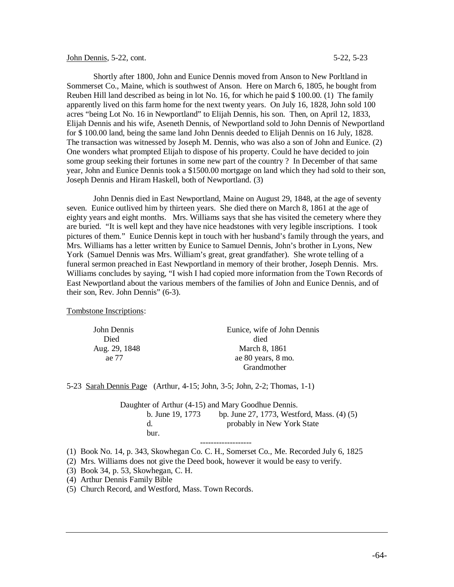## John Dennis, 5-22, cont. 5-23, 5-23

Shortly after 1800, John and Eunice Dennis moved from Anson to New Porltland in Sommerset Co., Maine, which is southwest of Anson. Here on March 6, 1805, he bought from Reuben Hill land described as being in lot No. 16, for which he paid \$ 100.00. (1) The family apparently lived on this farm home for the next twenty years. On July 16, 1828, John sold 100 acres "being Lot No. 16 in Newportland" to Elijah Dennis, his son. Then, on April 12, 1833, Elijah Dennis and his wife, Aseneth Dennis, of Newportland sold to John Dennis of Newportland for \$ 100.00 land, being the same land John Dennis deeded to Elijah Dennis on 16 July, 1828. The transaction was witnessed by Joseph M. Dennis, who was also a son of John and Eunice. (2) One wonders what prompted Elijah to dispose of his property. Could he have decided to join some group seeking their fortunes in some new part of the country ? In December of that same year, John and Eunice Dennis took a \$1500.00 mortgage on land which they had sold to their son, Joseph Dennis and Hiram Haskell, both of Newportland. (3)

John Dennis died in East Newportland, Maine on August 29, 1848, at the age of seventy seven. Eunice outlived him by thirteen years. She died there on March 8, 1861 at the age of eighty years and eight months. Mrs. Williams says that she has visited the cemetery where they are buried. "It is well kept and they have nice headstones with very legible inscriptions. I took pictures of them." Eunice Dennis kept in touch with her husband's family through the years, and Mrs. Williams has a letter written by Eunice to Samuel Dennis, John's brother in Lyons, New York (Samuel Dennis was Mrs. William's great, great grandfather). She wrote telling of a funeral sermon preached in East Newportland in memory of their brother, Joseph Dennis. Mrs. Williams concludes by saying, "I wish I had copied more information from the Town Records of East Newportland about the various members of the families of John and Eunice Dennis, and of their son, Rev. John Dennis" (6-3).

Tombstone Inscriptions:

| John Dennis   | Eunice, wife of John Dennis |
|---------------|-----------------------------|
| Died          | died                        |
| Aug. 29, 1848 | March 8, 1861               |
| ae 77         | ae 80 years, 8 mo.          |
|               | Grandmother                 |

5-23 Sarah Dennis Page (Arthur, 4-15; John, 3-5; John, 2-2; Thomas, 1-1)

Daughter of Arthur (4-15) and Mary Goodhue Dennis. b. June 19, 1773 bp. June 27, 1773, Westford, Mass. (4) (5) d. probably in New York State bur.

-------------------

- (1) Book No. 14, p. 343, Skowhegan Co. C. H., Somerset Co., Me. Recorded July 6, 1825
- (2) Mrs. Williams does not give the Deed book, however it would be easy to verify.
- (3) Book 34, p. 53, Skowhegan, C. H.
- (4) Arthur Dennis Family Bible
- (5) Church Record, and Westford, Mass. Town Records.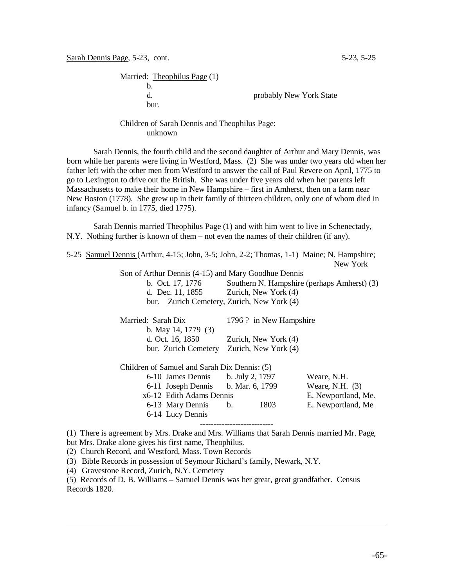Married: Theophilus Page (1) b. d. probably New York State bur.

# Children of Sarah Dennis and Theophilus Page: unknown

Sarah Dennis, the fourth child and the second daughter of Arthur and Mary Dennis, was born while her parents were living in Westford, Mass. (2) She was under two years old when her father left with the other men from Westford to answer the call of Paul Revere on April, 1775 to go to Lexington to drive out the British. She was under five years old when her parents left Massachusetts to make their home in New Hampshire – first in Amherst, then on a farm near New Boston (1778). She grew up in their family of thirteen children, only one of whom died in infancy (Samuel b. in 1775, died 1775).

Sarah Dennis married Theophilus Page (1) and with him went to live in Schenectady, N.Y. Nothing further is known of them – not even the names of their children (if any).

5-25 Samuel Dennis (Arthur, 4-15; John, 3-5; John, 2-2; Thomas, 1-1) Maine; N. Hampshire; New York Son of Arthur Dennis (4-15) and Mary Goodhue Dennis b. Oct. 17, 1776 Southern N. Hampshire (perhaps Amherst) (3) d. Dec. 11, 1855 Zurich, New York (4) bur. Zurich Cemetery, Zurich, New York (4) Married: Sarah Dix 1796 ? in New Hampshire b. May 14, 1779 (3) d. Oct. 16, 1850 Zurich, New York (4) bur. Zurich Cemetery Zurich, New York (4) Children of Samuel and Sarah Dix Dennis: (5) 6-10 James Dennis b. July 2, 1797 Weare, N.H. 6-11 Joseph Dennis b. Mar. 6, 1799 Weare, N.H. (3) x6-12 Edith Adams Dennis E. Newportland, Me. 6-13 Mary Dennis b. 1803 E. Newportland, Me 6-14 Lucy Dennis --------------------------- (1) There is agreement by Mrs. Drake and Mrs. Williams that Sarah Dennis married Mr. Page,

but Mrs. Drake alone gives his first name, Theophilus.

(2) Church Record, and Westford, Mass. Town Records

(3) Bible Records in possession of Seymour Richard's family, Newark, N.Y.

(4) Gravestone Record, Zurich, N.Y. Cemetery

(5) Records of D. B. Williams – Samuel Dennis was her great, great grandfather. Census Records 1820.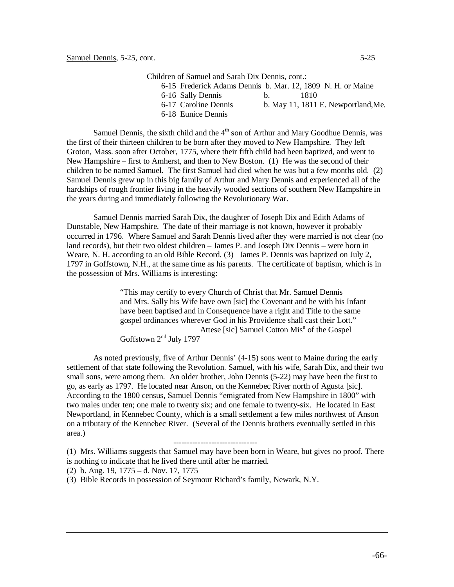Children of Samuel and Sarah Dix Dennis, cont.: 6-15 Frederick Adams Dennis b. Mar. 12, 1809 N. H. or Maine

6-16 Sally Dennis b. 1810

- 
- 6-18 Eunice Dennis

6-17 Caroline Dennis b. May 11, 1811 E. Newportland,Me.

Samuel Dennis, the sixth child and the  $4<sup>th</sup>$  son of Arthur and Mary Goodhue Dennis, was the first of their thirteen children to be born after they moved to New Hampshire. They left Groton, Mass. soon after October, 1775, where their fifth child had been baptized, and went to New Hampshire – first to Amherst, and then to New Boston. (1) He was the second of their children to be named Samuel. The first Samuel had died when he was but a few months old. (2) Samuel Dennis grew up in this big family of Arthur and Mary Dennis and experienced all of the hardships of rough frontier living in the heavily wooded sections of southern New Hampshire in the years during and immediately following the Revolutionary War.

Samuel Dennis married Sarah Dix, the daughter of Joseph Dix and Edith Adams of Dunstable, New Hampshire. The date of their marriage is not known, however it probably occurred in 1796. Where Samuel and Sarah Dennis lived after they were married is not clear (no land records), but their two oldest children – James P. and Joseph Dix Dennis – were born in Weare, N. H. according to an old Bible Record. (3) James P. Dennis was baptized on July 2, 1797 in Goffstown, N.H., at the same time as his parents. The certificate of baptism, which is in the possession of Mrs. Williams is interesting:

> "This may certify to every Church of Christ that Mr. Samuel Dennis and Mrs. Sally his Wife have own [sic] the Covenant and he with his Infant have been baptised and in Consequence have a right and Title to the same gospel ordinances wherever God in his Providence shall cast their Lott." Attese [sic] Samuel Cotton Mis<sup>n</sup> of the Gospel Goffstown 2nd July 1797

As noted previously, five of Arthur Dennis' (4-15) sons went to Maine during the early settlement of that state following the Revolution. Samuel, with his wife, Sarah Dix, and their two small sons, were among them. An older brother, John Dennis (5-22) may have been the first to go, as early as 1797. He located near Anson, on the Kennebec River north of Agusta [sic]. According to the 1800 census, Samuel Dennis "emigrated from New Hampshire in 1800" with two males under ten; one male to twenty six; and one female to twenty-six. He located in East Newportland, in Kennebec County, which is a small settlement a few miles northwest of Anson on a tributary of the Kennebec River. (Several of the Dennis brothers eventually settled in this area.)

## -------------------------------

(1) Mrs. Williams suggests that Samuel may have been born in Weare, but gives no proof. There is nothing to indicate that he lived there until after he married.

(2) b. Aug. 19, 1775 – d. Nov. 17, 1775

(3) Bible Records in possession of Seymour Richard's family, Newark, N.Y.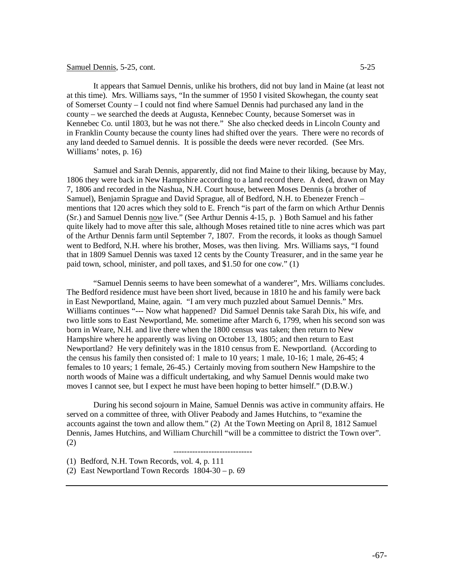## Samuel Dennis, 5-25, cont. 5-25

It appears that Samuel Dennis, unlike his brothers, did not buy land in Maine (at least not at this time). Mrs. Williams says, "In the summer of 1950 I visited Skowhegan, the county seat of Somerset County – I could not find where Samuel Dennis had purchased any land in the county – we searched the deeds at Augusta, Kennebec County, because Somerset was in Kennebec Co. until 1803, but he was not there." She also checked deeds in Lincoln County and in Franklin County because the county lines had shifted over the years. There were no records of any land deeded to Samuel dennis. It is possible the deeds were never recorded. (See Mrs. Williams' notes, p. 16)

Samuel and Sarah Dennis, apparently, did not find Maine to their liking, because by May, 1806 they were back in New Hampshire according to a land record there. A deed, drawn on May 7, 1806 and recorded in the Nashua, N.H. Court house, between Moses Dennis (a brother of Samuel), Benjamin Sprague and David Sprague, all of Bedford, N.H. to Ebenezer French – mentions that 120 acres which they sold to E. French "is part of the farm on which Arthur Dennis (Sr.) and Samuel Dennis now live." (See Arthur Dennis 4-15, p. ) Both Samuel and his father quite likely had to move after this sale, although Moses retained title to nine acres which was part of the Arthur Dennis farm until September 7, 1807. From the records, it looks as though Samuel went to Bedford, N.H. where his brother, Moses, was then living. Mrs. Williams says, "I found that in 1809 Samuel Dennis was taxed 12 cents by the County Treasurer, and in the same year he paid town, school, minister, and poll taxes, and \$1.50 for one cow." (1)

"Samuel Dennis seems to have been somewhat of a wanderer", Mrs. Williams concludes. The Bedford residence must have been short lived, because in 1810 he and his family were back in East Newportland, Maine, again. "I am very much puzzled about Samuel Dennis." Mrs. Williams continues "--- Now what happened? Did Samuel Dennis take Sarah Dix, his wife, and two little sons to East Newportland, Me. sometime after March 6, 1799, when his second son was born in Weare, N.H. and live there when the 1800 census was taken; then return to New Hampshire where he apparently was living on October 13, 1805; and then return to East Newportland? He very definitely was in the 1810 census from E. Newportland. (According to the census his family then consisted of: 1 male to 10 years; 1 male, 10-16; 1 male, 26-45; 4 females to 10 years; 1 female, 26-45.) Certainly moving from southern New Hampshire to the north woods of Maine was a difficult undertaking, and why Samuel Dennis would make two moves I cannot see, but I expect he must have been hoping to better himself." (D.B.W.)

During his second sojourn in Maine, Samuel Dennis was active in community affairs. He served on a committee of three, with Oliver Peabody and James Hutchins, to "examine the accounts against the town and allow them." (2) At the Town Meeting on April 8, 1812 Samuel Dennis, James Hutchins, and William Churchill "will be a committee to district the Town over". (2)

-----------------------------

(1) Bedford, N.H. Town Records, vol. 4, p. 111

(2) East Newportland Town Records 1804-30 – p. 69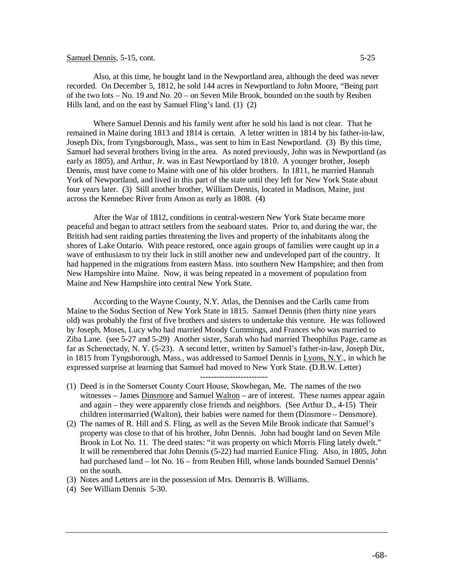## Samuel Dennis, 5-15, cont. 5-25

Also, at this time, he bought land in the Newportland area, although the deed was never

recorded. On December 5, 1812, he sold 144 acres in Newportland to John Moore, "Being part of the two lots – No. 19 and No. 20 – on Seven Mile Brook, bounded on the south by Reuben Hills land, and on the east by Samuel Fling's land. (1) (2)

Where Samuel Dennis and his family went after he sold his land is not clear. That he remained in Maine during 1813 and 1814 is certain. A letter written in 1814 by his father-in-law, Joseph Dix, from Tyngsborough, Mass., was sent to him in East Newportland. (3) By this time, Samuel had several brothers living in the area. As noted previously, John was in Newportland (as early as 1805), and Arthur, Jr. was in East Newportland by 1810. A younger brother, Joseph Dennis, must have come to Maine with one of his older brothers. In 1811, he married Hannah York of Newportland, and lived in this part of the state until they left for New York State about four years later. (3) Still another brother, William Dennis, located in Madison, Maine, just across the Kennebec River from Anson as early as 1808. (4)

After the War of 1812, conditions in central-western New York State became more peaceful and began to attract settlers from the seaboard states. Prior to, and during the war, the British had sent raiding parties threatening the lives and property of the inhabitants along the shores of Lake Ontario. With peace restored, once again groups of families were caught up in a wave of enthusiasm to try their luck in still another new and undeveloped part of the country. It had happened in the migrations from eastern Mass. into southern New Hampshire; and then from New Hampshire into Maine. Now, it was being repeated in a movement of population from Maine and New Hampshire into central New York State.

According to the Wayne County, N.Y. Atlas, the Dennises and the Carlls came from Maine to the Sodus Section of New York State in 1815. Samuel Dennis (then thirty nine years old) was probably the first of five brothers and sisters to undertake this venture. He was followed by Joseph, Moses, Lucy who had married Moody Cummings, and Frances who was married to Ziba Lane. (see 5-27 and 5-29) Another sister, Sarah who had married Theophilus Page, came as far as Schenectady, N. Y. (5-23). A second letter, written by Samuel's father-in-law, Joseph Dix, in 1815 from Tyngsborough, Mass., was addressed to Samuel Dennis in Lyons, N.Y., in which he expressed surprise at learning that Samuel had moved to New York State. (D.B.W. Letter)

- (1) Deed is in the Somerset County Court House, Skowhegan, Me. The names of the two witnesses – James Dinsmore and Samuel Walton – are of interest. These names appear again and again – they were apparently close friends and neighbors. (See Arthur D., 4-15) Their children intermarried (Walton), their babies were named for them (Dinsmore – Densmore).
- (2) The names of R. Hill and S. Fling, as well as the Seven Mile Brook indicate that Samuel's property was close to that of his brother, John Dennis. John had bought land on Seven Mile Brook in Lot No. 11. The deed states: "it was property on which Morris Fling lately dwelt." It will be remembered that John Dennis (5-22) had married Eunice Fling. Also, in 1805, John had purchased land – lot No. 16 – from Reuben Hill, whose lands bounded Samuel Dennis' on the south.
- (3) Notes and Letters are in the possession of Mrs. Demorris B. Williams.
- (4) See William Dennis 5-30.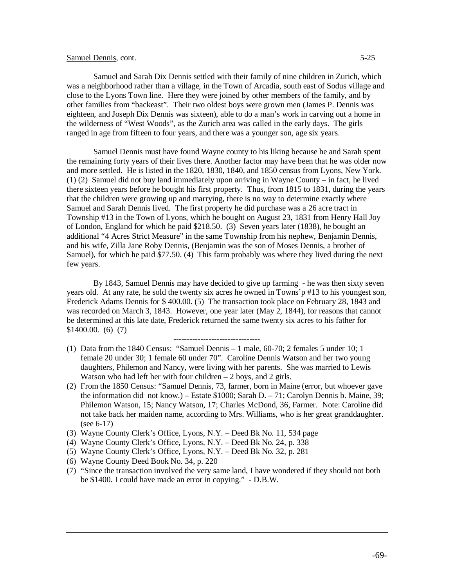## Samuel Dennis, cont. 5-25

Samuel and Sarah Dix Dennis settled with their family of nine children in Zurich, which was a neighborhood rather than a village, in the Town of Arcadia, south east of Sodus village and close to the Lyons Town line. Here they were joined by other members of the family, and by other families from "backeast". Their two oldest boys were grown men (James P. Dennis was eighteen, and Joseph Dix Dennis was sixteen), able to do a man's work in carving out a home in the wilderness of "West Woods", as the Zurich area was called in the early days. The girls ranged in age from fifteen to four years, and there was a younger son, age six years.

Samuel Dennis must have found Wayne county to his liking because he and Sarah spent the remaining forty years of their lives there. Another factor may have been that he was older now and more settled. He is listed in the 1820, 1830, 1840, and 1850 census from Lyons, New York. (1) (2) Samuel did not buy land immediately upon arriving in Wayne County – in fact, he lived there sixteen years before he bought his first property. Thus, from 1815 to 1831, during the years that the children were growing up and marrying, there is no way to determine exactly where Samuel and Sarah Dennis lived. The first property he did purchase was a 26 acre tract in Township #13 in the Town of Lyons, which he bought on August 23, 1831 from Henry Hall Joy of London, England for which he paid \$218.50. (3) Seven years later (1838), he bought an additional "4 Acres Strict Measure" in the same Township from his nephew, Benjamin Dennis, and his wife, Zilla Jane Roby Dennis, (Benjamin was the son of Moses Dennis, a brother of Samuel), for which he paid \$77.50. (4) This farm probably was where they lived during the next few years.

By 1843, Samuel Dennis may have decided to give up farming - he was then sixty seven years old. At any rate, he sold the twenty six acres he owned in Towns'p #13 to his youngest son, Frederick Adams Dennis for \$ 400.00. (5) The transaction took place on February 28, 1843 and was recorded on March 3, 1843. However, one year later (May 2, 1844), for reasons that cannot be determined at this late date, Frederick returned the same twenty six acres to his father for \$1400.00. (6) (7)

--------------------------------

- (1) Data from the 1840 Census: "Samuel Dennis 1 male, 60-70; 2 females 5 under 10; 1 female 20 under 30; 1 female 60 under 70". Caroline Dennis Watson and her two young daughters, Philemon and Nancy, were living with her parents. She was married to Lewis Watson who had left her with four children  $-2$  boys, and 2 girls.
- (2) From the 1850 Census: "Samuel Dennis, 73, farmer, born in Maine (error, but whoever gave the information did not know.) – Estate \$1000; Sarah D. – 71; Carolyn Dennis b. Maine, 39; Philemon Watson, 15; Nancy Watson, 17; Charles McDond, 36, Farmer. Note: Caroline did not take back her maiden name, according to Mrs. Williams, who is her great granddaughter. (see 6-17)
- (3) Wayne County Clerk's Office, Lyons, N.Y. Deed Bk No. 11, 534 page
- (4) Wayne County Clerk's Office, Lyons, N.Y. Deed Bk No. 24, p. 338
- (5) Wayne County Clerk's Office, Lyons, N.Y. Deed Bk No. 32, p. 281
- (6) Wayne County Deed Book No. 34, p. 220
- (7) "Since the transaction involved the very same land, I have wondered if they should not both be \$1400. I could have made an error in copying." - D.B.W.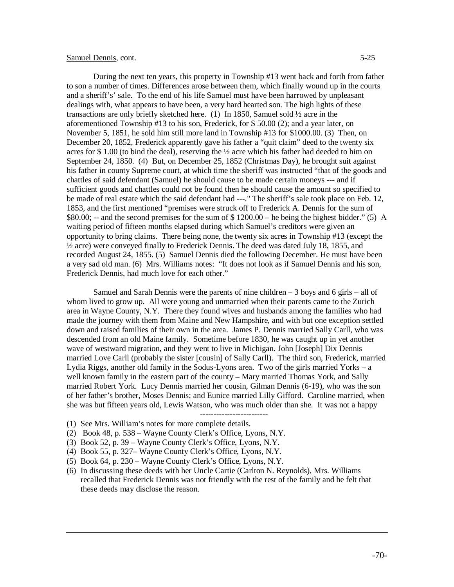## Samuel Dennis, cont. 5-25

During the next ten years, this property in Township #13 went back and forth from father to son a number of times. Differences arose between them, which finally wound up in the courts and a sheriff's' sale. To the end of his life Samuel must have been harrowed by unpleasant dealings with, what appears to have been, a very hard hearted son. The high lights of these transactions are only briefly sketched here. (1) In 1850, Samuel sold ½ acre in the aforementioned Township #13 to his son, Frederick, for \$ 50.00 (2); and a year later, on November 5, 1851, he sold him still more land in Township #13 for \$1000.00. (3) Then, on December 20, 1852, Frederick apparently gave his father a "quit claim" deed to the twenty six acres for \$1.00 (to bind the deal), reserving the  $\frac{1}{2}$  acre which his father had deeded to him on September 24, 1850. (4) But, on December 25, 1852 (Christmas Day), he brought suit against his father in county Supreme court, at which time the sheriff was instructed "that of the goods and chattles of said defendant (Samuel) he should cause to be made certain moneys --- and if sufficient goods and chattles could not be found then he should cause the amount so specified to be made of real estate which the said defendant had ---." The sheriff's sale took place on Feb. 12, 1853, and the first mentioned "premises were struck off to Frederick A. Dennis for the sum of \$80.00; -- and the second premises for the sum of  $$1200.00 -$  he being the highest bidder." (5) A waiting period of fifteen months elapsed during which Samuel's creditors were given an opportunity to bring claims. There being none, the twenty six acres in Township #13 (except the ½ acre) were conveyed finally to Frederick Dennis. The deed was dated July 18, 1855, and recorded August 24, 1855. (5) Samuel Dennis died the following December. He must have been a very sad old man. (6) Mrs. Williams notes: "It does not look as if Samuel Dennis and his son, Frederick Dennis, had much love for each other."

Samuel and Sarah Dennis were the parents of nine children  $-3$  boys and 6 girls  $-$  all of whom lived to grow up. All were young and unmarried when their parents came to the Zurich area in Wayne County, N.Y. There they found wives and husbands among the families who had made the journey with them from Maine and New Hampshire, and with but one exception settled down and raised families of their own in the area. James P. Dennis married Sally Carll, who was descended from an old Maine family. Sometime before 1830, he was caught up in yet another wave of westward migration, and they went to live in Michigan. John [Joseph] Dix Dennis married Love Carll (probably the sister [cousin] of Sally Carll). The third son, Frederick, married Lydia Riggs, another old family in the Sodus-Lyons area. Two of the girls married Yorks – a well known family in the eastern part of the county – Mary married Thomas York, and Sally married Robert York. Lucy Dennis married her cousin, Gilman Dennis (6-19), who was the son of her father's brother, Moses Dennis; and Eunice married Lilly Gifford. Caroline married, when she was but fifteen years old, Lewis Watson, who was much older than she. It was not a happy

-------------------------

- (1) See Mrs. William's notes for more complete details.
- (2) Book 48, p. 538 Wayne County Clerk's Office, Lyons, N.Y.
- (3) Book 52, p. 39 Wayne County Clerk's Office, Lyons, N.Y.
- (4) Book 55, p. 327– Wayne County Clerk's Office, Lyons, N.Y.
- (5) Book 64, p. 230 Wayne County Clerk's Office, Lyons, N.Y.
- (6) In discussing these deeds with her Uncle Cartie (Carlton N. Reynolds), Mrs. Williams recalled that Frederick Dennis was not friendly with the rest of the family and he felt that these deeds may disclose the reason.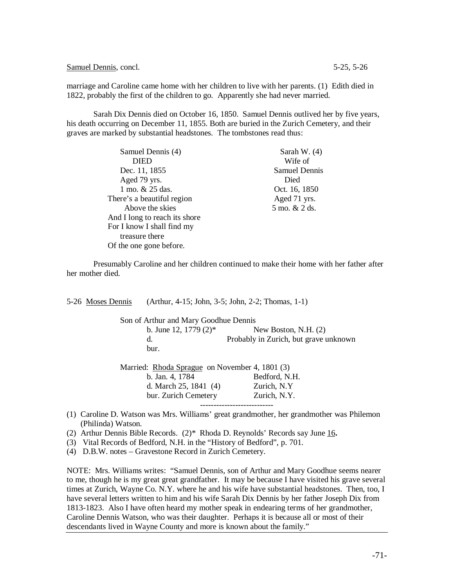Samuel Dennis, concl. 5-25, 5-26

marriage and Caroline came home with her children to live with her parents. (1) Edith died in 1822, probably the first of the children to go. Apparently she had never married.

Sarah Dix Dennis died on October 16, 1850. Samuel Dennis outlived her by five years, his death occurring on December 11, 1855. Both are buried in the Zurich Cemetery, and their graves are marked by substantial headstones. The tombstones read thus:

| Samuel Dennis (4)             | Sarah W. $(4)$       |
|-------------------------------|----------------------|
| <b>DIED</b>                   | Wife of              |
| Dec. 11, 1855                 | <b>Samuel Dennis</b> |
| Aged 79 yrs.                  | Died                 |
| 1 mo. & 25 das.               | Oct. 16, 1850        |
| There's a beautiful region    | Aged 71 yrs.         |
| Above the skies               | 5 mo. & 2 ds.        |
| And I long to reach its shore |                      |
| For I know I shall find my    |                      |
| treasure there                |                      |
| Of the one gone before.       |                      |

Presumably Caroline and her children continued to make their home with her father after her mother died.

|                                                | 5-26 Moses Dennis | (Arthur, 4-15; John, 3-5; John, 2-2; Thomas, 1-1) |                                                                                      |  |
|------------------------------------------------|-------------------|---------------------------------------------------|--------------------------------------------------------------------------------------|--|
| Son of Arthur and Mary Goodhue Dennis          |                   |                                                   |                                                                                      |  |
|                                                |                   | b. June 12, 1779 $(2)^*$                          | New Boston, N.H. $(2)$                                                               |  |
|                                                |                   | d.                                                | Probably in Zurich, but grave unknown                                                |  |
|                                                |                   | bur.                                              |                                                                                      |  |
| Married: Rhoda Sprague on November 4, 1801 (3) |                   |                                                   |                                                                                      |  |
|                                                |                   | b. Jan. 4, 1784                                   | Bedford, N.H.                                                                        |  |
|                                                |                   | d. March $25, 1841$ (4)                           | Zurich, N.Y.                                                                         |  |
|                                                |                   | bur. Zurich Cemetery                              | Zurich, N.Y.                                                                         |  |
|                                                |                   |                                                   | (1) Caroline D Watson was Mrs. Williams' great grandmother her grandmother was Phile |  |

- great grandmother, her grandmother was Philemon (Philinda) Watson.
- (2) Arthur Dennis Bible Records. (2)\* Rhoda D. Reynolds' Records say June 16**.**
- (3) Vital Records of Bedford, N.H. in the "History of Bedford", p. 701.

(4) D.B.W. notes – Gravestone Record in Zurich Cemetery.

NOTE: Mrs. Williams writes: "Samuel Dennis, son of Arthur and Mary Goodhue seems nearer to me, though he is my great great grandfather. It may be because I have visited his grave several times at Zurich, Wayne Co. N.Y. where he and his wife have substantial headstones. Then, too, I have several letters written to him and his wife Sarah Dix Dennis by her father Joseph Dix from 1813-1823. Also I have often heard my mother speak in endearing terms of her grandmother, Caroline Dennis Watson, who was their daughter. Perhaps it is because all or most of their descendants lived in Wayne County and more is known about the family."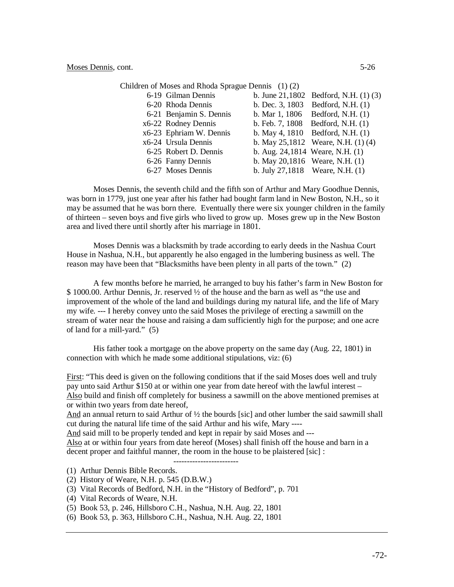| 6-19 Gilman Dennis      |                                 | b. June $21,1802$ Bedford, N.H. $(1)$ $(3)$ |
|-------------------------|---------------------------------|---------------------------------------------|
| 6-20 Rhoda Dennis       |                                 | b. Dec. 3, 1803 Bedford, N.H. (1)           |
| 6-21 Benjamin S. Dennis |                                 | b. Mar 1, 1806 Bedford, N.H. (1)            |
| x6-22 Rodney Dennis     |                                 | b. Feb. 7, $1808$ Bedford, N.H. $(1)$       |
| x6-23 Ephriam W. Dennis |                                 | b. May 4, 1810 Bedford, N.H. (1)            |
| x6-24 Ursula Dennis     |                                 | b. May $25,1812$ Weare, N.H. $(1)(4)$       |
| 6-25 Robert D. Dennis   | b. Aug. 24,1814 Weare, N.H. (1) |                                             |
| 6-26 Fanny Dennis       | b. May 20,1816 Weare, N.H. (1)  |                                             |
| 6-27 Moses Dennis       |                                 | b. July 27,1818 Weare, N.H. (1)             |

Moses Dennis, the seventh child and the fifth son of Arthur and Mary Goodhue Dennis, was born in 1779, just one year after his father had bought farm land in New Boston, N.H., so it may be assumed that he was born there. Eventually there were six younger children in the family of thirteen – seven boys and five girls who lived to grow up. Moses grew up in the New Boston area and lived there until shortly after his marriage in 1801.

Moses Dennis was a blacksmith by trade according to early deeds in the Nashua Court House in Nashua, N.H., but apparently he also engaged in the lumbering business as well. The reason may have been that "Blacksmiths have been plenty in all parts of the town." (2)

A few months before he married, he arranged to buy his father's farm in New Boston for \$ 1000.00. Arthur Dennis, Jr. reserved ½ of the house and the barn as well as "the use and improvement of the whole of the land and buildings during my natural life, and the life of Mary my wife. --- I hereby convey unto the said Moses the privilege of erecting a sawmill on the stream of water near the house and raising a dam sufficiently high for the purpose; and one acre of land for a mill-yard." (5)

His father took a mortgage on the above property on the same day (Aug. 22, 1801) in connection with which he made some additional stipulations, viz: (6)

First: "This deed is given on the following conditions that if the said Moses does well and truly pay unto said Arthur \$150 at or within one year from date hereof with the lawful interest – Also build and finish off completely for business a sawmill on the above mentioned premises at or within two years from date hereof,

And an annual return to said Arthur of  $\frac{1}{2}$  the bourds [sic] and other lumber the said sawmill shall cut during the natural life time of the said Arthur and his wife, Mary ----

And said mill to be properly tended and kept in repair by said Moses and ---

Also at or within four years from date hereof (Moses) shall finish off the house and barn in a decent proper and faithful manner, the room in the house to be plaistered [sic] :

------------------------

- (1) Arthur Dennis Bible Records.
- (2) History of Weare, N.H. p. 545 (D.B.W.)
- (3) Vital Records of Bedford, N.H. in the "History of Bedford", p. 701
- (4) Vital Records of Weare, N.H.
- (5) Book 53, p. 246, Hillsboro C.H., Nashua, N.H. Aug. 22, 1801
- (6) Book 53, p. 363, Hillsboro C.H., Nashua, N.H. Aug. 22, 1801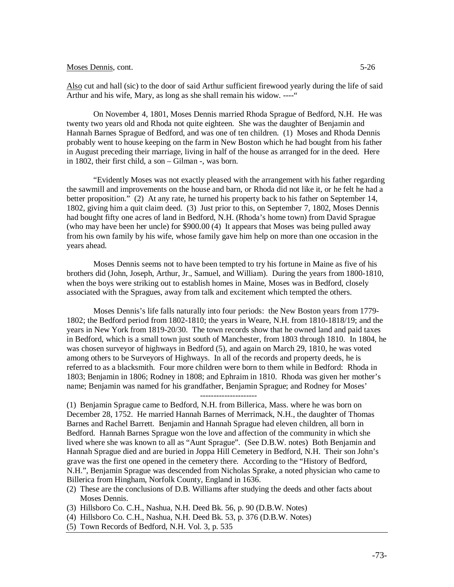Also cut and hall (sic) to the door of said Arthur sufficient firewood yearly during the life of said Arthur and his wife, Mary, as long as she shall remain his widow. ----"

On November 4, 1801, Moses Dennis married Rhoda Sprague of Bedford, N.H. He was twenty two years old and Rhoda not quite eighteen. She was the daughter of Benjamin and Hannah Barnes Sprague of Bedford, and was one of ten children. (1) Moses and Rhoda Dennis probably went to house keeping on the farm in New Boston which he had bought from his father in August preceding their marriage, living in half of the house as arranged for in the deed. Here in 1802, their first child, a son – Gilman -, was born.

"Evidently Moses was not exactly pleased with the arrangement with his father regarding the sawmill and improvements on the house and barn, or Rhoda did not like it, or he felt he had a better proposition." (2) At any rate, he turned his property back to his father on September 14, 1802, giving him a quit claim deed. (3) Just prior to this, on September 7, 1802, Moses Dennis had bought fifty one acres of land in Bedford, N.H. (Rhoda's home town) from David Sprague (who may have been her uncle) for \$900.00 (4) It appears that Moses was being pulled away from his own family by his wife, whose family gave him help on more than one occasion in the years ahead.

Moses Dennis seems not to have been tempted to try his fortune in Maine as five of his brothers did (John, Joseph, Arthur, Jr., Samuel, and William). During the years from 1800-1810, when the boys were striking out to establish homes in Maine, Moses was in Bedford, closely associated with the Spragues, away from talk and excitement which tempted the others.

Moses Dennis's life falls naturally into four periods: the New Boston years from 1779- 1802; the Bedford period from 1802-1810; the years in Weare, N.H. from 1810-1818/19; and the years in New York from 1819-20/30. The town records show that he owned land and paid taxes in Bedford, which is a small town just south of Manchester, from 1803 through 1810. In 1804, he was chosen surveyor of highways in Bedford (5), and again on March 29, 1810, he was voted among others to be Surveyors of Highways. In all of the records and property deeds, he is referred to as a blacksmith. Four more children were born to them while in Bedford: Rhoda in 1803; Benjamin in 1806; Rodney in 1808; and Ephraim in 1810. Rhoda was given her mother's name; Benjamin was named for his grandfather, Benjamin Sprague; and Rodney for Moses'

---------------------

(1) Benjamin Sprague came to Bedford, N.H. from Billerica, Mass. where he was born on December 28, 1752. He married Hannah Barnes of Merrimack, N.H., the daughter of Thomas Barnes and Rachel Barrett. Benjamin and Hannah Sprague had eleven children, all born in Bedford. Hannah Barnes Sprague won the love and affection of the community in which she lived where she was known to all as "Aunt Sprague". (See D.B.W. notes) Both Benjamin and Hannah Sprague died and are buried in Joppa Hill Cemetery in Bedford, N.H. Their son John's grave was the first one opened in the cemetery there. According to the "History of Bedford, N.H.", Benjamin Sprague was descended from Nicholas Sprake, a noted physician who came to Billerica from Hingham, Norfolk County, England in 1636.

- (2) These are the conclusions of D.B. Williams after studying the deeds and other facts about Moses Dennis.
- (3) Hillsboro Co. C.H., Nashua, N.H. Deed Bk. 56, p. 90 (D.B.W. Notes)
- (4) Hillsboro Co. C.H., Nashua, N.H. Deed Bk. 53, p. 376 (D.B.W. Notes)
- (5) Town Records of Bedford, N.H. Vol. 3, p. 535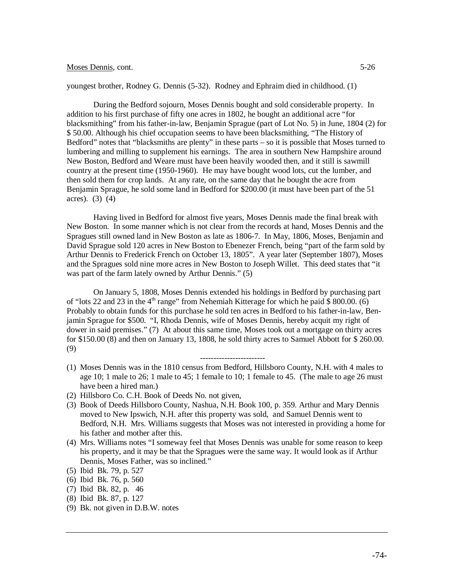#### youngest brother, Rodney G. Dennis (5-32). Rodney and Ephraim died in childhood. (1)

During the Bedford sojourn, Moses Dennis bought and sold considerable property. In addition to his first purchase of fifty one acres in 1802, he bought an additional acre "for blacksmithing" from his father-in-law, Benjamin Sprague (part of Lot No. 5) in June, 1804 (2) for \$ 50.00. Although his chief occupation seems to have been blacksmithing, "The History of Bedford" notes that "blacksmiths are plenty" in these parts – so it is possible that Moses turned to lumbering and milling to supplement his earnings. The area in southern New Hampshire around New Boston, Bedford and Weare must have been heavily wooded then, and it still is sawmill country at the present time (1950-1960). He may have bought wood lots, cut the lumber, and then sold them for crop lands. At any rate, on the same day that he bought the acre from Benjamin Sprague, he sold some land in Bedford for \$200.00 (it must have been part of the 51 acres). (3) (4)

Having lived in Bedford for almost five years, Moses Dennis made the final break with New Boston. In some manner which is not clear from the records at hand, Moses Dennis and the Spragues still owned land in New Boston as late as 1806-7. In May, 1806, Moses, Benjamin and David Sprague sold 120 acres in New Boston to Ebenezer French, being "part of the farm sold by Arthur Dennis to Frederick French on October 13, 1805". A year later (September 1807), Moses and the Spragues sold nine more acres in New Boston to Joseph Willet. This deed states that "it was part of the farm lately owned by Arthur Dennis." (5)

On January 5, 1808, Moses Dennis extended his holdings in Bedford by purchasing part of "lots 22 and 23 in the  $4<sup>th</sup>$  range" from Nehemiah Kitterage for which he paid \$ 800.00. (6) Probably to obtain funds for this purchase he sold ten acres in Bedford to his father-in-law, Benjamin Sprague for \$500. "I, Rhoda Dennis, wife of Moses Dennis, hereby acquit my right of dower in said premises." (7) At about this same time, Moses took out a mortgage on thirty acres for \$150.00 (8) and then on January 13, 1808, he sold thirty acres to Samuel Abbott for \$ 260.00. (9)

(1) Moses Dennis was in the 1810 census from Bedford, Hillsboro County, N.H. with 4 males to age 10; 1 male to 26; 1 male to 45; 1 female to 10; 1 female to 45. (The male to age 26 must have been a hired man.)

------------------------

- (2) Hillsboro Co. C.H. Book of Deeds No. not given,
- (3) Book of Deeds Hillsboro County, Nashua, N.H. Book 100, p. 359. Arthur and Mary Dennis moved to New Ipswich, N.H. after this property was sold, and Samuel Dennis went to Bedford, N.H. Mrs. Williams suggests that Moses was not interested in providing a home for his father and mother after this.
- (4) Mrs. Williams notes "I someway feel that Moses Dennis was unable for some reason to keep his property, and it may be that the Spragues were the same way. It would look as if Arthur Dennis, Moses Father, was so inclined."
- (5) Ibid Bk. 79, p. 527
- (6) Ibid Bk. 76, p. 560
- (7) Ibid Bk. 82, p. 46
- (8) Ibid Bk. 87, p. 127
- (9) Bk. not given in D.B.W. notes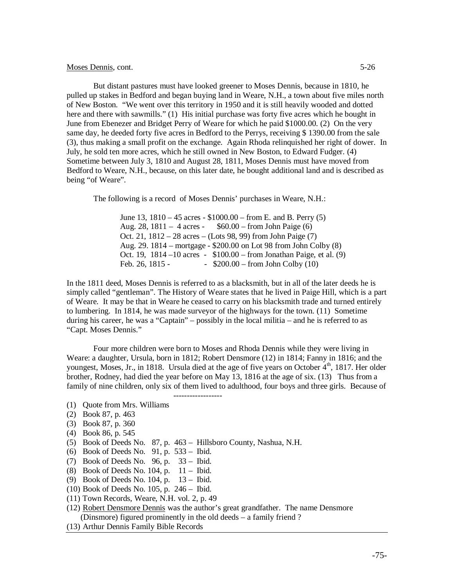But distant pastures must have looked greener to Moses Dennis, because in 1810, he pulled up stakes in Bedford and began buying land in Weare, N.H., a town about five miles north of New Boston. "We went over this territory in 1950 and it is still heavily wooded and dotted here and there with sawmills." (1) His initial purchase was forty five acres which he bought in June from Ebenezer and Bridget Perry of Weare for which he paid \$1000.00. (2) On the very same day, he deeded forty five acres in Bedford to the Perrys, receiving \$ 1390.00 from the sale (3), thus making a small profit on the exchange. Again Rhoda relinquished her right of dower. In July, he sold ten more acres, which he still owned in New Boston, to Edward Fudger. (4) Sometime between July 3, 1810 and August 28, 1811, Moses Dennis must have moved from Bedford to Weare, N.H., because, on this later date, he bought additional land and is described as being "of Weare".

The following is a record of Moses Dennis' purchases in Weare, N.H.:

June 13, 1810 – 45 acres - \$1000.00 – from E. and B. Perry (5) Aug. 28, 1811 – 4 acres - \$60.00 – from John Paige (6) Oct. 21, 1812 – 28 acres – (Lots 98, 99) from John Paige (7) Aug. 29. 1814 – mortgage - \$200.00 on Lot 98 from John Colby (8) Oct. 19, 1814 –10 acres - \$100.00 – from Jonathan Paige, et al. (9) Feb. 26, 1815 -  $$200.00 - from John Colby (10)$ 

In the 1811 deed, Moses Dennis is referred to as a blacksmith, but in all of the later deeds he is simply called "gentleman". The History of Weare states that he lived in Paige Hill, which is a part of Weare. It may be that in Weare he ceased to carry on his blacksmith trade and turned entirely to lumbering. In 1814, he was made surveyor of the highways for the town. (11) Sometime during his career, he was a "Captain" – possibly in the local militia – and he is referred to as "Capt. Moses Dennis."

Four more children were born to Moses and Rhoda Dennis while they were living in Weare: a daughter, Ursula, born in 1812; Robert Densmore (12) in 1814; Fanny in 1816; and the youngest, Moses, Jr., in 1818. Ursula died at the age of five years on October 4<sup>th</sup>, 1817. Her older brother, Rodney, had died the year before on May 13, 1816 at the age of six. (13) Thus from a family of nine children, only six of them lived to adulthood, four boys and three girls. Because of

- (1) Quote from Mrs. Williams
- (2) Book 87, p. 463
- (3) Book 87, p. 360
- (4) Book 86, p. 545
- (5) Book of Deeds No. 87, p. 463 Hillsboro County, Nashua, N.H.

------------------

- (6) Book of Deeds No. 91, p. 533 Ibid.
- (7) Book of Deeds No. 96, p. 33 Ibid.
- (8) Book of Deeds No. 104, p. 11 Ibid.
- (9) Book of Deeds No. 104, p. 13 Ibid.
- (10) Book of Deeds No. 105, p. 246 Ibid.
- (11) Town Records, Weare, N.H. vol. 2, p. 49
- (12) Robert Densmore Dennis was the author's great grandfather. The name Densmore (Dinsmore) figured prominently in the old deeds – a family friend ?
- (13) Arthur Dennis Family Bible Records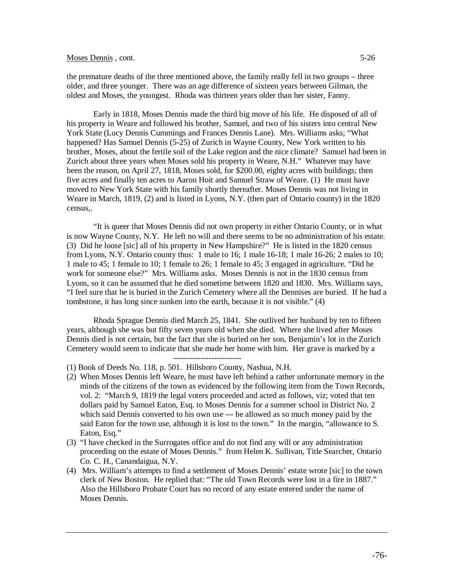the premature deaths of the three mentioned above, the family really fell in two groups – three older, and three younger. There was an age difference of sixteen years between Gilman, the oldest and Moses, the youngest. Rhoda was thirteen years older than her sister, Fanny.

Early in 1818, Moses Dennis made the third big move of his life. He disposed of all of his property in Weare and followed his brother, Samuel, and two of his sisters into central New York State (Lucy Dennis Cummings and Frances Dennis Lane). Mrs. Williams asks; "What happened? Has Samuel Dennis (5-25) of Zurich in Wayne County, New York written to his brother, Moses, about the fertile soil of the Lake region and the nice climate? Samuel had been in Zurich about three years when Moses sold his property in Weare, N.H." Whatever may have been the reason, on April 27, 1818, Moses sold, for \$200.00, eighty acres with buildings; then five acres and finally ten acres to Aaron Hoit and Samuel Straw of Weare. (1) He must have moved to New York State with his family shortly thereafter. Moses Dennis was not living in Weare in March, 1819, (2) and is listed in Lyons, N.Y. (then part of Ontario county) in the 1820 census,.

"It is queer that Moses Dennis did not own property in either Ontario County, or in what is now Wayne County, N.Y. He left no will and there seems to be no administration of his estate. (3) Did he loose [sic] all of his property in New Hampshire?" He is listed in the 1820 census from Lyons, N.Y. Ontario county thus: 1 male to 16; 1 male 16-18; 1 male 16-26; 2 males to 10; 1 male to 45; 1 female to 10; 1 female to 26; 1 female to 45; 3 engaged in agriculture. "Did he work for someone else?" Mrs. Williams asks. Moses Dennis is not in the 1830 census from Lyons, so it can be assumed that he died sometime between 1820 and 1830. Mrs. Williams says, "I feel sure that he is buried in the Zurich Cemetery where all the Dennises are buried. If he had a tombstone, it has long since sunken into the earth, because it is not visible." (4)

Rhoda Sprague Dennis died March 25, 1841. She outlived her husband by ten to fifteen years, although she was but fifty seven years old when she died. Where she lived after Moses Dennis died is not certain, but the fact that she is buried on her son, Benjamin's lot in the Zurich Cemetery would seem to indicate that she made her home with him. Her grave is marked by a

-------------------------

- (1) Book of Deeds No. 118, p. 501. Hillsboro County, Nashua, N.H.
- (2) When Moses Dennis left Weare, he must have left behind a rather unfortunate memory in the minds of the citizens of the town as evidenced by the following item from the Town Records, vol. 2: "March 9, 1819 the legal voters proceeded and acted as follows, viz; voted that ten dollars paid by Samuel Eaton, Esq. to Moses Dennis for a summer school in District No. 2 which said Dennis converted to his own use --- be allowed as so much money paid by the said Eaton for the town use, although it is lost to the town." In the margin, "allowance to S. Eaton, Esq."
- (3) "I have checked in the Surrogates office and do not find any will or any administration proceeding on the estate of Moses Dennis." from Helen K. Sullivan, Title Searcher, Ontario Co. C. H., Canandaigua, N.Y.
- (4) Mrs. William's attempts to find a settlement of Moses Dennis' estate wrote [sic] to the town clerk of New Boston. He replied that: "The old Town Records were lost in a fire in 1887." Also the Hillsboro Probate Court has no record of any estate entered under the name of Moses Dennis.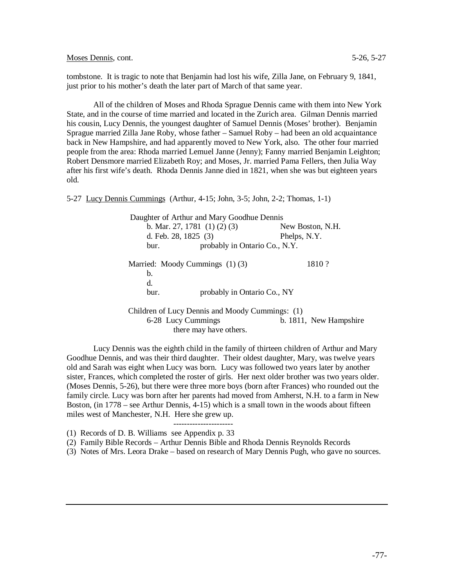Moses Dennis, cont. 5-26, 5-27

tombstone. It is tragic to note that Benjamin had lost his wife, Zilla Jane, on February 9, 1841, just prior to his mother's death the later part of March of that same year.

All of the children of Moses and Rhoda Sprague Dennis came with them into New York State, and in the course of time married and located in the Zurich area. Gilman Dennis married his cousin, Lucy Dennis, the youngest daughter of Samuel Dennis (Moses' brother). Benjamin Sprague married Zilla Jane Roby, whose father – Samuel Roby – had been an old acquaintance back in New Hampshire, and had apparently moved to New York, also. The other four married people from the area: Rhoda married Lemuel Janne (Jenny); Fanny married Benjamin Leighton; Robert Densmore married Elizabeth Roy; and Moses, Jr. married Pama Fellers, then Julia Way after his first wife's death. Rhoda Dennis Janne died in 1821, when she was but eighteen years old.

5-27 Lucy Dennis Cummings (Arthur, 4-15; John, 3-5; John, 2-2; Thomas, 1-1)

 Daughter of Arthur and Mary Goodhue Dennis b. Mar. 27, 1781 (1) (2) (3) New Boston, N.H. d. Feb. 28, 1825 (3) Phelps, N.Y. bur. probably in Ontario Co., N.Y. Married: Moody Cummings (1) (3) 1810 ? b. d. bur. probably in Ontario Co., NY Children of Lucy Dennis and Moody Cummings: (1)

6-28 Lucy Cummings b. 1811, New Hampshire there may have others.

Lucy Dennis was the eighth child in the family of thirteen children of Arthur and Mary Goodhue Dennis, and was their third daughter. Their oldest daughter, Mary, was twelve years old and Sarah was eight when Lucy was born. Lucy was followed two years later by another sister, Frances, which completed the roster of girls. Her next older brother was two years older. (Moses Dennis, 5-26), but there were three more boys (born after Frances) who rounded out the family circle. Lucy was born after her parents had moved from Amherst, N.H. to a farm in New Boston, (in 1778 – see Arthur Dennis, 4-15) which is a small town in the woods about fifteen miles west of Manchester, N.H. Here she grew up.

(1) Records of D. B. Williams see Appendix p. 33

(2) Family Bible Records – Arthur Dennis Bible and Rhoda Dennis Reynolds Records

----------------------

(3) Notes of Mrs. Leora Drake – based on research of Mary Dennis Pugh, who gave no sources.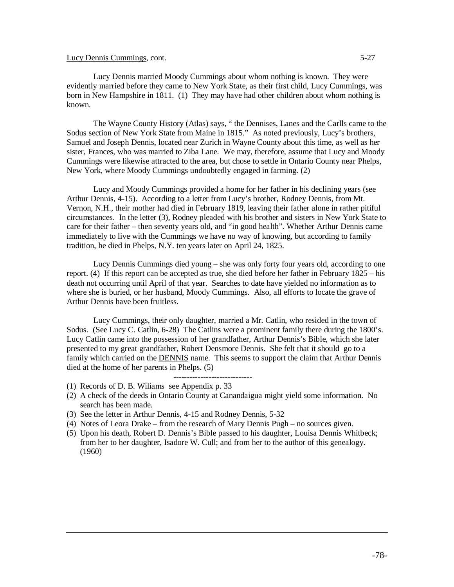## Lucy Dennis Cummings, cont. 5-27

Lucy Dennis married Moody Cummings about whom nothing is known. They were evidently married before they came to New York State, as their first child, Lucy Cummings, was born in New Hampshire in 1811. (1) They may have had other children about whom nothing is known.

The Wayne County History (Atlas) says, " the Dennises, Lanes and the Carlls came to the Sodus section of New York State from Maine in 1815." As noted previously, Lucy's brothers, Samuel and Joseph Dennis, located near Zurich in Wayne County about this time, as well as her sister, Frances, who was married to Ziba Lane. We may, therefore, assume that Lucy and Moody Cummings were likewise attracted to the area, but chose to settle in Ontario County near Phelps, New York, where Moody Cummings undoubtedly engaged in farming. (2)

Lucy and Moody Cummings provided a home for her father in his declining years (see Arthur Dennis, 4-15). According to a letter from Lucy's brother, Rodney Dennis, from Mt. Vernon, N.H., their mother had died in February 1819, leaving their father alone in rather pitiful circumstances. In the letter (3), Rodney pleaded with his brother and sisters in New York State to care for their father – then seventy years old, and "in good health". Whether Arthur Dennis came immediately to live with the Cummings we have no way of knowing, but according to family tradition, he died in Phelps, N.Y. ten years later on April 24, 1825.

Lucy Dennis Cummings died young – she was only forty four years old, according to one report. (4) If this report can be accepted as true, she died before her father in February 1825 – his death not occurring until April of that year. Searches to date have yielded no information as to where she is buried, or her husband, Moody Cummings. Also, all efforts to locate the grave of Arthur Dennis have been fruitless.

Lucy Cummings, their only daughter, married a Mr. Catlin, who resided in the town of Sodus. (See Lucy C. Catlin, 6-28) The Catlins were a prominent family there during the 1800's. Lucy Catlin came into the possession of her grandfather, Arthur Dennis's Bible, which she later presented to my great grandfather, Robert Densmore Dennis. She felt that it should go to a family which carried on the DENNIS name. This seems to support the claim that Arthur Dennis died at the home of her parents in Phelps. (5)

- (1) Records of D. B. Wiliams see Appendix p. 33
- (2) A check of the deeds in Ontario County at Canandaigua might yield some information. No search has been made.
- (3) See the letter in Arthur Dennis, 4-15 and Rodney Dennis, 5-32
- (4) Notes of Leora Drake from the research of Mary Dennis Pugh no sources given.

-----------------------------

(5) Upon his death, Robert D. Dennis's Bible passed to his daughter, Louisa Dennis Whitbeck; from her to her daughter, Isadore W. Cull; and from her to the author of this genealogy. (1960)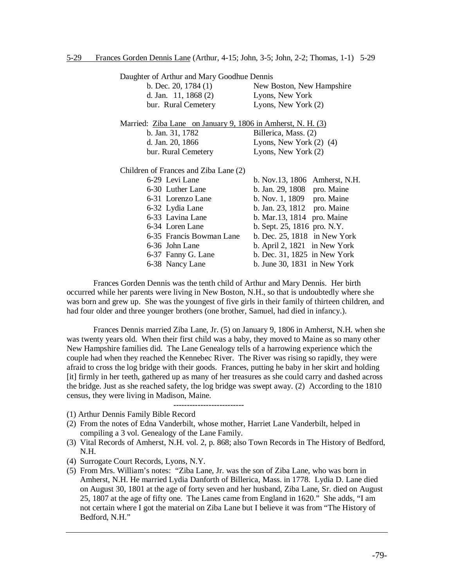| Daughter of Arthur and Mary Goodhue Dennis                  |                                   |
|-------------------------------------------------------------|-----------------------------------|
| b. Dec. 20, $1784(1)$                                       | New Boston, New Hampshire         |
| d. Jan. 11, 1868 (2)                                        | Lyons, New York                   |
| bur. Rural Cemetery                                         | Lyons, New York (2)               |
| Married: Ziba Lane on January 9, 1806 in Amherst, N. H. (3) |                                   |
| b. Jan. 31, 1782                                            | Billerica, Mass. (2)              |
| d. Jan. 20, 1866                                            | Lyons, New York $(2)$ $(4)$       |
| bur. Rural Cemetery                                         | Lyons, New York (2)               |
| Children of Frances and Ziba Lane (2)                       |                                   |
| 6-29 Levi Lane                                              | b. Nov.13, 1806 Amherst, N.H.     |
| 6-30 Luther Lane                                            | b. Jan. 29, 1808 pro. Maine       |
| 6-31 Lorenzo Lane                                           | b. Nov. 1, 1809 pro. Maine        |
| 6-32 Lydia Lane                                             | b. Jan. 23, 1812 pro. Maine       |
| 6-33 Lavina Lane                                            | b. Mar. 13, 1814 pro. Maine       |
| 6-34 Loren Lane                                             | b. Sept. 25, 1816 pro. N.Y.       |
| 6-35 Francis Bowman Lane                                    | b. Dec. $25$ , $1818$ in New York |
| 6-36 John Lane                                              | b. April 2, $1821$ in New York    |
| 6-37 Fanny G. Lane                                          | b. Dec. 31, 1825 in New York      |
| 6-38 Nancy Lane                                             | b. June $30$ , $1831$ in New York |

Frances Gorden Dennis was the tenth child of Arthur and Mary Dennis. Her birth occurred while her parents were living in New Boston, N.H., so that is undoubtedly where she was born and grew up. She was the youngest of five girls in their family of thirteen children, and had four older and three younger brothers (one brother, Samuel, had died in infancy.).

Frances Dennis married Ziba Lane, Jr. (5) on January 9, 1806 in Amherst, N.H. when she was twenty years old. When their first child was a baby, they moved to Maine as so many other New Hampshire families did. The Lane Genealogy tells of a harrowing experience which the couple had when they reached the Kennebec River. The River was rising so rapidly, they were afraid to cross the log bridge with their goods. Frances, putting he baby in her skirt and holding [it] firmly in her teeth, gathered up as many of her treasures as she could carry and dashed across the bridge. Just as she reached safety, the log bridge was swept away. (2) According to the 1810 census, they were living in Madison, Maine.

- (1) Arthur Dennis Family Bible Record
- (2) From the notes of Edna Vanderbilt, whose mother, Harriet Lane Vanderbilt, helped in compiling a 3 vol. Genealogy of the Lane Family.

--------------------------

- (3) Vital Records of Amherst, N.H. vol. 2, p. 868; also Town Records in The History of Bedford, N.H.
- (4) Surrogate Court Records, Lyons, N.Y.
- (5) From Mrs. William's notes: "Ziba Lane, Jr. was the son of Ziba Lane, who was born in Amherst, N.H. He married Lydia Danforth of Billerica, Mass. in 1778. Lydia D. Lane died on August 30, 1801 at the age of forty seven and her husband, Ziba Lane, Sr. died on August 25, 1807 at the age of fifty one. The Lanes came from England in 1620." She adds, "I am not certain where I got the material on Ziba Lane but I believe it was from "The History of Bedford, N.H."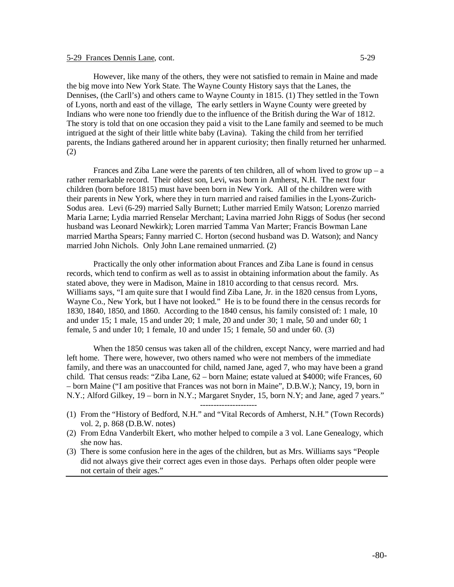### 5-29 Frances Dennis Lane, cont. 5-29

However, like many of the others, they were not satisfied to remain in Maine and made the big move into New York State. The Wayne County History says that the Lanes, the Dennises, (the Carll's) and others came to Wayne County in 1815. (1) They settled in the Town of Lyons, north and east of the village, The early settlers in Wayne County were greeted by Indians who were none too friendly due to the influence of the British during the War of 1812. The story is told that on one occasion they paid a visit to the Lane family and seemed to be much intrigued at the sight of their little white baby (Lavina). Taking the child from her terrified

parents, the Indians gathered around her in apparent curiosity; then finally returned her unharmed. (2) Frances and Ziba Lane were the parents of ten children, all of whom lived to grow  $up - a$ rather remarkable record. Their oldest son, Levi, was born in Amherst, N.H. The next four children (born before 1815) must have been born in New York. All of the children were with their parents in New York, where they in turn married and raised families in the Lyons-Zurich-Sodus area. Levi (6-29) married Sally Burnett; Luther married Emily Watson; Lorenzo married Maria Larne; Lydia married Renselar Merchant; Lavina married John Riggs of Sodus (her second husband was Leonard Newkirk); Loren married Tamma Van Marter; Francis Bowman Lane married Martha Spears; Fanny married C. Horton (second husband was D. Watson); and Nancy

Practically the only other information about Frances and Ziba Lane is found in census records, which tend to confirm as well as to assist in obtaining information about the family. As stated above, they were in Madison, Maine in 1810 according to that census record. Mrs. Williams says, "I am quite sure that I would find Ziba Lane, Jr. in the 1820 census from Lyons, Wayne Co., New York, but I have not looked." He is to be found there in the census records for 1830, 1840, 1850, and 1860. According to the 1840 census, his family consisted of: 1 male, 10 and under 15; 1 male, 15 and under 20; 1 male, 20 and under 30; 1 male, 50 and under 60; 1 female, 5 and under 10; 1 female, 10 and under 15; 1 female, 50 and under 60. (3)

married John Nichols. Only John Lane remained unmarried. (2)

When the 1850 census was taken all of the children, except Nancy, were married and had left home. There were, however, two others named who were not members of the immediate family, and there was an unaccounted for child, named Jane, aged 7, who may have been a grand child. That census reads: "Ziba Lane, 62 – born Maine; estate valued at \$4000; wife Frances, 60 – born Maine ("I am positive that Frances was not born in Maine", D.B.W.); Nancy, 19, born in N.Y.; Alford Gilkey, 19 – born in N.Y.; Margaret Snyder, 15, born N.Y; and Jane, aged 7 years."

---------------------

- (1) From the "History of Bedford, N.H." and "Vital Records of Amherst, N.H." (Town Records) vol. 2, p. 868 (D.B.W. notes)
- (2) From Edna Vanderbilt Ekert, who mother helped to compile a 3 vol. Lane Genealogy, which she now has.
- (3) There is some confusion here in the ages of the children, but as Mrs. Williams says "People did not always give their correct ages even in those days. Perhaps often older people were not certain of their ages."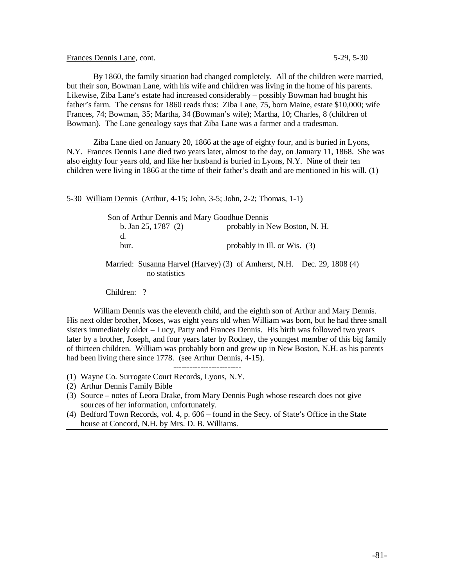Frances Dennis Lane, cont. 5-29, 5-30

By 1860, the family situation had changed completely. All of the children were married, but their son, Bowman Lane, with his wife and children was living in the home of his parents. Likewise, Ziba Lane's estate had increased considerably – possibly Bowman had bought his father's farm. The census for 1860 reads thus: Ziba Lane, 75, born Maine, estate \$10,000; wife Frances, 74; Bowman, 35; Martha, 34 (Bowman's wife); Martha, 10; Charles, 8 (children of Bowman). The Lane genealogy says that Ziba Lane was a farmer and a tradesman.

Ziba Lane died on January 20, 1866 at the age of eighty four, and is buried in Lyons, N.Y. Frances Dennis Lane died two years later, almost to the day, on January 11, 1868. She was also eighty four years old, and like her husband is buried in Lyons, N.Y. Nine of their ten children were living in 1866 at the time of their father's death and are mentioned in his will. (1)

5-30 William Dennis (Arthur, 4-15; John, 3-5; John, 2-2; Thomas, 1-1)

 Son of Arthur Dennis and Mary Goodhue Dennis b. Jan 25, 1787 (2) probably in New Boston, N. H. d. bur. probably in Ill. or Wis. (3)

# Married: Susanna Harvel (Harvey) (3) of Amherst, N.H. Dec. 29, 1808 (4) no statistics

Children: ?

William Dennis was the eleventh child, and the eighth son of Arthur and Mary Dennis. His next older brother, Moses, was eight years old when William was born, but he had three small sisters immediately older – Lucy, Patty and Frances Dennis. His birth was followed two years later by a brother, Joseph, and four years later by Rodney, the youngest member of this big family of thirteen children. William was probably born and grew up in New Boston, N.H. as his parents had been living there since 1778. (see Arthur Dennis, 4-15).

- ------------------------- (1) Wayne Co. Surrogate Court Records, Lyons, N.Y.
- (2) Arthur Dennis Family Bible
- (3) Source notes of Leora Drake, from Mary Dennis Pugh whose research does not give sources of her information, unfortunately.
- (4) Bedford Town Records, vol. 4, p. 606 found in the Secy. of State's Office in the State house at Concord, N.H. by Mrs. D. B. Williams.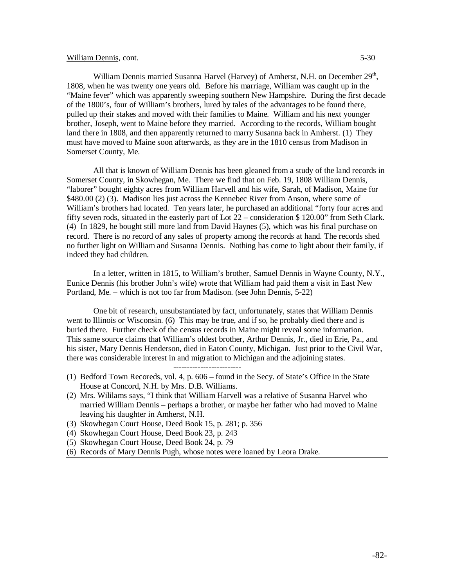## William Dennis, cont. 5-30

William Dennis married Susanna Harvel (Harvey) of Amherst, N.H. on December 29<sup>th</sup>, 1808, when he was twenty one years old. Before his marriage, William was caught up in the "Maine fever" which was apparently sweeping southern New Hampshire. During the first decade of the 1800's, four of William's brothers, lured by tales of the advantages to be found there, pulled up their stakes and moved with their families to Maine. William and his next younger brother, Joseph, went to Maine before they married. According to the records, William bought land there in 1808, and then apparently returned to marry Susanna back in Amherst. (1) They must have moved to Maine soon afterwards, as they are in the 1810 census from Madison in Somerset County, Me.

All that is known of William Dennis has been gleaned from a study of the land records in Somerset County, in Skowhegan, Me. There we find that on Feb. 19, 1808 William Dennis, "laborer" bought eighty acres from William Harvell and his wife, Sarah, of Madison, Maine for \$480.00 (2) (3). Madison lies just across the Kennebec River from Anson, where some of William's brothers had located. Ten years later, he purchased an additional "forty four acres and fifty seven rods, situated in the easterly part of Lot 22 – consideration \$ 120.00" from Seth Clark. (4) In 1829, he bought still more land from David Haynes (5), which was his final purchase on record. There is no record of any sales of property among the records at hand. The records shed no further light on William and Susanna Dennis. Nothing has come to light about their family, if indeed they had children.

In a letter, written in 1815, to William's brother, Samuel Dennis in Wayne County, N.Y., Eunice Dennis (his brother John's wife) wrote that William had paid them a visit in East New Portland, Me. – which is not too far from Madison. (see John Dennis, 5-22)

One bit of research, unsubstantiated by fact, unfortunately, states that William Dennis went to Illinois or Wisconsin. (6) This may be true, and if so, he probably died there and is buried there. Further check of the census records in Maine might reveal some information. This same source claims that William's oldest brother, Arthur Dennis, Jr., died in Erie, Pa., and his sister, Mary Dennis Henderson, died in Eaton County, Michigan. Just prior to the Civil War, there was considerable interest in and migration to Michigan and the adjoining states.

- (1) Bedford Town Recoreds, vol. 4, p. 606 found in the Secy. of State's Office in the State House at Concord, N.H. by Mrs. D.B. Williams.
- (2) Mrs. Wililams says, "I think that William Harvell was a relative of Susanna Harvel who married William Dennis – perhaps a brother, or maybe her father who had moved to Maine leaving his daughter in Amherst, N.H.
- (3) Skowhegan Court House, Deed Book 15, p. 281; p. 356
- (4) Skowhegan Court House, Deed Book 23, p. 243
- (5) Skowhegan Court House, Deed Book 24, p. 79
- (6) Records of Mary Dennis Pugh, whose notes were loaned by Leora Drake.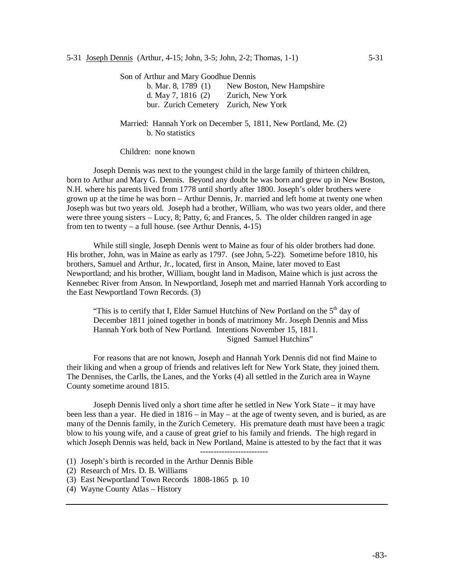Son of Arthur and Mary Goodhue Dennis

| b. Mar. 8, 1789 $(1)$                 | New Boston, New Hampshire |
|---------------------------------------|---------------------------|
| d. May 7, 1816 $(2)$                  | Zurich, New York          |
| bur. Zurich Cemetery Zurich, New York |                           |

Married: Hannah York on December 5, 1811, New Portland, Me. (2) b. No statistics

Children: none known

Joseph Dennis was next to the youngest child in the large family of thirteen children, born to Arthur and Mary G. Dennis. Beyond any doubt he was born and grew up in New Boston, N.H. where his parents lived from 1778 until shortly after 1800. Joseph's older brothers were grown up at the time he was born – Arthur Dennis, Jr. married and left home at twenty one when Joseph was but two years old. Joseph had a brother, William, who was two years older, and there were three young sisters – Lucy, 8; Patty, 6; and Frances, 5. The older children ranged in age from ten to twenty – a full house. (see Arthur Dennis, 4-15)

While still single, Joseph Dennis went to Maine as four of his older brothers had done. His brother, John, was in Maine as early as 1797. (see John, 5-22). Sometime before 1810, his brothers, Samuel and Arthur, Jr., located, first in Anson, Maine, later moved to East Newportland; and his brother, William, bought land in Madison, Maine which is just across the Kennebec River from Anson. In Newportland, Joseph met and married Hannah York according to the East Newportland Town Records. (3)

"This is to certify that I, Elder Samuel Hutchins of New Portland on the  $5<sup>th</sup>$  day of December 1811 joined together in bonds of matrimony Mr. Joseph Dennis and Miss Hannah York both of New Portland. Intentions November 15, 1811. Signed Samuel Hutchins"

For reasons that are not known, Joseph and Hannah York Dennis did not find Maine to their liking and when a group of friends and relatives left for New York State, they joined them. The Dennises, the Carlls, the Lanes, and the Yorks (4) all settled in the Zurich area in Wayne County sometime around 1815.

Joseph Dennis lived only a short time after he settled in New York State – it may have been less than a year. He died in 1816 – in May – at the age of twenty seven, and is buried, as are many of the Dennis family, in the Zurich Cemetery. His premature death must have been a tragic blow to his young wife, and a cause of great grief to his family and friends. The high regard in which Joseph Dennis was held, back in New Portland, Maine is attested to by the fact that it was -------------------------

- (1) Joseph's birth is recorded in the Arthur Dennis Bible
- (2) Research of Mrs. D. B. Williams
- (3) East Newportland Town Records 1808-1865 p. 10
- (4) Wayne County Atlas History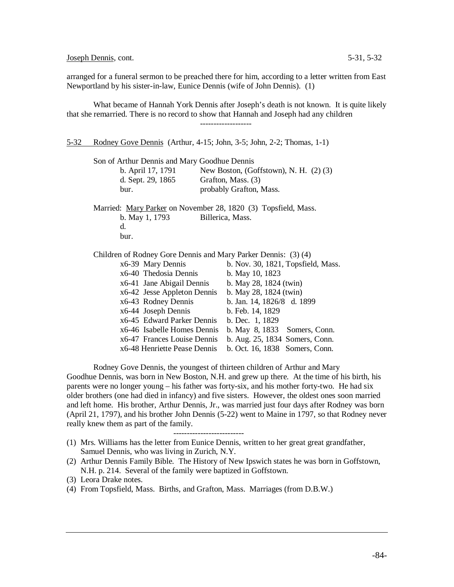Joseph Dennis, cont. 5-31, 5-32

arranged for a funeral sermon to be preached there for him, according to a letter written from East Newportland by his sister-in-law, Eunice Dennis (wife of John Dennis). (1)

What became of Hannah York Dennis after Joseph's death is not known. It is quite likely that she remarried. There is no record to show that Hannah and Joseph had any children -------------------

5-32 Rodney Gove Dennis (Arthur, 4-15; John, 3-5; John, 2-2; Thomas, 1-1)

Son of Arthur Dennis and Mary Goodhue Dennis

| b. April 17, 1791 | New Boston, (Goffstown), N. H. $(2)$ $(3)$ |
|-------------------|--------------------------------------------|
| d. Sept. 29, 1865 | Grafton, Mass. (3)                         |
| bur.              | probably Grafton, Mass.                    |

Married: Mary Parker on November 28, 1820 (3) Topsfield, Mass. b. May 1, 1793 Billerica, Mass. d.

bur.

Children of Rodney Gore Dennis and Mary Parker Dennis: (3) (4)

| x6-39 Mary Dennis            | b. Nov. 30, 1821, Topsfield, Mass. |
|------------------------------|------------------------------------|
| x6-40 Thedosia Dennis        | b. May 10, 1823                    |
| x6-41 Jane Abigail Dennis    | b. May 28, 1824 (twin)             |
| x6-42 Jesse Appleton Dennis  | b. May 28, 1824 (twin)             |
| x6-43 Rodney Dennis          | b. Jan. 14, 1826/8 d. 1899         |
| x6-44 Joseph Dennis          | b. Feb. 14, 1829                   |
| x6-45 Edward Parker Dennis   | b. Dec. 1, 1829                    |
| x6-46 Isabelle Homes Dennis  | b. May 8, 1833 Somers, Conn.       |
| x6-47 Frances Louise Dennis  | b. Aug. 25, 1834 Somers, Conn.     |
| x6-48 Henriette Pease Dennis | b. Oct. 16, 1838 Somers, Conn.     |

Rodney Gove Dennis, the youngest of thirteen children of Arthur and Mary Goodhue Dennis, was born in New Boston, N.H. and grew up there. At the time of his birth, his parents were no longer young – his father was forty-six, and his mother forty-two. He had six older brothers (one had died in infancy) and five sisters. However, the oldest ones soon married and left home. His brother, Arthur Dennis, Jr., was married just four days after Rodney was born (April 21, 1797), and his brother John Dennis (5-22) went to Maine in 1797, so that Rodney never really knew them as part of the family.

--------------------------

(4) From Topsfield, Mass. Births, and Grafton, Mass. Marriages (from D.B.W.)

<sup>(1)</sup> Mrs. Williams has the letter from Eunice Dennis, written to her great great grandfather, Samuel Dennis, who was living in Zurich, N.Y.

<sup>(2)</sup> Arthur Dennis Family Bible. The History of New Ipswich states he was born in Goffstown, N.H. p. 214. Several of the family were baptized in Goffstown.

<sup>(3)</sup> Leora Drake notes.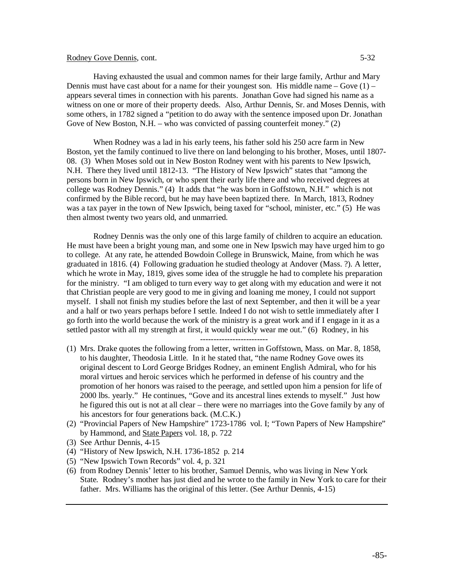## Rodney Gove Dennis, cont. 5-32

Having exhausted the usual and common names for their large family, Arthur and Mary Dennis must have cast about for a name for their youngest son. His middle name – Gove  $(1)$  – appears several times in connection with his parents. Jonathan Gove had signed his name as a witness on one or more of their property deeds. Also, Arthur Dennis, Sr. and Moses Dennis, with some others, in 1782 signed a "petition to do away with the sentence imposed upon Dr. Jonathan Gove of New Boston, N.H. – who was convicted of passing counterfeit money." (2)

When Rodney was a lad in his early teens, his father sold his 250 acre farm in New Boston, yet the family continued to live there on land belonging to his brother, Moses, until 1807- 08. (3) When Moses sold out in New Boston Rodney went with his parents to New Ipswich, N.H. There they lived until 1812-13. "The History of New Ipswich" states that "among the persons born in New Ipswich, or who spent their early life there and who received degrees at college was Rodney Dennis." (4) It adds that "he was born in Goffstown, N.H." which is not confirmed by the Bible record, but he may have been baptized there. In March, 1813, Rodney was a tax payer in the town of New Ipswich, being taxed for "school, minister, etc." (5) He was then almost twenty two years old, and unmarried.

Rodney Dennis was the only one of this large family of children to acquire an education. He must have been a bright young man, and some one in New Ipswich may have urged him to go to college. At any rate, he attended Bowdoin College in Brunswick, Maine, from which he was graduated in 1816. (4) Following graduation he studied theology at Andover (Mass. ?). A letter, which he wrote in May, 1819, gives some idea of the struggle he had to complete his preparation for the ministry. "I am obliged to turn every way to get along with my education and were it not that Christian people are very good to me in giving and loaning me money, I could not support myself. I shall not finish my studies before the last of next September, and then it will be a year and a half or two years perhaps before I settle. Indeed I do not wish to settle immediately after I go forth into the world because the work of the ministry is a great work and if I engage in it as a settled pastor with all my strength at first, it would quickly wear me out." (6) Rodney, in his

- (1) Mrs. Drake quotes the following from a letter, written in Goffstown, Mass. on Mar. 8, 1858, to his daughter, Theodosia Little. In it he stated that, "the name Rodney Gove owes its original descent to Lord George Bridges Rodney, an eminent English Admiral, who for his moral virtues and heroic services which he performed in defense of his country and the promotion of her honors was raised to the peerage, and settled upon him a pension for life of 2000 lbs. yearly." He continues, "Gove and its ancestral lines extends to myself." Just how he figured this out is not at all clear – there were no marriages into the Gove family by any of his ancestors for four generations back. (M.C.K.)
- (2) "Provincial Papers of New Hampshire" 1723-1786 vol. I; "Town Papers of New Hampshire" by Hammond, and State Papers vol. 18, p. 722
- (3) See Arthur Dennis, 4-15
- (4) "History of New Ipswich, N.H. 1736-1852 p. 214
- (5) "New Ipswich Town Records" vol. 4, p. 321
- (6) from Rodney Dennis' letter to his brother, Samuel Dennis, who was living in New York State. Rodney's mother has just died and he wrote to the family in New York to care for their father. Mrs. Williams has the original of this letter. (See Arthur Dennis, 4-15)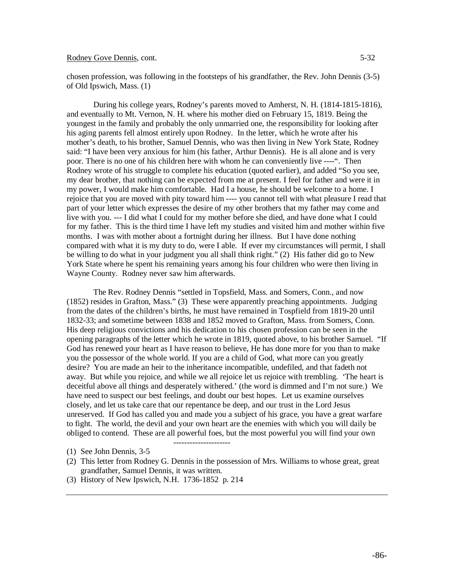## Rodney Gove Dennis, cont. 5-32

chosen profession, was following in the footsteps of his grandfather, the Rev. John Dennis (3-5) of Old Ipswich, Mass. (1)

During his college years, Rodney's parents moved to Amherst, N. H. (1814-1815-1816), and eventually to Mt. Vernon, N. H. where his mother died on February 15, 1819. Being the youngest in the family and probably the only unmarried one, the responsibility for looking after his aging parents fell almost entirely upon Rodney. In the letter, which he wrote after his mother's death, to his brother, Samuel Dennis, who was then living in New York State, Rodney said: "I have been very anxious for him (his father, Arthur Dennis). He is all alone and is very poor. There is no one of his children here with whom he can conveniently live ----". Then Rodney wrote of his struggle to complete his education (quoted earlier), and added "So you see, my dear brother, that nothing can be expected from me at present. I feel for father and were it in my power, I would make him comfortable. Had I a house, he should be welcome to a home. I rejoice that you are moved with pity toward him ---- you cannot tell with what pleasure I read that part of your letter which expresses the desire of my other brothers that my father may come and live with you. --- I did what I could for my mother before she died, and have done what I could for my father. This is the third time I have left my studies and visited him and mother within five months. I was with mother about a fortnight during her illness. But I have done nothing compared with what it is my duty to do, were I able. If ever my circumstances will permit, I shall be willing to do what in your judgment you all shall think right." (2) His father did go to New York State where he spent his remaining years among his four children who were then living in Wayne County. Rodney never saw him afterwards.

The Rev. Rodney Dennis "settled in Topsfield, Mass. and Somers, Conn., and now (1852) resides in Grafton, Mass." (3) These were apparently preaching appointments. Judging from the dates of the children's births, he must have remained in Tospfield from 1819-20 until 1832-33; and sometime between 1838 and 1852 moved to Grafton, Mass. from Somers, Conn. His deep religious convictions and his dedication to his chosen profession can be seen in the opening paragraphs of the letter which he wrote in 1819, quoted above, to his brother Samuel. "If God has renewed your heart as I have reason to believe, He has done more for you than to make you the possessor of the whole world. If you are a child of God, what more can you greatly desire? You are made an heir to the inheritance incompatible, undefiled, and that fadeth not away. But while you rejoice, and while we all rejoice let us rejoice with trembling. 'The heart is deceitful above all things and desperately withered.' (the word is dimmed and I'm not sure.) We have need to suspect our best feelings, and doubt our best hopes. Let us examine ourselves closely, and let us take care that our repentance be deep, and our trust in the Lord Jesus unreserved. If God has called you and made you a subject of his grace, you have a great warfare to fight. The world, the devil and your own heart are the enemies with which you will daily be obliged to contend. These are all powerful foes, but the most powerful you will find your own

(2) This letter from Rodney G. Dennis in the possession of Mrs. Williams to whose great, great grandfather, Samuel Dennis, it was written.

---------------------

(3) History of New Ipswich, N.H. 1736-1852 p. 214

<sup>(1)</sup> See John Dennis, 3-5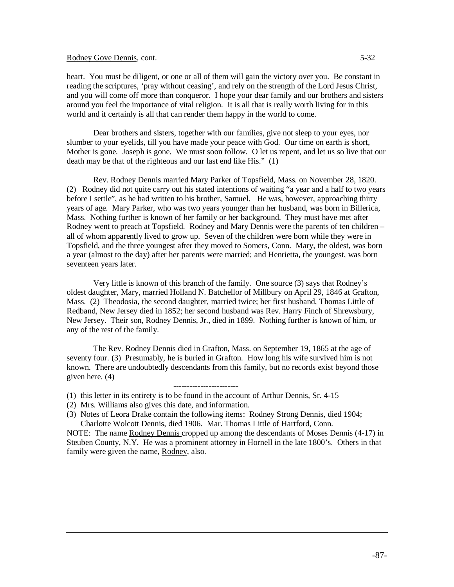## Rodney Gove Dennis, cont. 5-32

heart. You must be diligent, or one or all of them will gain the victory over you. Be constant in reading the scriptures, 'pray without ceasing', and rely on the strength of the Lord Jesus Christ, and you will come off more than conqueror. I hope your dear family and our brothers and sisters around you feel the importance of vital religion. It is all that is really worth living for in this world and it certainly is all that can render them happy in the world to come.

Dear brothers and sisters, together with our families, give not sleep to your eyes, nor slumber to your eyelids, till you have made your peace with God. Our time on earth is short, Mother is gone. Joseph is gone. We must soon follow. O let us repent, and let us so live that our death may be that of the righteous and our last end like His." (1)

Rev. Rodney Dennis married Mary Parker of Topsfield, Mass. on November 28, 1820. (2) Rodney did not quite carry out his stated intentions of waiting "a year and a half to two years before I settle", as he had written to his brother, Samuel. He was, however, approaching thirty years of age. Mary Parker, who was two years younger than her husband, was born in Billerica, Mass. Nothing further is known of her family or her background. They must have met after Rodney went to preach at Topsfield. Rodney and Mary Dennis were the parents of ten children – all of whom apparently lived to grow up. Seven of the children were born while they were in Topsfield, and the three youngest after they moved to Somers, Conn. Mary, the oldest, was born a year (almost to the day) after her parents were married; and Henrietta, the youngest, was born seventeen years later.

Very little is known of this branch of the family. One source (3) says that Rodney's oldest daughter, Mary, married Holland N. Batchellor of Millbury on April 29, 1846 at Grafton, Mass. (2) Theodosia, the second daughter, married twice; her first husband, Thomas Little of Redband, New Jersey died in 1852; her second husband was Rev. Harry Finch of Shrewsbury, New Jersey. Their son, Rodney Dennis, Jr., died in 1899. Nothing further is known of him, or any of the rest of the family.

The Rev. Rodney Dennis died in Grafton, Mass. on September 19, 1865 at the age of seventy four. (3) Presumably, he is buried in Grafton. How long his wife survived him is not known. There are undoubtedly descendants from this family, but no records exist beyond those given here. (4)

------------------------ (1) this letter in its entirety is to be found in the account of Arthur Dennis, Sr. 4-15

- (2) Mrs. Williams also gives this date, and information.
- (3) Notes of Leora Drake contain the following items: Rodney Strong Dennis, died 1904; Charlotte Wolcott Dennis, died 1906. Mar. Thomas Little of Hartford, Conn.

NOTE: The name Rodney Dennis cropped up among the descendants of Moses Dennis (4-17) in Steuben County, N.Y. He was a prominent attorney in Hornell in the late 1800's. Others in that family were given the name, Rodney, also.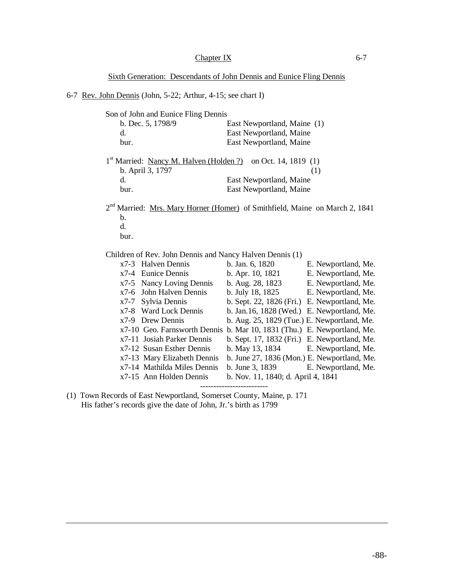Sixth Generation: Descendants of John Dennis and Eunice Fling Dennis

6-7 Rev. John Dennis (John, 5-22; Arthur, 4-15; see chart I)

| b. Dec. 5, 1798/9<br>East Newportland, Maine (1)<br>d.<br>East Newportland, Maine<br>East Newportland, Maine<br>bur.<br>1 <sup>st</sup> Married: <u>Nancy M. Halven (Holden ?)</u> on Oct. 14, 1819 (1)<br>b. April 3, 1797<br>(1)<br>$\mathbf{d}$ .<br>East Newportland, Maine<br>East Newportland, Maine<br>bur.<br>2 <sup>nd</sup> Married: Mrs. Mary Horner (Homer) of Smithfield, Maine on March 2, 1841<br>$\mathbf{b}$ .<br>d.<br>bur.<br>Children of Rev. John Dennis and Nancy Halven Dennis (1)<br>x7-3 Halven Dennis<br>b. Jan. 6, 1820<br>x7-4 Eunice Dennis<br>b. Apr. 10, 1821 E. Newportland, Me.<br>x7-5 Nancy Loving Dennis<br>b. Aug. 28, 1823 E. Newportland, Me.<br>x7-6 John Halven Dennis<br>b. July 18, 1825 E. Newportland, Me.<br>b. Sept. 22, 1826 (Fri.) E. Newportland, Me.<br>x7-7 Sylvia Dennis<br>x7-8 Ward Lock Dennis<br>b. Jan. 16, 1828 (Wed.) E. Newportland, Me.<br>x7-9 Drew Dennis<br>b. Aug. 25, 1829 (Tue.) E. Newportland, Me.<br>x7-10 Geo. Farnsworth Dennis b. Mar 10, 1831 (Thu.) E. Newportland, Me.<br>b. Sept. 17, 1832 (Fri.) E. Newportland, Me.<br>x7-11 Josiah Parker Dennis<br>b. May 13, 1834 E. Newportland, Me.<br>x7-12 Susan Esther Dennis<br>x7-13 Mary Elizabeth Dennis<br>b. June 27, 1836 (Mon.) E. Newportland, Me.<br>x7-14 Mathilda Miles Dennis<br>b. June 3, 1839 E. Newportland, Me.<br>x7-15 Ann Holden Dennis<br>b. Nov. 11, 1840; d. April 4, 1841 | Son of John and Eunice Fling Dennis |                     |
|----------------------------------------------------------------------------------------------------------------------------------------------------------------------------------------------------------------------------------------------------------------------------------------------------------------------------------------------------------------------------------------------------------------------------------------------------------------------------------------------------------------------------------------------------------------------------------------------------------------------------------------------------------------------------------------------------------------------------------------------------------------------------------------------------------------------------------------------------------------------------------------------------------------------------------------------------------------------------------------------------------------------------------------------------------------------------------------------------------------------------------------------------------------------------------------------------------------------------------------------------------------------------------------------------------------------------------------------------------------------------------------------------------------------------|-------------------------------------|---------------------|
|                                                                                                                                                                                                                                                                                                                                                                                                                                                                                                                                                                                                                                                                                                                                                                                                                                                                                                                                                                                                                                                                                                                                                                                                                                                                                                                                                                                                                            |                                     |                     |
|                                                                                                                                                                                                                                                                                                                                                                                                                                                                                                                                                                                                                                                                                                                                                                                                                                                                                                                                                                                                                                                                                                                                                                                                                                                                                                                                                                                                                            |                                     |                     |
|                                                                                                                                                                                                                                                                                                                                                                                                                                                                                                                                                                                                                                                                                                                                                                                                                                                                                                                                                                                                                                                                                                                                                                                                                                                                                                                                                                                                                            |                                     |                     |
|                                                                                                                                                                                                                                                                                                                                                                                                                                                                                                                                                                                                                                                                                                                                                                                                                                                                                                                                                                                                                                                                                                                                                                                                                                                                                                                                                                                                                            |                                     |                     |
|                                                                                                                                                                                                                                                                                                                                                                                                                                                                                                                                                                                                                                                                                                                                                                                                                                                                                                                                                                                                                                                                                                                                                                                                                                                                                                                                                                                                                            |                                     |                     |
|                                                                                                                                                                                                                                                                                                                                                                                                                                                                                                                                                                                                                                                                                                                                                                                                                                                                                                                                                                                                                                                                                                                                                                                                                                                                                                                                                                                                                            |                                     |                     |
|                                                                                                                                                                                                                                                                                                                                                                                                                                                                                                                                                                                                                                                                                                                                                                                                                                                                                                                                                                                                                                                                                                                                                                                                                                                                                                                                                                                                                            |                                     |                     |
|                                                                                                                                                                                                                                                                                                                                                                                                                                                                                                                                                                                                                                                                                                                                                                                                                                                                                                                                                                                                                                                                                                                                                                                                                                                                                                                                                                                                                            |                                     |                     |
|                                                                                                                                                                                                                                                                                                                                                                                                                                                                                                                                                                                                                                                                                                                                                                                                                                                                                                                                                                                                                                                                                                                                                                                                                                                                                                                                                                                                                            |                                     |                     |
|                                                                                                                                                                                                                                                                                                                                                                                                                                                                                                                                                                                                                                                                                                                                                                                                                                                                                                                                                                                                                                                                                                                                                                                                                                                                                                                                                                                                                            |                                     |                     |
|                                                                                                                                                                                                                                                                                                                                                                                                                                                                                                                                                                                                                                                                                                                                                                                                                                                                                                                                                                                                                                                                                                                                                                                                                                                                                                                                                                                                                            |                                     |                     |
|                                                                                                                                                                                                                                                                                                                                                                                                                                                                                                                                                                                                                                                                                                                                                                                                                                                                                                                                                                                                                                                                                                                                                                                                                                                                                                                                                                                                                            |                                     |                     |
|                                                                                                                                                                                                                                                                                                                                                                                                                                                                                                                                                                                                                                                                                                                                                                                                                                                                                                                                                                                                                                                                                                                                                                                                                                                                                                                                                                                                                            |                                     |                     |
|                                                                                                                                                                                                                                                                                                                                                                                                                                                                                                                                                                                                                                                                                                                                                                                                                                                                                                                                                                                                                                                                                                                                                                                                                                                                                                                                                                                                                            |                                     | E. Newportland, Me. |
|                                                                                                                                                                                                                                                                                                                                                                                                                                                                                                                                                                                                                                                                                                                                                                                                                                                                                                                                                                                                                                                                                                                                                                                                                                                                                                                                                                                                                            |                                     |                     |
|                                                                                                                                                                                                                                                                                                                                                                                                                                                                                                                                                                                                                                                                                                                                                                                                                                                                                                                                                                                                                                                                                                                                                                                                                                                                                                                                                                                                                            |                                     |                     |
|                                                                                                                                                                                                                                                                                                                                                                                                                                                                                                                                                                                                                                                                                                                                                                                                                                                                                                                                                                                                                                                                                                                                                                                                                                                                                                                                                                                                                            |                                     |                     |
|                                                                                                                                                                                                                                                                                                                                                                                                                                                                                                                                                                                                                                                                                                                                                                                                                                                                                                                                                                                                                                                                                                                                                                                                                                                                                                                                                                                                                            |                                     |                     |
|                                                                                                                                                                                                                                                                                                                                                                                                                                                                                                                                                                                                                                                                                                                                                                                                                                                                                                                                                                                                                                                                                                                                                                                                                                                                                                                                                                                                                            |                                     |                     |
|                                                                                                                                                                                                                                                                                                                                                                                                                                                                                                                                                                                                                                                                                                                                                                                                                                                                                                                                                                                                                                                                                                                                                                                                                                                                                                                                                                                                                            |                                     |                     |
|                                                                                                                                                                                                                                                                                                                                                                                                                                                                                                                                                                                                                                                                                                                                                                                                                                                                                                                                                                                                                                                                                                                                                                                                                                                                                                                                                                                                                            |                                     |                     |
|                                                                                                                                                                                                                                                                                                                                                                                                                                                                                                                                                                                                                                                                                                                                                                                                                                                                                                                                                                                                                                                                                                                                                                                                                                                                                                                                                                                                                            |                                     |                     |
|                                                                                                                                                                                                                                                                                                                                                                                                                                                                                                                                                                                                                                                                                                                                                                                                                                                                                                                                                                                                                                                                                                                                                                                                                                                                                                                                                                                                                            |                                     |                     |
|                                                                                                                                                                                                                                                                                                                                                                                                                                                                                                                                                                                                                                                                                                                                                                                                                                                                                                                                                                                                                                                                                                                                                                                                                                                                                                                                                                                                                            |                                     |                     |
|                                                                                                                                                                                                                                                                                                                                                                                                                                                                                                                                                                                                                                                                                                                                                                                                                                                                                                                                                                                                                                                                                                                                                                                                                                                                                                                                                                                                                            |                                     |                     |
|                                                                                                                                                                                                                                                                                                                                                                                                                                                                                                                                                                                                                                                                                                                                                                                                                                                                                                                                                                                                                                                                                                                                                                                                                                                                                                                                                                                                                            |                                     |                     |
|                                                                                                                                                                                                                                                                                                                                                                                                                                                                                                                                                                                                                                                                                                                                                                                                                                                                                                                                                                                                                                                                                                                                                                                                                                                                                                                                                                                                                            |                                     |                     |

(1) Town Records of East Newportland, Somerset County, Maine, p. 171 His father's records give the date of John, Jr.'s birth as 1799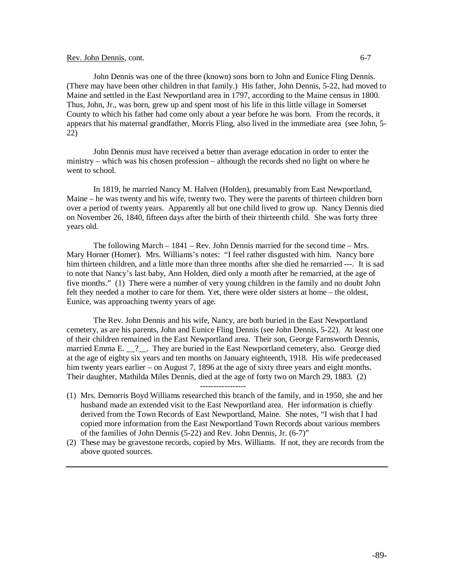### Rev. John Dennis, cont. 6-7

John Dennis was one of the three (known) sons born to John and Eunice Fling Dennis. (There may have been other children in that family.) His father, John Dennis, 5-22, had moved to Maine and settled in the East Newportland area in 1797, according to the Maine census in 1800. Thus, John, Jr., was born, grew up and spent most of his life in this little village in Somerset County to which his father had come only about a year before he was born. From the records, it appears that his maternal grandfather, Morris Fling, also lived in the immediate area (see John, 5- 22)

John Dennis must have received a better than average education in order to enter the ministry – which was his chosen profession – although the records shed no light on where he went to school.

In 1819, he married Nancy M. Halven (Holden), presumably from East Newportland, Maine – he was twenty and his wife, twenty two. They were the parents of thirteen children born over a period of twenty years. Apparently all but one child lived to grow up. Nancy Dennis died on November 26, 1840, fifteen days after the birth of their thirteenth child. She was forty three years old.

The following March – 1841 – Rev. John Dennis married for the second time – Mrs. Mary Horner (Homer). Mrs. Williams's notes: "I feel rather disgusted with him. Nancy bore him thirteen children, and a little more than three months after she died he remarried ---. It is sad to note that Nancy's last baby, Ann Holden, died only a month after he remarried, at the age of five months." (1) There were a number of very young children in the family and no doubt John felt they needed a mother to care for them. Yet, there were older sisters at home – the oldest, Eunice, was approaching twenty years of age.

The Rev. John Dennis and his wife, Nancy, are both buried in the East Newportland cemetery, as are his parents, John and Eunice Fling Dennis (see John Dennis, 5-22). At least one of their children remained in the East Newportland area. Their son, George Farnsworth Dennis, married Emma E. \_\_?\_\_. They are buried in the East Newportland cemetery, also. George died at the age of eighty six years and ten months on January eighteenth, 1918. His wife predeceased him twenty years earlier – on August 7, 1896 at the age of sixty three years and eight months. Their daughter, Mathilda Miles Dennis, died at the age of forty two on March 29, 1883. (2)

-----------------

- (1) Mrs. Demorris Boyd Williams researched this branch of the family, and in 1950, she and her husband made an extended visit to the East Newportland area. Her information is chiefly derived from the Town Records of East Newportland, Maine. She notes, "I wish that I had copied more information from the East Newportland Town Records about various members of the families of John Dennis (5-22) and Rev. John Dennis, Jr. (6-7)"
- (2) These may be gravestone records, copied by Mrs. Williams. If not, they are records from the above quoted sources.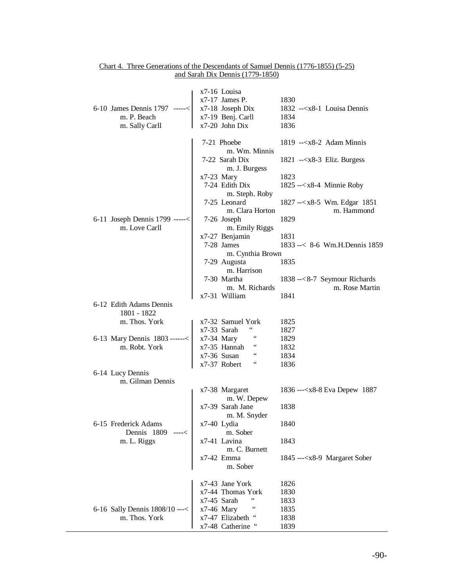| 6-10 James Dennis 1797 -----<<br>m. P. Beach<br>m. Sally Carll | x7-16 Louisa<br>$x7-17$ James P.<br>x7-18 Joseph Dix<br>x7-19 Benj. Carll<br>x7-20 John Dix | 1830<br>$1832$ -- $\langle x8-1 \rangle$ Louisa Dennis<br>1834<br>1836 |
|----------------------------------------------------------------|---------------------------------------------------------------------------------------------|------------------------------------------------------------------------|
|                                                                | 7-21 Phoebe                                                                                 | 1819 -- $\langle x8-2 \rangle$ Adam Minnis                             |
|                                                                | m. Wm. Minnis<br>7-22 Sarah Dix                                                             | $1821$ -- $\langle x8-3 \rangle$ Eliz. Burgess                         |
|                                                                | m. J. Burgess<br>$x7-23$ Mary                                                               | 1823                                                                   |
|                                                                | 7-24 Edith Dix<br>m. Steph. Roby                                                            | 1825 -- $x8-4$ Minnie Roby                                             |
|                                                                | 7-25 Leonard<br>m. Clara Horton                                                             | 1827 --< x8-5 Wm. Edgar 1851<br>m. Hammond                             |
| 6-11 Joseph Dennis 1799 -----<<br>m. Love Carll                | 7-26 Joseph<br>m. Emily Riggs                                                               | 1829                                                                   |
|                                                                | x7-27 Benjamin                                                                              | 1831                                                                   |
|                                                                | 7-28 James<br>m. Cynthia Brown                                                              | 1833 --< 8-6 Wm.H.Dennis 1859                                          |
|                                                                | 7-29 Augusta<br>m. Harrison                                                                 | 1835                                                                   |
|                                                                | 7-30 Martha<br>m. M. Richards                                                               | 1838 --<8-7 Seymour Richards<br>m. Rose Martin                         |
|                                                                | x7-31 William                                                                               | 1841                                                                   |
| 6-12 Edith Adams Dennis<br>1801 - 1822                         |                                                                                             |                                                                        |
| m. Thos. York                                                  | x7-32 Samuel York                                                                           | 1825                                                                   |
|                                                                | 66<br>x7-33 Sarah                                                                           | 1827                                                                   |
| 6-13 Mary Dennis 1803 ------<                                  | $x7-34$ Mary                                                                                | 1829                                                                   |
| m. Robt. York                                                  | x7-35 Hannah                                                                                | 1832                                                                   |
|                                                                | x7-36 Susan<br>$\,$ $\,$ $\,$ $\,$                                                          | 1834                                                                   |
| 6-14 Lucy Dennis                                               | x7-37 Robert                                                                                | 1836                                                                   |
| m. Gilman Dennis                                               |                                                                                             |                                                                        |
|                                                                | x7-38 Margaret<br>m. W. Depew                                                               | 1836 --- <x8-8 1887<="" depew="" eva="" td=""></x8-8>                  |
|                                                                | x7-39 Sarah Jane<br>m. M. Snyder                                                            | 1838                                                                   |
| 6-15 Frederick Adams<br>Dennis 1809<br>----<                   | x7-40 Lydia<br>m. Sober                                                                     | 1840                                                                   |
| m. L. Riggs                                                    | x7-41 Lavina                                                                                | 1843                                                                   |
|                                                                | m. C. Burnett<br>x7-42 Emma                                                                 | 1845 --- <x8-9 margaret="" sober<="" td=""></x8-9>                     |
|                                                                | m. Sober                                                                                    |                                                                        |
|                                                                | x7-43 Jane York                                                                             | 1826                                                                   |
|                                                                | x7-44 Thomas York                                                                           | 1830                                                                   |
|                                                                | x7-45 Sarah                                                                                 | 1833                                                                   |
| 6-16 Sally Dennis 1808/10 ---<                                 | $x7-46$ Mary                                                                                | 1835                                                                   |
| m. Thos. York                                                  | x7-47 Elizabeth<br>x7-48 Catherine "                                                        | 1838<br>1839                                                           |
|                                                                |                                                                                             |                                                                        |

## Chart 4. Three Generations of the Descendants of Samuel Dennis (1776-1855) (5-25) and Sarah Dix Dennis (1779-1850)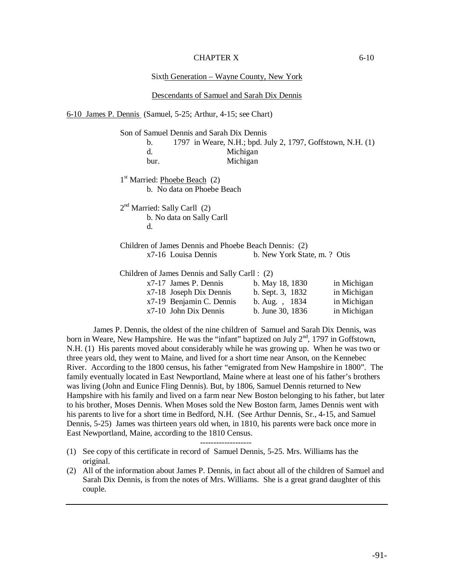## CHAPTER X 6-10

Sixth Generation – Wayne County, New York

|                                           | Descendants of Samuel and Sarah Dix Dennis                                                         |                                                                                     |                            |
|-------------------------------------------|----------------------------------------------------------------------------------------------------|-------------------------------------------------------------------------------------|----------------------------|
|                                           | 6-10 James P. Dennis (Samuel, 5-25; Arthur, 4-15; see Chart)                                       |                                                                                     |                            |
| b.<br>d.<br>bur.                          | Son of Samuel Dennis and Sarah Dix Dennis                                                          | 1797 in Weare, N.H.; bpd. July 2, 1797, Goffstown, N.H. (1)<br>Michigan<br>Michigan |                            |
| 1 <sup>st</sup> Married: Phoebe Beach (2) | b. No data on Phoebe Beach                                                                         |                                                                                     |                            |
| $2nd$ Married: Sally Carll (2)<br>d.      | b. No data on Sally Carll                                                                          |                                                                                     |                            |
|                                           | Children of James Dennis and Phoebe Beach Dennis: (2)<br>x7-16 Louisa Dennis                       | b. New York State, m. ? Otis                                                        |                            |
|                                           | Children of James Dennis and Sally Carll : (2)<br>x7-17 James P. Dennis<br>x7-18 Joseph Dix Dennis | b. May 18, 1830<br>b. Sept. 3, 1832                                                 | in Michigan<br>in Michigan |

James P. Dennis, the oldest of the nine children of Samuel and Sarah Dix Dennis, was born in Weare, New Hampshire. He was the "infant" baptized on July 2<sup>nd</sup>, 1797 in Goffstown, N.H. (1) His parents moved about considerably while he was growing up. When he was two or three years old, they went to Maine, and lived for a short time near Anson, on the Kennebec River. According to the 1800 census, his father "emigrated from New Hampshire in 1800". The family eventually located in East Newportland, Maine where at least one of his father's brothers was living (John and Eunice Fling Dennis). But, by 1806, Samuel Dennis returned to New Hampshire with his family and lived on a farm near New Boston belonging to his father, but later to his brother, Moses Dennis. When Moses sold the New Boston farm, James Dennis went with his parents to live for a short time in Bedford, N.H. (See Arthur Dennis, Sr., 4-15, and Samuel Dennis, 5-25) James was thirteen years old when, in 1810, his parents were back once more in East Newportland, Maine, according to the 1810 Census.

x7-19 Benjamin C. Dennis b. Aug. , 1834 in Michigan x7-10 John Dix Dennis b. June 30, 1836 in Michigan

-------------------

- (1) See copy of this certificate in record of Samuel Dennis, 5-25. Mrs. Williams has the original.
- (2) All of the information about James P. Dennis, in fact about all of the children of Samuel and Sarah Dix Dennis, is from the notes of Mrs. Williams. She is a great grand daughter of this couple.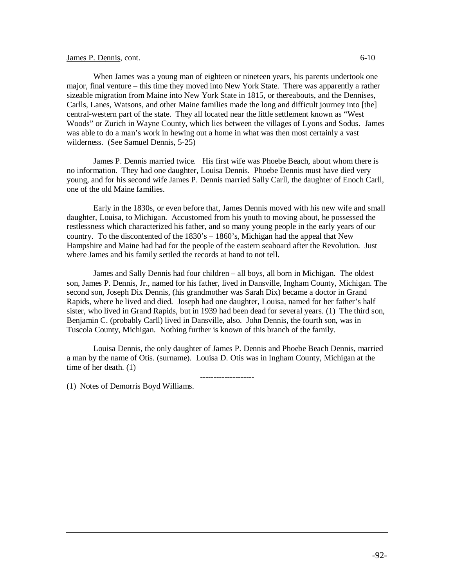## James P. Dennis, cont. 6-10

When James was a young man of eighteen or nineteen years, his parents undertook one major, final venture – this time they moved into New York State. There was apparently a rather sizeable migration from Maine into New York State in 1815, or thereabouts, and the Dennises, Carlls, Lanes, Watsons, and other Maine families made the long and difficult journey into [the] central-western part of the state. They all located near the little settlement known as "West Woods" or Zurich in Wayne County, which lies between the villages of Lyons and Sodus. James was able to do a man's work in hewing out a home in what was then most certainly a vast wilderness. (See Samuel Dennis, 5-25)

James P. Dennis married twice. His first wife was Phoebe Beach, about whom there is no information. They had one daughter, Louisa Dennis. Phoebe Dennis must have died very young, and for his second wife James P. Dennis married Sally Carll, the daughter of Enoch Carll, one of the old Maine families.

Early in the 1830s, or even before that, James Dennis moved with his new wife and small daughter, Louisa, to Michigan. Accustomed from his youth to moving about, he possessed the restlessness which characterized his father, and so many young people in the early years of our country. To the discontented of the 1830's – 1860's, Michigan had the appeal that New Hampshire and Maine had had for the people of the eastern seaboard after the Revolution. Just where James and his family settled the records at hand to not tell.

James and Sally Dennis had four children – all boys, all born in Michigan. The oldest son, James P. Dennis, Jr., named for his father, lived in Dansville, Ingham County, Michigan. The second son, Joseph Dix Dennis, (his grandmother was Sarah Dix) became a doctor in Grand Rapids, where he lived and died. Joseph had one daughter, Louisa, named for her father's half sister, who lived in Grand Rapids, but in 1939 had been dead for several years. (1) The third son, Benjamin C. (probably Carll) lived in Dansville, also. John Dennis, the fourth son, was in Tuscola County, Michigan. Nothing further is known of this branch of the family.

Louisa Dennis, the only daughter of James P. Dennis and Phoebe Beach Dennis, married a man by the name of Otis. (surname). Louisa D. Otis was in Ingham County, Michigan at the time of her death. (1)

(1) Notes of Demorris Boyd Williams.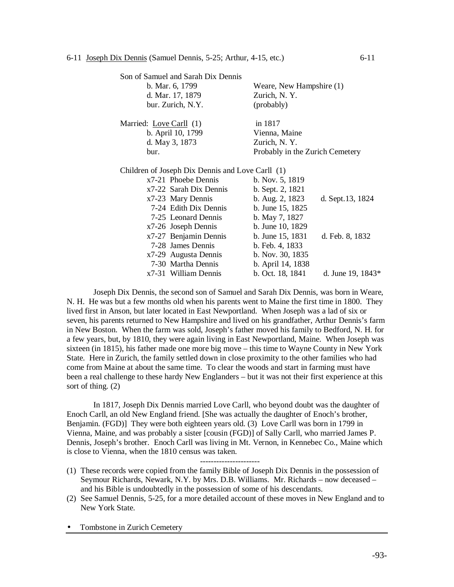| Son of Samuel and Sarah Dix Dennis               |                                 |
|--------------------------------------------------|---------------------------------|
| b. Mar. 6, 1799                                  | Weare, New Hampshire (1)        |
| d. Mar. 17, 1879                                 | Zurich, N.Y.                    |
| bur. Zurich, N.Y.                                | (probably)                      |
| Married: Love Carll (1)                          | in 1817                         |
| b. April 10, 1799                                | Vienna, Maine                   |
| d. May 3, 1873                                   | Zurich, N.Y.                    |
| bur.                                             | Probably in the Zurich Cemetery |
| Children of Joseph Dix Dennis and Love Carll (1) |                                 |
| x7-21 Phoehe Dennis                              | $h$ Nov 5 1819                  |

| x7-21 Phoebe Dennis    | b. Nov. 5, 1819   |                   |
|------------------------|-------------------|-------------------|
| x7-22 Sarah Dix Dennis | b. Sept. 2, 1821  |                   |
| x7-23 Mary Dennis      | b. Aug. 2, 1823   | d. Sept.13, 1824  |
| 7-24 Edith Dix Dennis  | b. June 15, 1825  |                   |
| 7-25 Leonard Dennis    | b. May 7, 1827    |                   |
| x7-26 Joseph Dennis    | b. June 10, 1829  |                   |
| x7-27 Benjamin Dennis  | b. June 15, 1831  | d. Feb. 8, 1832   |
| 7-28 James Dennis      | b. Feb. 4, 1833   |                   |
| x7-29 Augusta Dennis   | b. Nov. 30, 1835  |                   |
| 7-30 Martha Dennis     | b. April 14, 1838 |                   |
| x7-31 William Dennis   | b. Oct. 18, 1841  | d. June 19, 1843* |
|                        |                   |                   |

Joseph Dix Dennis, the second son of Samuel and Sarah Dix Dennis, was born in Weare, N. H. He was but a few months old when his parents went to Maine the first time in 1800. They lived first in Anson, but later located in East Newportland. When Joseph was a lad of six or seven, his parents returned to New Hampshire and lived on his grandfather, Arthur Dennis's farm in New Boston. When the farm was sold, Joseph's father moved his family to Bedford, N. H. for a few years, but, by 1810, they were again living in East Newportland, Maine. When Joseph was sixteen (in 1815), his father made one more big move – this time to Wayne County in New York State. Here in Zurich, the family settled down in close proximity to the other families who had come from Maine at about the same time. To clear the woods and start in farming must have been a real challenge to these hardy New Englanders – but it was not their first experience at this sort of thing. (2)

In 1817, Joseph Dix Dennis married Love Carll, who beyond doubt was the daughter of Enoch Carll, an old New England friend. [She was actually the daughter of Enoch's brother, Benjamin. (FGD)] They were both eighteen years old. (3) Love Carll was born in 1799 in Vienna, Maine, and was probably a sister [cousin (FGD)] of Sally Carll, who married James P. Dennis, Joseph's brother. Enoch Carll was living in Mt. Vernon, in Kennebec Co., Maine which is close to Vienna, when the 1810 census was taken.

----------------------

- (1) These records were copied from the family Bible of Joseph Dix Dennis in the possession of Seymour Richards, Newark, N.Y. by Mrs. D.B. Williams. Mr. Richards – now deceased – and his Bible is undoubtedly in the possession of some of his descendants.
- (2) See Samuel Dennis, 5-25, for a more detailed account of these moves in New England and to New York State.

Tombstone in Zurich Cemetery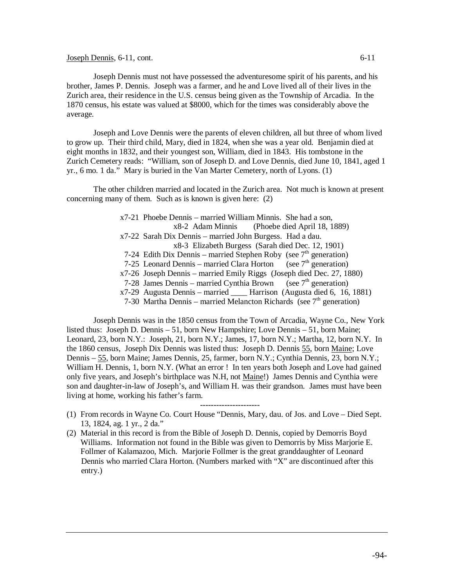## Joseph Dennis, 6-11, cont. 6-12

Joseph Dennis must not have possessed the adventuresome spirit of his parents, and his brother, James P. Dennis. Joseph was a farmer, and he and Love lived all of their lives in the Zurich area, their residence in the U.S. census being given as the Township of Arcadia. In the 1870 census, his estate was valued at \$8000, which for the times was considerably above the average.

Joseph and Love Dennis were the parents of eleven children, all but three of whom lived to grow up. Their third child, Mary, died in 1824, when she was a year old. Benjamin died at eight months in 1832, and their youngest son, William, died in 1843. His tombstone in the Zurich Cemetery reads: "William, son of Joseph D. and Love Dennis, died June 10, 1841, aged 1 yr., 6 mo. 1 da." Mary is buried in the Van Marter Cemetery, north of Lyons. (1)

The other children married and located in the Zurich area. Not much is known at present concerning many of them. Such as is known is given here: (2)

> x7-21 Phoebe Dennis – married William Minnis. She had a son, x8-2 Adam Minnis (Phoebe died April 18, 1889) x7-22 Sarah Dix Dennis – married John Burgess. Had a dau. x8-3 Elizabeth Burgess (Sarah died Dec. 12, 1901) 7-24 Edith Dix Dennis – married Stephen Roby (see  $7<sup>th</sup>$  generation) 7-25 Leonard Dennis – married Clara Horton (see  $7<sup>th</sup>$  generation) x7-26 Joseph Dennis – married Emily Riggs (Joseph died Dec. 27, 1880) 7-28 James Dennis – married Cynthia Brown (see  $7<sup>th</sup>$  generation) x7-29 Augusta Dennis – married \_\_\_\_ Harrison (Augusta died 6, 16, 1881) 7-30 Martha Dennis – married Melancton Richards (see  $7<sup>th</sup>$  generation)

Joseph Dennis was in the 1850 census from the Town of Arcadia, Wayne Co., New York listed thus: Joseph D. Dennis – 51, born New Hampshire; Love Dennis – 51, born Maine; Leonard, 23, born N.Y.: Joseph, 21, born N.Y.; James, 17, born N.Y.; Martha, 12, born N.Y. In the 1860 census, Joseph Dix Dennis was listed thus: Joseph D. Dennis 55, born Maine; Love Dennis – 55, born Maine; James Dennis, 25, farmer, born N.Y.; Cynthia Dennis, 23, born N.Y.; William H. Dennis, 1, born N.Y. (What an error ! In ten years both Joseph and Love had gained only five years, and Joseph's birthplace was N.H, not Maine!) James Dennis and Cynthia were son and daughter-in-law of Joseph's, and William H. was their grandson. James must have been living at home, working his father's farm.

----------------------

- (1) From records in Wayne Co. Court House "Dennis, Mary, dau. of Jos. and Love Died Sept. 13, 1824, ag. 1 yr., 2 da."
- (2) Material in this record is from the Bible of Joseph D. Dennis, copied by Demorris Boyd Williams. Information not found in the Bible was given to Demorris by Miss Marjorie E. Follmer of Kalamazoo, Mich. Marjorie Follmer is the great granddaughter of Leonard Dennis who married Clara Horton. (Numbers marked with "X" are discontinued after this entry.)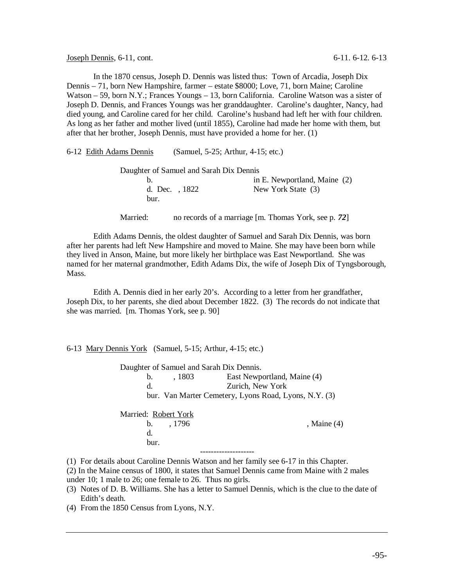Joseph Dennis, 6-11, cont. 6-11. 6-12. 6-13

In the 1870 census, Joseph D. Dennis was listed thus: Town of Arcadia, Joseph Dix Dennis – 71, born New Hampshire, farmer – estate \$8000; Love, 71, born Maine; Caroline Watson – 59, born N.Y.; Frances Youngs – 13, born California. Caroline Watson was a sister of Joseph D. Dennis, and Frances Youngs was her granddaughter. Caroline's daughter, Nancy, had died young, and Caroline cared for her child. Caroline's husband had left her with four children. As long as her father and mother lived (until 1855), Caroline had made her home with them, but after that her brother, Joseph Dennis, must have provided a home for her. (1)

| 6-12 Edith Adams Dennis |                                         | (Samuel, 5-25; Arthur, 4-15; etc.)                   |
|-------------------------|-----------------------------------------|------------------------------------------------------|
|                         | Daughter of Samuel and Sarah Dix Dennis |                                                      |
| b.                      |                                         | in E. Newportland, Maine (2)                         |
| bur.                    | d. Dec. 1822                            | New York State (3)                                   |
| Married:                |                                         | no records of a marriage [m. Thomas York, see p. 72] |
|                         |                                         |                                                      |

Edith Adams Dennis, the oldest daughter of Samuel and Sarah Dix Dennis, was born after her parents had left New Hampshire and moved to Maine. She may have been born while they lived in Anson, Maine, but more likely her birthplace was East Newportland. She was named for her maternal grandmother, Edith Adams Dix, the wife of Joseph Dix of Tyngsborough, Mass.

Edith A. Dennis died in her early 20's. According to a letter from her grandfather, Joseph Dix, to her parents, she died about December 1822. (3) The records do not indicate that she was married. [m. Thomas York, see p. 90]

#### 6-13 Mary Dennis York (Samuel, 5-15; Arthur, 4-15; etc.)

|                      |               | Daughter of Samuel and Sarah Dix Dennis.              |
|----------------------|---------------|-------------------------------------------------------|
| $\mathbf{b}$ .       | , 1803        | East Newportland, Maine (4)                           |
| d.                   |               | Zurich, New York                                      |
|                      |               | bur. Van Marter Cemetery, Lyons Road, Lyons, N.Y. (3) |
| Married: Robert York | $b. \t, 1796$ | , Maine $(4)$                                         |
| d.<br>bur.           |               |                                                       |
|                      |               |                                                       |

(1) For details about Caroline Dennis Watson and her family see 6-17 in this Chapter.

(2) In the Maine census of 1800, it states that Samuel Dennis came from Maine with 2 males under 10; 1 male to 26; one female to 26. Thus no girls.

- (3) Notes of D. B. Williams. She has a letter to Samuel Dennis, which is the clue to the date of Edith's death.
- (4) From the 1850 Census from Lyons, N.Y.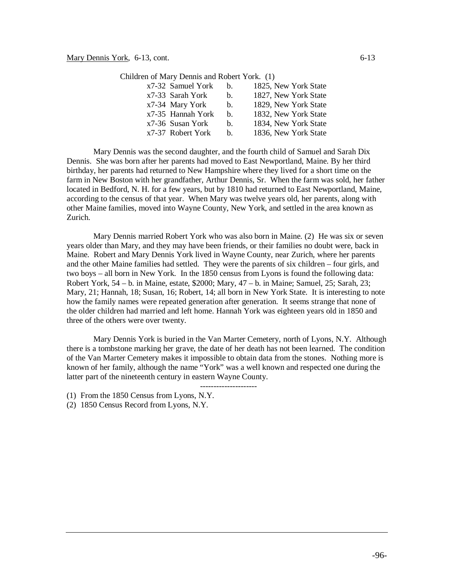| n of Mary Dennis and Robert York. (1) |                |                      |
|---------------------------------------|----------------|----------------------|
| x7-32 Samuel York                     | h.             | 1825, New York State |
| x7-33 Sarah York                      | $b_{1}$        | 1827, New York State |
| x7-34 Mary York                       | $\mathbf{b}$ . | 1829, New York State |
| x7-35 Hannah York                     | h.             | 1832, New York State |
| x7-36 Susan York                      | b.             | 1834. New York State |

Children of Mary

Mary Dennis was the second daughter, and the fourth child of Samuel and Sarah Dix Dennis. She was born after her parents had moved to East Newportland, Maine. By her third birthday, her parents had returned to New Hampshire where they lived for a short time on the farm in New Boston with her grandfather, Arthur Dennis, Sr. When the farm was sold, her father located in Bedford, N. H. for a few years, but by 1810 had returned to East Newportland, Maine, according to the census of that year. When Mary was twelve years old, her parents, along with other Maine families, moved into Wayne County, New York, and settled in the area known as Zurich.

x7-37 Robert York b. 1836, New York State

Mary Dennis married Robert York who was also born in Maine. (2) He was six or seven years older than Mary, and they may have been friends, or their families no doubt were, back in Maine. Robert and Mary Dennis York lived in Wayne County, near Zurich, where her parents and the other Maine families had settled. They were the parents of six children – four girls, and two boys – all born in New York. In the 1850 census from Lyons is found the following data: Robert York,  $54 - b$ . in Maine, estate, \$2000; Mary,  $47 - b$ . in Maine; Samuel,  $25$ ; Sarah,  $23$ ; Mary, 21; Hannah, 18; Susan, 16; Robert, 14; all born in New York State. It is interesting to note how the family names were repeated generation after generation. It seems strange that none of the older children had married and left home. Hannah York was eighteen years old in 1850 and three of the others were over twenty.

Mary Dennis York is buried in the Van Marter Cemetery, north of Lyons, N.Y. Although there is a tombstone marking her grave, the date of her death has not been learned. The condition of the Van Marter Cemetery makes it impossible to obtain data from the stones. Nothing more is known of her family, although the name "York" was a well known and respected one during the latter part of the nineteenth century in eastern Wayne County.

---------------------

(1) From the 1850 Census from Lyons, N.Y.

(2) 1850 Census Record from Lyons, N.Y.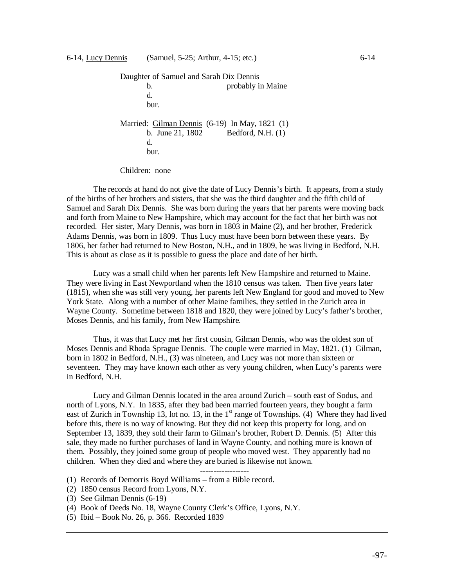```
Daughter of Samuel and Sarah Dix Dennis
      b. probably in Maine
      d.
      bur.
Married: Gilman Dennis (6-19) In May, 1821 (1)
      b. June 21, 1802 Bedford, N.H. (1)
      d.
      bur.
```
Children: none

The records at hand do not give the date of Lucy Dennis's birth. It appears, from a study of the births of her brothers and sisters, that she was the third daughter and the fifth child of Samuel and Sarah Dix Dennis. She was born during the years that her parents were moving back and forth from Maine to New Hampshire, which may account for the fact that her birth was not recorded. Her sister, Mary Dennis, was born in 1803 in Maine (2), and her brother, Frederick Adams Dennis, was born in 1809. Thus Lucy must have been born between these years. By 1806, her father had returned to New Boston, N.H., and in 1809, he was living in Bedford, N.H. This is about as close as it is possible to guess the place and date of her birth.

Lucy was a small child when her parents left New Hampshire and returned to Maine. They were living in East Newportland when the 1810 census was taken. Then five years later (1815), when she was still very young, her parents left New England for good and moved to New York State. Along with a number of other Maine families, they settled in the Zurich area in Wayne County. Sometime between 1818 and 1820, they were joined by Lucy's father's brother, Moses Dennis, and his family, from New Hampshire.

Thus, it was that Lucy met her first cousin, Gilman Dennis, who was the oldest son of Moses Dennis and Rhoda Sprague Dennis. The couple were married in May, 1821. (1) Gilman, born in 1802 in Bedford, N.H., (3) was nineteen, and Lucy was not more than sixteen or seventeen. They may have known each other as very young children, when Lucy's parents were in Bedford, N.H.

Lucy and Gilman Dennis located in the area around Zurich – south east of Sodus, and north of Lyons, N.Y. In 1835, after they bad been married fourteen years, they bought a farm east of Zurich in Township 13, lot no. 13, in the  $1<sup>st</sup>$  range of Townships. (4) Where they had lived before this, there is no way of knowing. But they did not keep this property for long, and on September 13, 1839, they sold their farm to Gilman's brother, Robert D. Dennis. (5) After this sale, they made no further purchases of land in Wayne County, and nothing more is known of them. Possibly, they joined some group of people who moved west. They apparently had no children. When they died and where they are buried is likewise not known.

------------------

- (1) Records of Demorris Boyd Williams from a Bible record.
- (2) 1850 census Record from Lyons, N.Y.
- (3) See Gilman Dennis (6-19)
- (4) Book of Deeds No. 18, Wayne County Clerk's Office, Lyons, N.Y.
- (5) Ibid Book No. 26, p. 366. Recorded 1839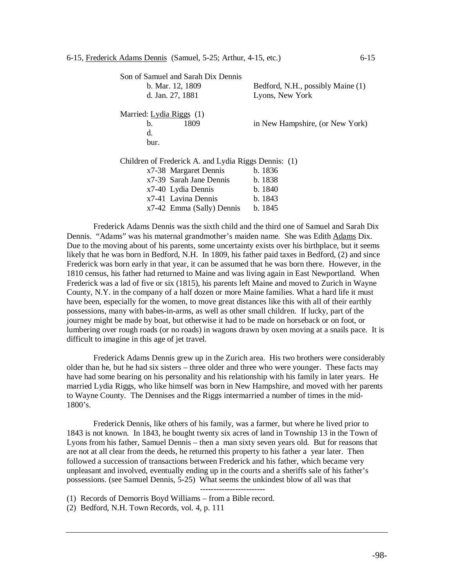| Son of Samuel and Sarah Dix Dennis                   |                                   |  |  |  |
|------------------------------------------------------|-----------------------------------|--|--|--|
| b. Mar. 12, 1809                                     | Bedford, N.H., possibly Maine (1) |  |  |  |
| d. Jan. 27, 1881                                     | Lyons, New York                   |  |  |  |
|                                                      |                                   |  |  |  |
| Married: Lydia Riggs (1)                             |                                   |  |  |  |
| 1809<br>b.                                           | in New Hampshire, (or New York)   |  |  |  |
| d.                                                   |                                   |  |  |  |
| bur.                                                 |                                   |  |  |  |
|                                                      |                                   |  |  |  |
| Children of Frederick A. and Lydia Riggs Dennis: (1) |                                   |  |  |  |
| x7-38 Margaret Dennis                                | b.1836                            |  |  |  |
| x7-39 Sarah Jane Dennis                              | b. 1838                           |  |  |  |
| x7-40 Lydia Dennis                                   | b.1840                            |  |  |  |
| x7-41 Lavina Dennis                                  | b.1843                            |  |  |  |
| x7-42 Emma (Sally) Dennis                            | b. 1845                           |  |  |  |

Frederick Adams Dennis was the sixth child and the third one of Samuel and Sarah Dix Dennis. "Adams" was his maternal grandmother's maiden name. She was Edith Adams Dix. Due to the moving about of his parents, some uncertainty exists over his birthplace, but it seems likely that he was born in Bedford, N.H. In 1809, his father paid taxes in Bedford, (2) and since Frederick was born early in that year, it can be assumed that he was born there. However, in the 1810 census, his father had returned to Maine and was living again in East Newportland. When Frederick was a lad of five or six (1815), his parents left Maine and moved to Zurich in Wayne County, N.Y. in the company of a half dozen or more Maine families. What a hard life it must have been, especially for the women, to move great distances like this with all of their earthly possessions, many with babes-in-arms, as well as other small children. If lucky, part of the journey might be made by boat, but otherwise it had to be made on horseback or on foot, or lumbering over rough roads (or no roads) in wagons drawn by oxen moving at a snails pace. It is difficult to imagine in this age of jet travel.

Frederick Adams Dennis grew up in the Zurich area. His two brothers were considerably older than he, but he had six sisters – three older and three who were younger. These facts may have had some bearing on his personality and his relationship with his family in later years. He married Lydia Riggs, who like himself was born in New Hampshire, and moved with her parents to Wayne County. The Dennises and the Riggs intermarried a number of times in the mid-1800's.

Frederick Dennis, like others of his family, was a farmer, but where he lived prior to 1843 is not known. In 1843, he bought twenty six acres of land in Township 13 in the Town of Lyons from his father, Samuel Dennis – then a man sixty seven years old. But for reasons that are not at all clear from the deeds, he returned this property to his father a year later. Then followed a succession of transactions between Frederick and his father, which became very unpleasant and involved, eventually ending up in the courts and a sheriffs sale of his father's possessions. (see Samuel Dennis, 5-25) What seems the unkindest blow of all was that

------------------------

(1) Records of Demorris Boyd Williams – from a Bible record.

(2) Bedford, N.H. Town Records, vol. 4, p. 111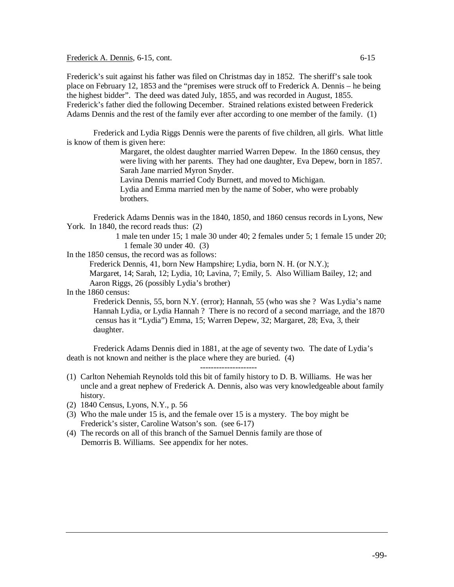Frederick A. Dennis, 6-15, cont. 6-15

Frederick's suit against his father was filed on Christmas day in 1852. The sheriff's sale took place on February 12, 1853 and the "premises were struck off to Frederick A. Dennis – he being the highest bidder". The deed was dated July, 1855, and was recorded in August, 1855. Frederick's father died the following December. Strained relations existed between Frederick Adams Dennis and the rest of the family ever after according to one member of the family. (1)

Frederick and Lydia Riggs Dennis were the parents of five children, all girls. What little is know of them is given here:

> Margaret, the oldest daughter married Warren Depew. In the 1860 census, they were living with her parents. They had one daughter, Eva Depew, born in 1857. Sarah Jane married Myron Snyder.

Lavina Dennis married Cody Burnett, and moved to Michigan. Lydia and Emma married men by the name of Sober, who were probably

brothers.

Frederick Adams Dennis was in the 1840, 1850, and 1860 census records in Lyons, New York. In 1840, the record reads thus:  $(2)$ 

> 1 male ten under 15; 1 male 30 under 40; 2 females under 5; 1 female 15 under 20; 1 female 30 under 40. (3)

In the 1850 census, the record was as follows:

Frederick Dennis, 41, born New Hampshire; Lydia, born N. H. (or N.Y.);

Margaret, 14; Sarah, 12; Lydia, 10; Lavina, 7; Emily, 5. Also William Bailey, 12; and Aaron Riggs, 26 (possibly Lydia's brother)

In the 1860 census:

Frederick Dennis, 55, born N.Y. (error); Hannah, 55 (who was she ? Was Lydia's name Hannah Lydia, or Lydia Hannah ? There is no record of a second marriage, and the 1870 census has it "Lydia") Emma, 15; Warren Depew, 32; Margaret, 28; Eva, 3, their daughter.

Frederick Adams Dennis died in 1881, at the age of seventy two. The date of Lydia's death is not known and neither is the place where they are buried. (4)

---------------------

- (1) Carlton Nehemiah Reynolds told this bit of family history to D. B. Williams. He was her uncle and a great nephew of Frederick A. Dennis, also was very knowledgeable about family history.
- (2) 1840 Census, Lyons, N.Y., p. 56
- (3) Who the male under 15 is, and the female over 15 is a mystery. The boy might be Frederick's sister, Caroline Watson's son. (see 6-17)
- (4) The records on all of this branch of the Samuel Dennis family are those of Demorris B. Williams. See appendix for her notes.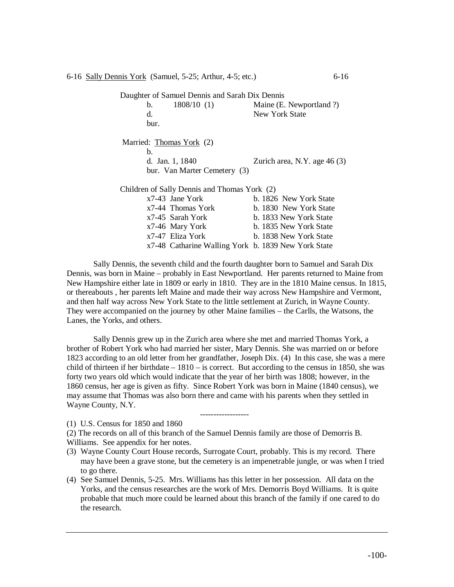6-16 Sally Dennis York (Samuel, 5-25; Arthur, 4-5; etc.) 6-16

Daughter of Samuel Dennis and Sarah Dix Dennis b. 1808/10 (1) Maine (E. Newportland ?) d. New York State bur. Married: Thomas York (2) b. d. Jan. 1, 1840 Zurich area, N.Y. age 46 (3) bur. Van Marter Cemetery (3) Children of Sally Dennis and Thomas York (2) x7-43 Jane York b. 1826 New York State x7-44 Thomas York b. 1830 New York State x7-45 Sarah York b. 1833 New York State x7-46 Mary York b. 1835 New York State x7-47 Eliza York b. 1838 New York State

x7-48 Catharine Walling York b. 1839 New York State

Sally Dennis, the seventh child and the fourth daughter born to Samuel and Sarah Dix Dennis, was born in Maine – probably in East Newportland. Her parents returned to Maine from New Hampshire either late in 1809 or early in 1810. They are in the 1810 Maine census. In 1815, or thereabouts , her parents left Maine and made their way across New Hampshire and Vermont, and then half way across New York State to the little settlement at Zurich, in Wayne County. They were accompanied on the journey by other Maine families – the Carlls, the Watsons, the Lanes, the Yorks, and others.

Sally Dennis grew up in the Zurich area where she met and married Thomas York, a brother of Robert York who had married her sister, Mary Dennis. She was married on or before 1823 according to an old letter from her grandfather, Joseph Dix. (4) In this case, she was a mere child of thirteen if her birthdate  $-1810 -$  is correct. But according to the census in 1850, she was forty two years old which would indicate that the year of her birth was 1808; however, in the 1860 census, her age is given as fifty. Since Robert York was born in Maine (1840 census), we may assume that Thomas was also born there and came with his parents when they settled in Wayne County, N.Y.

------------------

(1) U.S. Census for 1850 and 1860

(2) The records on all of this branch of the Samuel Dennis family are those of Demorris B. Williams. See appendix for her notes.

- (3) Wayne County Court House records, Surrogate Court, probably. This is my record. There may have been a grave stone, but the cemetery is an impenetrable jungle, or was when I tried to go there.
- (4) See Samuel Dennis, 5-25. Mrs. Williams has this letter in her possession. All data on the Yorks, and the census researches are the work of Mrs. Demorris Boyd Williams. It is quite probable that much more could be learned about this branch of the family if one cared to do the research.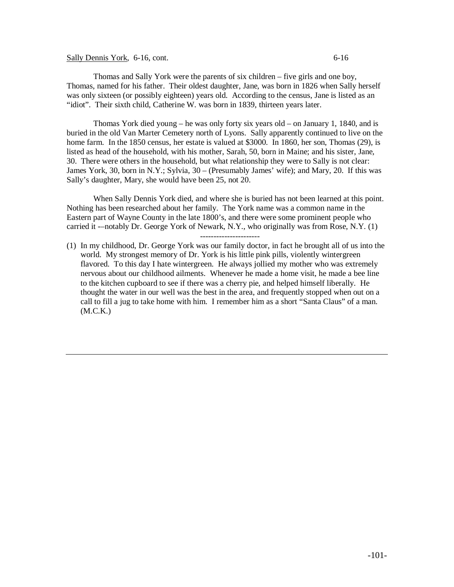## Sally Dennis York, 6-16, cont. 6-16

Thomas York died young – he was only forty six years old – on January 1, 1840, and is buried in the old Van Marter Cemetery north of Lyons. Sally apparently continued to live on the home farm. In the 1850 census, her estate is valued at \$3000. In 1860, her son, Thomas (29), is listed as head of the household, with his mother, Sarah, 50, born in Maine; and his sister, Jane, 30. There were others in the household, but what relationship they were to Sally is not clear: James York, 30, born in N.Y.; Sylvia, 30 – (Presumably James' wife); and Mary, 20. If this was Sally's daughter, Mary, she would have been 25, not 20.

When Sally Dennis York died, and where she is buried has not been learned at this point. Nothing has been researched about her family. The York name was a common name in the Eastern part of Wayne County in the late 1800's, and there were some prominent people who carried it -–notably Dr. George York of Newark, N.Y., who originally was from Rose, N.Y. (1)

----------------------

(1) In my childhood, Dr. George York was our family doctor, in fact he brought all of us into the world. My strongest memory of Dr. York is his little pink pills, violently wintergreen flavored. To this day I hate wintergreen. He always jollied my mother who was extremely nervous about our childhood ailments. Whenever he made a home visit, he made a bee line to the kitchen cupboard to see if there was a cherry pie, and helped himself liberally. He thought the water in our well was the best in the area, and frequently stopped when out on a call to fill a jug to take home with him. I remember him as a short "Santa Claus" of a man. (M.C.K.)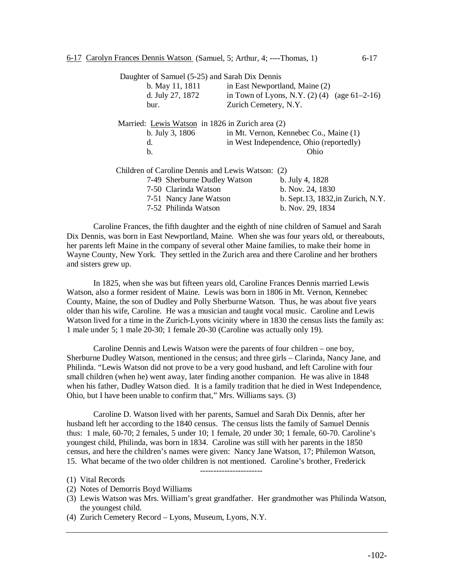| Daughter of Samuel (5-25) and Sarah Dix Dennis    |                                         |                                                    |
|---------------------------------------------------|-----------------------------------------|----------------------------------------------------|
| b. May 11, 1811                                   |                                         | in East Newportland, Maine (2)                     |
| d. July 27, 1872                                  |                                         | in Town of Lyons, N.Y. $(2)$ $(4)$ $(age 61-2-16)$ |
| bur.                                              | Zurich Cemetery, N.Y.                   |                                                    |
| Married: Lewis Watson in 1826 in Zurich area (2)  |                                         |                                                    |
| b. July 3, 1806                                   |                                         | in Mt. Vernon, Kennebec Co., Maine (1)             |
| d.                                                | in West Independence, Ohio (reportedly) |                                                    |
| b.                                                | Ohio                                    |                                                    |
| Children of Caroline Dennis and Lewis Watson: (2) |                                         |                                                    |
| 7-49 Sherburne Dudley Watson                      |                                         | b. July 4, 1828                                    |
| 7-50 Clarinda Watson                              |                                         | b. Nov. 24, 1830                                   |
| 7-51 Nancy Jane Watson                            |                                         | b. Sept.13, 1832, in Zurich, N.Y.                  |
| 7-52 Philinda Watson                              |                                         | b. Nov. 29, 1834                                   |

Caroline Frances, the fifth daughter and the eighth of nine children of Samuel and Sarah Dix Dennis, was born in East Newportland, Maine. When she was four years old, or thereabouts, her parents left Maine in the company of several other Maine families, to make their home in Wayne County, New York. They settled in the Zurich area and there Caroline and her brothers and sisters grew up.

In 1825, when she was but fifteen years old, Caroline Frances Dennis married Lewis Watson, also a former resident of Maine. Lewis was born in 1806 in Mt. Vernon, Kennebec County, Maine, the son of Dudley and Polly Sherburne Watson. Thus, he was about five years older than his wife, Caroline. He was a musician and taught vocal music. Caroline and Lewis Watson lived for a time in the Zurich-Lyons vicinity where in 1830 the census lists the family as: 1 male under 5; 1 male 20-30; 1 female 20-30 (Caroline was actually only 19).

Caroline Dennis and Lewis Watson were the parents of four children – one boy, Sherburne Dudley Watson, mentioned in the census; and three girls – Clarinda, Nancy Jane, and Philinda. "Lewis Watson did not prove to be a very good husband, and left Caroline with four small children (when he) went away, later finding another companion. He was alive in 1848 when his father, Dudley Watson died. It is a family tradition that he died in West Independence, Ohio, but I have been unable to confirm that," Mrs. Williams says. (3)

Caroline D. Watson lived with her parents, Samuel and Sarah Dix Dennis, after her husband left her according to the 1840 census. The census lists the family of Samuel Dennis thus: 1 male, 60-70; 2 females, 5 under 10; 1 female, 20 under 30; 1 female, 60-70. Caroline's youngest child, Philinda, was born in 1834. Caroline was still with her parents in the 1850 census, and here the children's names were given: Nancy Jane Watson, 17; Philemon Watson, 15. What became of the two older children is not mentioned. Caroline's brother, Frederick

- (2) Notes of Demorris Boyd Williams
- (3) Lewis Watson was Mrs. William's great grandfather. Her grandmother was Philinda Watson, the youngest child.

-----------------------

(4) Zurich Cemetery Record – Lyons, Museum, Lyons, N.Y.

<sup>(1)</sup> Vital Records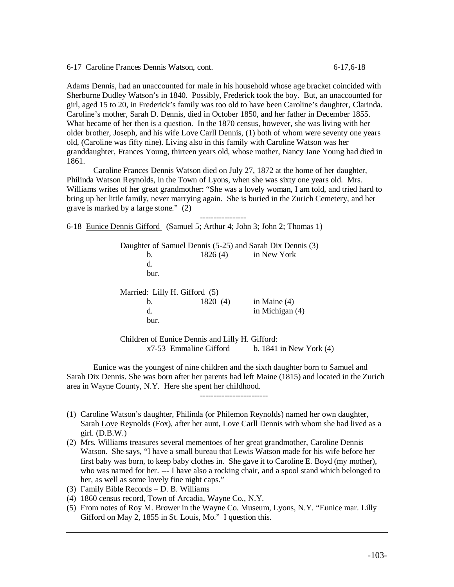6-17 Caroline Frances Dennis Watson, cont. 6-17,6-18

Adams Dennis, had an unaccounted for male in his household whose age bracket coincided with Sherburne Dudley Watson's in 1840. Possibly, Frederick took the boy. But, an unaccounted for girl, aged 15 to 20, in Frederick's family was too old to have been Caroline's daughter, Clarinda. Caroline's mother, Sarah D. Dennis, died in October 1850, and her father in December 1855. What became of her then is a question. In the 1870 census, however, she was living with her older brother, Joseph, and his wife Love Carll Dennis, (1) both of whom were seventy one years old, (Caroline was fifty nine). Living also in this family with Caroline Watson was her granddaughter, Frances Young, thirteen years old, whose mother, Nancy Jane Young had died in 1861.

Caroline Frances Dennis Watson died on July 27, 1872 at the home of her daughter, Philinda Watson Reynolds, in the Town of Lyons, when she was sixty one years old. Mrs. Williams writes of her great grandmother: "She was a lovely woman, I am told, and tried hard to bring up her little family, never marrying again. She is buried in the Zurich Cemetery, and her grave is marked by a large stone." (2)

-----------------

6-18 Eunice Dennis Gifford (Samuel 5; Arthur 4; John 3; John 2; Thomas 1)

Daughter of Samuel Dennis (5-25) and Sarah Dix Dennis (3) b. 1826 (4) in New York d. bur. Married: Lilly H. Gifford (5) b. 1820 (4) in Maine (4) d. in Michigan (4) bur.

Children of Eunice Dennis and Lilly H. Gifford:  $x7-53$  Emmaline Gifford b. 1841 in New York (4)

Eunice was the youngest of nine children and the sixth daughter born to Samuel and Sarah Dix Dennis. She was born after her parents had left Maine (1815) and located in the Zurich area in Wayne County, N.Y. Here she spent her childhood.

-------------------------

- (1) Caroline Watson's daughter, Philinda (or Philemon Reynolds) named her own daughter, Sarah Love Reynolds (Fox), after her aunt, Love Carll Dennis with whom she had lived as a girl.  $(D.B.W.)$
- (2) Mrs. Williams treasures several mementoes of her great grandmother, Caroline Dennis Watson. She says, "I have a small bureau that Lewis Watson made for his wife before her first baby was born, to keep baby clothes in. She gave it to Caroline E. Boyd (my mother), who was named for her. --- I have also a rocking chair, and a spool stand which belonged to her, as well as some lovely fine night caps."
- (3) Family Bible Records D. B. Williams
- (4) 1860 census record, Town of Arcadia, Wayne Co., N.Y.
- (5) From notes of Roy M. Brower in the Wayne Co. Museum, Lyons, N.Y. "Eunice mar. Lilly Gifford on May 2, 1855 in St. Louis, Mo." I question this.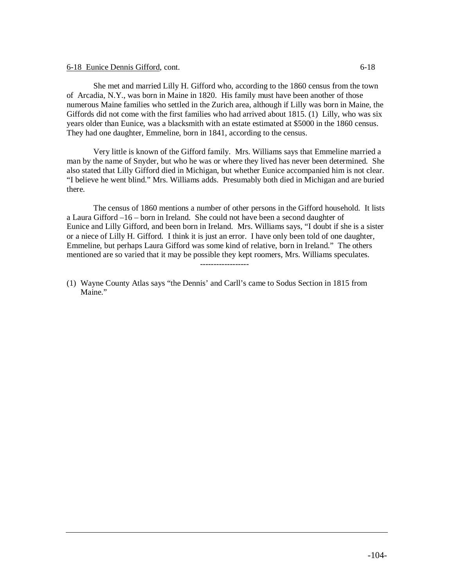#### 6-18 Eunice Dennis Gifford, cont. 6-18

She met and married Lilly H. Gifford who, according to the 1860 census from the town of Arcadia, N.Y., was born in Maine in 1820. His family must have been another of those numerous Maine families who settled in the Zurich area, although if Lilly was born in Maine, the Giffords did not come with the first families who had arrived about 1815. (1) Lilly, who was six years older than Eunice, was a blacksmith with an estate estimated at \$5000 in the 1860 census. They had one daughter, Emmeline, born in 1841, according to the census.

Very little is known of the Gifford family. Mrs. Williams says that Emmeline married a man by the name of Snyder, but who he was or where they lived has never been determined. She also stated that Lilly Gifford died in Michigan, but whether Eunice accompanied him is not clear. "I believe he went blind." Mrs. Williams adds. Presumably both died in Michigan and are buried there.

The census of 1860 mentions a number of other persons in the Gifford household. It lists a Laura Gifford –16 – born in Ireland. She could not have been a second daughter of Eunice and Lilly Gifford, and been born in Ireland. Mrs. Williams says, "I doubt if she is a sister or a niece of Lilly H. Gifford. I think it is just an error. I have only been told of one daughter, Emmeline, but perhaps Laura Gifford was some kind of relative, born in Ireland." The others mentioned are so varied that it may be possible they kept roomers, Mrs. Williams speculates.

(1) Wayne County Atlas says "the Dennis' and Carll's came to Sodus Section in 1815 from Maine."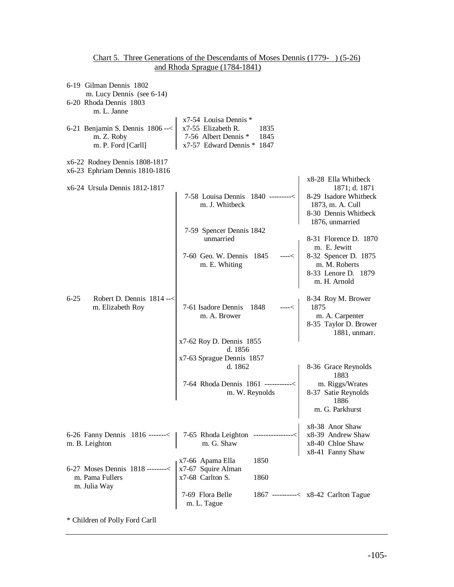| 6-19 Gilman Dennis 1802<br>m. Lucy Dennis (see 6-14)<br>6-20 Rhoda Dennis 1803<br>m. L. Janne                                                                                                                          |                                                                                                                                                                                                                                                                                                                                    |                                                                                                                                                       |  |
|------------------------------------------------------------------------------------------------------------------------------------------------------------------------------------------------------------------------|------------------------------------------------------------------------------------------------------------------------------------------------------------------------------------------------------------------------------------------------------------------------------------------------------------------------------------|-------------------------------------------------------------------------------------------------------------------------------------------------------|--|
| 6-21 Benjamin S. Dennis $1806 \rightarrow <  x7-55 $ Elizabeth R.<br>m. Z. Roby<br>m. P. Ford [Carll]                                                                                                                  | x7-54 Louisa Dennis *<br>1835<br>7-56 Albert Dennis * 1845<br>x7-57 Edward Dennis * 1847                                                                                                                                                                                                                                           |                                                                                                                                                       |  |
| x6-22 Rodney Dennis 1808-1817<br>x6-23 Ephriam Dennis 1810-1816                                                                                                                                                        |                                                                                                                                                                                                                                                                                                                                    |                                                                                                                                                       |  |
| x6-24 Ursula Dennis 1812-1817                                                                                                                                                                                          | 7-58 Louisa Dennis 1840 ---------<<br>m. J. Whitbeck<br>7-59 Spencer Dennis 1842<br>unmarried                                                                                                                                                                                                                                      | x8-28 Ella Whitbeck<br>1871; d. 1871<br>8-29 Isadore Whitbeck<br>1873, m. A. Cull<br>8-30 Dennis Whitbeck<br>1876, unmarried<br>8-31 Florence D. 1870 |  |
|                                                                                                                                                                                                                        | 7-60 Geo. W. Dennis 1845<br>m. E. Whiting                                                                                                                                                                                                                                                                                          | m. E. Jewitt<br>----<   m. E. Jewitt<br>8-32 Spencer D. 1875<br>m. M. Robert<br>8-33 Lenore D. 1879<br>m. H. Arnold                                   |  |
| $6 - 25$<br>Robert D. Dennis $1814 - <$<br>m. Elizabeth Roy                                                                                                                                                            | 7-61 Isadore Dennis 1848<br>m. A. Brower                                                                                                                                                                                                                                                                                           | 8-34 Roy M. Brower<br>1875<br>m. A. Carpenter<br>8-35 Taylor D. Brower<br>1881, unmarr.                                                               |  |
|                                                                                                                                                                                                                        | x7-62 Roy D. Dennis 1855                                                                                                                                                                                                                                                                                                           |                                                                                                                                                       |  |
|                                                                                                                                                                                                                        | d. 1856<br>x7-63 Sprague Dennis 1857                                                                                                                                                                                                                                                                                               |                                                                                                                                                       |  |
|                                                                                                                                                                                                                        | d. 1862                                                                                                                                                                                                                                                                                                                            | 8-36 Grace Reynolds                                                                                                                                   |  |
|                                                                                                                                                                                                                        | 7-64 Rhoda Dennis 1861 -----------<<br>m. W. Reynolds                                                                                                                                                                                                                                                                              | 1883<br>m. Riggs/Wrates<br>8-37 Satie Reynolds<br>1886<br>m. G. Parkhurst                                                                             |  |
|                                                                                                                                                                                                                        | 6-26 Fanny Dennis 1816 ------< $\begin{vmatrix} 7-65 & \text{Rhoda Leighton} \\ 1 & \text{Rhawa} \\ 1 & \text{Rhawa} \\ 1 & \text{Rhawa} \\ 1 & \text{Shaw} \\ 1 & \text{Smaw} \\ 1 & \text{Smaw} \\ 1 & \text{Smaw} \\ 1 & \text{Smaw} \\ 1 & \text{Smaw} \\ 1 & \text{Smaw} \\ 1 & \text{Smaw} \\ 1 & \text{Smaw} \\ 1 & \text{$ |                                                                                                                                                       |  |
| 6-27 Moses Dennis 1818 --------< $\begin{array}{r} x7-66 \text{ Apama Ella} \\ x7-67 \text{ Squire Alman} \\ x7-68 \text{ Carlton S.} \\ \text{m. Julia Way} \end{array}$<br>m. Julia Way 7-69 Flora Belle m. L. Tague | 1850<br>1860                                                                                                                                                                                                                                                                                                                       |                                                                                                                                                       |  |
|                                                                                                                                                                                                                        |                                                                                                                                                                                                                                                                                                                                    | 1867 ---------< x8-42 Carlton Tague                                                                                                                   |  |

# Chart 5. Three Generations of the Descendants of Moses Dennis (1779- ) (5-26) and Rhoda Sprague (1784-1841)

\* Children of Polly Ford Carll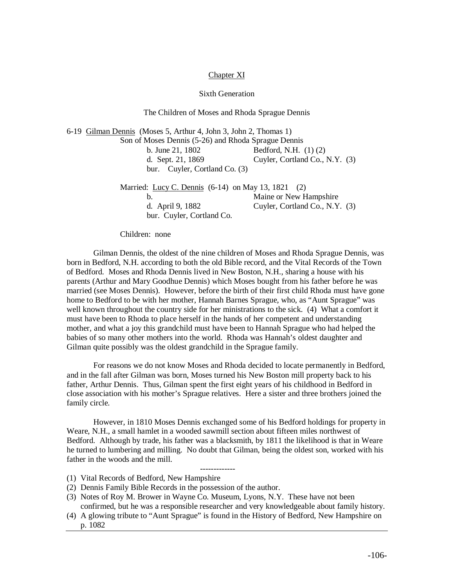## Chapter XI

### Sixth Generation

The Children of Moses and Rhoda Sprague Dennis

6-19 Gilman Dennis (Moses 5, Arthur 4, John 3, John 2, Thomas 1) Son of Moses Dennis (5-26) and Rhoda Sprague Dennis b. June 21, 1802 Bedford, N.H. (1) (2) d. Sept. 21, 1869 Cuyler, Cortland Co., N.Y. (3) bur. Cuyler, Cortland Co. (3) Married: Lucy C. Dennis (6-14) on May 13, 1821 (2) b. Maine or New Hampshire d. April 9, 1882 Cuyler, Cortland Co., N.Y. (3) bur. Cuyler, Cortland Co.

Children: none

Gilman Dennis, the oldest of the nine children of Moses and Rhoda Sprague Dennis, was born in Bedford, N.H. according to both the old Bible record, and the Vital Records of the Town of Bedford. Moses and Rhoda Dennis lived in New Boston, N.H., sharing a house with his parents (Arthur and Mary Goodhue Dennis) which Moses bought from his father before he was married (see Moses Dennis). However, before the birth of their first child Rhoda must have gone home to Bedford to be with her mother, Hannah Barnes Sprague, who, as "Aunt Sprague" was well known throughout the country side for her ministrations to the sick. (4) What a comfort it must have been to Rhoda to place herself in the hands of her competent and understanding mother, and what a joy this grandchild must have been to Hannah Sprague who had helped the babies of so many other mothers into the world. Rhoda was Hannah's oldest daughter and Gilman quite possibly was the oldest grandchild in the Sprague family.

For reasons we do not know Moses and Rhoda decided to locate permanently in Bedford, and in the fall after Gilman was born, Moses turned his New Boston mill property back to his father, Arthur Dennis. Thus, Gilman spent the first eight years of his childhood in Bedford in close association with his mother's Sprague relatives. Here a sister and three brothers joined the family circle.

However, in 1810 Moses Dennis exchanged some of his Bedford holdings for property in Weare, N.H., a small hamlet in a wooded sawmill section about fifteen miles northwest of Bedford. Although by trade, his father was a blacksmith, by 1811 the likelihood is that in Weare he turned to lumbering and milling. No doubt that Gilman, being the oldest son, worked with his father in the woods and the mill.

-------------

- (1) Vital Records of Bedford, New Hampshire
- (2) Dennis Family Bible Records in the possession of the author.
- (3) Notes of Roy M. Brower in Wayne Co. Museum, Lyons, N.Y. These have not been confirmed, but he was a responsible researcher and very knowledgeable about family history.
- (4) A glowing tribute to "Aunt Sprague" is found in the History of Bedford, New Hampshire on p. 1082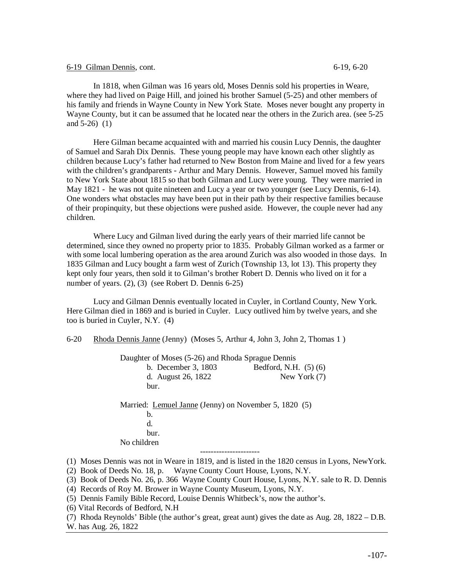#### 6-19 Gilman Dennis, cont. 6-19, 6-20

In 1818, when Gilman was 16 years old, Moses Dennis sold his properties in Weare, where they had lived on Paige Hill, and joined his brother Samuel (5-25) and other members of his family and friends in Wayne County in New York State. Moses never bought any property in Wayne County, but it can be assumed that he located near the others in the Zurich area. (see 5-25 and 5-26) (1)

Here Gilman became acquainted with and married his cousin Lucy Dennis, the daughter of Samuel and Sarah Dix Dennis. These young people may have known each other slightly as children because Lucy's father had returned to New Boston from Maine and lived for a few years with the children's grandparents - Arthur and Mary Dennis. However, Samuel moved his family to New York State about 1815 so that both Gilman and Lucy were young. They were married in May 1821 - he was not quite nineteen and Lucy a year or two younger (see Lucy Dennis, 6-14). One wonders what obstacles may have been put in their path by their respective families because of their propinquity, but these objections were pushed aside. However, the couple never had any children.

Where Lucy and Gilman lived during the early years of their married life cannot be determined, since they owned no property prior to 1835. Probably Gilman worked as a farmer or with some local lumbering operation as the area around Zurich was also wooded in those days. In 1835 Gilman and Lucy bought a farm west of Zurich (Township 13, lot 13). This property they kept only four years, then sold it to Gilman's brother Robert D. Dennis who lived on it for a number of years. (2), (3) (see Robert D. Dennis 6-25)

Lucy and Gilman Dennis eventually located in Cuyler, in Cortland County, New York. Here Gilman died in 1869 and is buried in Cuyler. Lucy outlived him by twelve years, and she too is buried in Cuyler, N.Y. (4)

6-20 Rhoda Dennis Janne (Jenny) (Moses 5, Arthur 4, John 3, John 2, Thomas 1 )

|                    | Daughter of Moses (5-26) and Rhoda Sprague Dennis |                                                       |  |
|--------------------|---------------------------------------------------|-------------------------------------------------------|--|
|                    | b. December 3, 1803                               | Bedford, N.H. (5) (6)                                 |  |
| d. August 26, 1822 |                                                   | New York $(7)$                                        |  |
| bur.               |                                                   |                                                       |  |
|                    |                                                   | Married: Lemuel Janne (Jenny) on November 5, 1820 (5) |  |
| b.                 |                                                   |                                                       |  |
| d.                 |                                                   |                                                       |  |
| bur.               |                                                   |                                                       |  |
| No children        |                                                   |                                                       |  |
|                    |                                                   |                                                       |  |

(1) Moses Dennis was not in Weare in 1819, and is listed in the 1820 census in Lyons, NewYork.

(2) Book of Deeds No. 18, p. Wayne County Court House, Lyons, N.Y.

(3) Book of Deeds No. 26, p. 366 Wayne County Court House, Lyons, N.Y. sale to R. D. Dennis

- (4) Records of Roy M. Brower in Wayne County Museum, Lyons, N.Y.
- (5) Dennis Family Bible Record, Louise Dennis Whitbeck's, now the author's.
- (6) Vital Records of Bedford, N.H
- (7) Rhoda Reynolds' Bible (the author's great, great aunt) gives the date as Aug. 28, 1822 D.B. W. has Aug. 26, 1822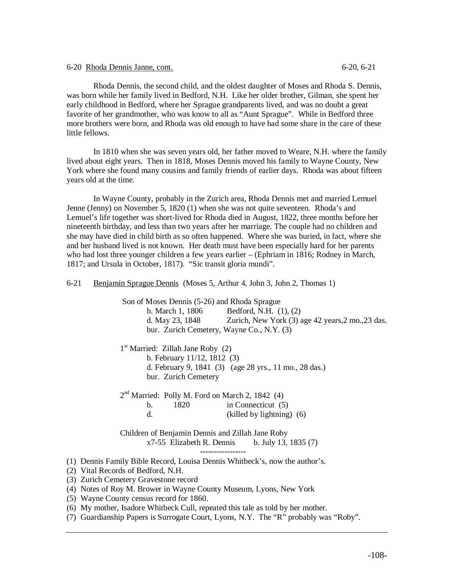6-20 Rhoda Dennis Janne, cont. 6-20, 6-21

Rhoda Dennis, the second child, and the oldest daughter of Moses and Rhoda S. Dennis, was born while her family lived in Bedford, N.H. Like her older brother, Gilman, she spent her early childhood in Bedford, where her Sprague grandparents lived, and was no doubt a great favorite of her grandmother, who was know to all as "Aunt Sprague". While in Bedford three more brothers were born, and Rhoda was old enough to have had some share in the care of these little fellows.

In 1810 when she was seven years old, her father moved to Weare, N.H. where the family lived about eight years. Then in 1818, Moses Dennis moved his family to Wayne County, New York where she found many cousins and family friends of earlier days. Rhoda was about fifteen years old at the time.

In Wayne County, probably in the Zurich area, Rhoda Dennis met and married Lemuel Jenne (Jenny) on November 5, 1820 (1) when she was not quite seventeen. Rhoda's and Lemuel's life together was short-lived for Rhoda died in August, 1822, three months before her nineteenth birthday, and less than two years after her marriage. The couple had no children and she may have died in child birth as so often happened. Where she was buried, in fact, where she and her husband lived is not known. Her death must have been especially hard for her parents who had lost three younger children a few years earlier – (Ephriam in 1816; Rodney in March, 1817; and Ursula in October, 1817). "Sic transit gloria mundi".

6-21 Benjamin Sprague Dennis (Moses 5, Arthur 4, John 3, John 2, Thomas 1)

 Son of Moses Dennis (5-26) and Rhoda Sprague b. March 1, 1806 Bedford, N.H. (1), (2) d. May 23, 1848 Zurich, New York (3) age 42 years,2 mo.,23 das. bur. Zurich Cemetery, Wayne Co., N.Y. (3)

1<sup>st</sup> Married: Zillah Jane Roby (2) b. February 11/12, 1812 (3) d. February 9, 1841 (3) (age 28 yrs., 11 mo., 28 das.) bur. Zurich Cemetery

2<sup>nd</sup> Married: Polly M. Ford on March 2, 1842 (4) b. 1820 in Connecticut (5) d. (killed by lightning) (6)

Children of Benjamin Dennis and Zillah Jane Roby  $x7-55$  Elizabeth R. Dennis b. July 13, 1835 (7) -----------------

(1) Dennis Family Bible Record, Louisa Dennis Whitbeck's, now the author's.

(2) Vital Records of Bedford, N.H.

(3) Zurich Cemetery Gravestone record

- (4) Notes of Roy M. Brower in Wayne County Museum, Lyons, New York
- (5) Wayne County census record for 1860.

(6) My mother, Isadore Whitbeck Cull, repeated this tale as told by her mother.

(7) Guardianship Papers is Surrogate Court, Lyons, N.Y. The "R" probably was "Roby".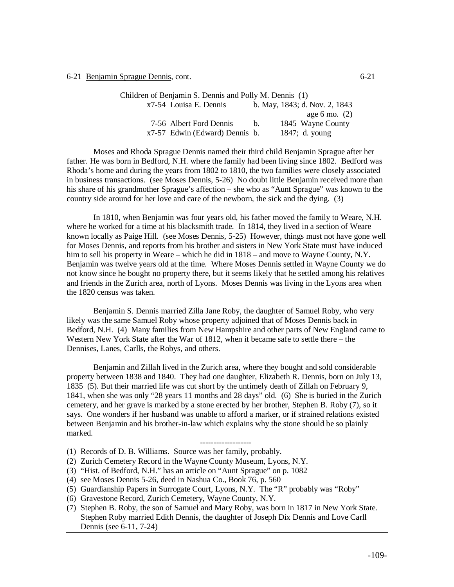6-21 <u>Benjamin Sprague Dennis</u>, cont. 6-21

| Children of Benjamin S. Dennis and Polly M. Dennis (1) |                                |             |                               |  |  |  |  |  |
|--------------------------------------------------------|--------------------------------|-------------|-------------------------------|--|--|--|--|--|
|                                                        | x7-54 Louisa E. Dennis         |             | b. May, 1843; d. Nov. 2, 1843 |  |  |  |  |  |
|                                                        |                                |             | age 6 mo. $(2)$               |  |  |  |  |  |
|                                                        | 7-56 Albert Ford Dennis        | $h_{\cdot}$ | 1845 Wayne County             |  |  |  |  |  |
|                                                        | x7-57 Edwin (Edward) Dennis b. |             | 1847; d. young                |  |  |  |  |  |

Moses and Rhoda Sprague Dennis named their third child Benjamin Sprague after her father. He was born in Bedford, N.H. where the family had been living since 1802. Bedford was Rhoda's home and during the years from 1802 to 1810, the two families were closely associated in business transactions. (see Moses Dennis, 5-26) No doubt little Benjamin received more than his share of his grandmother Sprague's affection – she who as "Aunt Sprague" was known to the country side around for her love and care of the newborn, the sick and the dying. (3)

In 1810, when Benjamin was four years old, his father moved the family to Weare, N.H. where he worked for a time at his blacksmith trade. In 1814, they lived in a section of Weare known locally as Paige Hill. (see Moses Dennis, 5-25) However, things must not have gone well for Moses Dennis, and reports from his brother and sisters in New York State must have induced him to sell his property in Weare – which he did in 1818 – and move to Wayne County, N.Y. Benjamin was twelve years old at the time. Where Moses Dennis settled in Wayne County we do not know since he bought no property there, but it seems likely that he settled among his relatives and friends in the Zurich area, north of Lyons. Moses Dennis was living in the Lyons area when the 1820 census was taken.

Benjamin S. Dennis married Zilla Jane Roby, the daughter of Samuel Roby, who very likely was the same Samuel Roby whose property adjoined that of Moses Dennis back in Bedford, N.H. (4) Many families from New Hampshire and other parts of New England came to Western New York State after the War of 1812, when it became safe to settle there – the Dennises, Lanes, Carlls, the Robys, and others.

Benjamin and Zillah lived in the Zurich area, where they bought and sold considerable property between 1838 and 1840. They had one daughter, Elizabeth R. Dennis, born on July 13, 1835 (5). But their married life was cut short by the untimely death of Zillah on February 9, 1841, when she was only "28 years 11 months and 28 days" old. (6) She is buried in the Zurich cemetery, and her grave is marked by a stone erected by her brother, Stephen B. Roby (7), so it says. One wonders if her husband was unable to afford a marker, or if strained relations existed between Benjamin and his brother-in-law which explains why the stone should be so plainly marked.

### -------------------

- (1) Records of D. B. Williams. Source was her family, probably.
- (2) Zurich Cemetery Record in the Wayne County Museum, Lyons, N.Y.
- (3) "Hist. of Bedford, N.H." has an article on "Aunt Sprague" on p. 1082
- (4) see Moses Dennis 5-26, deed in Nashua Co., Book 76, p. 560
- (5) Guardianship Papers in Surrogate Court, Lyons, N.Y. The "R" probably was "Roby"
- (6) Gravestone Record, Zurich Cemetery, Wayne County, N.Y.
- (7) Stephen B. Roby, the son of Samuel and Mary Roby, was born in 1817 in New York State. Stephen Roby married Edith Dennis, the daughter of Joseph Dix Dennis and Love Carll Dennis (see 6-11, 7-24)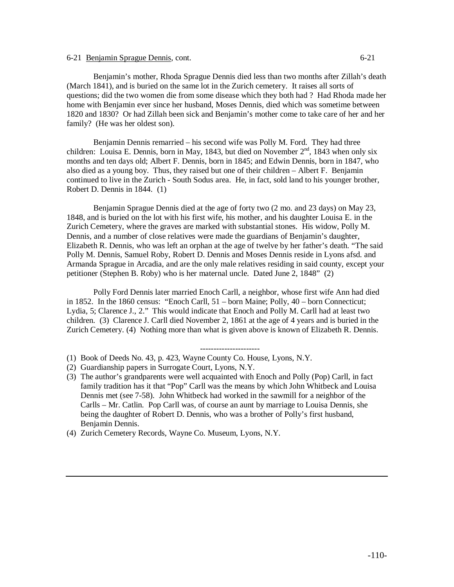# 6-21 Benjamin Sprague Dennis, cont. 6-21

Benjamin's mother, Rhoda Sprague Dennis died less than two months after Zillah's death (March 1841), and is buried on the same lot in the Zurich cemetery. It raises all sorts of questions; did the two women die from some disease which they both had ? Had Rhoda made her home with Benjamin ever since her husband, Moses Dennis, died which was sometime between 1820 and 1830? Or had Zillah been sick and Benjamin's mother come to take care of her and her family? (He was her oldest son).

Benjamin Dennis remarried – his second wife was Polly M. Ford. They had three children: Louisa E. Dennis, born in May, 1843, but died on November  $2<sup>nd</sup>$ , 1843 when only six months and ten days old; Albert F. Dennis, born in 1845; and Edwin Dennis, born in 1847, who also died as a young boy. Thus, they raised but one of their children – Albert F. Benjamin continued to live in the Zurich - South Sodus area. He, in fact, sold land to his younger brother, Robert D. Dennis in 1844. (1)

Benjamin Sprague Dennis died at the age of forty two (2 mo. and 23 days) on May 23, 1848, and is buried on the lot with his first wife, his mother, and his daughter Louisa E. in the Zurich Cemetery, where the graves are marked with substantial stones. His widow, Polly M. Dennis, and a number of close relatives were made the guardians of Benjamin's daughter, Elizabeth R. Dennis, who was left an orphan at the age of twelve by her father's death. "The said Polly M. Dennis, Samuel Roby, Robert D. Dennis and Moses Dennis reside in Lyons afsd. and Armanda Sprague in Arcadia, and are the only male relatives residing in said county, except your petitioner (Stephen B. Roby) who is her maternal uncle. Dated June 2, 1848" (2)

Polly Ford Dennis later married Enoch Carll, a neighbor, whose first wife Ann had died in 1852. In the 1860 census: "Enoch Carll, 51 – born Maine; Polly, 40 – born Connecticut; Lydia, 5; Clarence J., 2." This would indicate that Enoch and Polly M. Carll had at least two children. (3) Clarence J. Carll died November 2, 1861 at the age of 4 years and is buried in the Zurich Cemetery. (4) Nothing more than what is given above is known of Elizabeth R. Dennis.

### ----------------------

- (1) Book of Deeds No. 43, p. 423, Wayne County Co. House, Lyons, N.Y.
- (2) Guardianship papers in Surrogate Court, Lyons, N.Y.
- (3) The author's grandparents were well acquainted with Enoch and Polly (Pop) Carll, in fact family tradition has it that "Pop" Carll was the means by which John Whitbeck and Louisa Dennis met (see 7-58). John Whitbeck had worked in the sawmill for a neighbor of the Carlls – Mr. Catlin. Pop Carll was, of course an aunt by marriage to Louisa Dennis, she being the daughter of Robert D. Dennis, who was a brother of Polly's first husband, Benjamin Dennis.
- (4) Zurich Cemetery Records, Wayne Co. Museum, Lyons, N.Y.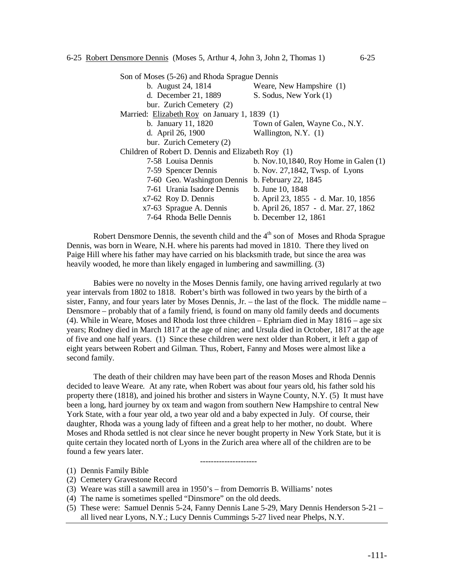|                                               | Son of Moses (5-26) and Rhoda Sprague Dennis       |                                             |  |  |  |  |  |
|-----------------------------------------------|----------------------------------------------------|---------------------------------------------|--|--|--|--|--|
|                                               | b. August 24, 1814                                 | Weare, New Hampshire (1)                    |  |  |  |  |  |
| d. December 21, 1889                          |                                                    | S. Sodus, New York (1)                      |  |  |  |  |  |
|                                               | bur. Zurich Cemetery (2)                           |                                             |  |  |  |  |  |
| Married: Elizabeth Roy on January 1, 1839 (1) |                                                    |                                             |  |  |  |  |  |
|                                               | b. January 11, 1820                                | Town of Galen, Wayne Co., N.Y.              |  |  |  |  |  |
| d. April 26, 1900                             |                                                    | Wallington, N.Y. $(1)$                      |  |  |  |  |  |
|                                               | bur. Zurich Cemetery (2)                           |                                             |  |  |  |  |  |
|                                               | Children of Robert D. Dennis and Elizabeth Roy (1) |                                             |  |  |  |  |  |
|                                               | 7-58 Louisa Dennis                                 | b. Nov. $10,1840$ , Roy Home in Galen $(1)$ |  |  |  |  |  |
|                                               | 7-59 Spencer Dennis                                | b. Nov. 27,1842, Twsp. of Lyons             |  |  |  |  |  |
|                                               | 7-60 Geo. Washington Dennis                        | b. February 22, 1845                        |  |  |  |  |  |
|                                               | 7-61 Urania Isadore Dennis                         | b. June 10, 1848                            |  |  |  |  |  |
|                                               | x7-62 Roy D. Dennis                                | b. April 23, 1855 - d. Mar. 10, 1856        |  |  |  |  |  |
|                                               | x7-63 Sprague A. Dennis                            | b. April 26, 1857 - d. Mar. 27, 1862        |  |  |  |  |  |
|                                               | 7-64 Rhoda Belle Dennis                            | b. December 12, 1861                        |  |  |  |  |  |

Robert Densmore Dennis, the seventh child and the  $4<sup>th</sup>$  son of Moses and Rhoda Sprague Dennis, was born in Weare, N.H. where his parents had moved in 1810. There they lived on Paige Hill where his father may have carried on his blacksmith trade, but since the area was heavily wooded, he more than likely engaged in lumbering and sawmilling. (3)

Babies were no novelty in the Moses Dennis family, one having arrived regularly at two year intervals from 1802 to 1818. Robert's birth was followed in two years by the birth of a sister, Fanny, and four years later by Moses Dennis,  $Jr -$  the last of the flock. The middle name – Densmore – probably that of a family friend, is found on many old family deeds and documents (4). While in Weare, Moses and Rhoda lost three children – Ephriam died in May 1816 – age six years; Rodney died in March 1817 at the age of nine; and Ursula died in October, 1817 at the age of five and one half years. (1) Since these children were next older than Robert, it left a gap of eight years between Robert and Gilman. Thus, Robert, Fanny and Moses were almost like a second family.

The death of their children may have been part of the reason Moses and Rhoda Dennis decided to leave Weare. At any rate, when Robert was about four years old, his father sold his property there (1818), and joined his brother and sisters in Wayne County, N.Y. (5) It must have been a long, hard journey by ox team and wagon from southern New Hampshire to central New York State, with a four year old, a two year old and a baby expected in July. Of course, their daughter, Rhoda was a young lady of fifteen and a great help to her mother, no doubt. Where Moses and Rhoda settled is not clear since he never bought property in New York State, but it is quite certain they located north of Lyons in the Zurich area where all of the children are to be found a few years later.



- (1) Dennis Family Bible
- (2) Cemetery Gravestone Record
- (3) Weare was still a sawmill area in 1950's from Demorris B. Williams' notes
- (4) The name is sometimes spelled "Dinsmore" on the old deeds.
- (5) These were: Samuel Dennis 5-24, Fanny Dennis Lane 5-29, Mary Dennis Henderson 5-21 all lived near Lyons, N.Y.; Lucy Dennis Cummings 5-27 lived near Phelps, N.Y.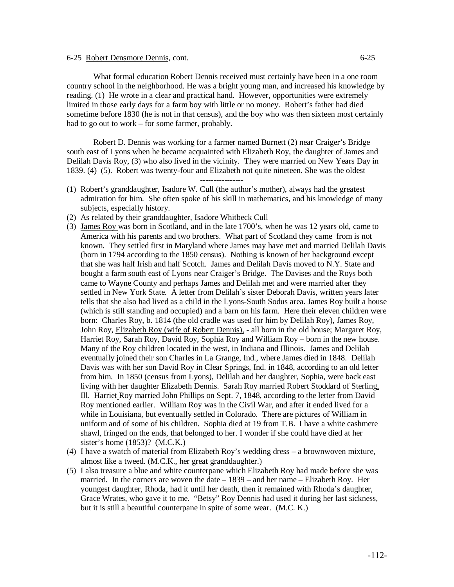# 6-25 Robert Densmore Dennis, cont. 6-25

What formal education Robert Dennis received must certainly have been in a one room country school in the neighborhood. He was a bright young man, and increased his knowledge by reading. (1) He wrote in a clear and practical hand. However, opportunities were extremely limited in those early days for a farm boy with little or no money. Robert's father had died sometime before 1830 (he is not in that census), and the boy who was then sixteen most certainly had to go out to work – for some farmer, probably.

Robert D. Dennis was working for a farmer named Burnett (2) near Craiger's Bridge south east of Lyons when he became acquainted with Elizabeth Roy, the daughter of James and Delilah Davis Roy, (3) who also lived in the vicinity. They were married on New Years Day in 1839. (4) (5). Robert was twenty-four and Elizabeth not quite nineteen. She was the oldest

----------------

- (1) Robert's granddaughter, Isadore W. Cull (the author's mother), always had the greatest admiration for him. She often spoke of his skill in mathematics, and his knowledge of many subjects, especially history.
- (2) As related by their granddaughter, Isadore Whitbeck Cull
- (3) James Roy was born in Scotland, and in the late 1700's, when he was 12 years old, came to America with his parents and two brothers. What part of Scotland they came from is not known. They settled first in Maryland where James may have met and married Delilah Davis (born in 1794 according to the 1850 census). Nothing is known of her background except that she was half Irish and half Scotch. James and Delilah Davis moved to N.Y. State and bought a farm south east of Lyons near Craiger's Bridge. The Davises and the Roys both came to Wayne County and perhaps James and Delilah met and were married after they settled in New York State. A letter from Delilah's sister Deborah Davis, written years later tells that she also had lived as a child in the Lyons-South Sodus area. James Roy built a house (which is still standing and occupied) and a barn on his farm. Here their eleven children were born: Charles Roy, b. 1814 (the old cradle was used for him by Delilah Roy), James Roy, John Roy, Elizabeth Roy (wife of Robert Dennis), - all born in the old house; Margaret Roy, Harriet Roy, Sarah Roy, David Roy, Sophia Roy and William Roy – born in the new house. Many of the Roy children located in the west, in Indiana and Illinois. James and Delilah eventually joined their son Charles in La Grange, Ind., where James died in 1848. Delilah Davis was with her son David Roy in Clear Springs, Ind. in 1848, according to an old letter from him. In 1850 (census from Lyons), Delilah and her daughter, Sophia, were back east living with her daughter Elizabeth Dennis. Sarah Roy married Robert Stoddard of Sterling, Ill. Harriet Roy married John Phillips on Sept. 7, 1848, according to the letter from David Roy mentioned earlier. William Roy was in the Civil War, and after it ended lived for a while in Louisiana, but eventually settled in Colorado. There are pictures of William in uniform and of some of his children. Sophia died at 19 from T.B. I have a white cashmere shawl, fringed on the ends, that belonged to her. I wonder if she could have died at her sister's home (1853)? (M.C.K.)
- (4) I have a swatch of material from Elizabeth Roy's wedding dress a brownwoven mixture, almost like a tweed. (M.C.K., her great granddaughter.)
- (5) I also treasure a blue and white counterpane which Elizabeth Roy had made before she was married. In the corners are woven the date – 1839 – and her name – Elizabeth Roy. Her youngest daughter, Rhoda, had it until her death, then it remained with Rhoda's daughter, Grace Wrates, who gave it to me. "Betsy" Roy Dennis had used it during her last sickness, but it is still a beautiful counterpane in spite of some wear. (M.C. K.)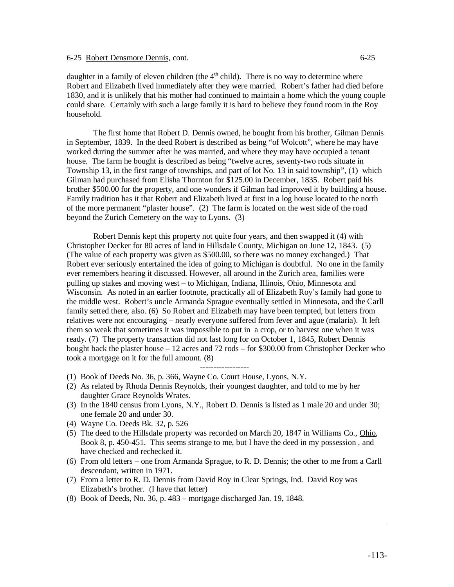daughter in a family of eleven children (the  $4<sup>th</sup>$  child). There is no way to determine where Robert and Elizabeth lived immediately after they were married. Robert's father had died before 1830, and it is unlikely that his mother had continued to maintain a home which the young couple could share. Certainly with such a large family it is hard to believe they found room in the Roy household.

The first home that Robert D. Dennis owned, he bought from his brother, Gilman Dennis in September, 1839. In the deed Robert is described as being "of Wolcott", where he may have worked during the summer after he was married, and where they may have occupied a tenant house. The farm he bought is described as being "twelve acres, seventy-two rods situate in Township 13, in the first range of townships, and part of lot No. 13 in said township", (1) which Gilman had purchased from Elisha Thornton for \$125.00 in December, 1835. Robert paid his brother \$500.00 for the property, and one wonders if Gilman had improved it by building a house. Family tradition has it that Robert and Elizabeth lived at first in a log house located to the north of the more permanent "plaster house". (2) The farm is located on the west side of the road beyond the Zurich Cemetery on the way to Lyons. (3)

Robert Dennis kept this property not quite four years, and then swapped it (4) with Christopher Decker for 80 acres of land in Hillsdale County, Michigan on June 12, 1843. (5) (The value of each property was given as \$500.00, so there was no money exchanged.) That Robert ever seriously entertained the idea of going to Michigan is doubtful. No one in the family ever remembers hearing it discussed. However, all around in the Zurich area, families were pulling up stakes and moving west – to Michigan, Indiana, Illinois, Ohio, Minnesota and Wisconsin. As noted in an earlier footnote, practically all of Elizabeth Roy's family had gone to the middle west. Robert's uncle Armanda Sprague eventually settled in Minnesota, and the Carll family setted there, also. (6) So Robert and Elizabeth may have been tempted, but letters from relatives were not encouraging – nearly everyone suffered from fever and ague (malaria). It left them so weak that sometimes it was impossible to put in a crop, or to harvest one when it was ready. (7) The property transaction did not last long for on October 1, 1845, Robert Dennis bought back the plaster house – 12 acres and 72 rods – for \$300.00 from Christopher Decker who took a mortgage on it for the full amount. (8)

- ------------------ (1) Book of Deeds No. 36, p. 366, Wayne Co. Court House, Lyons, N.Y.
- (2) As related by Rhoda Dennis Reynolds, their youngest daughter, and told to me by her daughter Grace Reynolds Wrates.
- (3) In the 1840 census from Lyons, N.Y., Robert D. Dennis is listed as 1 male 20 and under 30; one female 20 and under 30.
- (4) Wayne Co. Deeds Bk. 32, p. 526
- (5) The deed to the Hillsdale property was recorded on March 20, 1847 in Williams Co., Ohio, Book 8, p. 450-451. This seems strange to me, but I have the deed in my possession , and have checked and rechecked it.
- (6) From old letters one from Armanda Sprague, to R. D. Dennis; the other to me from a Carll descendant, written in 1971.
- (7) From a letter to R. D. Dennis from David Roy in Clear Springs, Ind. David Roy was Elizabeth's brother. (I have that letter)
- (8) Book of Deeds, No. 36, p. 483 mortgage discharged Jan. 19, 1848.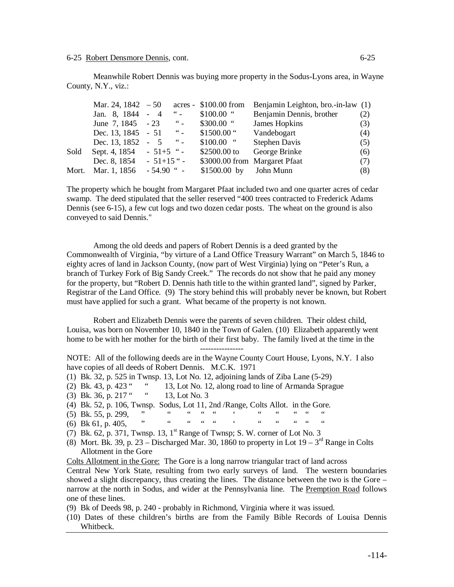Meanwhile Robert Dennis was buying more property in the Sodus-Lyons area, in Wayne County, N.Y., viz.:

|       | Mar. 24, 1842 $-50$ acres - \$100.00 from |              |                      |                         | Benjamin Leighton, bro.-in-law (1) |     |
|-------|-------------------------------------------|--------------|----------------------|-------------------------|------------------------------------|-----|
|       | Jan. 8, 1844 - 4                          |              | $\frac{1}{2}$        | $$100.00$ "             | Benjamin Dennis, brother           | (2) |
|       | June 7, 1845 - 23                         |              | $\frac{1}{2}$        | $$300.00$ "             | James Hopkins                      | (3) |
|       | Dec. 13, 1845 - 51 "-                     |              |                      | $$1500.00$ "            | Vandebogart                        | (4) |
|       | Dec. 13, 1852                             | $-5$         | $\sim$ $\sim$ $\sim$ | $$100.00$ "             | <b>Stephen Davis</b>               | (5) |
| Sold  | Sept. 4, $1854 - 51 + 5$ "-               |              |                      | $$2500.00$ to           | George Brinke                      | (6) |
|       | Dec. 8, 1854                              | $-51+15$ " - |                      |                         | \$3000.00 from Margaret Pfaat      | (7) |
| Mort. | Mar. 1, 1856                              | $-54.90$ " - |                      | $$1500.00$ by John Munn |                                    | (8) |

The property which he bought from Margaret Pfaat included two and one quarter acres of cedar swamp. The deed stipulated that the seller reserved "400 trees contracted to Frederick Adams Dennis (see 6-15), a few cut logs and two dozen cedar posts. The wheat on the ground is also conveyed to said Dennis."

Among the old deeds and papers of Robert Dennis is a deed granted by the Commonwealth of Virginia, "by virture of a Land Office Treasury Warrant" on March 5, 1846 to eighty acres of land in Jackson County, (now part of West Virginia) lying on "Peter's Run, a branch of Turkey Fork of Big Sandy Creek." The records do not show that he paid any money for the property, but "Robert D. Dennis hath title to the within granted land", signed by Parker, Registrar of the Land Office. (9) The story behind this will probably never be known, but Robert must have applied for such a grant. What became of the property is not known.

Robert and Elizabeth Dennis were the parents of seven children. Their oldest child, Louisa, was born on November 10, 1840 in the Town of Galen. (10) Elizabeth apparently went home to be with her mother for the birth of their first baby. The family lived at the time in the

----------------

NOTE: All of the following deeds are in the Wayne County Court House, Lyons, N.Y. I also have copies of all deeds of Robert Dennis. M.C.K. 1971

(1) Bk. 32, p. 525 in Twnsp. 13, Lot No. 12, adjoining lands of Ziba Lane (5-29)

(2) Bk. 43, p. 423 " " 13, Lot No. 12, along road to line of Armanda Sprague

- (3) Bk. 36, p. 217 " " 13, Lot No. 3
- (4) Bk. 52, p. 106, Twnsp. Sodus, Lot 11, 2nd /Range, Colts Allot. in the Gore.
- $(5)$  Bk. 55, p. 299,  $(5)$   $(6)$   $Bk. 61$  p. 405  $(6)$   $Bk. 61$  p. 405  $(6)$   $Bk. 61$  p. 405  $(6)$   $Bk. 61$  p. 405  $(6)$   $Bk. 61$  p. 405  $(6)$   $Bk. 61$  p. 405  $(6)$   $Bk. 61$  p. 405  $(6)$   $Bk. 61$  p. 405  $(6)$   $Bk. 61$  p.
- (6) Bk 61, p. 405,
- (7) Bk. 62, p. 371, Twnsp. 13,  $1<sup>st</sup>$  Range of Twnsp; S. W. corner of Lot No. 3
- (8) Mort. Bk. 39, p. 23 Discharged Mar. 30, 1860 to property in Lot  $19 3<sup>rd</sup>$  Range in Colts Allotment in the Gore

Colts Allotment in the Gore: The Gore is a long narrow triangular tract of land across

Central New York State, resulting from two early surveys of land. The western boundaries showed a slight discrepancy, thus creating the lines. The distance between the two is the Gore – narrow at the north in Sodus, and wider at the Pennsylvania line. The Premption Road follows one of these lines.

(9) Bk of Deeds 98, p. 240 - probably in Richmond, Virginia where it was issued.

(10) Dates of these children's births are from the Family Bible Records of Louisa Dennis Whitbeck.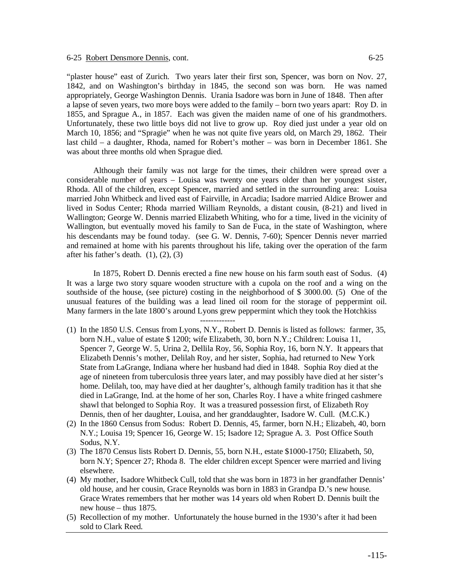"plaster house" east of Zurich. Two years later their first son, Spencer, was born on Nov. 27, 1842, and on Washington's birthday in 1845, the second son was born. He was named appropriately, George Washington Dennis. Urania Isadore was born in June of 1848. Then after a lapse of seven years, two more boys were added to the family – born two years apart: Roy D. in 1855, and Sprague A., in 1857. Each was given the maiden name of one of his grandmothers. Unfortunately, these two little boys did not live to grow up. Roy died just under a year old on March 10, 1856; and "Spragie" when he was not quite five years old, on March 29, 1862. Their last child – a daughter, Rhoda, named for Robert's mother – was born in December 1861. She was about three months old when Sprague died.

Although their family was not large for the times, their children were spread over a considerable number of years – Louisa was twenty one years older than her youngest sister, Rhoda. All of the children, except Spencer, married and settled in the surrounding area: Louisa married John Whitbeck and lived east of Fairville, in Arcadia; Isadore married Aldice Brower and lived in Sodus Center; Rhoda married William Reynolds, a distant cousin, (8-21) and lived in Wallington; George W. Dennis married Elizabeth Whiting, who for a time, lived in the vicinity of Wallington, but eventually moved his family to San de Fuca, in the state of Washington, where his descendants may be found today. (see G. W. Dennis, 7-60); Spencer Dennis never married and remained at home with his parents throughout his life, taking over the operation of the farm after his father's death.  $(1)$ ,  $(2)$ ,  $(3)$ 

In 1875, Robert D. Dennis erected a fine new house on his farm south east of Sodus. (4) It was a large two story square wooden structure with a cupola on the roof and a wing on the southside of the house, (see picture) costing in the neighborhood of \$ 3000.00. (5) One of the unusual features of the building was a lead lined oil room for the storage of peppermint oil. Many farmers in the late 1800's around Lyons grew peppermint which they took the Hotchkiss

-------------

- (1) In the 1850 U.S. Census from Lyons, N.Y., Robert D. Dennis is listed as follows: farmer, 35, born N.H., value of estate \$ 1200; wife Elizabeth, 30, born N.Y.; Children: Louisa 11, Spencer 7, George W. 5, Urina 2, Dellila Roy, 56, Sophia Roy, 16, born N.Y. It appears that Elizabeth Dennis's mother, Delilah Roy, and her sister, Sophia, had returned to New York State from LaGrange, Indiana where her husband had died in 1848. Sophia Roy died at the age of nineteen from tuberculosis three years later, and may possibly have died at her sister's home. Delilah, too, may have died at her daughter's, although family tradition has it that she died in LaGrange, Ind. at the home of her son, Charles Roy. I have a white fringed cashmere shawl that belonged to Sophia Roy. It was a treasured possession first, of Elizabeth Roy Dennis, then of her daughter, Louisa, and her granddaughter, Isadore W. Cull. (M.C.K.)
- (2) In the 1860 Census from Sodus: Robert D. Dennis, 45, farmer, born N.H.; Elizabeh, 40, born N.Y.; Louisa 19; Spencer 16, George W. 15; Isadore 12; Sprague A. 3. Post Office South Sodus, N.Y.
- (3) The 1870 Census lists Robert D. Dennis, 55, born N.H., estate \$1000-1750; Elizabeth, 50, born N.Y; Spencer 27; Rhoda 8. The elder children except Spencer were married and living elsewhere.
- (4) My mother, Isadore Whitbeck Cull, told that she was born in 1873 in her grandfather Dennis' old house, and her cousin, Grace Reynolds was born in 1883 in Grandpa D.'s new house. Grace Wrates remembers that her mother was 14 years old when Robert D. Dennis built the new house – thus 1875.
- (5) Recollection of my mother. Unfortunately the house burned in the 1930's after it had been sold to Clark Reed.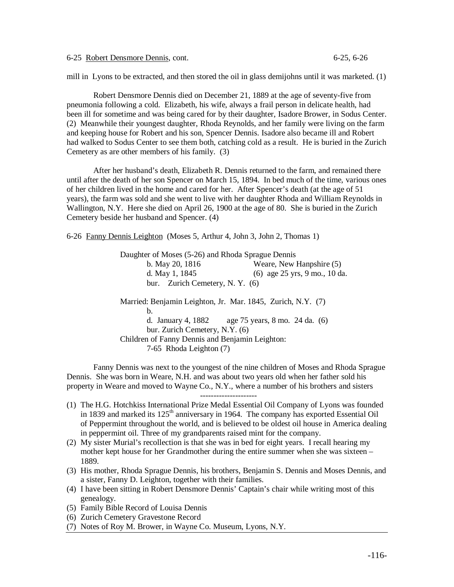6-25 Robert Densmore Dennis, cont. 6-25, 6-26

mill in Lyons to be extracted, and then stored the oil in glass demijohns until it was marketed. (1)

Robert Densmore Dennis died on December 21, 1889 at the age of seventy-five from pneumonia following a cold. Elizabeth, his wife, always a frail person in delicate health, had been ill for sometime and was being cared for by their daughter, Isadore Brower, in Sodus Center. (2) Meanwhile their youngest daughter, Rhoda Reynolds, and her family were living on the farm and keeping house for Robert and his son, Spencer Dennis. Isadore also became ill and Robert had walked to Sodus Center to see them both, catching cold as a result. He is buried in the Zurich Cemetery as are other members of his family. (3)

After her husband's death, Elizabeth R. Dennis returned to the farm, and remained there until after the death of her son Spencer on March 15, 1894. In bed much of the time, various ones of her children lived in the home and cared for her. After Spencer's death (at the age of 51 years), the farm was sold and she went to live with her daughter Rhoda and William Reynolds in Wallington, N.Y. Here she died on April 26, 1900 at the age of 80. She is buried in the Zurich Cemetery beside her husband and Spencer. (4)

6-26 Fanny Dennis Leighton (Moses 5, Arthur 4, John 3, John 2, Thomas 1)

 Daughter of Moses (5-26) and Rhoda Sprague Dennis b. May 20, 1816 Weare, New Hanpshire (5) d. May 1, 1845 (6) age 25 yrs, 9 mo., 10 da. bur. Zurich Cemetery, N. Y. (6) Married: Benjamin Leighton, Jr. Mar. 1845, Zurich, N.Y. (7) b. d. January 4, 1882 age 75 years, 8 mo. 24 da. (6) bur. Zurich Cemetery, N.Y. (6) Children of Fanny Dennis and Benjamin Leighton: 7-65 Rhoda Leighton (7)

Fanny Dennis was next to the youngest of the nine children of Moses and Rhoda Sprague Dennis. She was born in Weare, N.H. and was about two years old when her father sold his property in Weare and moved to Wayne Co., N.Y., where a number of his brothers and sisters ---------------------

- (1) The H.G. Hotchkiss International Prize Medal Essential Oil Company of Lyons was founded in 1839 and marked its  $125<sup>th</sup>$  anniversary in 1964. The company has exported Essential Oil of Peppermint throughout the world, and is believed to be oldest oil house in America dealing in peppermint oil. Three of my grandparents raised mint for the company.
- (2) My sister Murial's recollection is that she was in bed for eight years. I recall hearing my mother kept house for her Grandmother during the entire summer when she was sixteen – 1889.
- (3) His mother, Rhoda Sprague Dennis, his brothers, Benjamin S. Dennis and Moses Dennis, and a sister, Fanny D. Leighton, together with their families.
- (4) I have been sitting in Robert Densmore Dennis' Captain's chair while writing most of this genealogy.
- (5) Family Bible Record of Louisa Dennis
- (6) Zurich Cemetery Gravestone Record
- (7) Notes of Roy M. Brower, in Wayne Co. Museum, Lyons, N.Y.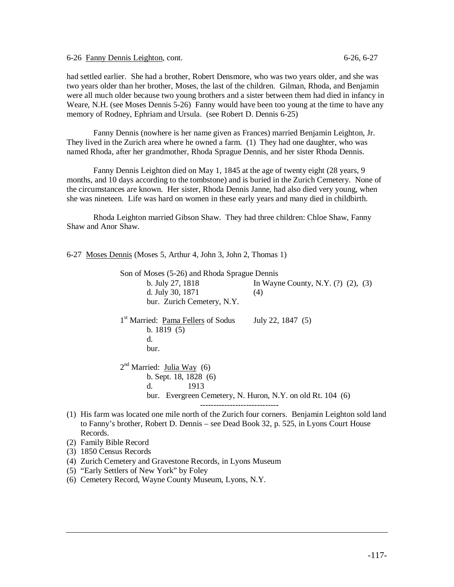6-26 Fanny Dennis Leighton, cont. 6-26, 6-27

had settled earlier. She had a brother, Robert Densmore, who was two years older, and she was two years older than her brother, Moses, the last of the children. Gilman, Rhoda, and Benjamin were all much older because two young brothers and a sister between them had died in infancy in Weare, N.H. (see Moses Dennis 5-26) Fanny would have been too young at the time to have any memory of Rodney, Ephriam and Ursula. (see Robert D. Dennis 6-25)

Fanny Dennis (nowhere is her name given as Frances) married Benjamin Leighton, Jr. They lived in the Zurich area where he owned a farm. (1) They had one daughter, who was named Rhoda, after her grandmother, Rhoda Sprague Dennis, and her sister Rhoda Dennis.

Fanny Dennis Leighton died on May 1, 1845 at the age of twenty eight (28 years, 9 months, and 10 days according to the tombstone) and is buried in the Zurich Cemetery. None of the circumstances are known. Her sister, Rhoda Dennis Janne, had also died very young, when she was nineteen. Life was hard on women in these early years and many died in childbirth.

Rhoda Leighton married Gibson Shaw. They had three children: Chloe Shaw, Fanny Shaw and Anor Shaw.

6-27 Moses Dennis (Moses 5, Arthur 4, John 3, John 2, Thomas 1)

 Son of Moses (5-26) and Rhoda Sprague Dennis b. July 27, 1818 In Wayne County, N.Y. (?) (2), (3) d. July 30, 1871 (4) bur. Zurich Cemetery, N.Y. 1<sup>st</sup> Married: Pama Fellers of Sodus July 22, 1847 (5) b. 1819 (5) d. bur. 2<sup>nd</sup> Married: Julia Way (6) b. Sept. 18, 1828 (6) d. 1913 bur. Evergreen Cemetery, N. Huron, N.Y. on old Rt. 104 (6) -----------------------------

- (1) His farm was located one mile north of the Zurich four corners. Benjamin Leighton sold land to Fanny's brother, Robert D. Dennis – see Dead Book 32, p. 525, in Lyons Court House Records.
- (2) Family Bible Record
- (3) 1850 Census Records
- (4) Zurich Cemetery and Gravestone Records, in Lyons Museum
- (5) "Early Settlers of New York" by Foley
- (6) Cemetery Record, Wayne County Museum, Lyons, N.Y.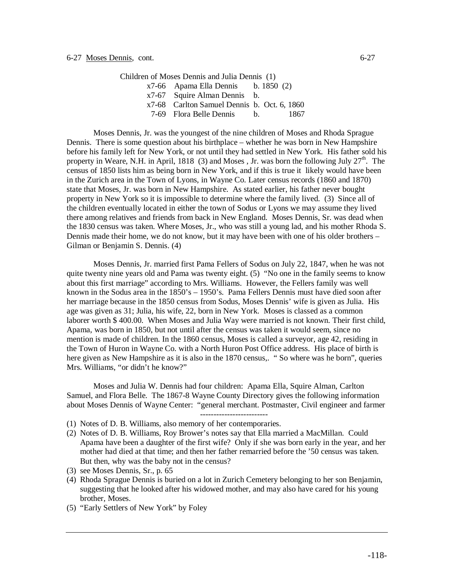Children of Moses Dennis and Julia Dennis (1) x7-66 Apama Ella Dennis b. 1850 (2) x7-67 Squire Alman Dennis b. x7-68 Carlton Samuel Dennis b. Oct. 6, 1860 7-69 Flora Belle Dennis b. 1867

Moses Dennis, Jr. was the youngest of the nine children of Moses and Rhoda Sprague Dennis. There is some question about his birthplace – whether he was born in New Hampshire before his family left for New York, or not until they had settled in New York. His father sold his property in Weare, N.H. in April, 1818 (3) and Moses, Jr. was born the following July  $27<sup>th</sup>$ . The census of 1850 lists him as being born in New York, and if this is true it likely would have been in the Zurich area in the Town of Lyons, in Wayne Co. Later census records (1860 and 1870) state that Moses, Jr. was born in New Hampshire. As stated earlier, his father never bought property in New York so it is impossible to determine where the family lived. (3) Since all of the children eventually located in either the town of Sodus or Lyons we may assume they lived there among relatives and friends from back in New England. Moses Dennis, Sr. was dead when the 1830 census was taken. Where Moses, Jr., who was still a young lad, and his mother Rhoda S. Dennis made their home, we do not know, but it may have been with one of his older brothers – Gilman or Benjamin S. Dennis. (4)

Moses Dennis, Jr. married first Pama Fellers of Sodus on July 22, 1847, when he was not quite twenty nine years old and Pama was twenty eight. (5) "No one in the family seems to know about this first marriage" according to Mrs. Williams. However, the Fellers family was well known in the Sodus area in the 1850's – 1950's. Pama Fellers Dennis must have died soon after her marriage because in the 1850 census from Sodus, Moses Dennis' wife is given as Julia. His age was given as 31; Julia, his wife, 22, born in New York. Moses is classed as a common laborer worth \$ 400.00. When Moses and Julia Way were married is not known. Their first child, Apama, was born in 1850, but not until after the census was taken it would seem, since no mention is made of children. In the 1860 census, Moses is called a surveyor, age 42, residing in the Town of Huron in Wayne Co. with a North Huron Post Office address. His place of birth is here given as New Hampshire as it is also in the 1870 census,. "So where was he born", queries Mrs. Williams, "or didn't he know?"

Moses and Julia W. Dennis had four children: Apama Ella, Squire Alman, Carlton Samuel, and Flora Belle. The 1867-8 Wayne County Directory gives the following information about Moses Dennis of Wayne Center: "general merchant. Postmaster, Civil engineer and farmer -------------------------

- (1) Notes of D. B. Williams, also memory of her contemporaries.
- (2) Notes of D. B. Williams, Roy Brower's notes say that Ella married a MacMillan. Could Apama have been a daughter of the first wife? Only if she was born early in the year, and her mother had died at that time; and then her father remarried before the '50 census was taken. But then, why was the baby not in the census?
- (3) see Moses Dennis, Sr., p. 65
- (4) Rhoda Sprague Dennis is buried on a lot in Zurich Cemetery belonging to her son Benjamin, suggesting that he looked after his widowed mother, and may also have cared for his young brother, Moses.
- (5) "Early Settlers of New York" by Foley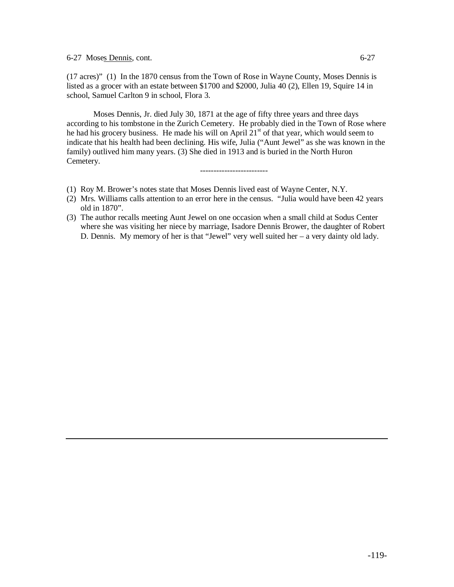6-27 Moses Dennis, cont. 6-27

(17 acres)" (1) In the 1870 census from the Town of Rose in Wayne County, Moses Dennis is listed as a grocer with an estate between \$1700 and \$2000, Julia 40 (2), Ellen 19, Squire 14 in school, Samuel Carlton 9 in school, Flora 3.

Moses Dennis, Jr. died July 30, 1871 at the age of fifty three years and three days according to his tombstone in the Zurich Cemetery. He probably died in the Town of Rose where he had his grocery business. He made his will on April  $21<sup>st</sup>$  of that year, which would seem to indicate that his health had been declining. His wife, Julia ("Aunt Jewel" as she was known in the family) outlived him many years. (3) She died in 1913 and is buried in the North Huron Cemetery.

-------------------------

- (1) Roy M. Brower's notes state that Moses Dennis lived east of Wayne Center, N.Y.
- (2) Mrs. Williams calls attention to an error here in the census. "Julia would have been 42 years old in 1870".
- (3) The author recalls meeting Aunt Jewel on one occasion when a small child at Sodus Center where she was visiting her niece by marriage, Isadore Dennis Brower, the daughter of Robert D. Dennis. My memory of her is that "Jewel" very well suited her – a very dainty old lady.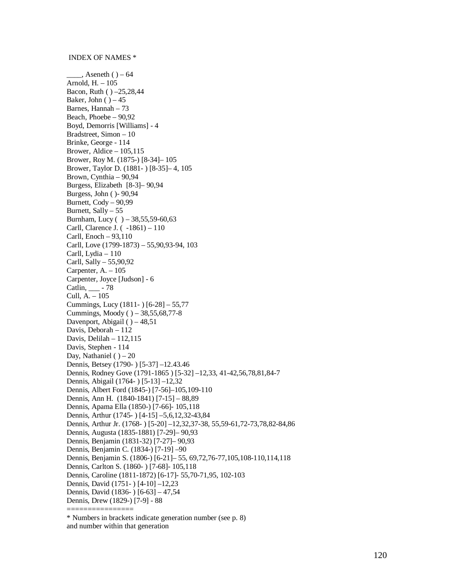### INDEX OF NAMES \*

 $_$ , Aseneth ( ) – 64 Arnold, H. – 105 Bacon, Ruth ( ) –25,28,44 Baker, John  $( ) -45$ Barnes, Hannah – 73 Beach, Phoebe – 90,92 Boyd, Demorris [Williams] - 4 Bradstreet, Simon – 10 Brinke, George - 114 Brower, Aldice  $-105,115$ Brower, Roy M. (1875-) [8-34]– 105 Brower, Taylor D. (1881- ) [8-35]– 4, 105 Brown, Cynthia – 90,94 Burgess, Elizabeth [8-3]– 90,94 Burgess, John ( )- 90,94 Burnett, Cody – 90,99 Burnett, Sally – 55 Burnham, Lucy ( ) – 38,55,59-60,63 Carll, Clarence J. ( -1861) – 110 Carll, Enoch – 93,110 Carll, Love (1799-1873) – 55,90,93-94, 103 Carll, Lydia – 110 Carll, Sally – 55,90,92 Carpenter,  $A = 105$ Carpenter, Joyce [Judson] - 6 Catlin, \_\_\_ - 78 Cull, A. – 105 Cummings, Lucy (1811- ) [6-28] – 55,77 Cummings, Moody ( ) – 38,55,68,77-8 Davenport, Abigail ( ) - 48,51 Davis, Deborah – 112 Davis, Delilah – 112,115 Davis, Stephen - 114 Day, Nathaniel ( $) - 20$ Dennis, Betsey (1790- ) [5-37] –12.43.46 Dennis, Rodney Gove (1791-1865 ) [5-32] –12,33, 41-42,56,78,81,84-7 Dennis, Abigail (1764- ) [5-13] –12,32 Dennis, Albert Ford (1845-) [7-56]–105,109-110 Dennis, Ann H. (1840-1841) [7-15] – 88,89 Dennis, Apama Ella (1850-) [7-66]- 105,118 Dennis, Arthur (1745- ) [4-15] –5,6,12,32-43,84 Dennis, Arthur Jr. (1768- ) [5-20] –12,32,37-38, 55,59-61,72-73,78,82-84,86 Dennis, Augusta (1835-1881) [7-29]– 90,93 Dennis, Benjamin (1831-32) [7-27]– 90,93 Dennis, Benjamin C. (1834-) [7-19] –90 Dennis, Benjamin S. (1806-) [6-21]– 55, 69,72,76-77,105,108-110,114,118 Dennis, Carlton S. (1860- ) [7-68]- 105,118 Dennis, Caroline (1811-1872) [6-17]- 55,70-71,95, 102-103 Dennis, David (1751- ) [4-10] –12,23 Dennis, David (1836- ) [6-63] – 47,54 Dennis, Drew (1829-) [7-9] - 88 ================

\* Numbers in brackets indicate generation number (see p. 8) and number within that generation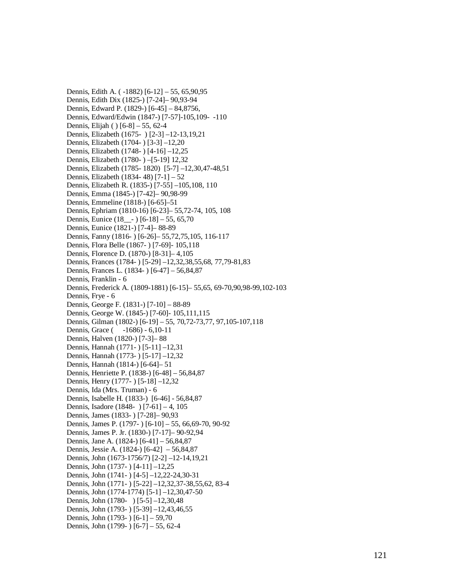Dennis, Edith A. (-1882) [6-12] - 55, 65,90,95 Dennis, Edith Dix (1825-) [7-24]- 90,93-94 Dennis, Edward P. (1829-) [6-45] - 84,8756, Dennis, Edward/Edwin (1847-) [7-57]-105,109-110 Dennis, Elijah () [6-8] – 55, 62-4 Dennis, Elizabeth (1675 - ) [2-3] -12-13, 19, 21 Dennis, Elizabeth (1704-) [3-3] -12,20 Dennis, Elizabeth (1748-) [4-16] -12,25 Dennis, Elizabeth (1780- ) - [5-19] 12,32 Dennis, Elizabeth (1785-1820) [5-7] -12,30,47-48,51 Dennis, Elizabeth (1834-48) [7-1] – 52 Dennis, Elizabeth R. (1835-) [7-55] -105,108, 110 Dennis, Emma (1845-) [7-42]- 90,98-99 Dennis, Emmeline (1818-) [6-65]-51 Dennis, Ephriam (1810-16) [6-23]- 55,72-74, 105, 108 Dennis, Eunice (18<sub>—</sub>-) [6-18] – 55, 65,70 Dennis, Eunice (1821-) [7-4]-88-89 Dennis, Fanny (1816-) [6-26]– 55,72,75,105, 116-117 Dennis, Flora Belle (1867- ) [7-69]- 105,118 Dennis, Florence D. (1870-) [8-31]-4,105 Dennis, Frances (1784-) [5-29] -12,32,38,55,68, 77,79-81,83 Dennis, Frances L. (1834-) [6-47] – 56,84,87 Dennis, Franklin - 6 Dennis, Frederick A. (1809-1881) [6-15]- 55,65, 69-70,90,98-99,102-103 Dennis, Frye - 6 Dennis, George F. (1831-) [7-10] - 88-89 Dennis, George W. (1845-) [7-60]- 105,111,115 Dennis, Gilman (1802-) [6-19] – 55, 70,72-73,77, 97,105-107,118 Dennis, Grace (  $-1686$ )  $- 6,10-11$ Dennis, Halven (1820-) [7-3]-88 Dennis, Hannah (1771 - ) [5 - 11] - 12,31 Dennis, Hannah (1773- ) [5-17] -12,32 Dennis, Hannah (1814-) [6-64]– 51 Dennis, Henriette P. (1838-) [6-48] - 56,84,87 Dennis, Henry (1777-) [5-18] -12,32 Dennis, Ida (Mrs. Truman) - 6 Dennis, Isabelle H. (1833-) [6-46] - 56,84,87 Dennis, Isadore (1848 - ) [7-61] - 4, 105 Dennis, James (1833-) [7-28] - 90,93 Dennis, James P. (1797-) [6-10] – 55, 66,69-70, 90-92 Dennis, James P. Jr. (1830-) [7-17]– 90-92,94 Dennis, Jane A. (1824-) [6-41] – 56,84,87 Dennis, Jessie A. (1824-) [6-42] - 56,84,87 Dennis, John (1673-1756/7) [2-2] -12-14,19,21 Dennis, John (1737 - ) [4-11] -12,25 Dennis, John (1741 - ) [4-5] -12,22-24,30-31 Dennis, John (1771-) [5-22] -12,32,37-38,55,62, 83-4 Dennis, John (1774-1774) [5-1] -12,30,47-50 Dennis, John (1780- ) [5-5] -12,30,48 Dennis, John (1793 - ) [5 - 39] - 12, 43, 46, 55 Dennis, John (1793 - ) [6-1] – 59,70 Dennis, John (1799-) [6-7] – 55, 62-4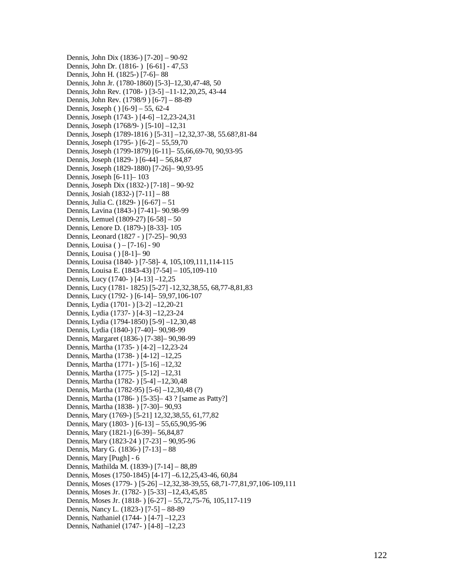Dennis, John Dix (1836-) [7-20] – 90-92 Dennis, John Dr. (1816-) [6-61] - 47,53 Dennis, John H. (1825-) [7-6]-88 Dennis, John Jr. (1780-1860) [5-3]-12,30,47-48, 50 Dennis, John Rev. (1708-) [3-5] -11-12, 20, 25, 43-44 Dennis, John Rev. (1798/9) [6-7] – 88-89 Dennis, Joseph () [6-9] – 55, 62-4 Dennis, Joseph (1743- ) [4-6] -12,23-24,31 Dennis, Joseph (1768/9-) [5-10] -12,31 Dennis, Joseph (1789-1816) [5-31] -12,32,37-38, 55.68?,81-84 Dennis, Joseph (1795 - ) [6-2] – 55,59,70 Dennis, Joseph (1799-1879) [6-11]– 55,66,69-70, 90,93-95 Dennis, Joseph (1829-) [6-44] – 56,84,87 Dennis, Joseph (1829-1880) [7-26]- 90,93-95 Dennis, Joseph [6-11]–103 Dennis, Joseph Dix (1832-) [7-18] - 90-92 Dennis, Josiah (1832-) [7-11] - 88 Dennis, Julia C. (1829 - ) [6-67] – 51 Dennis, Lavina (1843-) [7-41]- 90.98-99 Dennis, Lemuel (1809-27) [6-58] - 50 Dennis, Lenore D. (1879-) [8-33]- 105 Dennis, Leonard (1827 - ) [7-25] - 90,93 Dennis, Louisa () – [7-16] - 90 Dennis, Louisa () [8-1]–90 Dennis, Louisa (1840- ) [7-58]- 4, 105,109,111,114-115 Dennis, Louisa E. (1843-43) [7-54] - 105,109-110 Dennis, Lucy (1740- ) [4-13] -12,25 Dennis, Lucy (1781-1825) [5-27] -12,32,38,55, 68,77-8,81,83 Dennis, Lucy (1792-) [6-14]-59,97,106-107 Dennis, Lydia (1701 - ) [3-2] -12,20-21 Dennis, Lydia (1737 - ) [4-3] -12,23-24 Dennis, Lydia (1794-1850) [5-9] -12,30,48 Dennis, Lydia (1840-) [7-40]- 90,98-99 Dennis, Margaret (1836-) [7-38]- 90,98-99 Dennis, Martha (1735 - ) [4-2] -12,23-24 Dennis, Martha (1738 - ) [4 - 12] - 12,25 Dennis, Martha (1771 - ) [5 - 16] - 12,32 Dennis, Martha (1775 - ) [5 - 12] - 12,31 Dennis, Martha (1782 - ) [5-4] -12,30,48 Dennis, Martha (1782-95) [5-6] -12,30,48 (?) Dennis, Martha (1786-) [5-35] - 43 ? [same as Patty?] Dennis, Martha (1838-) [7-30]-90,93 Dennis, Mary (1769-) [5-21] 12,32,38,55, 61,77,82 Dennis, Mary (1803-) [6-13] - 55,65,90,95-96 Dennis, Mary (1821-) [6-39]– 56,84,87 Dennis, Mary (1823-24) [7-23] - 90,95-96 Dennis, Mary G. (1836-) [7-13] - 88 Dennis, Mary [Pugh] - 6 Dennis, Mathilda M. (1839-) [7-14] - 88,89 Dennis, Moses (1750-1845) [4-17] -6.12,25,43-46, 60,84 Dennis, Moses (1779-) [5-26] -12,32,38-39,55, 68,71-77,81,97,106-109,111 Dennis, Moses Jr. (1782- ) [5-33] -12,43,45,85 Dennis, Moses Jr. (1818-) [6-27] – 55,72,75-76, 105,117-119 Dennis, Nancy L. (1823-) [7-5] - 88-89 Dennis, Nathaniel (1744-) [4-7] -12,23 Dennis, Nathaniel (1747-) [4-8] -12,23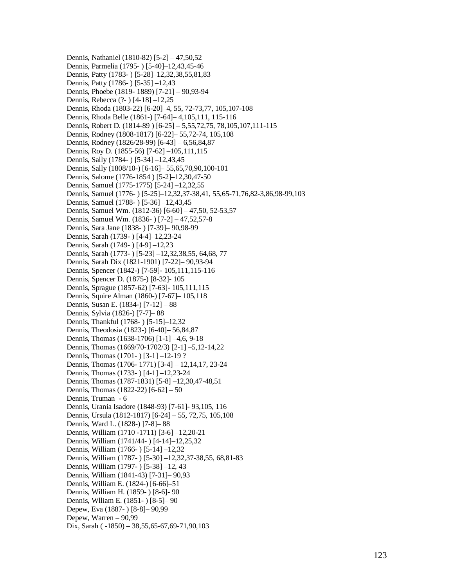Dennis, Nathaniel (1810-82) [5-2] – 47,50,52 Dennis, Parmelia (1795- ) [5-40]–12,43,45-46 Dennis, Patty (1783- ) [5-28]–12,32,38,55,81,83 Dennis, Patty (1786- ) [5-35] –12,43 Dennis, Phoebe (1819- 1889) [7-21] – 90,93-94 Dennis, Rebecca (?- ) [4-18] –12,25 Dennis, Rhoda (1803-22) [6-20]–4, 55, 72-73,77, 105,107-108 Dennis, Rhoda Belle (1861-) [7-64]– 4,105,111, 115-116 Dennis, Robert D. (1814-89 ) [6-25] – 5,55,72,75, 78,105,107,111-115 Dennis, Rodney (1808-1817) [6-22]– 55,72-74, 105,108 Dennis, Rodney (1826/28-99) [6-43] – 6,56,84,87 Dennis, Roy D. (1855-56) [7-62] –105,111,115 Dennis, Sally (1784- ) [5-34] –12,43,45 Dennis, Sally (1808/10-) [6-16]– 55,65,70,90,100-101 Dennis, Salome (1776-1854 ) [5-2]–12,30,47-50 Dennis, Samuel (1775-1775) [5-24] –12,32,55 Dennis, Samuel (1776- ) [5-25]–12,32,37-38,41, 55,65-71,76,82-3,86,98-99,103 Dennis, Samuel (1788- ) [5-36] –12,43,45 Dennis, Samuel Wm. (1812-36) [6-60] – 47,50, 52-53,57 Dennis, Samuel Wm. (1836- ) [7-2] – 47,52,57-8 Dennis, Sara Jane (1838- ) [7-39]– 90,98-99 Dennis, Sarah (1739- ) [4-4]–12,23-24 Dennis, Sarah (1749- ) [4-9] –12,23 Dennis, Sarah (1773- ) [5-23] –12,32,38,55, 64,68, 77 Dennis, Sarah Dix (1821-1901) [7-22]– 90,93-94 Dennis, Spencer (1842-) [7-59]- 105,111,115-116 Dennis, Spencer D. (1875-) [8-32]- 105 Dennis, Sprague (1857-62) [7-63]- 105,111,115 Dennis, Squire Alman (1860-) [7-67]– 105,118 Dennis, Susan E. (1834-) [7-12] – 88 Dennis, Sylvia (1826-) [7-7]– 88 Dennis, Thankful (1768- ) [5-15]–12,32 Dennis, Theodosia (1823-) [6-40]– 56,84,87 Dennis, Thomas (1638-1706) [1-1] –4,6, 9-18 Dennis, Thomas (1669/70-1702/3) [2-1] –5,12-14,22 Dennis, Thomas (1701- ) [3-1] –12-19 ? Dennis, Thomas (1706- 1771) [3-4] – 12,14,17, 23-24 Dennis, Thomas (1733- ) [4-1] –12,23-24 Dennis, Thomas (1787-1831) [5-8] –12,30,47-48,51 Dennis, Thomas (1822-22) [6-62] – 50 Dennis, Truman - 6 Dennis, Urania Isadore (1848-93) [7-61]- 93,105, 116 Dennis, Ursula (1812-1817) [6-24] – 55, 72,75, 105,108 Dennis, Ward L. (1828-) ]7-8]– 88 Dennis, William (1710 -1711) [3-6] –12,20-21 Dennis, William (1741/44- ) [4-14]–12,25,32 Dennis, William (1766- ) [5-14] –12,32 Dennis, William (1787- ) [5-30] –12,32,37-38,55, 68,81-83 Dennis, William (1797- ) [5-38] –12, 43 Dennis, William (1841-43) [7-31]– 90,93 Dennis, William E. (1824-) [6-66]–51 Dennis, William H. (1859- ) [8-6]- 90 Dennis, Wlliam E. (1851- ) [8-5]– 90 Depew, Eva (1887- ) [8-8]– 90,99 Depew, Warren – 90,99 Dix, Sarah ( -1850) – 38,55,65-67,69-71,90,103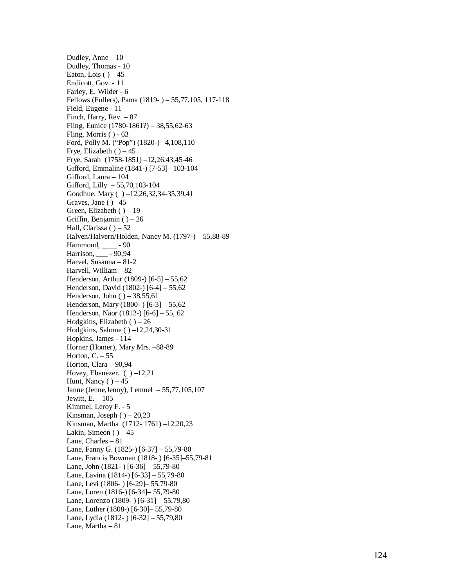Dudley, Anne - 10 Dudley, Thomas - 10 Eaton, Lois  $( )-45$ Endicott, Gov. - 11 Farley, E. Wilder - 6 Fellows (Fullers), Pama (1819-) – 55,77,105, 117-118 Field, Eugene - 11 Finch, Harry, Rev. - 87 Fling, Eunice (1780-1861?) – 38,55,62-63 Fling, Morris () - 63 Ford, Polly M. ("Pop") (1820-) -4,108,110 Frye, Elizabeth () - 45 Frye, Sarah (1758-1851) -12,26,43,45-46 Gifford, Emmaline (1841-) [7-53]-103-104 Gifford, Laura - 104 Gifford, Lilly - 55,70,103-104 Goodhue, Mary ( ) -12,26,32,34-35,39,41 Graves, Jane () -45 Green, Elizabeth () - 19 Griffin, Benjamin () - 26 Hall, Clarissa () – 52 Halven/Halvern/Holden, Nancy M. (1797-) - 55,88-89 Hammond, \_\_\_\_\_ - 90 Harrison, <u>\_\_\_</u> - 90,94 Harvel, Susanna - 81-2 Harvell, William - 82 Henderson, Arthur  $(1809)$  [6-5]  $-55,62$ Henderson, David (1802-) [6-4] - 55,62 Henderson, John  $( ) -38,55,61$ Henderson, Mary  $(1800-)$  [6-3]  $-55,62$ Henderson, Naor (1812-) [6-6] – 55, 62 Hodgkins, Elizabeth  $( ) - 26$ Hodgkins, Salome () -12,24,30-31 Hopkins, James - 114 Horner (Homer), Mary Mrs. -88-89 Horton,  $C. - 55$ Horton, Clara - 90,94 Hovey, Ebenezer.  $( ) -12,21$ Hunt, Nancy  $( )-45$ Janne (Jenne, Jenny), Lemuel - 55,77, 105, 107 J e witt , E . – 105 Kimmel, Leroy F. - 5 Kinsman, Joseph  $( ) -20,23$ Kinsman, Martha (1712-1761) -12,20,23 Lakin, Simeon  $( )-45$ Lane, Charles - 81 Lane, Fanny G. (1825-) [6-37] – 55,79-80 Lane, Francis Bowman (1818-) [6-35]-55,79-81 Lane, John (1821 - ) [6-36] - 55,79-80 Lane, Lavina (1814-) [6-33] - 55,79-80 Lane, Levi (1806-) [6-29] - 55,79-80 Lane, Loren (1816-) [6-34]- 55,79-80 Lane, Lorenzo (1809-) [6-31] – 55,79,80 Lane, Luther (1808-) [6-30]- 55,79-80 Lane, Lydia (1812- ) [6-32] - 55,79,80 Lane, Martha - 81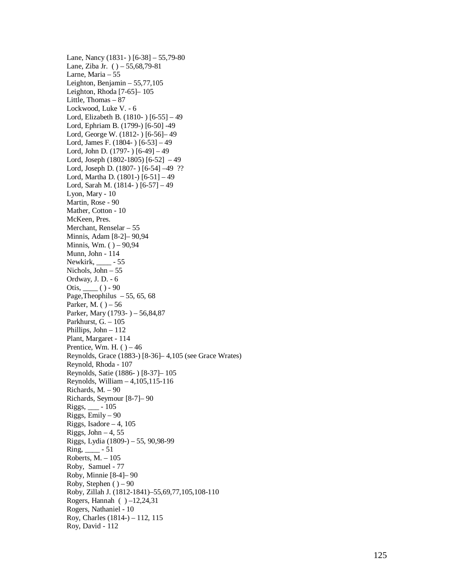Lane, Nancy (1831 - ) [6-38] - 55,79-80 Lane, Ziba Jr. () – 55,68,79-81 Larne, Maria - 55 Leighton, Benjamin  $-55,77,105$ Leighton, Rhoda [7-65]-105 Little, Thomas - 87 Lockwood, Luke V. - 6 Lord, Elizabeth B. (1810-) [6-55] - 49 Lord, Ephriam B. (1799-) [6-50] -49 Lord, George W. (1812-) [6-56]-49 Lord, James F. (1804-) [6-53] - 49 Lord, John D. (1797-) [6-49] – 49 Lord, Joseph (1802-1805) [6-52] -49 Lord, Joseph D. (1807-) [6-54] -49 ?? Lord, Martha D. (1801-) [6-51] - 49 Lord, Sarah M. (1814-) [6-57] - 49 Lyon, Mary - 10 Martin, Rose - 90 Mather, Cotton - 10 McKeen, Pres. Merchant, Renselar - 55 Minnis, Adam [8-2]– 90,94 Minnis, Wm. ( ) – 90,94 Munn, John - 114 Newkirk, \_\_\_\_\_ - 55 Nichols, John - 55 Ordway, J. D. - 6 Otis, <u>(</u>) - 90 Page, Theophilus  $-55, 65, 68$ Parker, M.  $( )-56$ Parker, Mary (1793-) – 56,84,87 Parkhurst, G. - 105 Phillips, John - 112 Plant, Margaret - 114 Prentice, Wm. H.  $( )-46$ Reynolds, Grace (1883-) [8-36]-4,105 (see Grace Wrates) Reynold, Rhoda - 107 R e yn o l d s, S ati e ( 1886 - ) [8-37] – 105 R e yn o l d s, W i l l i a m – 4 ,105 ,115-116 Richards, M. - 90 Ri c h ar ds, S e ym o u r [8-7] – 90 Rigg s, \_\_ \_ - 105 Rigg s, Emil y – 90 Riggs, Isadore  $-4$ , 105  $Riggs$ , John  $-4$ , 55 Rigg s, L y dia (1809- ) – 5 5, 9 0 , 98-99  $Ring, \_\_\_\$  - 51 Roberts, M. - 105 Roby, Samuel - 77 Roby, Minnie [8-4]-90 Roby, Stephen () – 90 Roby, Zillah J. (1812-1841) - 55, 69, 77, 105, 108-110 Rogers, Hannah  $( ) -12, 24, 31$ Rogers, Nathaniel - 10 Roy, Charles (1814-) - 112, 115 Roy, David - 112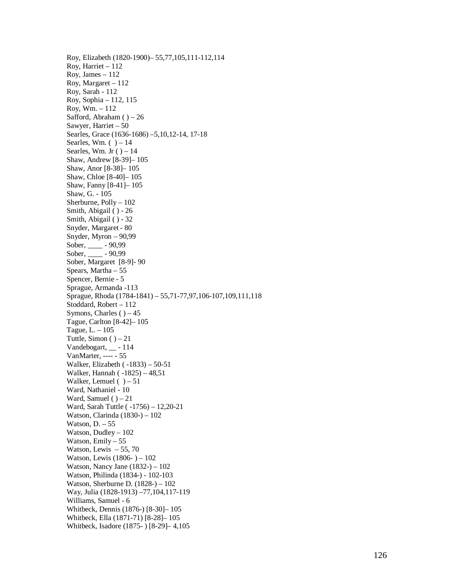Roy, Elizabeth (1820-1900) - 55,77,105,111-112,114 Roy, Harriet - 112 Roy, James - 112 Roy, Margaret - 112 Roy, Sarah - 112 Ro y, S o p h i a – 112 , 115 Ro y, Wm. – 112 Safford, Abraham  $( ) -26$ Sawyer, Harriet - 50 Searles, Grace (1636-1686) -5,10,12-14, 17-18 Searles, Wm.  $( ) - 14$ Searles, Wm. Jr  $( ) - 14$ S h a w, A n dr e w [8-39] – 105 Shaw, Anor [8-38]-105 Shaw, Chloe [8-40]- 105 S h a w, F a n n y [8-41] – 105 S h a w, G. - 105 Sherburne, Polly - 102 Smith, Abigail () - 26 Smith, Abigail () - 32 Snyder, Margaret - 80 Snyder, Myron  $-90,99$ Sober, \_\_\_\_\_\_ - 90,99 Sober, \_\_\_\_\_\_ - 90,99 Sober, Margaret [8-9]-90 Spears, Martha - 55 Spencer, Bernie - 5 Sprague, Armanda -113 Sprague, Rhoda (1784-1841) - 55,71-77,97,106-107,109,111,118 Stoddard, Robert - 112 Symons, Charles  $( ) -45$ Tague, Carlton [8-42]-105 Tague, L. – 105 Tuttle, Simon  $( ) - 21$  $V$ andebogart,  $\_\_$ -114 VanMarter, ---- - 55 Walker, Elizabeth (-1833) – 50-51 Walker, Hannah (-1825) - 48,51 Walker, Lemuel  $( ) - 51$ Ward, Nathaniel - 10 Ward, Samuel  $( ) - 21$ Ward, Sarah Tuttle (-1756) - 12,20-21 Watson, Clarinda (1830-) - 102 Watson,  $D. - 55$ Watson, Dudley - 102 Watson, Emily - 55 Watson, Lewis  $-55, 70$ Watson, Lewis (1806-) - 102 Watson, Nancy Jane  $(1832 -) - 102$ Watson, Philinda (1834-) - 102-103 Watson, Sherburne D. (1828-) - 102 Way, Julia (1828-1913) -77,104,117-119 Williams, Samuel - 6 Whitbeck, Dennis (1876-) [8-30]-105 Whitbeck, Ella (1871-71) [8-28]-105 Whitbeck, Isadore (1875-) [8-29]-4,105